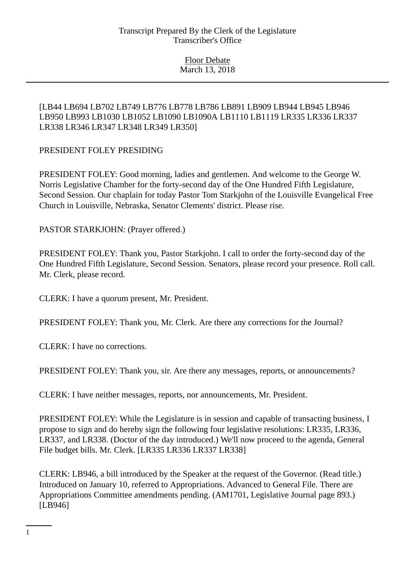# [LB44 LB694 LB702 LB749 LB776 LB778 LB786 LB891 LB909 LB944 LB945 LB946 LB950 LB993 LB1030 LB1052 LB1090 LB1090A LB1110 LB1119 LR335 LR336 LR337 LR338 LR346 LR347 LR348 LR349 LR350]

# PRESIDENT FOLEY PRESIDING

PRESIDENT FOLEY: Good morning, ladies and gentlemen. And welcome to the George W. Norris Legislative Chamber for the forty-second day of the One Hundred Fifth Legislature, Second Session. Our chaplain for today Pastor Tom Starkjohn of the Louisville Evangelical Free Church in Louisville, Nebraska, Senator Clements' district. Please rise.

PASTOR STARKJOHN: (Prayer offered.)

PRESIDENT FOLEY: Thank you, Pastor Starkjohn. I call to order the forty-second day of the One Hundred Fifth Legislature, Second Session. Senators, please record your presence. Roll call. Mr. Clerk, please record.

CLERK: I have a quorum present, Mr. President.

PRESIDENT FOLEY: Thank you, Mr. Clerk. Are there any corrections for the Journal?

CLERK: I have no corrections.

PRESIDENT FOLEY: Thank you, sir. Are there any messages, reports, or announcements?

CLERK: I have neither messages, reports, nor announcements, Mr. President.

PRESIDENT FOLEY: While the Legislature is in session and capable of transacting business, I propose to sign and do hereby sign the following four legislative resolutions: LR335, LR336, LR337, and LR338. (Doctor of the day introduced.) We'll now proceed to the agenda, General File budget bills. Mr. Clerk. [LR335 LR336 LR337 LR338]

CLERK: LB946, a bill introduced by the Speaker at the request of the Governor. (Read title.) Introduced on January 10, referred to Appropriations. Advanced to General File. There are Appropriations Committee amendments pending. (AM1701, Legislative Journal page 893.) [LB946]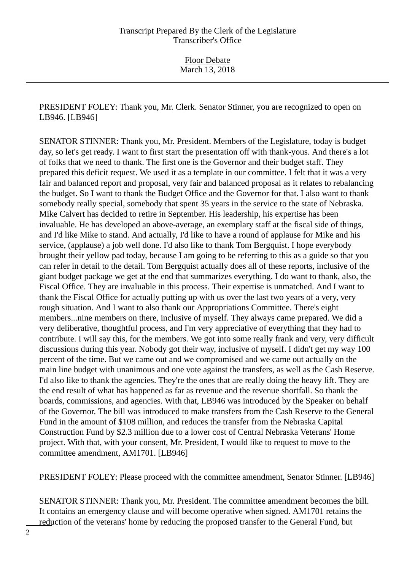PRESIDENT FOLEY: Thank you, Mr. Clerk. Senator Stinner, you are recognized to open on LB946. [LB946]

SENATOR STINNER: Thank you, Mr. President. Members of the Legislature, today is budget day, so let's get ready. I want to first start the presentation off with thank-yous. And there's a lot of folks that we need to thank. The first one is the Governor and their budget staff. They prepared this deficit request. We used it as a template in our committee. I felt that it was a very fair and balanced report and proposal, very fair and balanced proposal as it relates to rebalancing the budget. So I want to thank the Budget Office and the Governor for that. I also want to thank somebody really special, somebody that spent 35 years in the service to the state of Nebraska. Mike Calvert has decided to retire in September. His leadership, his expertise has been invaluable. He has developed an above-average, an exemplary staff at the fiscal side of things, and I'd like Mike to stand. And actually, I'd like to have a round of applause for Mike and his service, (applause) a job well done. I'd also like to thank Tom Bergquist. I hope everybody brought their yellow pad today, because I am going to be referring to this as a guide so that you can refer in detail to the detail. Tom Bergquist actually does all of these reports, inclusive of the giant budget package we get at the end that summarizes everything. I do want to thank, also, the Fiscal Office. They are invaluable in this process. Their expertise is unmatched. And I want to thank the Fiscal Office for actually putting up with us over the last two years of a very, very rough situation. And I want to also thank our Appropriations Committee. There's eight members...nine members on there, inclusive of myself. They always came prepared. We did a very deliberative, thoughtful process, and I'm very appreciative of everything that they had to contribute. I will say this, for the members. We got into some really frank and very, very difficult discussions during this year. Nobody got their way, inclusive of myself. I didn't get my way 100 percent of the time. But we came out and we compromised and we came out actually on the main line budget with unanimous and one vote against the transfers, as well as the Cash Reserve. I'd also like to thank the agencies. They're the ones that are really doing the heavy lift. They are the end result of what has happened as far as revenue and the revenue shortfall. So thank the boards, commissions, and agencies. With that, LB946 was introduced by the Speaker on behalf of the Governor. The bill was introduced to make transfers from the Cash Reserve to the General Fund in the amount of \$108 million, and reduces the transfer from the Nebraska Capital Construction Fund by \$2.3 million due to a lower cost of Central Nebraska Veterans' Home project. With that, with your consent, Mr. President, I would like to request to move to the committee amendment, AM1701. [LB946]

PRESIDENT FOLEY: Please proceed with the committee amendment, Senator Stinner. [LB946]

SENATOR STINNER: Thank you, Mr. President. The committee amendment becomes the bill. It contains an emergency clause and will become operative when signed. AM1701 retains the reduction of the veterans' home by reducing the proposed transfer to the General Fund, but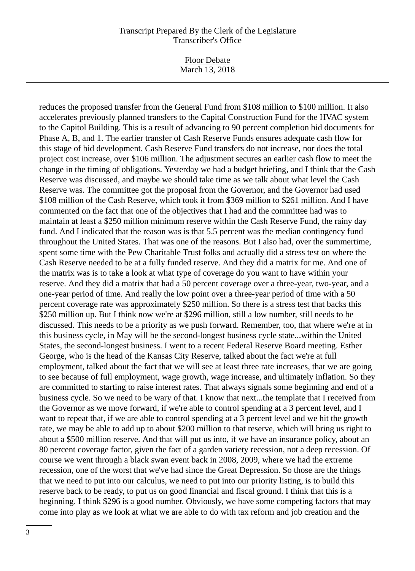Floor Debate March 13, 2018

reduces the proposed transfer from the General Fund from \$108 million to \$100 million. It also accelerates previously planned transfers to the Capital Construction Fund for the HVAC system to the Capitol Building. This is a result of advancing to 90 percent completion bid documents for Phase A, B, and 1. The earlier transfer of Cash Reserve Funds ensures adequate cash flow for this stage of bid development. Cash Reserve Fund transfers do not increase, nor does the total project cost increase, over \$106 million. The adjustment secures an earlier cash flow to meet the change in the timing of obligations. Yesterday we had a budget briefing, and I think that the Cash Reserve was discussed, and maybe we should take time as we talk about what level the Cash Reserve was. The committee got the proposal from the Governor, and the Governor had used \$108 million of the Cash Reserve, which took it from \$369 million to \$261 million. And I have commented on the fact that one of the objectives that I had and the committee had was to maintain at least a \$250 million minimum reserve within the Cash Reserve Fund, the rainy day fund. And I indicated that the reason was is that 5.5 percent was the median contingency fund throughout the United States. That was one of the reasons. But I also had, over the summertime, spent some time with the Pew Charitable Trust folks and actually did a stress test on where the Cash Reserve needed to be at a fully funded reserve. And they did a matrix for me. And one of the matrix was is to take a look at what type of coverage do you want to have within your reserve. And they did a matrix that had a 50 percent coverage over a three-year, two-year, and a one-year period of time. And really the low point over a three-year period of time with a 50 percent coverage rate was approximately \$250 million. So there is a stress test that backs this \$250 million up. But I think now we're at \$296 million, still a low number, still needs to be discussed. This needs to be a priority as we push forward. Remember, too, that where we're at in this business cycle, in May will be the second-longest business cycle state...within the United States, the second-longest business. I went to a recent Federal Reserve Board meeting. Esther George, who is the head of the Kansas City Reserve, talked about the fact we're at full employment, talked about the fact that we will see at least three rate increases, that we are going to see because of full employment, wage growth, wage increase, and ultimately inflation. So they are committed to starting to raise interest rates. That always signals some beginning and end of a business cycle. So we need to be wary of that. I know that next...the template that I received from the Governor as we move forward, if we're able to control spending at a 3 percent level, and I want to repeat that, if we are able to control spending at a 3 percent level and we hit the growth rate, we may be able to add up to about \$200 million to that reserve, which will bring us right to about a \$500 million reserve. And that will put us into, if we have an insurance policy, about an 80 percent coverage factor, given the fact of a garden variety recession, not a deep recession. Of course we went through a black swan event back in 2008, 2009, where we had the extreme recession, one of the worst that we've had since the Great Depression. So those are the things that we need to put into our calculus, we need to put into our priority listing, is to build this reserve back to be ready, to put us on good financial and fiscal ground. I think that this is a beginning. I think \$296 is a good number. Obviously, we have some competing factors that may come into play as we look at what we are able to do with tax reform and job creation and the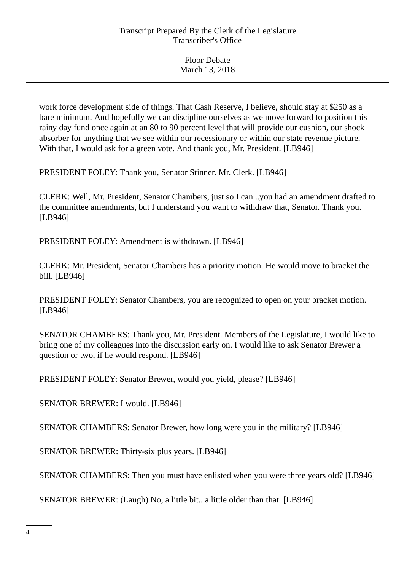| <b>Floor Debate</b> |  |
|---------------------|--|
| March 13, 2018      |  |

work force development side of things. That Cash Reserve, I believe, should stay at \$250 as a bare minimum. And hopefully we can discipline ourselves as we move forward to position this rainy day fund once again at an 80 to 90 percent level that will provide our cushion, our shock absorber for anything that we see within our recessionary or within our state revenue picture. With that, I would ask for a green vote. And thank you, Mr. President. [LB946]

PRESIDENT FOLEY: Thank you, Senator Stinner. Mr. Clerk. [LB946]

CLERK: Well, Mr. President, Senator Chambers, just so I can...you had an amendment drafted to the committee amendments, but I understand you want to withdraw that, Senator. Thank you. [LB946]

PRESIDENT FOLEY: Amendment is withdrawn. [LB946]

CLERK: Mr. President, Senator Chambers has a priority motion. He would move to bracket the bill. [LB946]

PRESIDENT FOLEY: Senator Chambers, you are recognized to open on your bracket motion. [LB946]

SENATOR CHAMBERS: Thank you, Mr. President. Members of the Legislature, I would like to bring one of my colleagues into the discussion early on. I would like to ask Senator Brewer a question or two, if he would respond. [LB946]

PRESIDENT FOLEY: Senator Brewer, would you yield, please? [LB946]

SENATOR BREWER: I would. [LB946]

SENATOR CHAMBERS: Senator Brewer, how long were you in the military? [LB946]

SENATOR BREWER: Thirty-six plus years. [LB946]

SENATOR CHAMBERS: Then you must have enlisted when you were three years old? [LB946]

SENATOR BREWER: (Laugh) No, a little bit...a little older than that. [LB946]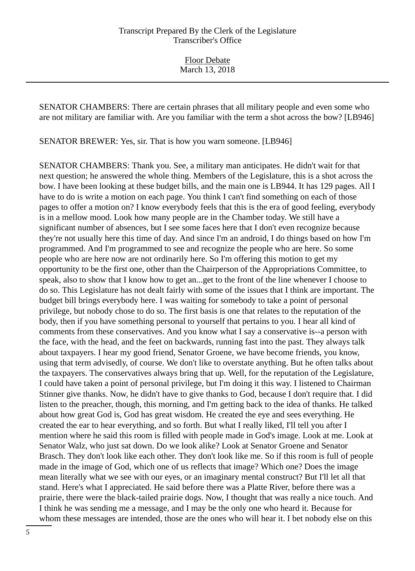Floor Debate March 13, 2018

SENATOR CHAMBERS: There are certain phrases that all military people and even some who are not military are familiar with. Are you familiar with the term a shot across the bow? [LB946]

SENATOR BREWER: Yes, sir. That is how you warn someone. [LB946]

SENATOR CHAMBERS: Thank you. See, a military man anticipates. He didn't wait for that next question; he answered the whole thing. Members of the Legislature, this is a shot across the bow. I have been looking at these budget bills, and the main one is LB944. It has 129 pages. All I have to do is write a motion on each page. You think I can't find something on each of those pages to offer a motion on? I know everybody feels that this is the era of good feeling, everybody is in a mellow mood. Look how many people are in the Chamber today. We still have a significant number of absences, but I see some faces here that I don't even recognize because they're not usually here this time of day. And since I'm an android, I do things based on how I'm programmed. And I'm programmed to see and recognize the people who are here. So some people who are here now are not ordinarily here. So I'm offering this motion to get my opportunity to be the first one, other than the Chairperson of the Appropriations Committee, to speak, also to show that I know how to get an...get to the front of the line whenever I choose to do so. This Legislature has not dealt fairly with some of the issues that I think are important. The budget bill brings everybody here. I was waiting for somebody to take a point of personal privilege, but nobody chose to do so. The first basis is one that relates to the reputation of the body, then if you have something personal to yourself that pertains to you. I hear all kind of comments from these conservatives. And you know what I say a conservative is--a person with the face, with the head, and the feet on backwards, running fast into the past. They always talk about taxpayers. I hear my good friend, Senator Groene, we have become friends, you know, using that term advisedly, of course. We don't like to overstate anything. But he often talks about the taxpayers. The conservatives always bring that up. Well, for the reputation of the Legislature, I could have taken a point of personal privilege, but I'm doing it this way. I listened to Chairman Stinner give thanks. Now, he didn't have to give thanks to God, because I don't require that. I did listen to the preacher, though, this morning, and I'm getting back to the idea of thanks. He talked about how great God is, God has great wisdom. He created the eye and sees everything. He created the ear to hear everything, and so forth. But what I really liked, I'll tell you after I mention where he said this room is filled with people made in God's image. Look at me. Look at Senator Walz, who just sat down. Do we look alike? Look at Senator Groene and Senator Brasch. They don't look like each other. They don't look like me. So if this room is full of people made in the image of God, which one of us reflects that image? Which one? Does the image mean literally what we see with our eyes, or an imaginary mental construct? But I'll let all that stand. Here's what I appreciated. He said before there was a Platte River, before there was a prairie, there were the black-tailed prairie dogs. Now, I thought that was really a nice touch. And I think he was sending me a message, and I may be the only one who heard it. Because for whom these messages are intended, those are the ones who will hear it. I bet nobody else on this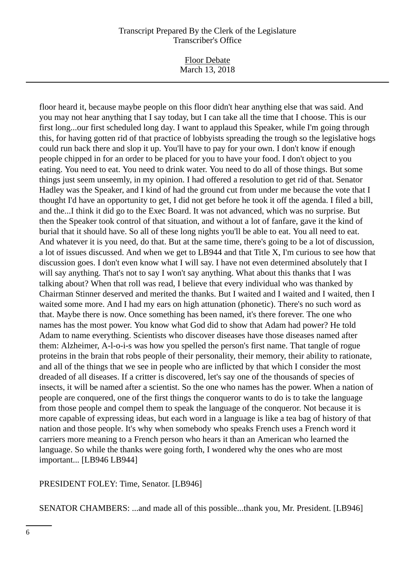Floor Debate March 13, 2018

floor heard it, because maybe people on this floor didn't hear anything else that was said. And you may not hear anything that I say today, but I can take all the time that I choose. This is our first long...our first scheduled long day. I want to applaud this Speaker, while I'm going through this, for having gotten rid of that practice of lobbyists spreading the trough so the legislative hogs could run back there and slop it up. You'll have to pay for your own. I don't know if enough people chipped in for an order to be placed for you to have your food. I don't object to you eating. You need to eat. You need to drink water. You need to do all of those things. But some things just seem unseemly, in my opinion. I had offered a resolution to get rid of that. Senator Hadley was the Speaker, and I kind of had the ground cut from under me because the vote that I thought I'd have an opportunity to get, I did not get before he took it off the agenda. I filed a bill, and the...I think it did go to the Exec Board. It was not advanced, which was no surprise. But then the Speaker took control of that situation, and without a lot of fanfare, gave it the kind of burial that it should have. So all of these long nights you'll be able to eat. You all need to eat. And whatever it is you need, do that. But at the same time, there's going to be a lot of discussion, a lot of issues discussed. And when we get to LB944 and that Title X, I'm curious to see how that discussion goes. I don't even know what I will say. I have not even determined absolutely that I will say anything. That's not to say I won't say anything. What about this thanks that I was talking about? When that roll was read, I believe that every individual who was thanked by Chairman Stinner deserved and merited the thanks. But I waited and I waited and I waited, then I waited some more. And I had my ears on high attunation (phonetic). There's no such word as that. Maybe there is now. Once something has been named, it's there forever. The one who names has the most power. You know what God did to show that Adam had power? He told Adam to name everything. Scientists who discover diseases have those diseases named after them: Alzheimer, A-l-o-i-s was how you spelled the person's first name. That tangle of rogue proteins in the brain that robs people of their personality, their memory, their ability to rationate, and all of the things that we see in people who are inflicted by that which I consider the most dreaded of all diseases. If a critter is discovered, let's say one of the thousands of species of insects, it will be named after a scientist. So the one who names has the power. When a nation of people are conquered, one of the first things the conqueror wants to do is to take the language from those people and compel them to speak the language of the conqueror. Not because it is more capable of expressing ideas, but each word in a language is like a tea bag of history of that nation and those people. It's why when somebody who speaks French uses a French word it carriers more meaning to a French person who hears it than an American who learned the language. So while the thanks were going forth, I wondered why the ones who are most important... [LB946 LB944]

PRESIDENT FOLEY: Time, Senator. [LB946]

SENATOR CHAMBERS: ...and made all of this possible...thank you, Mr. President. [LB946]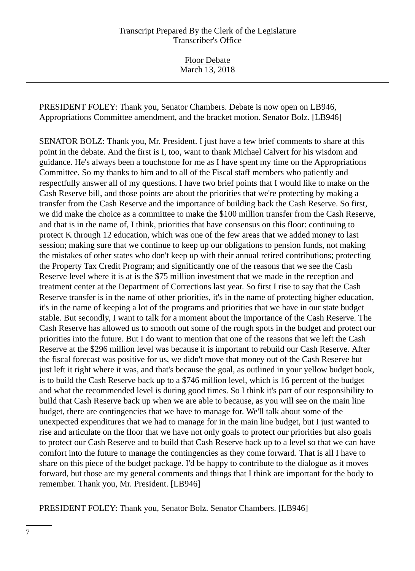Floor Debate March 13, 2018

PRESIDENT FOLEY: Thank you, Senator Chambers. Debate is now open on LB946, Appropriations Committee amendment, and the bracket motion. Senator Bolz. [LB946]

SENATOR BOLZ: Thank you, Mr. President. I just have a few brief comments to share at this point in the debate. And the first is I, too, want to thank Michael Calvert for his wisdom and guidance. He's always been a touchstone for me as I have spent my time on the Appropriations Committee. So my thanks to him and to all of the Fiscal staff members who patiently and respectfully answer all of my questions. I have two brief points that I would like to make on the Cash Reserve bill, and those points are about the priorities that we're protecting by making a transfer from the Cash Reserve and the importance of building back the Cash Reserve. So first, we did make the choice as a committee to make the \$100 million transfer from the Cash Reserve, and that is in the name of, I think, priorities that have consensus on this floor: continuing to protect K through 12 education, which was one of the few areas that we added money to last session; making sure that we continue to keep up our obligations to pension funds, not making the mistakes of other states who don't keep up with their annual retired contributions; protecting the Property Tax Credit Program; and significantly one of the reasons that we see the Cash Reserve level where it is at is the \$75 million investment that we made in the reception and treatment center at the Department of Corrections last year. So first I rise to say that the Cash Reserve transfer is in the name of other priorities, it's in the name of protecting higher education, it's in the name of keeping a lot of the programs and priorities that we have in our state budget stable. But secondly, I want to talk for a moment about the importance of the Cash Reserve. The Cash Reserve has allowed us to smooth out some of the rough spots in the budget and protect our priorities into the future. But I do want to mention that one of the reasons that we left the Cash Reserve at the \$296 million level was because it is important to rebuild our Cash Reserve. After the fiscal forecast was positive for us, we didn't move that money out of the Cash Reserve but just left it right where it was, and that's because the goal, as outlined in your yellow budget book, is to build the Cash Reserve back up to a \$746 million level, which is 16 percent of the budget and what the recommended level is during good times. So I think it's part of our responsibility to build that Cash Reserve back up when we are able to because, as you will see on the main line budget, there are contingencies that we have to manage for. We'll talk about some of the unexpected expenditures that we had to manage for in the main line budget, but I just wanted to rise and articulate on the floor that we have not only goals to protect our priorities but also goals to protect our Cash Reserve and to build that Cash Reserve back up to a level so that we can have comfort into the future to manage the contingencies as they come forward. That is all I have to share on this piece of the budget package. I'd be happy to contribute to the dialogue as it moves forward, but those are my general comments and things that I think are important for the body to remember. Thank you, Mr. President. [LB946]

PRESIDENT FOLEY: Thank you, Senator Bolz. Senator Chambers. [LB946]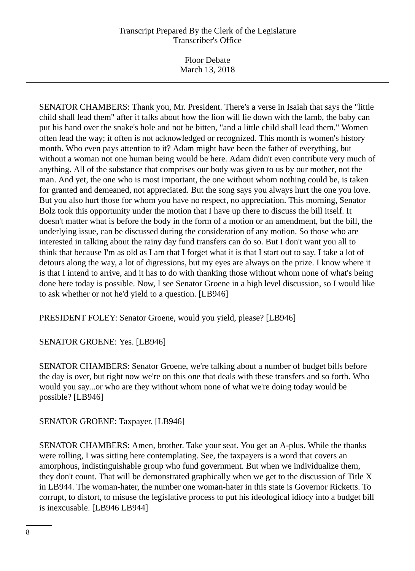Floor Debate March 13, 2018

SENATOR CHAMBERS: Thank you, Mr. President. There's a verse in Isaiah that says the "little child shall lead them" after it talks about how the lion will lie down with the lamb, the baby can put his hand over the snake's hole and not be bitten, "and a little child shall lead them." Women often lead the way; it often is not acknowledged or recognized. This month is women's history month. Who even pays attention to it? Adam might have been the father of everything, but without a woman not one human being would be here. Adam didn't even contribute very much of anything. All of the substance that comprises our body was given to us by our mother, not the man. And yet, the one who is most important, the one without whom nothing could be, is taken for granted and demeaned, not appreciated. But the song says you always hurt the one you love. But you also hurt those for whom you have no respect, no appreciation. This morning, Senator Bolz took this opportunity under the motion that I have up there to discuss the bill itself. It doesn't matter what is before the body in the form of a motion or an amendment, but the bill, the underlying issue, can be discussed during the consideration of any motion. So those who are interested in talking about the rainy day fund transfers can do so. But I don't want you all to think that because I'm as old as I am that I forget what it is that I start out to say. I take a lot of detours along the way, a lot of digressions, but my eyes are always on the prize. I know where it is that I intend to arrive, and it has to do with thanking those without whom none of what's being done here today is possible. Now, I see Senator Groene in a high level discussion, so I would like to ask whether or not he'd yield to a question. [LB946]

PRESIDENT FOLEY: Senator Groene, would you yield, please? [LB946]

SENATOR GROENE: Yes. [LB946]

SENATOR CHAMBERS: Senator Groene, we're talking about a number of budget bills before the day is over, but right now we're on this one that deals with these transfers and so forth. Who would you say...or who are they without whom none of what we're doing today would be possible? [LB946]

SENATOR GROENE: Taxpayer. [LB946]

SENATOR CHAMBERS: Amen, brother. Take your seat. You get an A-plus. While the thanks were rolling, I was sitting here contemplating. See, the taxpayers is a word that covers an amorphous, indistinguishable group who fund government. But when we individualize them, they don't count. That will be demonstrated graphically when we get to the discussion of Title X in LB944. The woman-hater, the number one woman-hater in this state is Governor Ricketts. To corrupt, to distort, to misuse the legislative process to put his ideological idiocy into a budget bill is inexcusable. [LB946 LB944]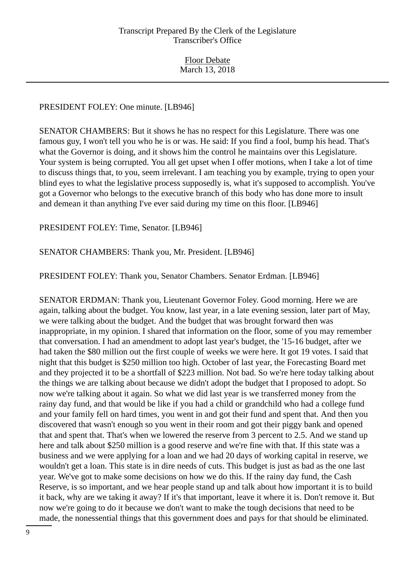# PRESIDENT FOLEY: One minute. [LB946]

SENATOR CHAMBERS: But it shows he has no respect for this Legislature. There was one famous guy, I won't tell you who he is or was. He said: If you find a fool, bump his head. That's what the Governor is doing, and it shows him the control he maintains over this Legislature. Your system is being corrupted. You all get upset when I offer motions, when I take a lot of time to discuss things that, to you, seem irrelevant. I am teaching you by example, trying to open your blind eyes to what the legislative process supposedly is, what it's supposed to accomplish. You've got a Governor who belongs to the executive branch of this body who has done more to insult and demean it than anything I've ever said during my time on this floor. [LB946]

PRESIDENT FOLEY: Time, Senator. [LB946]

SENATOR CHAMBERS: Thank you, Mr. President. [LB946]

PRESIDENT FOLEY: Thank you, Senator Chambers. Senator Erdman. [LB946]

SENATOR ERDMAN: Thank you, Lieutenant Governor Foley. Good morning. Here we are again, talking about the budget. You know, last year, in a late evening session, later part of May, we were talking about the budget. And the budget that was brought forward then was inappropriate, in my opinion. I shared that information on the floor, some of you may remember that conversation. I had an amendment to adopt last year's budget, the '15-16 budget, after we had taken the \$80 million out the first couple of weeks we were here. It got 19 votes. I said that night that this budget is \$250 million too high. October of last year, the Forecasting Board met and they projected it to be a shortfall of \$223 million. Not bad. So we're here today talking about the things we are talking about because we didn't adopt the budget that I proposed to adopt. So now we're talking about it again. So what we did last year is we transferred money from the rainy day fund, and that would be like if you had a child or grandchild who had a college fund and your family fell on hard times, you went in and got their fund and spent that. And then you discovered that wasn't enough so you went in their room and got their piggy bank and opened that and spent that. That's when we lowered the reserve from 3 percent to 2.5. And we stand up here and talk about \$250 million is a good reserve and we're fine with that. If this state was a business and we were applying for a loan and we had 20 days of working capital in reserve, we wouldn't get a loan. This state is in dire needs of cuts. This budget is just as bad as the one last year. We've got to make some decisions on how we do this. If the rainy day fund, the Cash Reserve, is so important, and we hear people stand up and talk about how important it is to build it back, why are we taking it away? If it's that important, leave it where it is. Don't remove it. But now we're going to do it because we don't want to make the tough decisions that need to be made, the nonessential things that this government does and pays for that should be eliminated.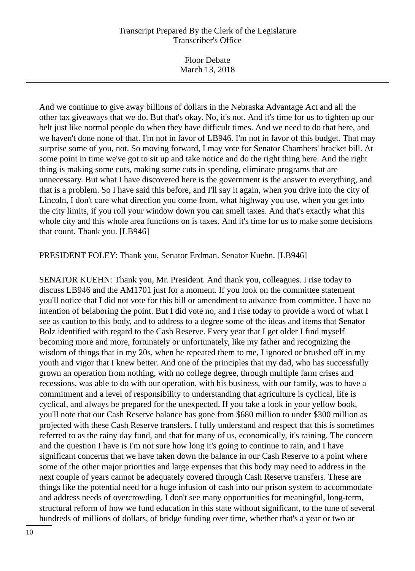| <b>Floor Debate</b><br>March 13, 2018 |
|---------------------------------------|
|                                       |

And we continue to give away billions of dollars in the Nebraska Advantage Act and all the other tax giveaways that we do. But that's okay. No, it's not. And it's time for us to tighten up our belt just like normal people do when they have difficult times. And we need to do that here, and we haven't done none of that. I'm not in favor of LB946. I'm not in favor of this budget. That may surprise some of you, not. So moving forward, I may vote for Senator Chambers' bracket bill. At some point in time we've got to sit up and take notice and do the right thing here. And the right thing is making some cuts, making some cuts in spending, eliminate programs that are unnecessary. But what I have discovered here is the government is the answer to everything, and that is a problem. So I have said this before, and I'll say it again, when you drive into the city of Lincoln, I don't care what direction you come from, what highway you use, when you get into the city limits, if you roll your window down you can smell taxes. And that's exactly what this whole city and this whole area functions on is taxes. And it's time for us to make some decisions that count. Thank you. [LB946]

PRESIDENT FOLEY: Thank you, Senator Erdman. Senator Kuehn. [LB946]

SENATOR KUEHN: Thank you, Mr. President. And thank you, colleagues. I rise today to discuss LB946 and the AM1701 just for a moment. If you look on the committee statement you'll notice that I did not vote for this bill or amendment to advance from committee. I have no intention of belaboring the point. But I did vote no, and I rise today to provide a word of what I see as caution to this body, and to address to a degree some of the ideas and items that Senator Bolz identified with regard to the Cash Reserve. Every year that I get older I find myself becoming more and more, fortunately or unfortunately, like my father and recognizing the wisdom of things that in my 20s, when he repeated them to me, I ignored or brushed off in my youth and vigor that I knew better. And one of the principles that my dad, who has successfully grown an operation from nothing, with no college degree, through multiple farm crises and recessions, was able to do with our operation, with his business, with our family, was to have a commitment and a level of responsibility to understanding that agriculture is cyclical, life is cyclical, and always be prepared for the unexpected. If you take a look in your yellow book, you'll note that our Cash Reserve balance has gone from \$680 million to under \$300 million as projected with these Cash Reserve transfers. I fully understand and respect that this is sometimes referred to as the rainy day fund, and that for many of us, economically, it's raining. The concern and the question I have is I'm not sure how long it's going to continue to rain, and I have significant concerns that we have taken down the balance in our Cash Reserve to a point where some of the other major priorities and large expenses that this body may need to address in the next couple of years cannot be adequately covered through Cash Reserve transfers. These are things like the potential need for a huge infusion of cash into our prison system to accommodate and address needs of overcrowding. I don't see many opportunities for meaningful, long-term, structural reform of how we fund education in this state without significant, to the tune of several hundreds of millions of dollars, of bridge funding over time, whether that's a year or two or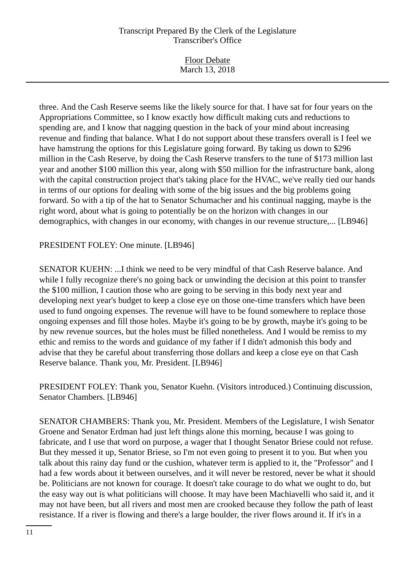| <b>Floor Debate</b> |  |
|---------------------|--|
| March 13, 2018      |  |

three. And the Cash Reserve seems like the likely source for that. I have sat for four years on the Appropriations Committee, so I know exactly how difficult making cuts and reductions to spending are, and I know that nagging question in the back of your mind about increasing revenue and finding that balance. What I do not support about these transfers overall is I feel we have hamstrung the options for this Legislature going forward. By taking us down to \$296 million in the Cash Reserve, by doing the Cash Reserve transfers to the tune of \$173 million last year and another \$100 million this year, along with \$50 million for the infrastructure bank, along with the capital construction project that's taking place for the HVAC, we've really tied our hands in terms of our options for dealing with some of the big issues and the big problems going forward. So with a tip of the hat to Senator Schumacher and his continual nagging, maybe is the right word, about what is going to potentially be on the horizon with changes in our demographics, with changes in our economy, with changes in our revenue structure,... [LB946]

# PRESIDENT FOLEY: One minute. [LB946]

SENATOR KUEHN: ...I think we need to be very mindful of that Cash Reserve balance. And while I fully recognize there's no going back or unwinding the decision at this point to transfer the \$100 million, I caution those who are going to be serving in this body next year and developing next year's budget to keep a close eye on those one-time transfers which have been used to fund ongoing expenses. The revenue will have to be found somewhere to replace those ongoing expenses and fill those holes. Maybe it's going to be by growth, maybe it's going to be by new revenue sources, but the holes must be filled nonetheless. And I would be remiss to my ethic and remiss to the words and guidance of my father if I didn't admonish this body and advise that they be careful about transferring those dollars and keep a close eye on that Cash Reserve balance. Thank you, Mr. President. [LB946]

PRESIDENT FOLEY: Thank you, Senator Kuehn. (Visitors introduced.) Continuing discussion, Senator Chambers. [LB946]

SENATOR CHAMBERS: Thank you, Mr. President. Members of the Legislature, I wish Senator Groene and Senator Erdman had just left things alone this morning, because I was going to fabricate, and I use that word on purpose, a wager that I thought Senator Briese could not refuse. But they messed it up, Senator Briese, so I'm not even going to present it to you. But when you talk about this rainy day fund or the cushion, whatever term is applied to it, the "Professor" and I had a few words about it between ourselves, and it will never be restored, never be what it should be. Politicians are not known for courage. It doesn't take courage to do what we ought to do, but the easy way out is what politicians will choose. It may have been Machiavelli who said it, and it may not have been, but all rivers and most men are crooked because they follow the path of least resistance. If a river is flowing and there's a large boulder, the river flows around it. If it's in a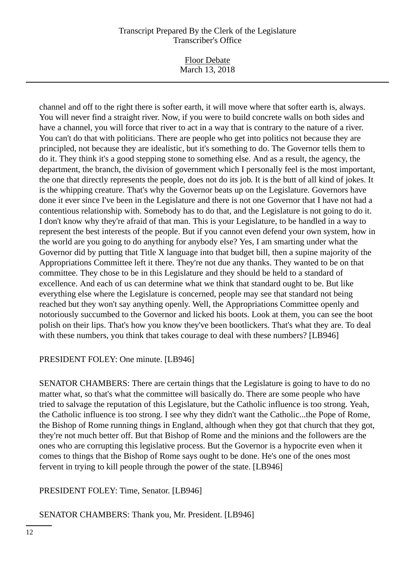Floor Debate March 13, 2018

channel and off to the right there is softer earth, it will move where that softer earth is, always. You will never find a straight river. Now, if you were to build concrete walls on both sides and have a channel, you will force that river to act in a way that is contrary to the nature of a river. You can't do that with politicians. There are people who get into politics not because they are principled, not because they are idealistic, but it's something to do. The Governor tells them to do it. They think it's a good stepping stone to something else. And as a result, the agency, the department, the branch, the division of government which I personally feel is the most important, the one that directly represents the people, does not do its job. It is the butt of all kind of jokes. It is the whipping creature. That's why the Governor beats up on the Legislature. Governors have done it ever since I've been in the Legislature and there is not one Governor that I have not had a contentious relationship with. Somebody has to do that, and the Legislature is not going to do it. I don't know why they're afraid of that man. This is your Legislature, to be handled in a way to represent the best interests of the people. But if you cannot even defend your own system, how in the world are you going to do anything for anybody else? Yes, I am smarting under what the Governor did by putting that Title X language into that budget bill, then a supine majority of the Appropriations Committee left it there. They're not due any thanks. They wanted to be on that committee. They chose to be in this Legislature and they should be held to a standard of excellence. And each of us can determine what we think that standard ought to be. But like everything else where the Legislature is concerned, people may see that standard not being reached but they won't say anything openly. Well, the Appropriations Committee openly and notoriously succumbed to the Governor and licked his boots. Look at them, you can see the boot polish on their lips. That's how you know they've been bootlickers. That's what they are. To deal with these numbers, you think that takes courage to deal with these numbers? [LB946]

PRESIDENT FOLEY: One minute. [LB946]

SENATOR CHAMBERS: There are certain things that the Legislature is going to have to do no matter what, so that's what the committee will basically do. There are some people who have tried to salvage the reputation of this Legislature, but the Catholic influence is too strong. Yeah, the Catholic influence is too strong. I see why they didn't want the Catholic...the Pope of Rome, the Bishop of Rome running things in England, although when they got that church that they got, they're not much better off. But that Bishop of Rome and the minions and the followers are the ones who are corrupting this legislative process. But the Governor is a hypocrite even when it comes to things that the Bishop of Rome says ought to be done. He's one of the ones most fervent in trying to kill people through the power of the state. [LB946]

PRESIDENT FOLEY: Time, Senator. [LB946]

SENATOR CHAMBERS: Thank you, Mr. President. [LB946]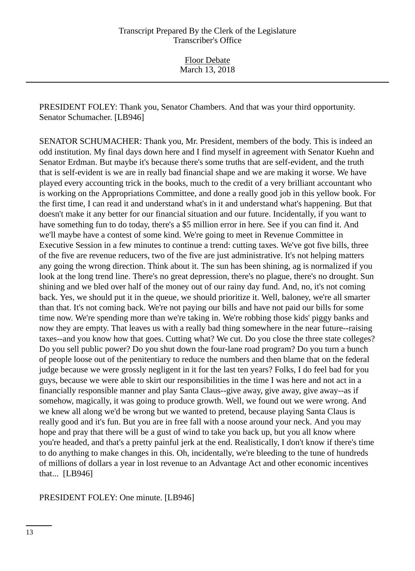PRESIDENT FOLEY: Thank you, Senator Chambers. And that was your third opportunity. Senator Schumacher. [LB946]

SENATOR SCHUMACHER: Thank you, Mr. President, members of the body. This is indeed an odd institution. My final days down here and I find myself in agreement with Senator Kuehn and Senator Erdman. But maybe it's because there's some truths that are self-evident, and the truth that is self-evident is we are in really bad financial shape and we are making it worse. We have played every accounting trick in the books, much to the credit of a very brilliant accountant who is working on the Appropriations Committee, and done a really good job in this yellow book. For the first time, I can read it and understand what's in it and understand what's happening. But that doesn't make it any better for our financial situation and our future. Incidentally, if you want to have something fun to do today, there's a \$5 million error in here. See if you can find it. And we'll maybe have a contest of some kind. We're going to meet in Revenue Committee in Executive Session in a few minutes to continue a trend: cutting taxes. We've got five bills, three of the five are revenue reducers, two of the five are just administrative. It's not helping matters any going the wrong direction. Think about it. The sun has been shining, ag is normalized if you look at the long trend line. There's no great depression, there's no plague, there's no drought. Sun shining and we bled over half of the money out of our rainy day fund. And, no, it's not coming back. Yes, we should put it in the queue, we should prioritize it. Well, baloney, we're all smarter than that. It's not coming back. We're not paying our bills and have not paid our bills for some time now. We're spending more than we're taking in. We're robbing those kids' piggy banks and now they are empty. That leaves us with a really bad thing somewhere in the near future--raising taxes--and you know how that goes. Cutting what? We cut. Do you close the three state colleges? Do you sell public power? Do you shut down the four-lane road program? Do you turn a bunch of people loose out of the penitentiary to reduce the numbers and then blame that on the federal judge because we were grossly negligent in it for the last ten years? Folks, I do feel bad for you guys, because we were able to skirt our responsibilities in the time I was here and not act in a financially responsible manner and play Santa Claus--give away, give away, give away--as if somehow, magically, it was going to produce growth. Well, we found out we were wrong. And we knew all along we'd be wrong but we wanted to pretend, because playing Santa Claus is really good and it's fun. But you are in free fall with a noose around your neck. And you may hope and pray that there will be a gust of wind to take you back up, but you all know where you're headed, and that's a pretty painful jerk at the end. Realistically, I don't know if there's time to do anything to make changes in this. Oh, incidentally, we're bleeding to the tune of hundreds of millions of dollars a year in lost revenue to an Advantage Act and other economic incentives that... [LB946]

PRESIDENT FOLEY: One minute. [LB946]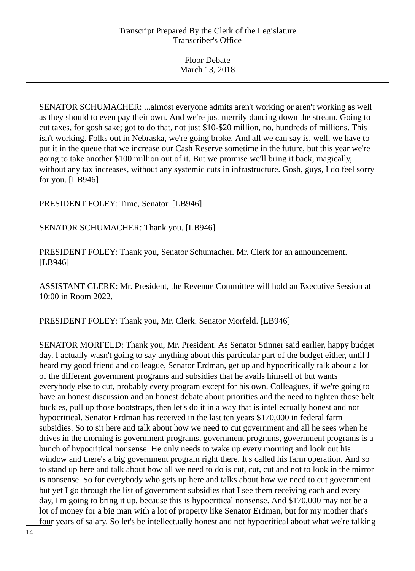Floor Debate March 13, 2018

SENATOR SCHUMACHER: ...almost everyone admits aren't working or aren't working as well as they should to even pay their own. And we're just merrily dancing down the stream. Going to cut taxes, for gosh sake; got to do that, not just \$10-\$20 million, no, hundreds of millions. This isn't working. Folks out in Nebraska, we're going broke. And all we can say is, well, we have to put it in the queue that we increase our Cash Reserve sometime in the future, but this year we're going to take another \$100 million out of it. But we promise we'll bring it back, magically, without any tax increases, without any systemic cuts in infrastructure. Gosh, guys, I do feel sorry for you. [LB946]

PRESIDENT FOLEY: Time, Senator. [LB946]

SENATOR SCHUMACHER: Thank you. [LB946]

PRESIDENT FOLEY: Thank you, Senator Schumacher. Mr. Clerk for an announcement. [LB946]

ASSISTANT CLERK: Mr. President, the Revenue Committee will hold an Executive Session at 10:00 in Room 2022.

PRESIDENT FOLEY: Thank you, Mr. Clerk. Senator Morfeld. [LB946]

SENATOR MORFELD: Thank you, Mr. President. As Senator Stinner said earlier, happy budget day. I actually wasn't going to say anything about this particular part of the budget either, until I heard my good friend and colleague, Senator Erdman, get up and hypocritically talk about a lot of the different government programs and subsidies that he avails himself of but wants everybody else to cut, probably every program except for his own. Colleagues, if we're going to have an honest discussion and an honest debate about priorities and the need to tighten those belt buckles, pull up those bootstraps, then let's do it in a way that is intellectually honest and not hypocritical. Senator Erdman has received in the last ten years \$170,000 in federal farm subsidies. So to sit here and talk about how we need to cut government and all he sees when he drives in the morning is government programs, government programs, government programs is a bunch of hypocritical nonsense. He only needs to wake up every morning and look out his window and there's a big government program right there. It's called his farm operation. And so to stand up here and talk about how all we need to do is cut, cut, cut and not to look in the mirror is nonsense. So for everybody who gets up here and talks about how we need to cut government but yet I go through the list of government subsidies that I see them receiving each and every day, I'm going to bring it up, because this is hypocritical nonsense. And \$170,000 may not be a lot of money for a big man with a lot of property like Senator Erdman, but for my mother that's four years of salary. So let's be intellectually honest and not hypocritical about what we're talking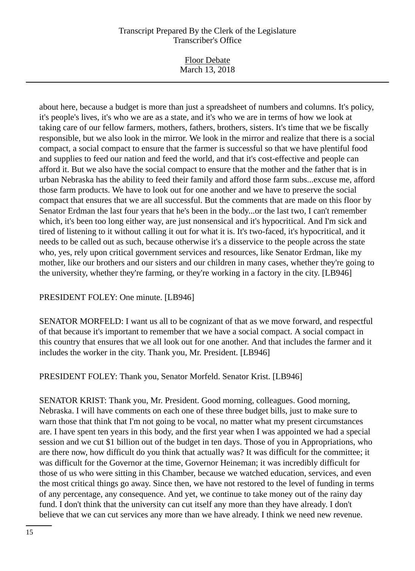Floor Debate March 13, 2018

about here, because a budget is more than just a spreadsheet of numbers and columns. It's policy, it's people's lives, it's who we are as a state, and it's who we are in terms of how we look at taking care of our fellow farmers, mothers, fathers, brothers, sisters. It's time that we be fiscally responsible, but we also look in the mirror. We look in the mirror and realize that there is a social compact, a social compact to ensure that the farmer is successful so that we have plentiful food and supplies to feed our nation and feed the world, and that it's cost-effective and people can afford it. But we also have the social compact to ensure that the mother and the father that is in urban Nebraska has the ability to feed their family and afford those farm subs...excuse me, afford those farm products. We have to look out for one another and we have to preserve the social compact that ensures that we are all successful. But the comments that are made on this floor by Senator Erdman the last four years that he's been in the body...or the last two, I can't remember which, it's been too long either way, are just nonsensical and it's hypocritical. And I'm sick and tired of listening to it without calling it out for what it is. It's two-faced, it's hypocritical, and it needs to be called out as such, because otherwise it's a disservice to the people across the state who, yes, rely upon critical government services and resources, like Senator Erdman, like my mother, like our brothers and our sisters and our children in many cases, whether they're going to the university, whether they're farming, or they're working in a factory in the city. [LB946]

PRESIDENT FOLEY: One minute. [LB946]

SENATOR MORFELD: I want us all to be cognizant of that as we move forward, and respectful of that because it's important to remember that we have a social compact. A social compact in this country that ensures that we all look out for one another. And that includes the farmer and it includes the worker in the city. Thank you, Mr. President. [LB946]

PRESIDENT FOLEY: Thank you, Senator Morfeld. Senator Krist. [LB946]

SENATOR KRIST: Thank you, Mr. President. Good morning, colleagues. Good morning, Nebraska. I will have comments on each one of these three budget bills, just to make sure to warn those that think that I'm not going to be vocal, no matter what my present circumstances are. I have spent ten years in this body, and the first year when I was appointed we had a special session and we cut \$1 billion out of the budget in ten days. Those of you in Appropriations, who are there now, how difficult do you think that actually was? It was difficult for the committee; it was difficult for the Governor at the time, Governor Heineman; it was incredibly difficult for those of us who were sitting in this Chamber, because we watched education, services, and even the most critical things go away. Since then, we have not restored to the level of funding in terms of any percentage, any consequence. And yet, we continue to take money out of the rainy day fund. I don't think that the university can cut itself any more than they have already. I don't believe that we can cut services any more than we have already. I think we need new revenue.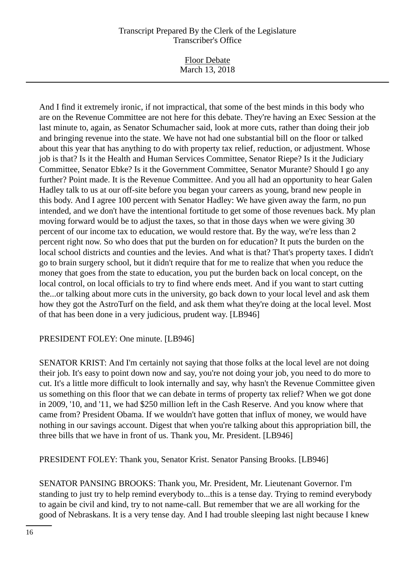Floor Debate March 13, 2018

And I find it extremely ironic, if not impractical, that some of the best minds in this body who are on the Revenue Committee are not here for this debate. They're having an Exec Session at the last minute to, again, as Senator Schumacher said, look at more cuts, rather than doing their job and bringing revenue into the state. We have not had one substantial bill on the floor or talked about this year that has anything to do with property tax relief, reduction, or adjustment. Whose job is that? Is it the Health and Human Services Committee, Senator Riepe? Is it the Judiciary Committee, Senator Ebke? Is it the Government Committee, Senator Murante? Should I go any further? Point made. It is the Revenue Committee. And you all had an opportunity to hear Galen Hadley talk to us at our off-site before you began your careers as young, brand new people in this body. And I agree 100 percent with Senator Hadley: We have given away the farm, no pun intended, and we don't have the intentional fortitude to get some of those revenues back. My plan moving forward would be to adjust the taxes, so that in those days when we were giving 30 percent of our income tax to education, we would restore that. By the way, we're less than 2 percent right now. So who does that put the burden on for education? It puts the burden on the local school districts and counties and the levies. And what is that? That's property taxes. I didn't go to brain surgery school, but it didn't require that for me to realize that when you reduce the money that goes from the state to education, you put the burden back on local concept, on the local control, on local officials to try to find where ends meet. And if you want to start cutting the...or talking about more cuts in the university, go back down to your local level and ask them how they got the AstroTurf on the field, and ask them what they're doing at the local level. Most of that has been done in a very judicious, prudent way. [LB946]

# PRESIDENT FOLEY: One minute. [LB946]

SENATOR KRIST: And I'm certainly not saying that those folks at the local level are not doing their job. It's easy to point down now and say, you're not doing your job, you need to do more to cut. It's a little more difficult to look internally and say, why hasn't the Revenue Committee given us something on this floor that we can debate in terms of property tax relief? When we got done in 2009, '10, and '11, we had \$250 million left in the Cash Reserve. And you know where that came from? President Obama. If we wouldn't have gotten that influx of money, we would have nothing in our savings account. Digest that when you're talking about this appropriation bill, the three bills that we have in front of us. Thank you, Mr. President. [LB946]

PRESIDENT FOLEY: Thank you, Senator Krist. Senator Pansing Brooks. [LB946]

SENATOR PANSING BROOKS: Thank you, Mr. President, Mr. Lieutenant Governor. I'm standing to just try to help remind everybody to...this is a tense day. Trying to remind everybody to again be civil and kind, try to not name-call. But remember that we are all working for the good of Nebraskans. It is a very tense day. And I had trouble sleeping last night because I knew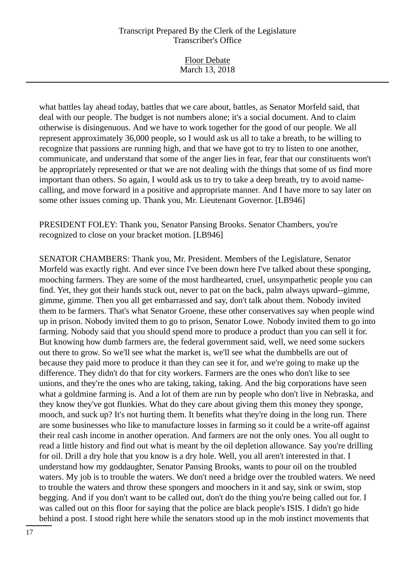Floor Debate March 13, 2018

what battles lay ahead today, battles that we care about, battles, as Senator Morfeld said, that deal with our people. The budget is not numbers alone; it's a social document. And to claim otherwise is disingenuous. And we have to work together for the good of our people. We all represent approximately 36,000 people, so I would ask us all to take a breath, to be willing to recognize that passions are running high, and that we have got to try to listen to one another, communicate, and understand that some of the anger lies in fear, fear that our constituents won't be appropriately represented or that we are not dealing with the things that some of us find more important than others. So again, I would ask us to try to take a deep breath, try to avoid namecalling, and move forward in a positive and appropriate manner. And I have more to say later on some other issues coming up. Thank you, Mr. Lieutenant Governor. [LB946]

PRESIDENT FOLEY: Thank you, Senator Pansing Brooks. Senator Chambers, you're recognized to close on your bracket motion. [LB946]

SENATOR CHAMBERS: Thank you, Mr. President. Members of the Legislature, Senator Morfeld was exactly right. And ever since I've been down here I've talked about these sponging, mooching farmers. They are some of the most hardhearted, cruel, unsympathetic people you can find. Yet, they got their hands stuck out, never to pat on the back, palm always upward--gimme, gimme, gimme. Then you all get embarrassed and say, don't talk about them. Nobody invited them to be farmers. That's what Senator Groene, these other conservatives say when people wind up in prison. Nobody invited them to go to prison, Senator Lowe. Nobody invited them to go into farming. Nobody said that you should spend more to produce a product than you can sell it for. But knowing how dumb farmers are, the federal government said, well, we need some suckers out there to grow. So we'll see what the market is, we'll see what the dumbbells are out of because they paid more to produce it than they can see it for, and we're going to make up the difference. They didn't do that for city workers. Farmers are the ones who don't like to see unions, and they're the ones who are taking, taking, taking. And the big corporations have seen what a goldmine farming is. And a lot of them are run by people who don't live in Nebraska, and they know they've got flunkies. What do they care about giving them this money they sponge, mooch, and suck up? It's not hurting them. It benefits what they're doing in the long run. There are some businesses who like to manufacture losses in farming so it could be a write-off against their real cash income in another operation. And farmers are not the only ones. You all ought to read a little history and find out what is meant by the oil depletion allowance. Say you're drilling for oil. Drill a dry hole that you know is a dry hole. Well, you all aren't interested in that. I understand how my goddaughter, Senator Pansing Brooks, wants to pour oil on the troubled waters. My job is to trouble the waters. We don't need a bridge over the troubled waters. We need to trouble the waters and throw these spongers and moochers in it and say, sink or swim, stop begging. And if you don't want to be called out, don't do the thing you're being called out for. I was called out on this floor for saying that the police are black people's ISIS. I didn't go hide behind a post. I stood right here while the senators stood up in the mob instinct movements that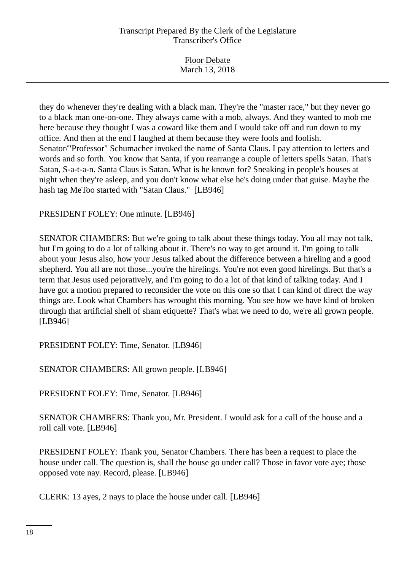| <b>Floor Debate</b> |  |
|---------------------|--|
| March 13, 2018      |  |

they do whenever they're dealing with a black man. They're the "master race," but they never go to a black man one-on-one. They always came with a mob, always. And they wanted to mob me here because they thought I was a coward like them and I would take off and run down to my office. And then at the end I laughed at them because they were fools and foolish. Senator/"Professor" Schumacher invoked the name of Santa Claus. I pay attention to letters and words and so forth. You know that Santa, if you rearrange a couple of letters spells Satan. That's Satan, S-a-t-a-n. Santa Claus is Satan. What is he known for? Sneaking in people's houses at night when they're asleep, and you don't know what else he's doing under that guise. Maybe the hash tag MeToo started with "Satan Claus." [LB946]

PRESIDENT FOLEY: One minute. [LB946]

SENATOR CHAMBERS: But we're going to talk about these things today. You all may not talk, but I'm going to do a lot of talking about it. There's no way to get around it. I'm going to talk about your Jesus also, how your Jesus talked about the difference between a hireling and a good shepherd. You all are not those...you're the hirelings. You're not even good hirelings. But that's a term that Jesus used pejoratively, and I'm going to do a lot of that kind of talking today. And I have got a motion prepared to reconsider the vote on this one so that I can kind of direct the way things are. Look what Chambers has wrought this morning. You see how we have kind of broken through that artificial shell of sham etiquette? That's what we need to do, we're all grown people. [LB946]

PRESIDENT FOLEY: Time, Senator. [LB946]

SENATOR CHAMBERS: All grown people. [LB946]

PRESIDENT FOLEY: Time, Senator. [LB946]

SENATOR CHAMBERS: Thank you, Mr. President. I would ask for a call of the house and a roll call vote. [LB946]

PRESIDENT FOLEY: Thank you, Senator Chambers. There has been a request to place the house under call. The question is, shall the house go under call? Those in favor vote aye; those opposed vote nay. Record, please. [LB946]

CLERK: 13 ayes, 2 nays to place the house under call. [LB946]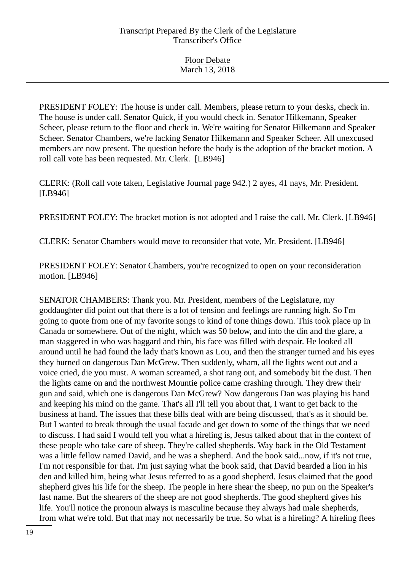Floor Debate March 13, 2018

PRESIDENT FOLEY: The house is under call. Members, please return to your desks, check in. The house is under call. Senator Quick, if you would check in. Senator Hilkemann, Speaker Scheer, please return to the floor and check in. We're waiting for Senator Hilkemann and Speaker Scheer. Senator Chambers, we're lacking Senator Hilkemann and Speaker Scheer. All unexcused members are now present. The question before the body is the adoption of the bracket motion. A roll call vote has been requested. Mr. Clerk. [LB946]

CLERK: (Roll call vote taken, Legislative Journal page 942.) 2 ayes, 41 nays, Mr. President. [LB946]

PRESIDENT FOLEY: The bracket motion is not adopted and I raise the call. Mr. Clerk. [LB946]

CLERK: Senator Chambers would move to reconsider that vote, Mr. President. [LB946]

PRESIDENT FOLEY: Senator Chambers, you're recognized to open on your reconsideration motion. [LB946]

SENATOR CHAMBERS: Thank you. Mr. President, members of the Legislature, my goddaughter did point out that there is a lot of tension and feelings are running high. So I'm going to quote from one of my favorite songs to kind of tone things down. This took place up in Canada or somewhere. Out of the night, which was 50 below, and into the din and the glare, a man staggered in who was haggard and thin, his face was filled with despair. He looked all around until he had found the lady that's known as Lou, and then the stranger turned and his eyes they burned on dangerous Dan McGrew. Then suddenly, wham, all the lights went out and a voice cried, die you must. A woman screamed, a shot rang out, and somebody bit the dust. Then the lights came on and the northwest Mountie police came crashing through. They drew their gun and said, which one is dangerous Dan McGrew? Now dangerous Dan was playing his hand and keeping his mind on the game. That's all I'll tell you about that, I want to get back to the business at hand. The issues that these bills deal with are being discussed, that's as it should be. But I wanted to break through the usual facade and get down to some of the things that we need to discuss. I had said I would tell you what a hireling is, Jesus talked about that in the context of these people who take care of sheep. They're called shepherds. Way back in the Old Testament was a little fellow named David, and he was a shepherd. And the book said...now, if it's not true, I'm not responsible for that. I'm just saying what the book said, that David bearded a lion in his den and killed him, being what Jesus referred to as a good shepherd. Jesus claimed that the good shepherd gives his life for the sheep. The people in here shear the sheep, no pun on the Speaker's last name. But the shearers of the sheep are not good shepherds. The good shepherd gives his life. You'll notice the pronoun always is masculine because they always had male shepherds, from what we're told. But that may not necessarily be true. So what is a hireling? A hireling flees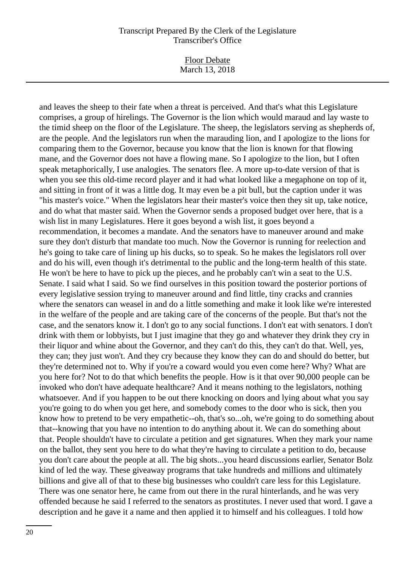Floor Debate March 13, 2018

and leaves the sheep to their fate when a threat is perceived. And that's what this Legislature comprises, a group of hirelings. The Governor is the lion which would maraud and lay waste to the timid sheep on the floor of the Legislature. The sheep, the legislators serving as shepherds of, are the people. And the legislators run when the marauding lion, and I apologize to the lions for comparing them to the Governor, because you know that the lion is known for that flowing mane, and the Governor does not have a flowing mane. So I apologize to the lion, but I often speak metaphorically, I use analogies. The senators flee. A more up-to-date version of that is when you see this old-time record player and it had what looked like a megaphone on top of it, and sitting in front of it was a little dog. It may even be a pit bull, but the caption under it was "his master's voice." When the legislators hear their master's voice then they sit up, take notice, and do what that master said. When the Governor sends a proposed budget over here, that is a wish list in many Legislatures. Here it goes beyond a wish list, it goes beyond a recommendation, it becomes a mandate. And the senators have to maneuver around and make sure they don't disturb that mandate too much. Now the Governor is running for reelection and he's going to take care of lining up his ducks, so to speak. So he makes the legislators roll over and do his will, even though it's detrimental to the public and the long-term health of this state. He won't be here to have to pick up the pieces, and he probably can't win a seat to the U.S. Senate. I said what I said. So we find ourselves in this position toward the posterior portions of every legislative session trying to maneuver around and find little, tiny cracks and crannies where the senators can weasel in and do a little something and make it look like we're interested in the welfare of the people and are taking care of the concerns of the people. But that's not the case, and the senators know it. I don't go to any social functions. I don't eat with senators. I don't drink with them or lobbyists, but I just imagine that they go and whatever they drink they cry in their liquor and whine about the Governor, and they can't do this, they can't do that. Well, yes, they can; they just won't. And they cry because they know they can do and should do better, but they're determined not to. Why if you're a coward would you even come here? Why? What are you here for? Not to do that which benefits the people. How is it that over 90,000 people can be invoked who don't have adequate healthcare? And it means nothing to the legislators, nothing whatsoever. And if you happen to be out there knocking on doors and lying about what you say you're going to do when you get here, and somebody comes to the door who is sick, then you know how to pretend to be very empathetic--oh, that's so...oh, we're going to do something about that--knowing that you have no intention to do anything about it. We can do something about that. People shouldn't have to circulate a petition and get signatures. When they mark your name on the ballot, they sent you here to do what they're having to circulate a petition to do, because you don't care about the people at all. The big shots...you heard discussions earlier, Senator Bolz kind of led the way. These giveaway programs that take hundreds and millions and ultimately billions and give all of that to these big businesses who couldn't care less for this Legislature. There was one senator here, he came from out there in the rural hinterlands, and he was very offended because he said I referred to the senators as prostitutes. I never used that word. I gave a description and he gave it a name and then applied it to himself and his colleagues. I told how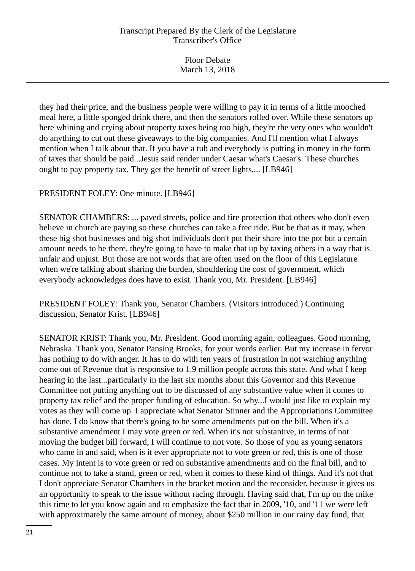Floor Debate March 13, 2018

they had their price, and the business people were willing to pay it in terms of a little mooched meal here, a little sponged drink there, and then the senators rolled over. While these senators up here whining and crying about property taxes being too high, they're the very ones who wouldn't do anything to cut out these giveaways to the big companies. And I'll mention what I always mention when I talk about that. If you have a tub and everybody is putting in money in the form of taxes that should be paid...Jesus said render under Caesar what's Caesar's. These churches ought to pay property tax. They get the benefit of street lights,... [LB946]

PRESIDENT FOLEY: One minute. [LB946]

SENATOR CHAMBERS: ... paved streets, police and fire protection that others who don't even believe in church are paying so these churches can take a free ride. But be that as it may, when these big shot businesses and big shot individuals don't put their share into the pot but a certain amount needs to be there, they're going to have to make that up by taxing others in a way that is unfair and unjust. But those are not words that are often used on the floor of this Legislature when we're talking about sharing the burden, shouldering the cost of government, which everybody acknowledges does have to exist. Thank you, Mr. President. [LB946]

PRESIDENT FOLEY: Thank you, Senator Chambers. (Visitors introduced.) Continuing discussion, Senator Krist. [LB946]

SENATOR KRIST: Thank you, Mr. President. Good morning again, colleagues. Good morning, Nebraska. Thank you, Senator Pansing Brooks, for your words earlier. But my increase in fervor has nothing to do with anger. It has to do with ten years of frustration in not watching anything come out of Revenue that is responsive to 1.9 million people across this state. And what I keep hearing in the last...particularly in the last six months about this Governor and this Revenue Committee not putting anything out to be discussed of any substantive value when it comes to property tax relief and the proper funding of education. So why...I would just like to explain my votes as they will come up. I appreciate what Senator Stinner and the Appropriations Committee has done. I do know that there's going to be some amendments put on the bill. When it's a substantive amendment I may vote green or red. When it's not substantive, in terms of not moving the budget bill forward, I will continue to not vote. So those of you as young senators who came in and said, when is it ever appropriate not to vote green or red, this is one of those cases. My intent is to vote green or red on substantive amendments and on the final bill, and to continue not to take a stand, green or red, when it comes to these kind of things. And it's not that I don't appreciate Senator Chambers in the bracket motion and the reconsider, because it gives us an opportunity to speak to the issue without racing through. Having said that, I'm up on the mike this time to let you know again and to emphasize the fact that in 2009, '10, and '11 we were left with approximately the same amount of money, about \$250 million in our rainy day fund, that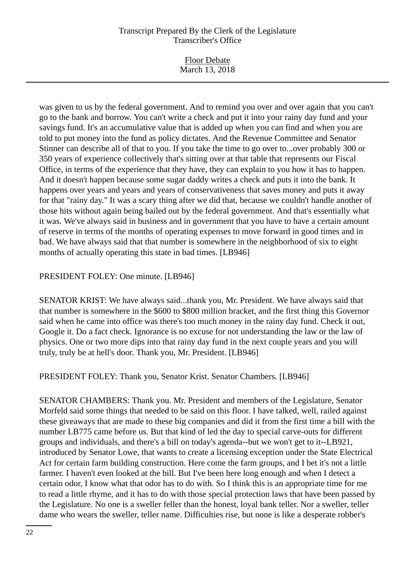Floor Debate March 13, 2018

was given to us by the federal government. And to remind you over and over again that you can't go to the bank and borrow. You can't write a check and put it into your rainy day fund and your savings fund. It's an accumulative value that is added up when you can find and when you are told to put money into the fund as policy dictates. And the Revenue Committee and Senator Stinner can describe all of that to you. If you take the time to go over to...over probably 300 or 350 years of experience collectively that's sitting over at that table that represents our Fiscal Office, in terms of the experience that they have, they can explain to you how it has to happen. And it doesn't happen because some sugar daddy writes a check and puts it into the bank. It happens over years and years and years of conservativeness that saves money and puts it away for that "rainy day." It was a scary thing after we did that, because we couldn't handle another of those hits without again being bailed out by the federal government. And that's essentially what it was. We've always said in business and in government that you have to have a certain amount of reserve in terms of the months of operating expenses to move forward in good times and in bad. We have always said that that number is somewhere in the neighborhood of six to eight months of actually operating this state in bad times. [LB946]

# PRESIDENT FOLEY: One minute. [LB946]

SENATOR KRIST: We have always said...thank you, Mr. President. We have always said that that number is somewhere in the \$600 to \$800 million bracket, and the first thing this Governor said when he came into office was there's too much money in the rainy day fund. Check it out, Google it. Do a fact check. Ignorance is no excuse for not understanding the law or the law of physics. One or two more dips into that rainy day fund in the next couple years and you will truly, truly be at hell's door. Thank you, Mr. President. [LB946]

PRESIDENT FOLEY: Thank you, Senator Krist. Senator Chambers. [LB946]

SENATOR CHAMBERS: Thank you. Mr. President and members of the Legislature, Senator Morfeld said some things that needed to be said on this floor. I have talked, well, railed against these giveaways that are made to these big companies and did it from the first time a bill with the number LB775 came before us. But that kind of led the day to special carve-outs for different groups and individuals, and there's a bill on today's agenda--but we won't get to it--LB921, introduced by Senator Lowe, that wants to create a licensing exception under the State Electrical Act for certain farm building construction. Here come the farm groups, and I bet it's not a little farmer. I haven't even looked at the bill. But I've been here long enough and when I detect a certain odor, I know what that odor has to do with. So I think this is an appropriate time for me to read a little rhyme, and it has to do with those special protection laws that have been passed by the Legislature. No one is a sweller feller than the honest, loyal bank teller. Nor a sweller, teller dame who wears the sweller, teller name. Difficulties rise, but none is like a desperate robber's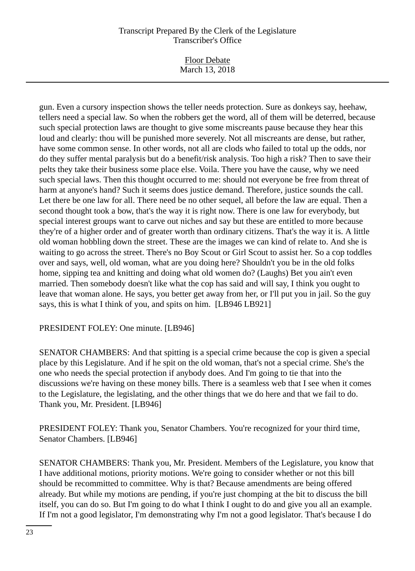Floor Debate March 13, 2018

gun. Even a cursory inspection shows the teller needs protection. Sure as donkeys say, heehaw, tellers need a special law. So when the robbers get the word, all of them will be deterred, because such special protection laws are thought to give some miscreants pause because they hear this loud and clearly: thou will be punished more severely. Not all miscreants are dense, but rather, have some common sense. In other words, not all are clods who failed to total up the odds, nor do they suffer mental paralysis but do a benefit/risk analysis. Too high a risk? Then to save their pelts they take their business some place else. Voila. There you have the cause, why we need such special laws. Then this thought occurred to me: should not everyone be free from threat of harm at anyone's hand? Such it seems does justice demand. Therefore, justice sounds the call. Let there be one law for all. There need be no other sequel, all before the law are equal. Then a second thought took a bow, that's the way it is right now. There is one law for everybody, but special interest groups want to carve out niches and say but these are entitled to more because they're of a higher order and of greater worth than ordinary citizens. That's the way it is. A little old woman hobbling down the street. These are the images we can kind of relate to. And she is waiting to go across the street. There's no Boy Scout or Girl Scout to assist her. So a cop toddles over and says, well, old woman, what are you doing here? Shouldn't you be in the old folks home, sipping tea and knitting and doing what old women do? (Laughs) Bet you ain't even married. Then somebody doesn't like what the cop has said and will say, I think you ought to leave that woman alone. He says, you better get away from her, or I'll put you in jail. So the guy says, this is what I think of you, and spits on him. [LB946 LB921]

#### PRESIDENT FOLEY: One minute. [LB946]

SENATOR CHAMBERS: And that spitting is a special crime because the cop is given a special place by this Legislature. And if he spit on the old woman, that's not a special crime. She's the one who needs the special protection if anybody does. And I'm going to tie that into the discussions we're having on these money bills. There is a seamless web that I see when it comes to the Legislature, the legislating, and the other things that we do here and that we fail to do. Thank you, Mr. President. [LB946]

PRESIDENT FOLEY: Thank you, Senator Chambers. You're recognized for your third time, Senator Chambers. [LB946]

SENATOR CHAMBERS: Thank you, Mr. President. Members of the Legislature, you know that I have additional motions, priority motions. We're going to consider whether or not this bill should be recommitted to committee. Why is that? Because amendments are being offered already. But while my motions are pending, if you're just chomping at the bit to discuss the bill itself, you can do so. But I'm going to do what I think I ought to do and give you all an example. If I'm not a good legislator, I'm demonstrating why I'm not a good legislator. That's because I do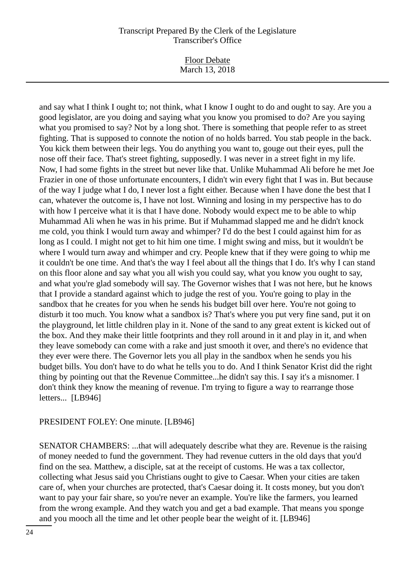Floor Debate March 13, 2018

and say what I think I ought to; not think, what I know I ought to do and ought to say. Are you a good legislator, are you doing and saying what you know you promised to do? Are you saying what you promised to say? Not by a long shot. There is something that people refer to as street fighting. That is supposed to connote the notion of no holds barred. You stab people in the back. You kick them between their legs. You do anything you want to, gouge out their eyes, pull the nose off their face. That's street fighting, supposedly. I was never in a street fight in my life. Now, I had some fights in the street but never like that. Unlike Muhammad Ali before he met Joe Frazier in one of those unfortunate encounters, I didn't win every fight that I was in. But because of the way I judge what I do, I never lost a fight either. Because when I have done the best that I can, whatever the outcome is, I have not lost. Winning and losing in my perspective has to do with how I perceive what it is that I have done. Nobody would expect me to be able to whip Muhammad Ali when he was in his prime. But if Muhammad slapped me and he didn't knock me cold, you think I would turn away and whimper? I'd do the best I could against him for as long as I could. I might not get to hit him one time. I might swing and miss, but it wouldn't be where I would turn away and whimper and cry. People knew that if they were going to whip me it couldn't be one time. And that's the way I feel about all the things that I do. It's why I can stand on this floor alone and say what you all wish you could say, what you know you ought to say, and what you're glad somebody will say. The Governor wishes that I was not here, but he knows that I provide a standard against which to judge the rest of you. You're going to play in the sandbox that he creates for you when he sends his budget bill over here. You're not going to disturb it too much. You know what a sandbox is? That's where you put very fine sand, put it on the playground, let little children play in it. None of the sand to any great extent is kicked out of the box. And they make their little footprints and they roll around in it and play in it, and when they leave somebody can come with a rake and just smooth it over, and there's no evidence that they ever were there. The Governor lets you all play in the sandbox when he sends you his budget bills. You don't have to do what he tells you to do. And I think Senator Krist did the right thing by pointing out that the Revenue Committee...he didn't say this. I say it's a misnomer. I don't think they know the meaning of revenue. I'm trying to figure a way to rearrange those letters... [LB946]

#### PRESIDENT FOLEY: One minute. [LB946]

SENATOR CHAMBERS: ...that will adequately describe what they are. Revenue is the raising of money needed to fund the government. They had revenue cutters in the old days that you'd find on the sea. Matthew, a disciple, sat at the receipt of customs. He was a tax collector, collecting what Jesus said you Christians ought to give to Caesar. When your cities are taken care of, when your churches are protected, that's Caesar doing it. It costs money, but you don't want to pay your fair share, so you're never an example. You're like the farmers, you learned from the wrong example. And they watch you and get a bad example. That means you sponge and you mooch all the time and let other people bear the weight of it. [LB946]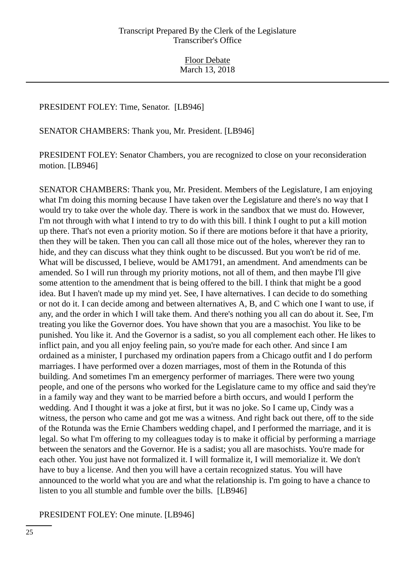#### PRESIDENT FOLEY: Time, Senator. [LB946]

SENATOR CHAMBERS: Thank you, Mr. President. [LB946]

PRESIDENT FOLEY: Senator Chambers, you are recognized to close on your reconsideration motion. [LB946]

SENATOR CHAMBERS: Thank you, Mr. President. Members of the Legislature, I am enjoying what I'm doing this morning because I have taken over the Legislature and there's no way that I would try to take over the whole day. There is work in the sandbox that we must do. However, I'm not through with what I intend to try to do with this bill. I think I ought to put a kill motion up there. That's not even a priority motion. So if there are motions before it that have a priority, then they will be taken. Then you can call all those mice out of the holes, wherever they ran to hide, and they can discuss what they think ought to be discussed. But you won't be rid of me. What will be discussed, I believe, would be AM1791, an amendment. And amendments can be amended. So I will run through my priority motions, not all of them, and then maybe I'll give some attention to the amendment that is being offered to the bill. I think that might be a good idea. But I haven't made up my mind yet. See, I have alternatives. I can decide to do something or not do it. I can decide among and between alternatives A, B, and C which one I want to use, if any, and the order in which I will take them. And there's nothing you all can do about it. See, I'm treating you like the Governor does. You have shown that you are a masochist. You like to be punished. You like it. And the Governor is a sadist, so you all complement each other. He likes to inflict pain, and you all enjoy feeling pain, so you're made for each other. And since I am ordained as a minister, I purchased my ordination papers from a Chicago outfit and I do perform marriages. I have performed over a dozen marriages, most of them in the Rotunda of this building. And sometimes I'm an emergency performer of marriages. There were two young people, and one of the persons who worked for the Legislature came to my office and said they're in a family way and they want to be married before a birth occurs, and would I perform the wedding. And I thought it was a joke at first, but it was no joke. So I came up, Cindy was a witness, the person who came and got me was a witness. And right back out there, off to the side of the Rotunda was the Ernie Chambers wedding chapel, and I performed the marriage, and it is legal. So what I'm offering to my colleagues today is to make it official by performing a marriage between the senators and the Governor. He is a sadist; you all are masochists. You're made for each other. You just have not formalized it. I will formalize it, I will memorialize it. We don't have to buy a license. And then you will have a certain recognized status. You will have announced to the world what you are and what the relationship is. I'm going to have a chance to listen to you all stumble and fumble over the bills. [LB946]

PRESIDENT FOLEY: One minute. [LB946]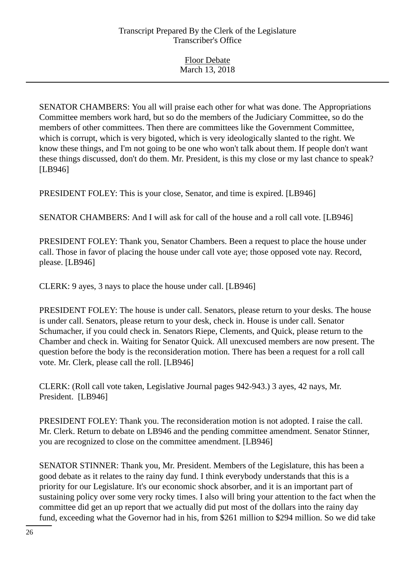SENATOR CHAMBERS: You all will praise each other for what was done. The Appropriations Committee members work hard, but so do the members of the Judiciary Committee, so do the members of other committees. Then there are committees like the Government Committee, which is corrupt, which is very bigoted, which is very ideologically slanted to the right. We know these things, and I'm not going to be one who won't talk about them. If people don't want these things discussed, don't do them. Mr. President, is this my close or my last chance to speak? [LB946]

PRESIDENT FOLEY: This is your close, Senator, and time is expired. [LB946]

SENATOR CHAMBERS: And I will ask for call of the house and a roll call vote. [LB946]

PRESIDENT FOLEY: Thank you, Senator Chambers. Been a request to place the house under call. Those in favor of placing the house under call vote aye; those opposed vote nay. Record, please. [LB946]

CLERK: 9 ayes, 3 nays to place the house under call. [LB946]

PRESIDENT FOLEY: The house is under call. Senators, please return to your desks. The house is under call. Senators, please return to your desk, check in. House is under call. Senator Schumacher, if you could check in. Senators Riepe, Clements, and Quick, please return to the Chamber and check in. Waiting for Senator Quick. All unexcused members are now present. The question before the body is the reconsideration motion. There has been a request for a roll call vote. Mr. Clerk, please call the roll. [LB946]

CLERK: (Roll call vote taken, Legislative Journal pages 942-943.) 3 ayes, 42 nays, Mr. President. [LB946]

PRESIDENT FOLEY: Thank you. The reconsideration motion is not adopted. I raise the call. Mr. Clerk. Return to debate on LB946 and the pending committee amendment. Senator Stinner, you are recognized to close on the committee amendment. [LB946]

SENATOR STINNER: Thank you, Mr. President. Members of the Legislature, this has been a good debate as it relates to the rainy day fund. I think everybody understands that this is a priority for our Legislature. It's our economic shock absorber, and it is an important part of sustaining policy over some very rocky times. I also will bring your attention to the fact when the committee did get an up report that we actually did put most of the dollars into the rainy day fund, exceeding what the Governor had in his, from \$261 million to \$294 million. So we did take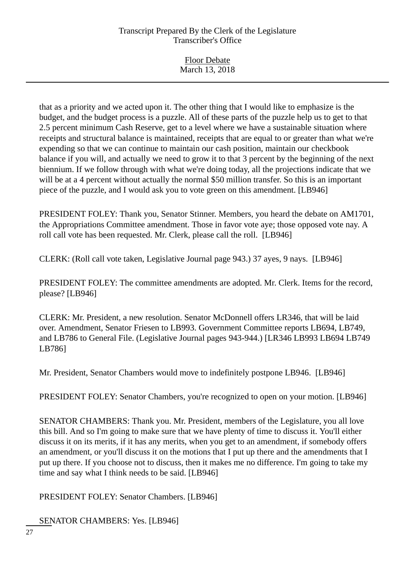| <b>Floor Debate</b> |
|---------------------|
| March 13, 2018      |
|                     |

that as a priority and we acted upon it. The other thing that I would like to emphasize is the budget, and the budget process is a puzzle. All of these parts of the puzzle help us to get to that 2.5 percent minimum Cash Reserve, get to a level where we have a sustainable situation where receipts and structural balance is maintained, receipts that are equal to or greater than what we're expending so that we can continue to maintain our cash position, maintain our checkbook balance if you will, and actually we need to grow it to that 3 percent by the beginning of the next biennium. If we follow through with what we're doing today, all the projections indicate that we will be at a 4 percent without actually the normal \$50 million transfer. So this is an important piece of the puzzle, and I would ask you to vote green on this amendment. [LB946]

PRESIDENT FOLEY: Thank you, Senator Stinner. Members, you heard the debate on AM1701, the Appropriations Committee amendment. Those in favor vote aye; those opposed vote nay. A roll call vote has been requested. Mr. Clerk, please call the roll. [LB946]

CLERK: (Roll call vote taken, Legislative Journal page 943.) 37 ayes, 9 nays. [LB946]

PRESIDENT FOLEY: The committee amendments are adopted. Mr. Clerk. Items for the record, please? [LB946]

CLERK: Mr. President, a new resolution. Senator McDonnell offers LR346, that will be laid over. Amendment, Senator Friesen to LB993. Government Committee reports LB694, LB749, and LB786 to General File. (Legislative Journal pages 943-944.) [LR346 LB993 LB694 LB749 LB786]

Mr. President, Senator Chambers would move to indefinitely postpone LB946. [LB946]

PRESIDENT FOLEY: Senator Chambers, you're recognized to open on your motion. [LB946]

SENATOR CHAMBERS: Thank you. Mr. President, members of the Legislature, you all love this bill. And so I'm going to make sure that we have plenty of time to discuss it. You'll either discuss it on its merits, if it has any merits, when you get to an amendment, if somebody offers an amendment, or you'll discuss it on the motions that I put up there and the amendments that I put up there. If you choose not to discuss, then it makes me no difference. I'm going to take my time and say what I think needs to be said. [LB946]

PRESIDENT FOLEY: Senator Chambers. [LB946]

SENATOR CHAMBERS: Yes. [LB946]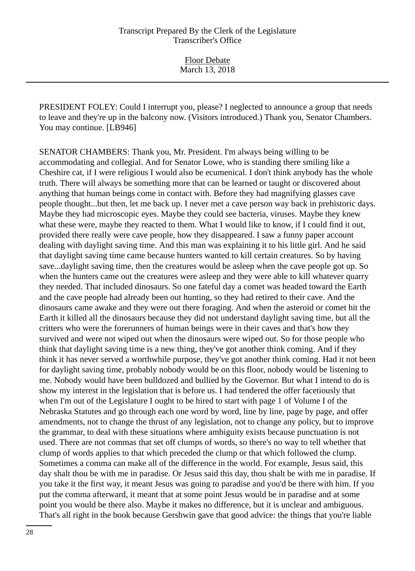PRESIDENT FOLEY: Could I interrupt you, please? I neglected to announce a group that needs to leave and they're up in the balcony now. (Visitors introduced.) Thank you, Senator Chambers. You may continue. [LB946]

SENATOR CHAMBERS: Thank you, Mr. President. I'm always being willing to be accommodating and collegial. And for Senator Lowe, who is standing there smiling like a Cheshire cat, if I were religious I would also be ecumenical. I don't think anybody has the whole truth. There will always be something more that can be learned or taught or discovered about anything that human beings come in contact with. Before they had magnifying glasses cave people thought...but then, let me back up. I never met a cave person way back in prehistoric days. Maybe they had microscopic eyes. Maybe they could see bacteria, viruses. Maybe they knew what these were, maybe they reacted to them. What I would like to know, if I could find it out, provided there really were cave people, how they disappeared. I saw a funny paper account dealing with daylight saving time. And this man was explaining it to his little girl. And he said that daylight saving time came because hunters wanted to kill certain creatures. So by having save...daylight saving time, then the creatures would be asleep when the cave people got up. So when the hunters came out the creatures were asleep and they were able to kill whatever quarry they needed. That included dinosaurs. So one fateful day a comet was headed toward the Earth and the cave people had already been out hunting, so they had retired to their cave. And the dinosaurs came awake and they were out there foraging. And when the asteroid or comet hit the Earth it killed all the dinosaurs because they did not understand daylight saving time, but all the critters who were the forerunners of human beings were in their caves and that's how they survived and were not wiped out when the dinosaurs were wiped out. So for those people who think that daylight saving time is a new thing, they've got another think coming. And if they think it has never served a worthwhile purpose, they've got another think coming. Had it not been for daylight saving time, probably nobody would be on this floor, nobody would be listening to me. Nobody would have been bulldozed and bullied by the Governor. But what I intend to do is show my interest in the legislation that is before us. I had tendered the offer facetiously that when I'm out of the Legislature I ought to be hired to start with page 1 of Volume I of the Nebraska Statutes and go through each one word by word, line by line, page by page, and offer amendments, not to change the thrust of any legislation, not to change any policy, but to improve the grammar, to deal with these situations where ambiguity exists because punctuation is not used. There are not commas that set off clumps of words, so there's no way to tell whether that clump of words applies to that which preceded the clump or that which followed the clump. Sometimes a comma can make all of the difference in the world. For example, Jesus said, this day shalt thou be with me in paradise. Or Jesus said this day, thou shalt be with me in paradise. If you take it the first way, it meant Jesus was going to paradise and you'd be there with him. If you put the comma afterward, it meant that at some point Jesus would be in paradise and at some point you would be there also. Maybe it makes no difference, but it is unclear and ambiguous. That's all right in the book because Gershwin gave that good advice: the things that you're liable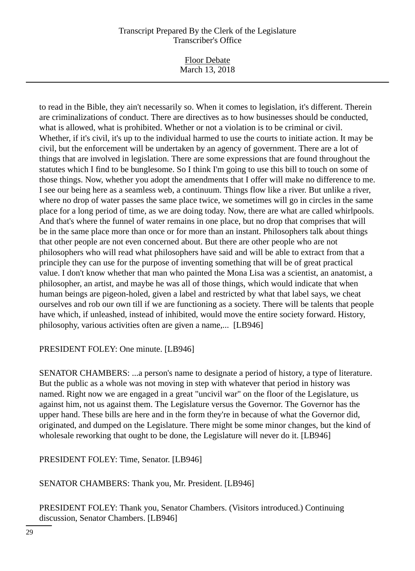Floor Debate March 13, 2018

to read in the Bible, they ain't necessarily so. When it comes to legislation, it's different. Therein are criminalizations of conduct. There are directives as to how businesses should be conducted, what is allowed, what is prohibited. Whether or not a violation is to be criminal or civil. Whether, if it's civil, it's up to the individual harmed to use the courts to initiate action. It may be civil, but the enforcement will be undertaken by an agency of government. There are a lot of things that are involved in legislation. There are some expressions that are found throughout the statutes which I find to be bunglesome. So I think I'm going to use this bill to touch on some of those things. Now, whether you adopt the amendments that I offer will make no difference to me. I see our being here as a seamless web, a continuum. Things flow like a river. But unlike a river, where no drop of water passes the same place twice, we sometimes will go in circles in the same place for a long period of time, as we are doing today. Now, there are what are called whirlpools. And that's where the funnel of water remains in one place, but no drop that comprises that will be in the same place more than once or for more than an instant. Philosophers talk about things that other people are not even concerned about. But there are other people who are not philosophers who will read what philosophers have said and will be able to extract from that a principle they can use for the purpose of inventing something that will be of great practical value. I don't know whether that man who painted the Mona Lisa was a scientist, an anatomist, a philosopher, an artist, and maybe he was all of those things, which would indicate that when human beings are pigeon-holed, given a label and restricted by what that label says, we cheat ourselves and rob our own till if we are functioning as a society. There will be talents that people have which, if unleashed, instead of inhibited, would move the entire society forward. History, philosophy, various activities often are given a name,... [LB946]

# PRESIDENT FOLEY: One minute. [LB946]

SENATOR CHAMBERS: ...a person's name to designate a period of history, a type of literature. But the public as a whole was not moving in step with whatever that period in history was named. Right now we are engaged in a great "uncivil war" on the floor of the Legislature, us against him, not us against them. The Legislature versus the Governor. The Governor has the upper hand. These bills are here and in the form they're in because of what the Governor did, originated, and dumped on the Legislature. There might be some minor changes, but the kind of wholesale reworking that ought to be done, the Legislature will never do it. [LB946]

PRESIDENT FOLEY: Time, Senator. [LB946]

SENATOR CHAMBERS: Thank you, Mr. President. [LB946]

PRESIDENT FOLEY: Thank you, Senator Chambers. (Visitors introduced.) Continuing discussion, Senator Chambers. [LB946]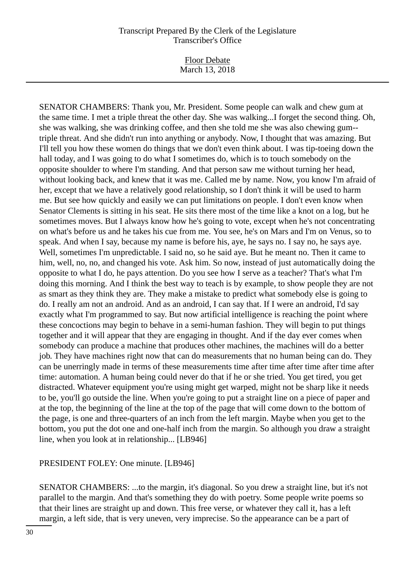Floor Debate March 13, 2018

SENATOR CHAMBERS: Thank you, Mr. President. Some people can walk and chew gum at the same time. I met a triple threat the other day. She was walking...I forget the second thing. Oh, she was walking, she was drinking coffee, and then she told me she was also chewing gum- triple threat. And she didn't run into anything or anybody. Now, I thought that was amazing. But I'll tell you how these women do things that we don't even think about. I was tip-toeing down the hall today, and I was going to do what I sometimes do, which is to touch somebody on the opposite shoulder to where I'm standing. And that person saw me without turning her head, without looking back, and knew that it was me. Called me by name. Now, you know I'm afraid of her, except that we have a relatively good relationship, so I don't think it will be used to harm me. But see how quickly and easily we can put limitations on people. I don't even know when Senator Clements is sitting in his seat. He sits there most of the time like a knot on a log, but he sometimes moves. But I always know how he's going to vote, except when he's not concentrating on what's before us and he takes his cue from me. You see, he's on Mars and I'm on Venus, so to speak. And when I say, because my name is before his, aye, he says no. I say no, he says aye. Well, sometimes I'm unpredictable. I said no, so he said aye. But he meant no. Then it came to him, well, no, no, and changed his vote. Ask him. So now, instead of just automatically doing the opposite to what I do, he pays attention. Do you see how I serve as a teacher? That's what I'm doing this morning. And I think the best way to teach is by example, to show people they are not as smart as they think they are. They make a mistake to predict what somebody else is going to do. I really am not an android. And as an android, I can say that. If I were an android, I'd say exactly what I'm programmed to say. But now artificial intelligence is reaching the point where these concoctions may begin to behave in a semi-human fashion. They will begin to put things together and it will appear that they are engaging in thought. And if the day ever comes when somebody can produce a machine that produces other machines, the machines will do a better job. They have machines right now that can do measurements that no human being can do. They can be unerringly made in terms of these measurements time after time after time after time after time: automation. A human being could never do that if he or she tried. You get tired, you get distracted. Whatever equipment you're using might get warped, might not be sharp like it needs to be, you'll go outside the line. When you're going to put a straight line on a piece of paper and at the top, the beginning of the line at the top of the page that will come down to the bottom of the page, is one and three-quarters of an inch from the left margin. Maybe when you get to the bottom, you put the dot one and one-half inch from the margin. So although you draw a straight line, when you look at in relationship... [LB946]

# PRESIDENT FOLEY: One minute. [LB946]

SENATOR CHAMBERS: ...to the margin, it's diagonal. So you drew a straight line, but it's not parallel to the margin. And that's something they do with poetry. Some people write poems so that their lines are straight up and down. This free verse, or whatever they call it, has a left margin, a left side, that is very uneven, very imprecise. So the appearance can be a part of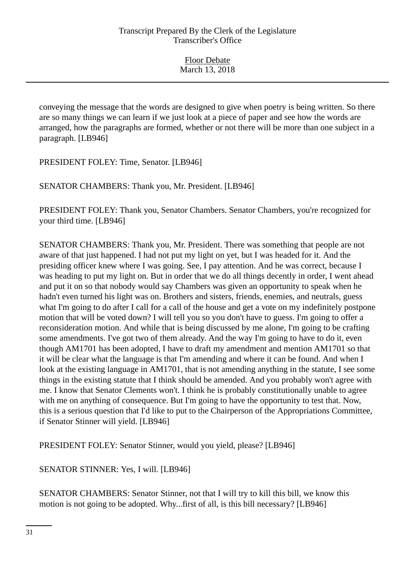| <b>Floor Debate</b> |  |
|---------------------|--|
| March 13, 2018      |  |

conveying the message that the words are designed to give when poetry is being written. So there are so many things we can learn if we just look at a piece of paper and see how the words are arranged, how the paragraphs are formed, whether or not there will be more than one subject in a paragraph. [LB946]

PRESIDENT FOLEY: Time, Senator. [LB946]

SENATOR CHAMBERS: Thank you, Mr. President. [LB946]

PRESIDENT FOLEY: Thank you, Senator Chambers. Senator Chambers, you're recognized for your third time. [LB946]

SENATOR CHAMBERS: Thank you, Mr. President. There was something that people are not aware of that just happened. I had not put my light on yet, but I was headed for it. And the presiding officer knew where I was going. See, I pay attention. And he was correct, because I was heading to put my light on. But in order that we do all things decently in order, I went ahead and put it on so that nobody would say Chambers was given an opportunity to speak when he hadn't even turned his light was on. Brothers and sisters, friends, enemies, and neutrals, guess what I'm going to do after I call for a call of the house and get a vote on my indefinitely postpone motion that will be voted down? I will tell you so you don't have to guess. I'm going to offer a reconsideration motion. And while that is being discussed by me alone, I'm going to be crafting some amendments. I've got two of them already. And the way I'm going to have to do it, even though AM1701 has been adopted, I have to draft my amendment and mention AM1701 so that it will be clear what the language is that I'm amending and where it can be found. And when I look at the existing language in AM1701, that is not amending anything in the statute, I see some things in the existing statute that I think should be amended. And you probably won't agree with me. I know that Senator Clements won't. I think he is probably constitutionally unable to agree with me on anything of consequence. But I'm going to have the opportunity to test that. Now, this is a serious question that I'd like to put to the Chairperson of the Appropriations Committee, if Senator Stinner will yield. [LB946]

PRESIDENT FOLEY: Senator Stinner, would you yield, please? [LB946]

SENATOR STINNER: Yes, I will. [LB946]

SENATOR CHAMBERS: Senator Stinner, not that I will try to kill this bill, we know this motion is not going to be adopted. Why...first of all, is this bill necessary? [LB946]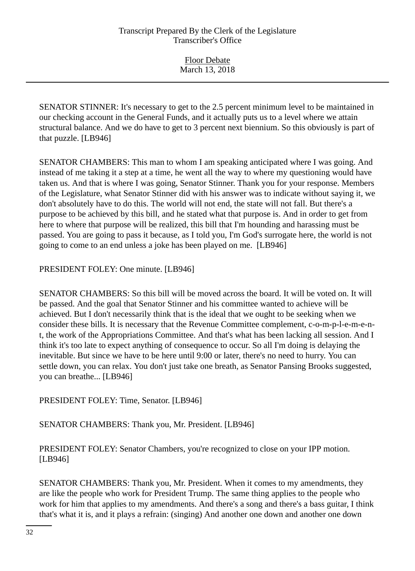SENATOR STINNER: It's necessary to get to the 2.5 percent minimum level to be maintained in our checking account in the General Funds, and it actually puts us to a level where we attain structural balance. And we do have to get to 3 percent next biennium. So this obviously is part of that puzzle. [LB946]

SENATOR CHAMBERS: This man to whom I am speaking anticipated where I was going. And instead of me taking it a step at a time, he went all the way to where my questioning would have taken us. And that is where I was going, Senator Stinner. Thank you for your response. Members of the Legislature, what Senator Stinner did with his answer was to indicate without saying it, we don't absolutely have to do this. The world will not end, the state will not fall. But there's a purpose to be achieved by this bill, and he stated what that purpose is. And in order to get from here to where that purpose will be realized, this bill that I'm hounding and harassing must be passed. You are going to pass it because, as I told you, I'm God's surrogate here, the world is not going to come to an end unless a joke has been played on me. [LB946]

PRESIDENT FOLEY: One minute. [LB946]

SENATOR CHAMBERS: So this bill will be moved across the board. It will be voted on. It will be passed. And the goal that Senator Stinner and his committee wanted to achieve will be achieved. But I don't necessarily think that is the ideal that we ought to be seeking when we consider these bills. It is necessary that the Revenue Committee complement, c-o-m-p-l-e-m-e-nt, the work of the Appropriations Committee. And that's what has been lacking all session. And I think it's too late to expect anything of consequence to occur. So all I'm doing is delaying the inevitable. But since we have to be here until 9:00 or later, there's no need to hurry. You can settle down, you can relax. You don't just take one breath, as Senator Pansing Brooks suggested, you can breathe... [LB946]

PRESIDENT FOLEY: Time, Senator. [LB946]

SENATOR CHAMBERS: Thank you, Mr. President. [LB946]

PRESIDENT FOLEY: Senator Chambers, you're recognized to close on your IPP motion. [LB946]

SENATOR CHAMBERS: Thank you, Mr. President. When it comes to my amendments, they are like the people who work for President Trump. The same thing applies to the people who work for him that applies to my amendments. And there's a song and there's a bass guitar, I think that's what it is, and it plays a refrain: (singing) And another one down and another one down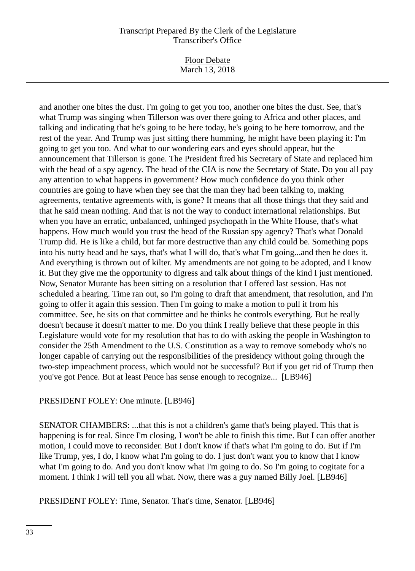Floor Debate March 13, 2018

and another one bites the dust. I'm going to get you too, another one bites the dust. See, that's what Trump was singing when Tillerson was over there going to Africa and other places, and talking and indicating that he's going to be here today, he's going to be here tomorrow, and the rest of the year. And Trump was just sitting there humming, he might have been playing it: I'm going to get you too. And what to our wondering ears and eyes should appear, but the announcement that Tillerson is gone. The President fired his Secretary of State and replaced him with the head of a spy agency. The head of the CIA is now the Secretary of State. Do you all pay any attention to what happens in government? How much confidence do you think other countries are going to have when they see that the man they had been talking to, making agreements, tentative agreements with, is gone? It means that all those things that they said and that he said mean nothing. And that is not the way to conduct international relationships. But when you have an erratic, unbalanced, unhinged psychopath in the White House, that's what happens. How much would you trust the head of the Russian spy agency? That's what Donald Trump did. He is like a child, but far more destructive than any child could be. Something pops into his nutty head and he says, that's what I will do, that's what I'm going...and then he does it. And everything is thrown out of kilter. My amendments are not going to be adopted, and I know it. But they give me the opportunity to digress and talk about things of the kind I just mentioned. Now, Senator Murante has been sitting on a resolution that I offered last session. Has not scheduled a hearing. Time ran out, so I'm going to draft that amendment, that resolution, and I'm going to offer it again this session. Then I'm going to make a motion to pull it from his committee. See, he sits on that committee and he thinks he controls everything. But he really doesn't because it doesn't matter to me. Do you think I really believe that these people in this Legislature would vote for my resolution that has to do with asking the people in Washington to consider the 25th Amendment to the U.S. Constitution as a way to remove somebody who's no longer capable of carrying out the responsibilities of the presidency without going through the two-step impeachment process, which would not be successful? But if you get rid of Trump then you've got Pence. But at least Pence has sense enough to recognize... [LB946]

# PRESIDENT FOLEY: One minute. [LB946]

SENATOR CHAMBERS: ...that this is not a children's game that's being played. This that is happening is for real. Since I'm closing, I won't be able to finish this time. But I can offer another motion, I could move to reconsider. But I don't know if that's what I'm going to do. But if I'm like Trump, yes, I do, I know what I'm going to do. I just don't want you to know that I know what I'm going to do. And you don't know what I'm going to do. So I'm going to cogitate for a moment. I think I will tell you all what. Now, there was a guy named Billy Joel. [LB946]

PRESIDENT FOLEY: Time, Senator. That's time, Senator. [LB946]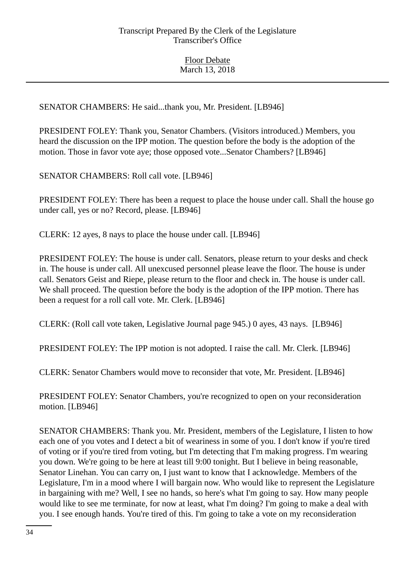SENATOR CHAMBERS: He said...thank you, Mr. President. [LB946]

PRESIDENT FOLEY: Thank you, Senator Chambers. (Visitors introduced.) Members, you heard the discussion on the IPP motion. The question before the body is the adoption of the motion. Those in favor vote aye; those opposed vote...Senator Chambers? [LB946]

SENATOR CHAMBERS: Roll call vote. [LB946]

PRESIDENT FOLEY: There has been a request to place the house under call. Shall the house go under call, yes or no? Record, please. [LB946]

CLERK: 12 ayes, 8 nays to place the house under call. [LB946]

PRESIDENT FOLEY: The house is under call. Senators, please return to your desks and check in. The house is under call. All unexcused personnel please leave the floor. The house is under call. Senators Geist and Riepe, please return to the floor and check in. The house is under call. We shall proceed. The question before the body is the adoption of the IPP motion. There has been a request for a roll call vote. Mr. Clerk. [LB946]

CLERK: (Roll call vote taken, Legislative Journal page 945.) 0 ayes, 43 nays. [LB946]

PRESIDENT FOLEY: The IPP motion is not adopted. I raise the call. Mr. Clerk. [LB946]

CLERK: Senator Chambers would move to reconsider that vote, Mr. President. [LB946]

PRESIDENT FOLEY: Senator Chambers, you're recognized to open on your reconsideration motion. [LB946]

SENATOR CHAMBERS: Thank you. Mr. President, members of the Legislature, I listen to how each one of you votes and I detect a bit of weariness in some of you. I don't know if you're tired of voting or if you're tired from voting, but I'm detecting that I'm making progress. I'm wearing you down. We're going to be here at least till 9:00 tonight. But I believe in being reasonable, Senator Linehan. You can carry on, I just want to know that I acknowledge. Members of the Legislature, I'm in a mood where I will bargain now. Who would like to represent the Legislature in bargaining with me? Well, I see no hands, so here's what I'm going to say. How many people would like to see me terminate, for now at least, what I'm doing? I'm going to make a deal with you. I see enough hands. You're tired of this. I'm going to take a vote on my reconsideration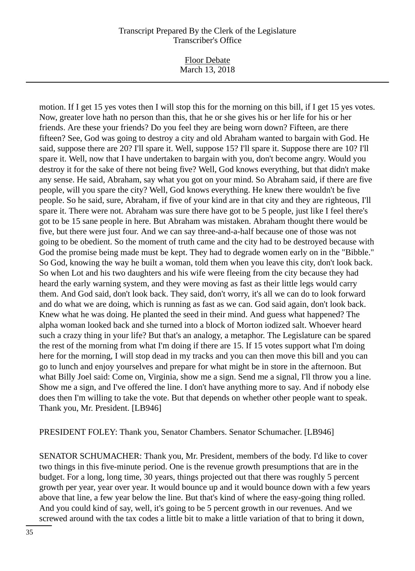Floor Debate March 13, 2018

motion. If I get 15 yes votes then I will stop this for the morning on this bill, if I get 15 yes votes. Now, greater love hath no person than this, that he or she gives his or her life for his or her friends. Are these your friends? Do you feel they are being worn down? Fifteen, are there fifteen? See, God was going to destroy a city and old Abraham wanted to bargain with God. He said, suppose there are 20? I'll spare it. Well, suppose 15? I'll spare it. Suppose there are 10? I'll spare it. Well, now that I have undertaken to bargain with you, don't become angry. Would you destroy it for the sake of there not being five? Well, God knows everything, but that didn't make any sense. He said, Abraham, say what you got on your mind. So Abraham said, if there are five people, will you spare the city? Well, God knows everything. He knew there wouldn't be five people. So he said, sure, Abraham, if five of your kind are in that city and they are righteous, I'll spare it. There were not. Abraham was sure there have got to be 5 people, just like I feel there's got to be 15 sane people in here. But Abraham was mistaken. Abraham thought there would be five, but there were just four. And we can say three-and-a-half because one of those was not going to be obedient. So the moment of truth came and the city had to be destroyed because with God the promise being made must be kept. They had to degrade women early on in the "Bibble." So God, knowing the way he built a woman, told them when you leave this city, don't look back. So when Lot and his two daughters and his wife were fleeing from the city because they had heard the early warning system, and they were moving as fast as their little legs would carry them. And God said, don't look back. They said, don't worry, it's all we can do to look forward and do what we are doing, which is running as fast as we can. God said again, don't look back. Knew what he was doing. He planted the seed in their mind. And guess what happened? The alpha woman looked back and she turned into a block of Morton iodized salt. Whoever heard such a crazy thing in your life? But that's an analogy, a metaphor. The Legislature can be spared the rest of the morning from what I'm doing if there are 15. If 15 votes support what I'm doing here for the morning, I will stop dead in my tracks and you can then move this bill and you can go to lunch and enjoy yourselves and prepare for what might be in store in the afternoon. But what Billy Joel said: Come on, Virginia, show me a sign. Send me a signal, I'll throw you a line. Show me a sign, and I've offered the line. I don't have anything more to say. And if nobody else does then I'm willing to take the vote. But that depends on whether other people want to speak. Thank you, Mr. President. [LB946]

PRESIDENT FOLEY: Thank you, Senator Chambers. Senator Schumacher. [LB946]

SENATOR SCHUMACHER: Thank you, Mr. President, members of the body. I'd like to cover two things in this five-minute period. One is the revenue growth presumptions that are in the budget. For a long, long time, 30 years, things projected out that there was roughly 5 percent growth per year, year over year. It would bounce up and it would bounce down with a few years above that line, a few year below the line. But that's kind of where the easy-going thing rolled. And you could kind of say, well, it's going to be 5 percent growth in our revenues. And we screwed around with the tax codes a little bit to make a little variation of that to bring it down,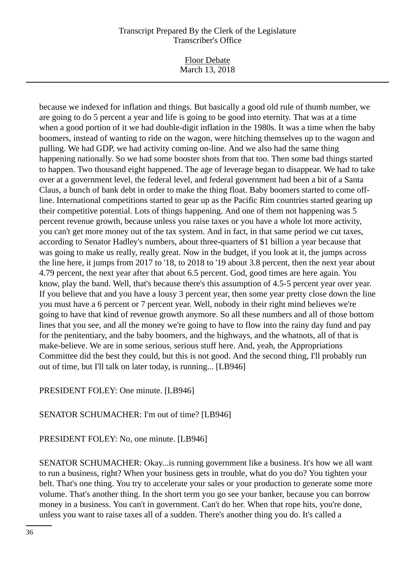Floor Debate March 13, 2018

because we indexed for inflation and things. But basically a good old rule of thumb number, we are going to do 5 percent a year and life is going to be good into eternity. That was at a time when a good portion of it we had double-digit inflation in the 1980s. It was a time when the baby boomers, instead of wanting to ride on the wagon, were hitching themselves up to the wagon and pulling. We had GDP, we had activity coming on-line. And we also had the same thing happening nationally. So we had some booster shots from that too. Then some bad things started to happen. Two thousand eight happened. The age of leverage began to disappear. We had to take over at a government level, the federal level, and federal government had been a bit of a Santa Claus, a bunch of bank debt in order to make the thing float. Baby boomers started to come offline. International competitions started to gear up as the Pacific Rim countries started gearing up their competitive potential. Lots of things happening. And one of them not happening was 5 percent revenue growth, because unless you raise taxes or you have a whole lot more activity, you can't get more money out of the tax system. And in fact, in that same period we cut taxes, according to Senator Hadley's numbers, about three-quarters of \$1 billion a year because that was going to make us really, really great. Now in the budget, if you look at it, the jumps across the line here, it jumps from 2017 to '18, to 2018 to '19 about 3.8 percent, then the next year about 4.79 percent, the next year after that about 6.5 percent. God, good times are here again. You know, play the band. Well, that's because there's this assumption of 4.5-5 percent year over year. If you believe that and you have a lousy 3 percent year, then some year pretty close down the line you must have a 6 percent or 7 percent year. Well, nobody in their right mind believes we're going to have that kind of revenue growth anymore. So all these numbers and all of those bottom lines that you see, and all the money we're going to have to flow into the rainy day fund and pay for the penitentiary, and the baby boomers, and the highways, and the whatnots, all of that is make-believe. We are in some serious, serious stuff here. And, yeah, the Appropriations Committee did the best they could, but this is not good. And the second thing, I'll probably run out of time, but I'll talk on later today, is running... [LB946]

# PRESIDENT FOLEY: One minute. [LB946]

# SENATOR SCHUMACHER: I'm out of time? [LB946]

# PRESIDENT FOLEY: No, one minute. [LB946]

SENATOR SCHUMACHER: Okay...is running government like a business. It's how we all want to run a business, right? When your business gets in trouble, what do you do? You tighten your belt. That's one thing. You try to accelerate your sales or your production to generate some more volume. That's another thing. In the short term you go see your banker, because you can borrow money in a business. You can't in government. Can't do her. When that rope hits, you're done, unless you want to raise taxes all of a sudden. There's another thing you do. It's called a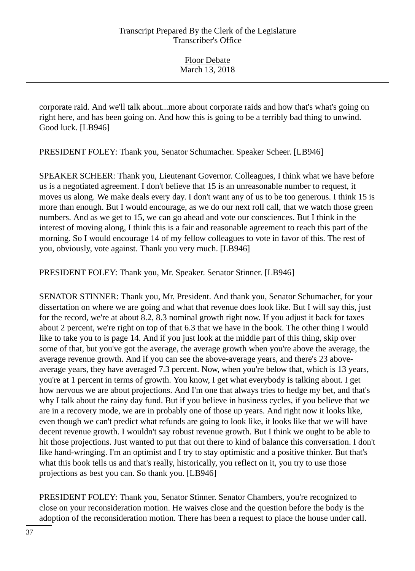corporate raid. And we'll talk about...more about corporate raids and how that's what's going on right here, and has been going on. And how this is going to be a terribly bad thing to unwind. Good luck. [LB946]

PRESIDENT FOLEY: Thank you, Senator Schumacher. Speaker Scheer. [LB946]

SPEAKER SCHEER: Thank you, Lieutenant Governor. Colleagues, I think what we have before us is a negotiated agreement. I don't believe that 15 is an unreasonable number to request, it moves us along. We make deals every day. I don't want any of us to be too generous. I think 15 is more than enough. But I would encourage, as we do our next roll call, that we watch those green numbers. And as we get to 15, we can go ahead and vote our consciences. But I think in the interest of moving along, I think this is a fair and reasonable agreement to reach this part of the morning. So I would encourage 14 of my fellow colleagues to vote in favor of this. The rest of you, obviously, vote against. Thank you very much. [LB946]

PRESIDENT FOLEY: Thank you, Mr. Speaker. Senator Stinner. [LB946]

SENATOR STINNER: Thank you, Mr. President. And thank you, Senator Schumacher, for your dissertation on where we are going and what that revenue does look like. But I will say this, just for the record, we're at about 8.2, 8.3 nominal growth right now. If you adjust it back for taxes about 2 percent, we're right on top of that 6.3 that we have in the book. The other thing I would like to take you to is page 14. And if you just look at the middle part of this thing, skip over some of that, but you've got the average, the average growth when you're above the average, the average revenue growth. And if you can see the above-average years, and there's 23 aboveaverage years, they have averaged 7.3 percent. Now, when you're below that, which is 13 years, you're at 1 percent in terms of growth. You know, I get what everybody is talking about. I get how nervous we are about projections. And I'm one that always tries to hedge my bet, and that's why I talk about the rainy day fund. But if you believe in business cycles, if you believe that we are in a recovery mode, we are in probably one of those up years. And right now it looks like, even though we can't predict what refunds are going to look like, it looks like that we will have decent revenue growth. I wouldn't say robust revenue growth. But I think we ought to be able to hit those projections. Just wanted to put that out there to kind of balance this conversation. I don't like hand-wringing. I'm an optimist and I try to stay optimistic and a positive thinker. But that's what this book tells us and that's really, historically, you reflect on it, you try to use those projections as best you can. So thank you. [LB946]

PRESIDENT FOLEY: Thank you, Senator Stinner. Senator Chambers, you're recognized to close on your reconsideration motion. He waives close and the question before the body is the adoption of the reconsideration motion. There has been a request to place the house under call.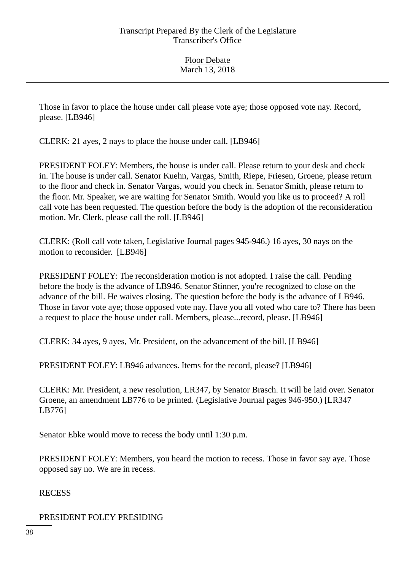Those in favor to place the house under call please vote aye; those opposed vote nay. Record, please. [LB946]

CLERK: 21 ayes, 2 nays to place the house under call. [LB946]

PRESIDENT FOLEY: Members, the house is under call. Please return to your desk and check in. The house is under call. Senator Kuehn, Vargas, Smith, Riepe, Friesen, Groene, please return to the floor and check in. Senator Vargas, would you check in. Senator Smith, please return to the floor. Mr. Speaker, we are waiting for Senator Smith. Would you like us to proceed? A roll call vote has been requested. The question before the body is the adoption of the reconsideration motion. Mr. Clerk, please call the roll. [LB946]

CLERK: (Roll call vote taken, Legislative Journal pages 945-946.) 16 ayes, 30 nays on the motion to reconsider. [LB946]

PRESIDENT FOLEY: The reconsideration motion is not adopted. I raise the call. Pending before the body is the advance of LB946. Senator Stinner, you're recognized to close on the advance of the bill. He waives closing. The question before the body is the advance of LB946. Those in favor vote aye; those opposed vote nay. Have you all voted who care to? There has been a request to place the house under call. Members, please...record, please. [LB946]

CLERK: 34 ayes, 9 ayes, Mr. President, on the advancement of the bill. [LB946]

PRESIDENT FOLEY: LB946 advances. Items for the record, please? [LB946]

CLERK: Mr. President, a new resolution, LR347, by Senator Brasch. It will be laid over. Senator Groene, an amendment LB776 to be printed. (Legislative Journal pages 946-950.) [LR347 LB776]

Senator Ebke would move to recess the body until 1:30 p.m.

PRESIDENT FOLEY: Members, you heard the motion to recess. Those in favor say aye. Those opposed say no. We are in recess.

RECESS

PRESIDENT FOLEY PRESIDING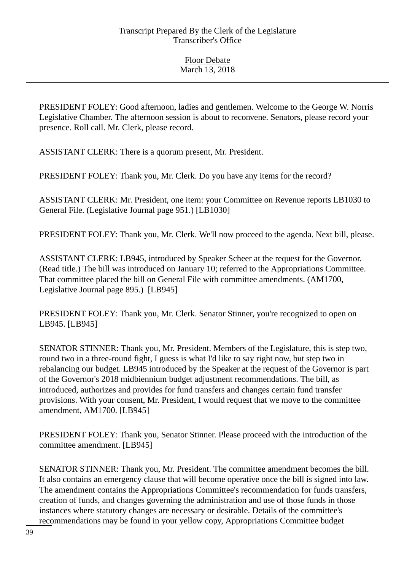PRESIDENT FOLEY: Good afternoon, ladies and gentlemen. Welcome to the George W. Norris Legislative Chamber. The afternoon session is about to reconvene. Senators, please record your presence. Roll call. Mr. Clerk, please record.

ASSISTANT CLERK: There is a quorum present, Mr. President.

PRESIDENT FOLEY: Thank you, Mr. Clerk. Do you have any items for the record?

ASSISTANT CLERK: Mr. President, one item: your Committee on Revenue reports LB1030 to General File. (Legislative Journal page 951.) [LB1030]

PRESIDENT FOLEY: Thank you, Mr. Clerk. We'll now proceed to the agenda. Next bill, please.

ASSISTANT CLERK: LB945, introduced by Speaker Scheer at the request for the Governor. (Read title.) The bill was introduced on January 10; referred to the Appropriations Committee. That committee placed the bill on General File with committee amendments. (AM1700, Legislative Journal page 895.) [LB945]

PRESIDENT FOLEY: Thank you, Mr. Clerk. Senator Stinner, you're recognized to open on LB945. [LB945]

SENATOR STINNER: Thank you, Mr. President. Members of the Legislature, this is step two, round two in a three-round fight, I guess is what I'd like to say right now, but step two in rebalancing our budget. LB945 introduced by the Speaker at the request of the Governor is part of the Governor's 2018 midbiennium budget adjustment recommendations. The bill, as introduced, authorizes and provides for fund transfers and changes certain fund transfer provisions. With your consent, Mr. President, I would request that we move to the committee amendment, AM1700. [LB945]

PRESIDENT FOLEY: Thank you, Senator Stinner. Please proceed with the introduction of the committee amendment. [LB945]

SENATOR STINNER: Thank you, Mr. President. The committee amendment becomes the bill. It also contains an emergency clause that will become operative once the bill is signed into law. The amendment contains the Appropriations Committee's recommendation for funds transfers, creation of funds, and changes governing the administration and use of those funds in those instances where statutory changes are necessary or desirable. Details of the committee's recommendations may be found in your yellow copy, Appropriations Committee budget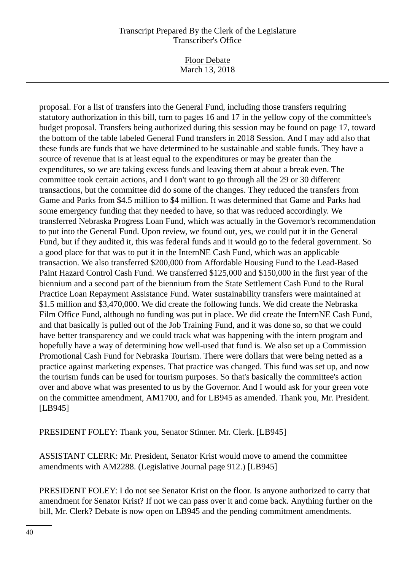Floor Debate March 13, 2018

proposal. For a list of transfers into the General Fund, including those transfers requiring statutory authorization in this bill, turn to pages 16 and 17 in the yellow copy of the committee's budget proposal. Transfers being authorized during this session may be found on page 17, toward the bottom of the table labeled General Fund transfers in 2018 Session. And I may add also that these funds are funds that we have determined to be sustainable and stable funds. They have a source of revenue that is at least equal to the expenditures or may be greater than the expenditures, so we are taking excess funds and leaving them at about a break even. The committee took certain actions, and I don't want to go through all the 29 or 30 different transactions, but the committee did do some of the changes. They reduced the transfers from Game and Parks from \$4.5 million to \$4 million. It was determined that Game and Parks had some emergency funding that they needed to have, so that was reduced accordingly. We transferred Nebraska Progress Loan Fund, which was actually in the Governor's recommendation to put into the General Fund. Upon review, we found out, yes, we could put it in the General Fund, but if they audited it, this was federal funds and it would go to the federal government. So a good place for that was to put it in the InternNE Cash Fund, which was an applicable transaction. We also transferred \$200,000 from Affordable Housing Fund to the Lead-Based Paint Hazard Control Cash Fund. We transferred \$125,000 and \$150,000 in the first year of the biennium and a second part of the biennium from the State Settlement Cash Fund to the Rural Practice Loan Repayment Assistance Fund. Water sustainability transfers were maintained at \$1.5 million and \$3,470,000. We did create the following funds. We did create the Nebraska Film Office Fund, although no funding was put in place. We did create the InternNE Cash Fund, and that basically is pulled out of the Job Training Fund, and it was done so, so that we could have better transparency and we could track what was happening with the intern program and hopefully have a way of determining how well-used that fund is. We also set up a Commission Promotional Cash Fund for Nebraska Tourism. There were dollars that were being netted as a practice against marketing expenses. That practice was changed. This fund was set up, and now the tourism funds can be used for tourism purposes. So that's basically the committee's action over and above what was presented to us by the Governor. And I would ask for your green vote on the committee amendment, AM1700, and for LB945 as amended. Thank you, Mr. President. [LB945]

PRESIDENT FOLEY: Thank you, Senator Stinner. Mr. Clerk. [LB945]

ASSISTANT CLERK: Mr. President, Senator Krist would move to amend the committee amendments with AM2288. (Legislative Journal page 912.) [LB945]

PRESIDENT FOLEY: I do not see Senator Krist on the floor. Is anyone authorized to carry that amendment for Senator Krist? If not we can pass over it and come back. Anything further on the bill, Mr. Clerk? Debate is now open on LB945 and the pending commitment amendments.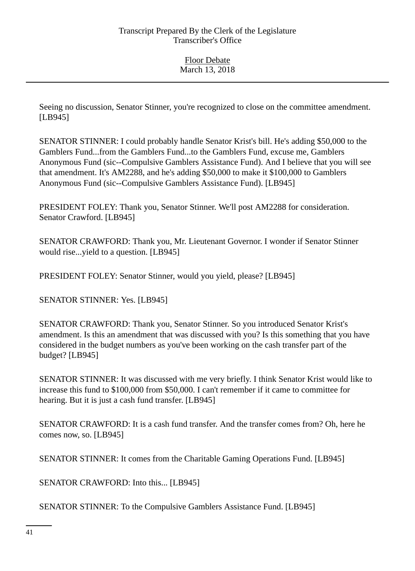Seeing no discussion, Senator Stinner, you're recognized to close on the committee amendment. [LB945]

SENATOR STINNER: I could probably handle Senator Krist's bill. He's adding \$50,000 to the Gamblers Fund...from the Gamblers Fund...to the Gamblers Fund, excuse me, Gamblers Anonymous Fund (sic--Compulsive Gamblers Assistance Fund). And I believe that you will see that amendment. It's AM2288, and he's adding \$50,000 to make it \$100,000 to Gamblers Anonymous Fund (sic--Compulsive Gamblers Assistance Fund). [LB945]

PRESIDENT FOLEY: Thank you, Senator Stinner. We'll post AM2288 for consideration. Senator Crawford. [LB945]

SENATOR CRAWFORD: Thank you, Mr. Lieutenant Governor. I wonder if Senator Stinner would rise...yield to a question. [LB945]

PRESIDENT FOLEY: Senator Stinner, would you yield, please? [LB945]

SENATOR STINNER: Yes. [LB945]

SENATOR CRAWFORD: Thank you, Senator Stinner. So you introduced Senator Krist's amendment. Is this an amendment that was discussed with you? Is this something that you have considered in the budget numbers as you've been working on the cash transfer part of the budget? [LB945]

SENATOR STINNER: It was discussed with me very briefly. I think Senator Krist would like to increase this fund to \$100,000 from \$50,000. I can't remember if it came to committee for hearing. But it is just a cash fund transfer. [LB945]

SENATOR CRAWFORD: It is a cash fund transfer. And the transfer comes from? Oh, here he comes now, so. [LB945]

SENATOR STINNER: It comes from the Charitable Gaming Operations Fund. [LB945]

SENATOR CRAWFORD: Into this... [LB945]

SENATOR STINNER: To the Compulsive Gamblers Assistance Fund. [LB945]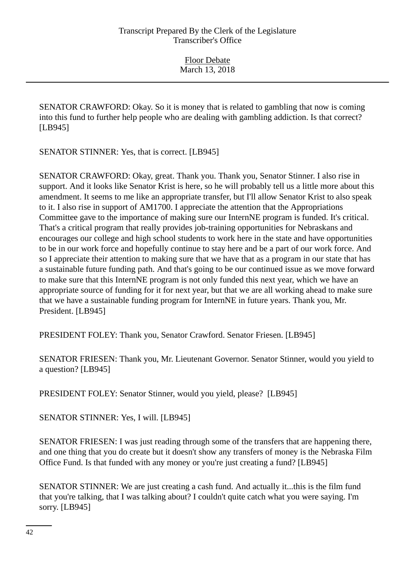SENATOR CRAWFORD: Okay. So it is money that is related to gambling that now is coming into this fund to further help people who are dealing with gambling addiction. Is that correct? [LB945]

SENATOR STINNER: Yes, that is correct. [LB945]

SENATOR CRAWFORD: Okay, great. Thank you. Thank you, Senator Stinner. I also rise in support. And it looks like Senator Krist is here, so he will probably tell us a little more about this amendment. It seems to me like an appropriate transfer, but I'll allow Senator Krist to also speak to it. I also rise in support of AM1700. I appreciate the attention that the Appropriations Committee gave to the importance of making sure our InternNE program is funded. It's critical. That's a critical program that really provides job-training opportunities for Nebraskans and encourages our college and high school students to work here in the state and have opportunities to be in our work force and hopefully continue to stay here and be a part of our work force. And so I appreciate their attention to making sure that we have that as a program in our state that has a sustainable future funding path. And that's going to be our continued issue as we move forward to make sure that this InternNE program is not only funded this next year, which we have an appropriate source of funding for it for next year, but that we are all working ahead to make sure that we have a sustainable funding program for InternNE in future years. Thank you, Mr. President. [LB945]

PRESIDENT FOLEY: Thank you, Senator Crawford. Senator Friesen. [LB945]

SENATOR FRIESEN: Thank you, Mr. Lieutenant Governor. Senator Stinner, would you yield to a question? [LB945]

PRESIDENT FOLEY: Senator Stinner, would you yield, please? [LB945]

SENATOR STINNER: Yes, I will. [LB945]

SENATOR FRIESEN: I was just reading through some of the transfers that are happening there, and one thing that you do create but it doesn't show any transfers of money is the Nebraska Film Office Fund. Is that funded with any money or you're just creating a fund? [LB945]

SENATOR STINNER: We are just creating a cash fund. And actually it...this is the film fund that you're talking, that I was talking about? I couldn't quite catch what you were saying. I'm sorry. [LB945]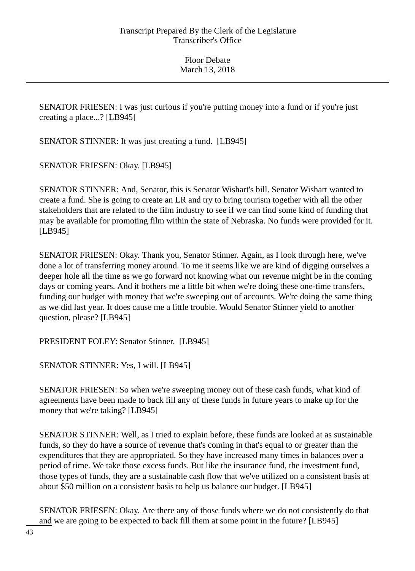SENATOR FRIESEN: I was just curious if you're putting money into a fund or if you're just creating a place...? [LB945]

SENATOR STINNER: It was just creating a fund. [LB945]

SENATOR FRIESEN: Okay. [LB945]

SENATOR STINNER: And, Senator, this is Senator Wishart's bill. Senator Wishart wanted to create a fund. She is going to create an LR and try to bring tourism together with all the other stakeholders that are related to the film industry to see if we can find some kind of funding that may be available for promoting film within the state of Nebraska. No funds were provided for it. [LB945]

SENATOR FRIESEN: Okay. Thank you, Senator Stinner. Again, as I look through here, we've done a lot of transferring money around. To me it seems like we are kind of digging ourselves a deeper hole all the time as we go forward not knowing what our revenue might be in the coming days or coming years. And it bothers me a little bit when we're doing these one-time transfers, funding our budget with money that we're sweeping out of accounts. We're doing the same thing as we did last year. It does cause me a little trouble. Would Senator Stinner yield to another question, please? [LB945]

PRESIDENT FOLEY: Senator Stinner. [LB945]

SENATOR STINNER: Yes, I will. [LB945]

SENATOR FRIESEN: So when we're sweeping money out of these cash funds, what kind of agreements have been made to back fill any of these funds in future years to make up for the money that we're taking? [LB945]

SENATOR STINNER: Well, as I tried to explain before, these funds are looked at as sustainable funds, so they do have a source of revenue that's coming in that's equal to or greater than the expenditures that they are appropriated. So they have increased many times in balances over a period of time. We take those excess funds. But like the insurance fund, the investment fund, those types of funds, they are a sustainable cash flow that we've utilized on a consistent basis at about \$50 million on a consistent basis to help us balance our budget. [LB945]

SENATOR FRIESEN: Okay. Are there any of those funds where we do not consistently do that and we are going to be expected to back fill them at some point in the future? [LB945]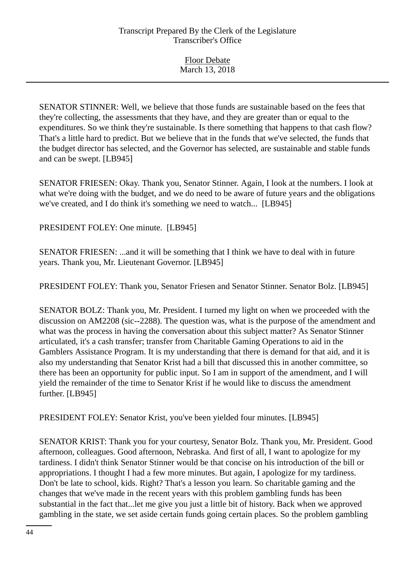SENATOR STINNER: Well, we believe that those funds are sustainable based on the fees that they're collecting, the assessments that they have, and they are greater than or equal to the expenditures. So we think they're sustainable. Is there something that happens to that cash flow? That's a little hard to predict. But we believe that in the funds that we've selected, the funds that the budget director has selected, and the Governor has selected, are sustainable and stable funds and can be swept. [LB945]

SENATOR FRIESEN: Okay. Thank you, Senator Stinner. Again, I look at the numbers. I look at what we're doing with the budget, and we do need to be aware of future years and the obligations we've created, and I do think it's something we need to watch... [LB945]

PRESIDENT FOLEY: One minute. [LB945]

SENATOR FRIESEN: ...and it will be something that I think we have to deal with in future years. Thank you, Mr. Lieutenant Governor. [LB945]

PRESIDENT FOLEY: Thank you, Senator Friesen and Senator Stinner. Senator Bolz. [LB945]

SENATOR BOLZ: Thank you, Mr. President. I turned my light on when we proceeded with the discussion on AM2208 (sic--2288). The question was, what is the purpose of the amendment and what was the process in having the conversation about this subject matter? As Senator Stinner articulated, it's a cash transfer; transfer from Charitable Gaming Operations to aid in the Gamblers Assistance Program. It is my understanding that there is demand for that aid, and it is also my understanding that Senator Krist had a bill that discussed this in another committee, so there has been an opportunity for public input. So I am in support of the amendment, and I will yield the remainder of the time to Senator Krist if he would like to discuss the amendment further. [LB945]

PRESIDENT FOLEY: Senator Krist, you've been yielded four minutes. [LB945]

SENATOR KRIST: Thank you for your courtesy, Senator Bolz. Thank you, Mr. President. Good afternoon, colleagues. Good afternoon, Nebraska. And first of all, I want to apologize for my tardiness. I didn't think Senator Stinner would be that concise on his introduction of the bill or appropriations. I thought I had a few more minutes. But again, I apologize for my tardiness. Don't be late to school, kids. Right? That's a lesson you learn. So charitable gaming and the changes that we've made in the recent years with this problem gambling funds has been substantial in the fact that...let me give you just a little bit of history. Back when we approved gambling in the state, we set aside certain funds going certain places. So the problem gambling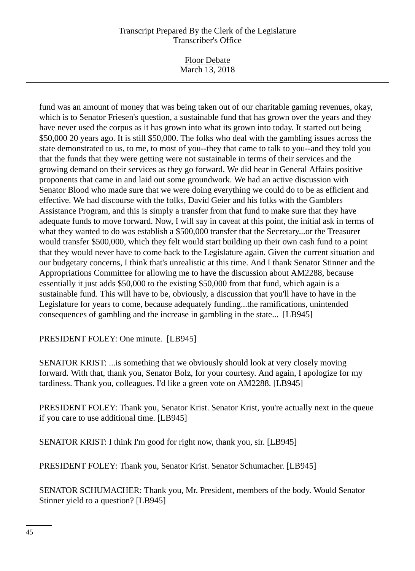Floor Debate March 13, 2018

fund was an amount of money that was being taken out of our charitable gaming revenues, okay, which is to Senator Friesen's question, a sustainable fund that has grown over the years and they have never used the corpus as it has grown into what its grown into today. It started out being \$50,000 20 years ago. It is still \$50,000. The folks who deal with the gambling issues across the state demonstrated to us, to me, to most of you--they that came to talk to you--and they told you that the funds that they were getting were not sustainable in terms of their services and the growing demand on their services as they go forward. We did hear in General Affairs positive proponents that came in and laid out some groundwork. We had an active discussion with Senator Blood who made sure that we were doing everything we could do to be as efficient and effective. We had discourse with the folks, David Geier and his folks with the Gamblers Assistance Program, and this is simply a transfer from that fund to make sure that they have adequate funds to move forward. Now, I will say in caveat at this point, the initial ask in terms of what they wanted to do was establish a \$500,000 transfer that the Secretary...or the Treasurer would transfer \$500,000, which they felt would start building up their own cash fund to a point that they would never have to come back to the Legislature again. Given the current situation and our budgetary concerns, I think that's unrealistic at this time. And I thank Senator Stinner and the Appropriations Committee for allowing me to have the discussion about AM2288, because essentially it just adds \$50,000 to the existing \$50,000 from that fund, which again is a sustainable fund. This will have to be, obviously, a discussion that you'll have to have in the Legislature for years to come, because adequately funding...the ramifications, unintended consequences of gambling and the increase in gambling in the state... [LB945]

PRESIDENT FOLEY: One minute. [LB945]

SENATOR KRIST: ...is something that we obviously should look at very closely moving forward. With that, thank you, Senator Bolz, for your courtesy. And again, I apologize for my tardiness. Thank you, colleagues. I'd like a green vote on AM2288. [LB945]

PRESIDENT FOLEY: Thank you, Senator Krist. Senator Krist, you're actually next in the queue if you care to use additional time. [LB945]

SENATOR KRIST: I think I'm good for right now, thank you, sir. [LB945]

PRESIDENT FOLEY: Thank you, Senator Krist. Senator Schumacher. [LB945]

SENATOR SCHUMACHER: Thank you, Mr. President, members of the body. Would Senator Stinner yield to a question? [LB945]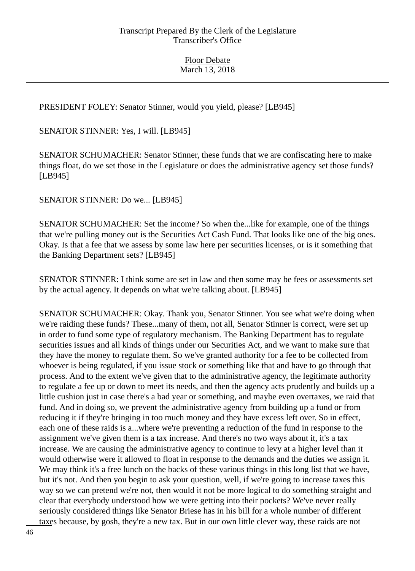PRESIDENT FOLEY: Senator Stinner, would you yield, please? [LB945]

SENATOR STINNER: Yes, I will. [LB945]

SENATOR SCHUMACHER: Senator Stinner, these funds that we are confiscating here to make things float, do we set those in the Legislature or does the administrative agency set those funds? [LB945]

SENATOR STINNER: Do we... [LB945]

SENATOR SCHUMACHER: Set the income? So when the...like for example, one of the things that we're pulling money out is the Securities Act Cash Fund. That looks like one of the big ones. Okay. Is that a fee that we assess by some law here per securities licenses, or is it something that the Banking Department sets? [LB945]

SENATOR STINNER: I think some are set in law and then some may be fees or assessments set by the actual agency. It depends on what we're talking about. [LB945]

SENATOR SCHUMACHER: Okay. Thank you, Senator Stinner. You see what we're doing when we're raiding these funds? These...many of them, not all, Senator Stinner is correct, were set up in order to fund some type of regulatory mechanism. The Banking Department has to regulate securities issues and all kinds of things under our Securities Act, and we want to make sure that they have the money to regulate them. So we've granted authority for a fee to be collected from whoever is being regulated, if you issue stock or something like that and have to go through that process. And to the extent we've given that to the administrative agency, the legitimate authority to regulate a fee up or down to meet its needs, and then the agency acts prudently and builds up a little cushion just in case there's a bad year or something, and maybe even overtaxes, we raid that fund. And in doing so, we prevent the administrative agency from building up a fund or from reducing it if they're bringing in too much money and they have excess left over. So in effect, each one of these raids is a...where we're preventing a reduction of the fund in response to the assignment we've given them is a tax increase. And there's no two ways about it, it's a tax increase. We are causing the administrative agency to continue to levy at a higher level than it would otherwise were it allowed to float in response to the demands and the duties we assign it. We may think it's a free lunch on the backs of these various things in this long list that we have, but it's not. And then you begin to ask your question, well, if we're going to increase taxes this way so we can pretend we're not, then would it not be more logical to do something straight and clear that everybody understood how we were getting into their pockets? We've never really seriously considered things like Senator Briese has in his bill for a whole number of different taxes because, by gosh, they're a new tax. But in our own little clever way, these raids are not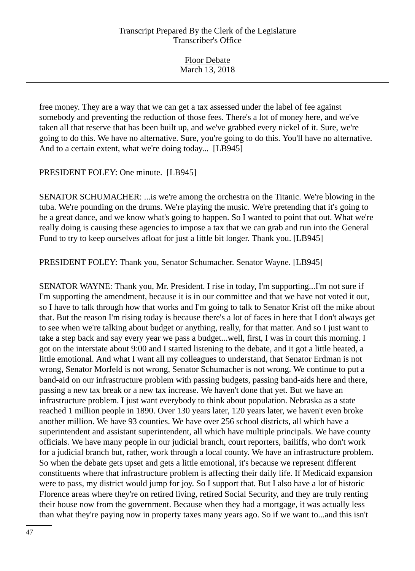Floor Debate March 13, 2018

free money. They are a way that we can get a tax assessed under the label of fee against somebody and preventing the reduction of those fees. There's a lot of money here, and we've taken all that reserve that has been built up, and we've grabbed every nickel of it. Sure, we're going to do this. We have no alternative. Sure, you're going to do this. You'll have no alternative. And to a certain extent, what we're doing today... [LB945]

PRESIDENT FOLEY: One minute. [LB945]

SENATOR SCHUMACHER: ...is we're among the orchestra on the Titanic. We're blowing in the tuba. We're pounding on the drums. We're playing the music. We're pretending that it's going to be a great dance, and we know what's going to happen. So I wanted to point that out. What we're really doing is causing these agencies to impose a tax that we can grab and run into the General Fund to try to keep ourselves afloat for just a little bit longer. Thank you. [LB945]

PRESIDENT FOLEY: Thank you, Senator Schumacher. Senator Wayne. [LB945]

SENATOR WAYNE: Thank you, Mr. President. I rise in today, I'm supporting...I'm not sure if I'm supporting the amendment, because it is in our committee and that we have not voted it out, so I have to talk through how that works and I'm going to talk to Senator Krist off the mike about that. But the reason I'm rising today is because there's a lot of faces in here that I don't always get to see when we're talking about budget or anything, really, for that matter. And so I just want to take a step back and say every year we pass a budget...well, first, I was in court this morning. I got on the interstate about 9:00 and I started listening to the debate, and it got a little heated, a little emotional. And what I want all my colleagues to understand, that Senator Erdman is not wrong, Senator Morfeld is not wrong, Senator Schumacher is not wrong. We continue to put a band-aid on our infrastructure problem with passing budgets, passing band-aids here and there, passing a new tax break or a new tax increase. We haven't done that yet. But we have an infrastructure problem. I just want everybody to think about population. Nebraska as a state reached 1 million people in 1890. Over 130 years later, 120 years later, we haven't even broke another million. We have 93 counties. We have over 256 school districts, all which have a superintendent and assistant superintendent, all which have multiple principals. We have county officials. We have many people in our judicial branch, court reporters, bailiffs, who don't work for a judicial branch but, rather, work through a local county. We have an infrastructure problem. So when the debate gets upset and gets a little emotional, it's because we represent different constituents where that infrastructure problem is affecting their daily life. If Medicaid expansion were to pass, my district would jump for joy. So I support that. But I also have a lot of historic Florence areas where they're on retired living, retired Social Security, and they are truly renting their house now from the government. Because when they had a mortgage, it was actually less than what they're paying now in property taxes many years ago. So if we want to...and this isn't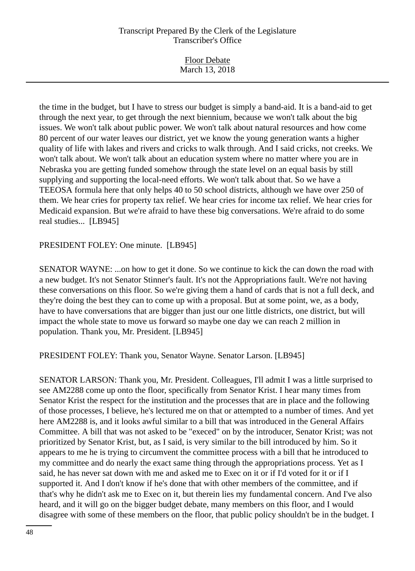Floor Debate March 13, 2018

the time in the budget, but I have to stress our budget is simply a band-aid. It is a band-aid to get through the next year, to get through the next biennium, because we won't talk about the big issues. We won't talk about public power. We won't talk about natural resources and how come 80 percent of our water leaves our district, yet we know the young generation wants a higher quality of life with lakes and rivers and cricks to walk through. And I said cricks, not creeks. We won't talk about. We won't talk about an education system where no matter where you are in Nebraska you are getting funded somehow through the state level on an equal basis by still supplying and supporting the local-need efforts. We won't talk about that. So we have a TEEOSA formula here that only helps 40 to 50 school districts, although we have over 250 of them. We hear cries for property tax relief. We hear cries for income tax relief. We hear cries for Medicaid expansion. But we're afraid to have these big conversations. We're afraid to do some real studies... [LB945]

#### PRESIDENT FOLEY: One minute. [LB945]

SENATOR WAYNE: ...on how to get it done. So we continue to kick the can down the road with a new budget. It's not Senator Stinner's fault. It's not the Appropriations fault. We're not having these conversations on this floor. So we're giving them a hand of cards that is not a full deck, and they're doing the best they can to come up with a proposal. But at some point, we, as a body, have to have conversations that are bigger than just our one little districts, one district, but will impact the whole state to move us forward so maybe one day we can reach 2 million in population. Thank you, Mr. President. [LB945]

PRESIDENT FOLEY: Thank you, Senator Wayne. Senator Larson. [LB945]

SENATOR LARSON: Thank you, Mr. President. Colleagues, I'll admit I was a little surprised to see AM2288 come up onto the floor, specifically from Senator Krist. I hear many times from Senator Krist the respect for the institution and the processes that are in place and the following of those processes, I believe, he's lectured me on that or attempted to a number of times. And yet here AM2288 is, and it looks awful similar to a bill that was introduced in the General Affairs Committee. A bill that was not asked to be "execed" on by the introducer, Senator Krist; was not prioritized by Senator Krist, but, as I said, is very similar to the bill introduced by him. So it appears to me he is trying to circumvent the committee process with a bill that he introduced to my committee and do nearly the exact same thing through the appropriations process. Yet as I said, he has never sat down with me and asked me to Exec on it or if I'd voted for it or if I supported it. And I don't know if he's done that with other members of the committee, and if that's why he didn't ask me to Exec on it, but therein lies my fundamental concern. And I've also heard, and it will go on the bigger budget debate, many members on this floor, and I would disagree with some of these members on the floor, that public policy shouldn't be in the budget. I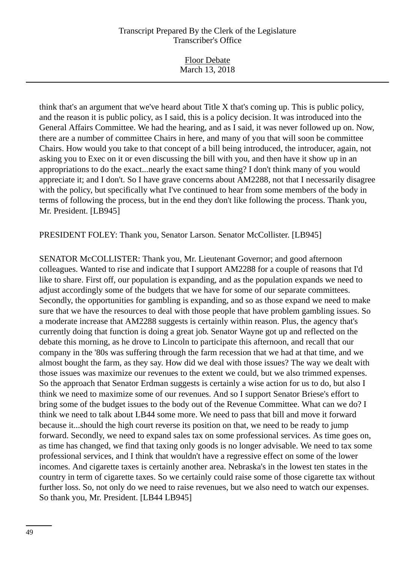Floor Debate March 13, 2018

think that's an argument that we've heard about Title X that's coming up. This is public policy, and the reason it is public policy, as I said, this is a policy decision. It was introduced into the General Affairs Committee. We had the hearing, and as I said, it was never followed up on. Now, there are a number of committee Chairs in here, and many of you that will soon be committee Chairs. How would you take to that concept of a bill being introduced, the introducer, again, not asking you to Exec on it or even discussing the bill with you, and then have it show up in an appropriations to do the exact...nearly the exact same thing? I don't think many of you would appreciate it; and I don't. So I have grave concerns about AM2288, not that I necessarily disagree with the policy, but specifically what I've continued to hear from some members of the body in terms of following the process, but in the end they don't like following the process. Thank you, Mr. President. [LB945]

PRESIDENT FOLEY: Thank you, Senator Larson. Senator McCollister. [LB945]

SENATOR McCOLLISTER: Thank you, Mr. Lieutenant Governor; and good afternoon colleagues. Wanted to rise and indicate that I support AM2288 for a couple of reasons that I'd like to share. First off, our population is expanding, and as the population expands we need to adjust accordingly some of the budgets that we have for some of our separate committees. Secondly, the opportunities for gambling is expanding, and so as those expand we need to make sure that we have the resources to deal with those people that have problem gambling issues. So a moderate increase that AM2288 suggests is certainly within reason. Plus, the agency that's currently doing that function is doing a great job. Senator Wayne got up and reflected on the debate this morning, as he drove to Lincoln to participate this afternoon, and recall that our company in the '80s was suffering through the farm recession that we had at that time, and we almost bought the farm, as they say. How did we deal with those issues? The way we dealt with those issues was maximize our revenues to the extent we could, but we also trimmed expenses. So the approach that Senator Erdman suggests is certainly a wise action for us to do, but also I think we need to maximize some of our revenues. And so I support Senator Briese's effort to bring some of the budget issues to the body out of the Revenue Committee. What can we do? I think we need to talk about LB44 some more. We need to pass that bill and move it forward because it...should the high court reverse its position on that, we need to be ready to jump forward. Secondly, we need to expand sales tax on some professional services. As time goes on, as time has changed, we find that taxing only goods is no longer advisable. We need to tax some professional services, and I think that wouldn't have a regressive effect on some of the lower incomes. And cigarette taxes is certainly another area. Nebraska's in the lowest ten states in the country in term of cigarette taxes. So we certainly could raise some of those cigarette tax without further loss. So, not only do we need to raise revenues, but we also need to watch our expenses. So thank you, Mr. President. [LB44 LB945]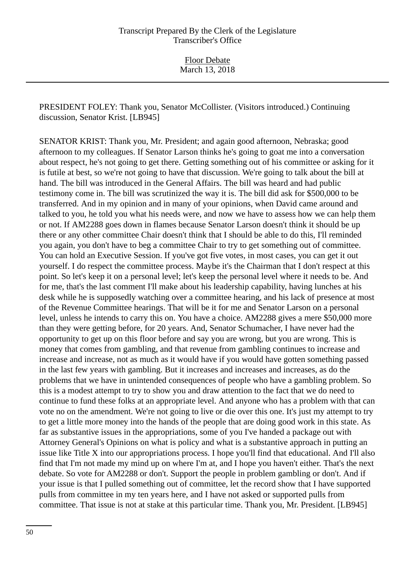Floor Debate March 13, 2018

PRESIDENT FOLEY: Thank you, Senator McCollister. (Visitors introduced.) Continuing discussion, Senator Krist. [LB945]

SENATOR KRIST: Thank you, Mr. President; and again good afternoon, Nebraska; good afternoon to my colleagues. If Senator Larson thinks he's going to goat me into a conversation about respect, he's not going to get there. Getting something out of his committee or asking for it is futile at best, so we're not going to have that discussion. We're going to talk about the bill at hand. The bill was introduced in the General Affairs. The bill was heard and had public testimony come in. The bill was scrutinized the way it is. The bill did ask for \$500,000 to be transferred. And in my opinion and in many of your opinions, when David came around and talked to you, he told you what his needs were, and now we have to assess how we can help them or not. If AM2288 goes down in flames because Senator Larson doesn't think it should be up there or any other committee Chair doesn't think that I should be able to do this, I'll reminded you again, you don't have to beg a committee Chair to try to get something out of committee. You can hold an Executive Session. If you've got five votes, in most cases, you can get it out yourself. I do respect the committee process. Maybe it's the Chairman that I don't respect at this point. So let's keep it on a personal level; let's keep the personal level where it needs to be. And for me, that's the last comment I'll make about his leadership capability, having lunches at his desk while he is supposedly watching over a committee hearing, and his lack of presence at most of the Revenue Committee hearings. That will be it for me and Senator Larson on a personal level, unless he intends to carry this on. You have a choice. AM2288 gives a mere \$50,000 more than they were getting before, for 20 years. And, Senator Schumacher, I have never had the opportunity to get up on this floor before and say you are wrong, but you are wrong. This is money that comes from gambling, and that revenue from gambling continues to increase and increase and increase, not as much as it would have if you would have gotten something passed in the last few years with gambling. But it increases and increases and increases, as do the problems that we have in unintended consequences of people who have a gambling problem. So this is a modest attempt to try to show you and draw attention to the fact that we do need to continue to fund these folks at an appropriate level. And anyone who has a problem with that can vote no on the amendment. We're not going to live or die over this one. It's just my attempt to try to get a little more money into the hands of the people that are doing good work in this state. As far as substantive issues in the appropriations, some of you I've handed a package out with Attorney General's Opinions on what is policy and what is a substantive approach in putting an issue like Title X into our appropriations process. I hope you'll find that educational. And I'll also find that I'm not made my mind up on where I'm at, and I hope you haven't either. That's the next debate. So vote for AM2288 or don't. Support the people in problem gambling or don't. And if your issue is that I pulled something out of committee, let the record show that I have supported pulls from committee in my ten years here, and I have not asked or supported pulls from committee. That issue is not at stake at this particular time. Thank you, Mr. President. [LB945]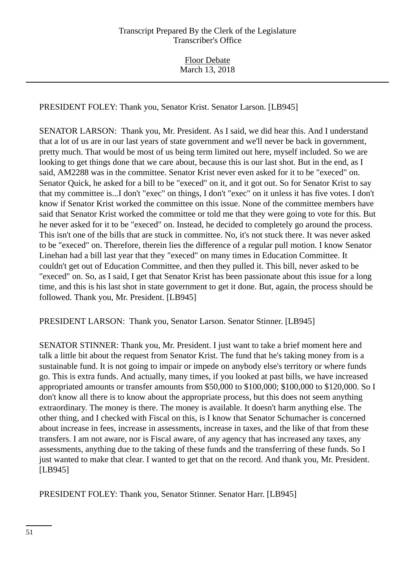PRESIDENT FOLEY: Thank you, Senator Krist. Senator Larson. [LB945]

SENATOR LARSON: Thank you, Mr. President. As I said, we did hear this. And I understand that a lot of us are in our last years of state government and we'll never be back in government, pretty much. That would be most of us being term limited out here, myself included. So we are looking to get things done that we care about, because this is our last shot. But in the end, as I said, AM2288 was in the committee. Senator Krist never even asked for it to be "execed" on. Senator Quick, he asked for a bill to be "execed" on it, and it got out. So for Senator Krist to say that my committee is...I don't "exec" on things, I don't "exec" on it unless it has five votes. I don't know if Senator Krist worked the committee on this issue. None of the committee members have said that Senator Krist worked the committee or told me that they were going to vote for this. But he never asked for it to be "execed" on. Instead, he decided to completely go around the process. This isn't one of the bills that are stuck in committee. No, it's not stuck there. It was never asked to be "execed" on. Therefore, therein lies the difference of a regular pull motion. I know Senator Linehan had a bill last year that they "execed" on many times in Education Committee. It couldn't get out of Education Committee, and then they pulled it. This bill, never asked to be "execed" on. So, as I said, I get that Senator Krist has been passionate about this issue for a long time, and this is his last shot in state government to get it done. But, again, the process should be followed. Thank you, Mr. President. [LB945]

PRESIDENT LARSON: Thank you, Senator Larson. Senator Stinner. [LB945]

SENATOR STINNER: Thank you, Mr. President. I just want to take a brief moment here and talk a little bit about the request from Senator Krist. The fund that he's taking money from is a sustainable fund. It is not going to impair or impede on anybody else's territory or where funds go. This is extra funds. And actually, many times, if you looked at past bills, we have increased appropriated amounts or transfer amounts from \$50,000 to \$100,000; \$100,000 to \$120,000. So I don't know all there is to know about the appropriate process, but this does not seem anything extraordinary. The money is there. The money is available. It doesn't harm anything else. The other thing, and I checked with Fiscal on this, is I know that Senator Schumacher is concerned about increase in fees, increase in assessments, increase in taxes, and the like of that from these transfers. I am not aware, nor is Fiscal aware, of any agency that has increased any taxes, any assessments, anything due to the taking of these funds and the transferring of these funds. So I just wanted to make that clear. I wanted to get that on the record. And thank you, Mr. President. [LB945]

PRESIDENT FOLEY: Thank you, Senator Stinner. Senator Harr. [LB945]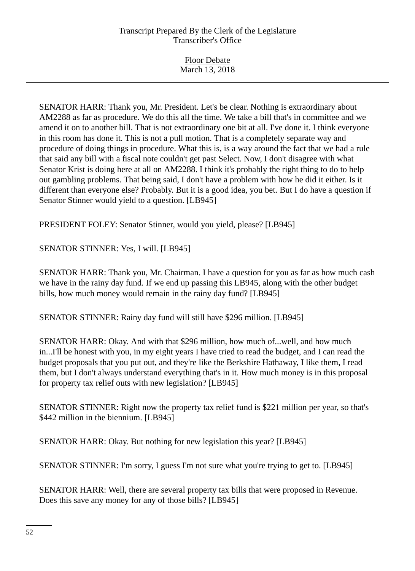Floor Debate March 13, 2018

SENATOR HARR: Thank you, Mr. President. Let's be clear. Nothing is extraordinary about AM2288 as far as procedure. We do this all the time. We take a bill that's in committee and we amend it on to another bill. That is not extraordinary one bit at all. I've done it. I think everyone in this room has done it. This is not a pull motion. That is a completely separate way and procedure of doing things in procedure. What this is, is a way around the fact that we had a rule that said any bill with a fiscal note couldn't get past Select. Now, I don't disagree with what Senator Krist is doing here at all on AM2288. I think it's probably the right thing to do to help out gambling problems. That being said, I don't have a problem with how he did it either. Is it different than everyone else? Probably. But it is a good idea, you bet. But I do have a question if Senator Stinner would yield to a question. [LB945]

PRESIDENT FOLEY: Senator Stinner, would you yield, please? [LB945]

# SENATOR STINNER: Yes, I will. [LB945]

SENATOR HARR: Thank you, Mr. Chairman. I have a question for you as far as how much cash we have in the rainy day fund. If we end up passing this LB945, along with the other budget bills, how much money would remain in the rainy day fund? [LB945]

SENATOR STINNER: Rainy day fund will still have \$296 million. [LB945]

SENATOR HARR: Okay. And with that \$296 million, how much of...well, and how much in...I'll be honest with you, in my eight years I have tried to read the budget, and I can read the budget proposals that you put out, and they're like the Berkshire Hathaway, I like them, I read them, but I don't always understand everything that's in it. How much money is in this proposal for property tax relief outs with new legislation? [LB945]

SENATOR STINNER: Right now the property tax relief fund is \$221 million per year, so that's \$442 million in the biennium. [LB945]

SENATOR HARR: Okay. But nothing for new legislation this year? [LB945]

SENATOR STINNER: I'm sorry, I guess I'm not sure what you're trying to get to. [LB945]

SENATOR HARR: Well, there are several property tax bills that were proposed in Revenue. Does this save any money for any of those bills? [LB945]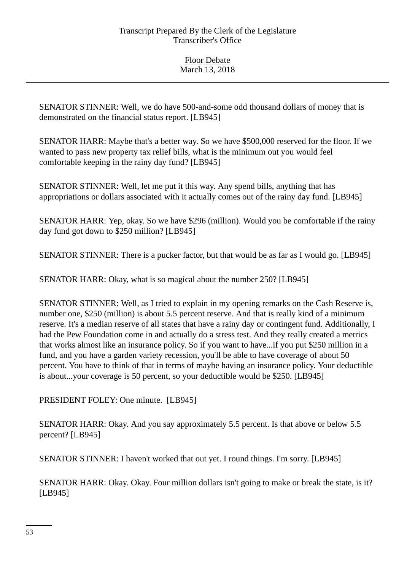SENATOR STINNER: Well, we do have 500-and-some odd thousand dollars of money that is demonstrated on the financial status report. [LB945]

SENATOR HARR: Maybe that's a better way. So we have \$500,000 reserved for the floor. If we wanted to pass new property tax relief bills, what is the minimum out you would feel comfortable keeping in the rainy day fund? [LB945]

SENATOR STINNER: Well, let me put it this way. Any spend bills, anything that has appropriations or dollars associated with it actually comes out of the rainy day fund. [LB945]

SENATOR HARR: Yep, okay. So we have \$296 (million). Would you be comfortable if the rainy day fund got down to \$250 million? [LB945]

SENATOR STINNER: There is a pucker factor, but that would be as far as I would go. [LB945]

SENATOR HARR: Okay, what is so magical about the number 250? [LB945]

SENATOR STINNER: Well, as I tried to explain in my opening remarks on the Cash Reserve is, number one, \$250 (million) is about 5.5 percent reserve. And that is really kind of a minimum reserve. It's a median reserve of all states that have a rainy day or contingent fund. Additionally, I had the Pew Foundation come in and actually do a stress test. And they really created a metrics that works almost like an insurance policy. So if you want to have...if you put \$250 million in a fund, and you have a garden variety recession, you'll be able to have coverage of about 50 percent. You have to think of that in terms of maybe having an insurance policy. Your deductible is about...your coverage is 50 percent, so your deductible would be \$250. [LB945]

PRESIDENT FOLEY: One minute. [LB945]

SENATOR HARR: Okay. And you say approximately 5.5 percent. Is that above or below 5.5 percent? [LB945]

SENATOR STINNER: I haven't worked that out yet. I round things. I'm sorry. [LB945]

SENATOR HARR: Okay. Okay. Four million dollars isn't going to make or break the state, is it? [LB945]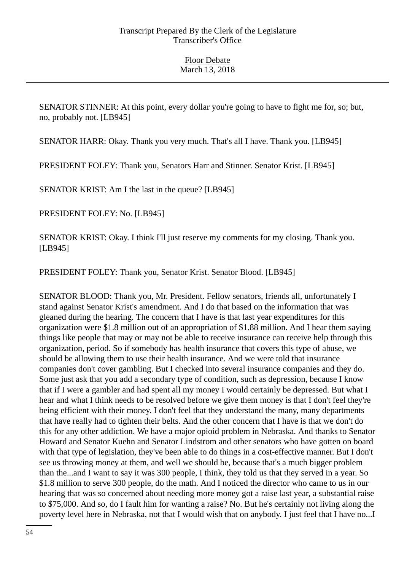SENATOR STINNER: At this point, every dollar you're going to have to fight me for, so; but, no, probably not. [LB945]

SENATOR HARR: Okay. Thank you very much. That's all I have. Thank you. [LB945]

PRESIDENT FOLEY: Thank you, Senators Harr and Stinner. Senator Krist. [LB945]

SENATOR KRIST: Am I the last in the queue? [LB945]

PRESIDENT FOLEY: No. [LB945]

SENATOR KRIST: Okay. I think I'll just reserve my comments for my closing. Thank you. [LB945]

PRESIDENT FOLEY: Thank you, Senator Krist. Senator Blood. [LB945]

SENATOR BLOOD: Thank you, Mr. President. Fellow senators, friends all, unfortunately I stand against Senator Krist's amendment. And I do that based on the information that was gleaned during the hearing. The concern that I have is that last year expenditures for this organization were \$1.8 million out of an appropriation of \$1.88 million. And I hear them saying things like people that may or may not be able to receive insurance can receive help through this organization, period. So if somebody has health insurance that covers this type of abuse, we should be allowing them to use their health insurance. And we were told that insurance companies don't cover gambling. But I checked into several insurance companies and they do. Some just ask that you add a secondary type of condition, such as depression, because I know that if I were a gambler and had spent all my money I would certainly be depressed. But what I hear and what I think needs to be resolved before we give them money is that I don't feel they're being efficient with their money. I don't feel that they understand the many, many departments that have really had to tighten their belts. And the other concern that I have is that we don't do this for any other addiction. We have a major opioid problem in Nebraska. And thanks to Senator Howard and Senator Kuehn and Senator Lindstrom and other senators who have gotten on board with that type of legislation, they've been able to do things in a cost-effective manner. But I don't see us throwing money at them, and well we should be, because that's a much bigger problem than the...and I want to say it was 300 people, I think, they told us that they served in a year. So \$1.8 million to serve 300 people, do the math. And I noticed the director who came to us in our hearing that was so concerned about needing more money got a raise last year, a substantial raise to \$75,000. And so, do I fault him for wanting a raise? No. But he's certainly not living along the poverty level here in Nebraska, not that I would wish that on anybody. I just feel that I have no...I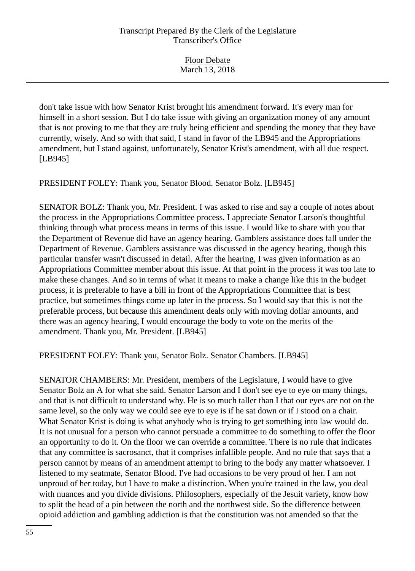| <b>Floor Debate</b> |  |
|---------------------|--|
| March 13, 2018      |  |

don't take issue with how Senator Krist brought his amendment forward. It's every man for himself in a short session. But I do take issue with giving an organization money of any amount that is not proving to me that they are truly being efficient and spending the money that they have currently, wisely. And so with that said, I stand in favor of the LB945 and the Appropriations amendment, but I stand against, unfortunately, Senator Krist's amendment, with all due respect. [LB945]

PRESIDENT FOLEY: Thank you, Senator Blood. Senator Bolz. [LB945]

SENATOR BOLZ: Thank you, Mr. President. I was asked to rise and say a couple of notes about the process in the Appropriations Committee process. I appreciate Senator Larson's thoughtful thinking through what process means in terms of this issue. I would like to share with you that the Department of Revenue did have an agency hearing. Gamblers assistance does fall under the Department of Revenue. Gamblers assistance was discussed in the agency hearing, though this particular transfer wasn't discussed in detail. After the hearing, I was given information as an Appropriations Committee member about this issue. At that point in the process it was too late to make these changes. And so in terms of what it means to make a change like this in the budget process, it is preferable to have a bill in front of the Appropriations Committee that is best practice, but sometimes things come up later in the process. So I would say that this is not the preferable process, but because this amendment deals only with moving dollar amounts, and there was an agency hearing, I would encourage the body to vote on the merits of the amendment. Thank you, Mr. President. [LB945]

PRESIDENT FOLEY: Thank you, Senator Bolz. Senator Chambers. [LB945]

SENATOR CHAMBERS: Mr. President, members of the Legislature, I would have to give Senator Bolz an A for what she said. Senator Larson and I don't see eye to eye on many things, and that is not difficult to understand why. He is so much taller than I that our eyes are not on the same level, so the only way we could see eye to eye is if he sat down or if I stood on a chair. What Senator Krist is doing is what anybody who is trying to get something into law would do. It is not unusual for a person who cannot persuade a committee to do something to offer the floor an opportunity to do it. On the floor we can override a committee. There is no rule that indicates that any committee is sacrosanct, that it comprises infallible people. And no rule that says that a person cannot by means of an amendment attempt to bring to the body any matter whatsoever. I listened to my seatmate, Senator Blood. I've had occasions to be very proud of her. I am not unproud of her today, but I have to make a distinction. When you're trained in the law, you deal with nuances and you divide divisions. Philosophers, especially of the Jesuit variety, know how to split the head of a pin between the north and the northwest side. So the difference between opioid addiction and gambling addiction is that the constitution was not amended so that the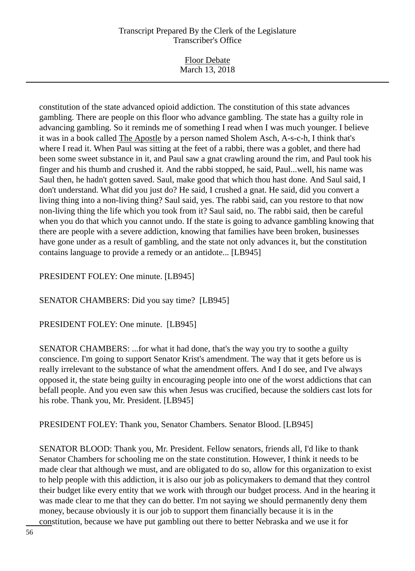| <b>Floor Debate</b> |  |
|---------------------|--|
| March 13, 2018      |  |

constitution of the state advanced opioid addiction. The constitution of this state advances gambling. There are people on this floor who advance gambling. The state has a guilty role in advancing gambling. So it reminds me of something I read when I was much younger. I believe it was in a book called The Apostle by a person named Sholem Asch, A-s-c-h, I think that's where I read it. When Paul was sitting at the feet of a rabbi, there was a goblet, and there had been some sweet substance in it, and Paul saw a gnat crawling around the rim, and Paul took his finger and his thumb and crushed it. And the rabbi stopped, he said, Paul...well, his name was Saul then, he hadn't gotten saved. Saul, make good that which thou hast done. And Saul said, I don't understand. What did you just do? He said, I crushed a gnat. He said, did you convert a living thing into a non-living thing? Saul said, yes. The rabbi said, can you restore to that now non-living thing the life which you took from it? Saul said, no. The rabbi said, then be careful when you do that which you cannot undo. If the state is going to advance gambling knowing that there are people with a severe addiction, knowing that families have been broken, businesses have gone under as a result of gambling, and the state not only advances it, but the constitution contains language to provide a remedy or an antidote... [LB945]

#### PRESIDENT FOLEY: One minute. [LB945]

SENATOR CHAMBERS: Did you say time? [LB945]

PRESIDENT FOLEY: One minute. [LB945]

SENATOR CHAMBERS: ...for what it had done, that's the way you try to soothe a guilty conscience. I'm going to support Senator Krist's amendment. The way that it gets before us is really irrelevant to the substance of what the amendment offers. And I do see, and I've always opposed it, the state being guilty in encouraging people into one of the worst addictions that can befall people. And you even saw this when Jesus was crucified, because the soldiers cast lots for his robe. Thank you, Mr. President. [LB945]

PRESIDENT FOLEY: Thank you, Senator Chambers. Senator Blood. [LB945]

SENATOR BLOOD: Thank you, Mr. President. Fellow senators, friends all, I'd like to thank Senator Chambers for schooling me on the state constitution. However, I think it needs to be made clear that although we must, and are obligated to do so, allow for this organization to exist to help people with this addiction, it is also our job as policymakers to demand that they control their budget like every entity that we work with through our budget process. And in the hearing it was made clear to me that they can do better. I'm not saying we should permanently deny them money, because obviously it is our job to support them financially because it is in the constitution, because we have put gambling out there to better Nebraska and we use it for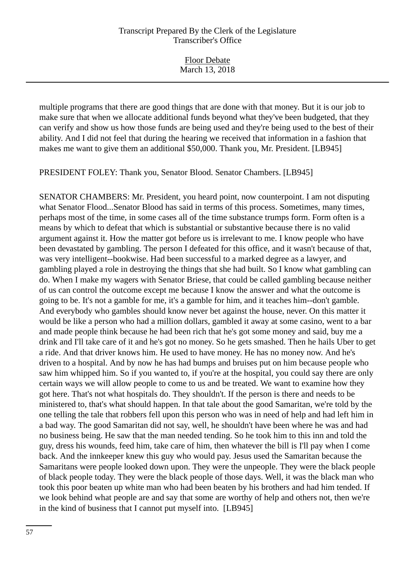Floor Debate March 13, 2018

multiple programs that there are good things that are done with that money. But it is our job to make sure that when we allocate additional funds beyond what they've been budgeted, that they can verify and show us how those funds are being used and they're being used to the best of their ability. And I did not feel that during the hearing we received that information in a fashion that makes me want to give them an additional \$50,000. Thank you, Mr. President. [LB945]

PRESIDENT FOLEY: Thank you, Senator Blood. Senator Chambers. [LB945]

SENATOR CHAMBERS: Mr. President, you heard point, now counterpoint. I am not disputing what Senator Flood...Senator Blood has said in terms of this process. Sometimes, many times, perhaps most of the time, in some cases all of the time substance trumps form. Form often is a means by which to defeat that which is substantial or substantive because there is no valid argument against it. How the matter got before us is irrelevant to me. I know people who have been devastated by gambling. The person I defeated for this office, and it wasn't because of that, was very intelligent--bookwise. Had been successful to a marked degree as a lawyer, and gambling played a role in destroying the things that she had built. So I know what gambling can do. When I make my wagers with Senator Briese, that could be called gambling because neither of us can control the outcome except me because I know the answer and what the outcome is going to be. It's not a gamble for me, it's a gamble for him, and it teaches him--don't gamble. And everybody who gambles should know never bet against the house, never. On this matter it would be like a person who had a million dollars, gambled it away at some casino, went to a bar and made people think because he had been rich that he's got some money and said, buy me a drink and I'll take care of it and he's got no money. So he gets smashed. Then he hails Uber to get a ride. And that driver knows him. He used to have money. He has no money now. And he's driven to a hospital. And by now he has had bumps and bruises put on him because people who saw him whipped him. So if you wanted to, if you're at the hospital, you could say there are only certain ways we will allow people to come to us and be treated. We want to examine how they got here. That's not what hospitals do. They shouldn't. If the person is there and needs to be ministered to, that's what should happen. In that tale about the good Samaritan, we're told by the one telling the tale that robbers fell upon this person who was in need of help and had left him in a bad way. The good Samaritan did not say, well, he shouldn't have been where he was and had no business being. He saw that the man needed tending. So he took him to this inn and told the guy, dress his wounds, feed him, take care of him, then whatever the bill is I'll pay when I come back. And the innkeeper knew this guy who would pay. Jesus used the Samaritan because the Samaritans were people looked down upon. They were the unpeople. They were the black people of black people today. They were the black people of those days. Well, it was the black man who took this poor beaten up white man who had been beaten by his brothers and had him tended. If we look behind what people are and say that some are worthy of help and others not, then we're in the kind of business that I cannot put myself into. [LB945]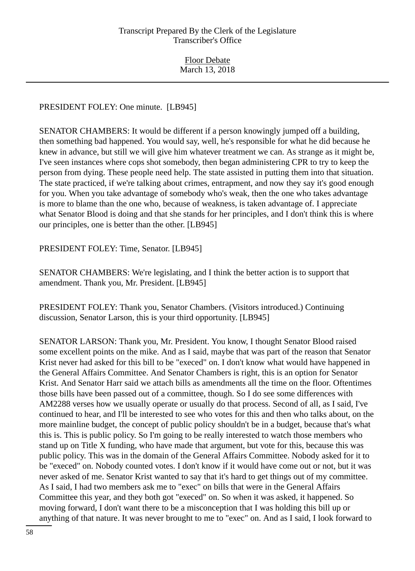# PRESIDENT FOLEY: One minute. [LB945]

SENATOR CHAMBERS: It would be different if a person knowingly jumped off a building, then something bad happened. You would say, well, he's responsible for what he did because he knew in advance, but still we will give him whatever treatment we can. As strange as it might be, I've seen instances where cops shot somebody, then began administering CPR to try to keep the person from dying. These people need help. The state assisted in putting them into that situation. The state practiced, if we're talking about crimes, entrapment, and now they say it's good enough for you. When you take advantage of somebody who's weak, then the one who takes advantage is more to blame than the one who, because of weakness, is taken advantage of. I appreciate what Senator Blood is doing and that she stands for her principles, and I don't think this is where our principles, one is better than the other. [LB945]

PRESIDENT FOLEY: Time, Senator. [LB945]

SENATOR CHAMBERS: We're legislating, and I think the better action is to support that amendment. Thank you, Mr. President. [LB945]

PRESIDENT FOLEY: Thank you, Senator Chambers. (Visitors introduced.) Continuing discussion, Senator Larson, this is your third opportunity. [LB945]

SENATOR LARSON: Thank you, Mr. President. You know, I thought Senator Blood raised some excellent points on the mike. And as I said, maybe that was part of the reason that Senator Krist never had asked for this bill to be "execed" on. I don't know what would have happened in the General Affairs Committee. And Senator Chambers is right, this is an option for Senator Krist. And Senator Harr said we attach bills as amendments all the time on the floor. Oftentimes those bills have been passed out of a committee, though. So I do see some differences with AM2288 verses how we usually operate or usually do that process. Second of all, as I said, I've continued to hear, and I'll be interested to see who votes for this and then who talks about, on the more mainline budget, the concept of public policy shouldn't be in a budget, because that's what this is. This is public policy. So I'm going to be really interested to watch those members who stand up on Title X funding, who have made that argument, but vote for this, because this was public policy. This was in the domain of the General Affairs Committee. Nobody asked for it to be "execed" on. Nobody counted votes. I don't know if it would have come out or not, but it was never asked of me. Senator Krist wanted to say that it's hard to get things out of my committee. As I said, I had two members ask me to "exec" on bills that were in the General Affairs Committee this year, and they both got "execed" on. So when it was asked, it happened. So moving forward, I don't want there to be a misconception that I was holding this bill up or anything of that nature. It was never brought to me to "exec" on. And as I said, I look forward to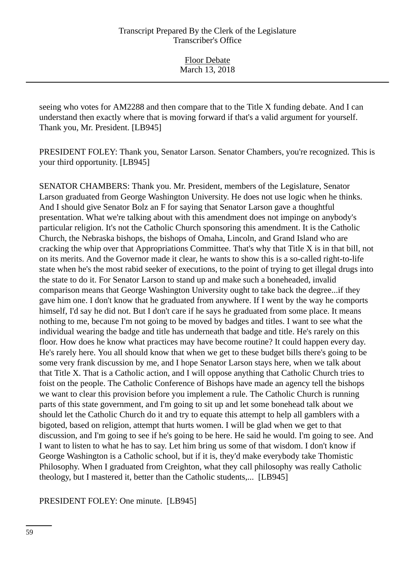seeing who votes for AM2288 and then compare that to the Title X funding debate. And I can understand then exactly where that is moving forward if that's a valid argument for yourself. Thank you, Mr. President. [LB945]

PRESIDENT FOLEY: Thank you, Senator Larson. Senator Chambers, you're recognized. This is your third opportunity. [LB945]

SENATOR CHAMBERS: Thank you. Mr. President, members of the Legislature, Senator Larson graduated from George Washington University. He does not use logic when he thinks. And I should give Senator Bolz an F for saying that Senator Larson gave a thoughtful presentation. What we're talking about with this amendment does not impinge on anybody's particular religion. It's not the Catholic Church sponsoring this amendment. It is the Catholic Church, the Nebraska bishops, the bishops of Omaha, Lincoln, and Grand Island who are cracking the whip over that Appropriations Committee. That's why that Title X is in that bill, not on its merits. And the Governor made it clear, he wants to show this is a so-called right-to-life state when he's the most rabid seeker of executions, to the point of trying to get illegal drugs into the state to do it. For Senator Larson to stand up and make such a boneheaded, invalid comparison means that George Washington University ought to take back the degree...if they gave him one. I don't know that he graduated from anywhere. If I went by the way he comports himself, I'd say he did not. But I don't care if he says he graduated from some place. It means nothing to me, because I'm not going to be moved by badges and titles. I want to see what the individual wearing the badge and title has underneath that badge and title. He's rarely on this floor. How does he know what practices may have become routine? It could happen every day. He's rarely here. You all should know that when we get to these budget bills there's going to be some very frank discussion by me, and I hope Senator Larson stays here, when we talk about that Title X. That is a Catholic action, and I will oppose anything that Catholic Church tries to foist on the people. The Catholic Conference of Bishops have made an agency tell the bishops we want to clear this provision before you implement a rule. The Catholic Church is running parts of this state government, and I'm going to sit up and let some bonehead talk about we should let the Catholic Church do it and try to equate this attempt to help all gamblers with a bigoted, based on religion, attempt that hurts women. I will be glad when we get to that discussion, and I'm going to see if he's going to be here. He said he would. I'm going to see. And I want to listen to what he has to say. Let him bring us some of that wisdom. I don't know if George Washington is a Catholic school, but if it is, they'd make everybody take Thomistic Philosophy. When I graduated from Creighton, what they call philosophy was really Catholic theology, but I mastered it, better than the Catholic students,... [LB945]

PRESIDENT FOLEY: One minute. [LB945]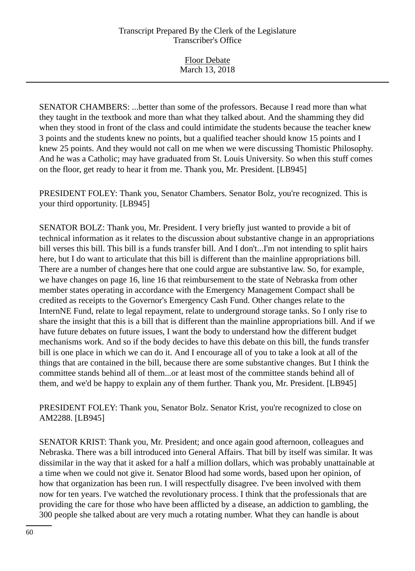Floor Debate March 13, 2018

SENATOR CHAMBERS: ...better than some of the professors. Because I read more than what they taught in the textbook and more than what they talked about. And the shamming they did when they stood in front of the class and could intimidate the students because the teacher knew 3 points and the students knew no points, but a qualified teacher should know 15 points and I knew 25 points. And they would not call on me when we were discussing Thomistic Philosophy. And he was a Catholic; may have graduated from St. Louis University. So when this stuff comes on the floor, get ready to hear it from me. Thank you, Mr. President. [LB945]

PRESIDENT FOLEY: Thank you, Senator Chambers. Senator Bolz, you're recognized. This is your third opportunity. [LB945]

SENATOR BOLZ: Thank you, Mr. President. I very briefly just wanted to provide a bit of technical information as it relates to the discussion about substantive change in an appropriations bill verses this bill. This bill is a funds transfer bill. And I don't...I'm not intending to split hairs here, but I do want to articulate that this bill is different than the mainline appropriations bill. There are a number of changes here that one could argue are substantive law. So, for example, we have changes on page 16, line 16 that reimbursement to the state of Nebraska from other member states operating in accordance with the Emergency Management Compact shall be credited as receipts to the Governor's Emergency Cash Fund. Other changes relate to the InternNE Fund, relate to legal repayment, relate to underground storage tanks. So I only rise to share the insight that this is a bill that is different than the mainline appropriations bill. And if we have future debates on future issues, I want the body to understand how the different budget mechanisms work. And so if the body decides to have this debate on this bill, the funds transfer bill is one place in which we can do it. And I encourage all of you to take a look at all of the things that are contained in the bill, because there are some substantive changes. But I think the committee stands behind all of them...or at least most of the committee stands behind all of them, and we'd be happy to explain any of them further. Thank you, Mr. President. [LB945]

PRESIDENT FOLEY: Thank you, Senator Bolz. Senator Krist, you're recognized to close on AM2288. [LB945]

SENATOR KRIST: Thank you, Mr. President; and once again good afternoon, colleagues and Nebraska. There was a bill introduced into General Affairs. That bill by itself was similar. It was dissimilar in the way that it asked for a half a million dollars, which was probably unattainable at a time when we could not give it. Senator Blood had some words, based upon her opinion, of how that organization has been run. I will respectfully disagree. I've been involved with them now for ten years. I've watched the revolutionary process. I think that the professionals that are providing the care for those who have been afflicted by a disease, an addiction to gambling, the 300 people she talked about are very much a rotating number. What they can handle is about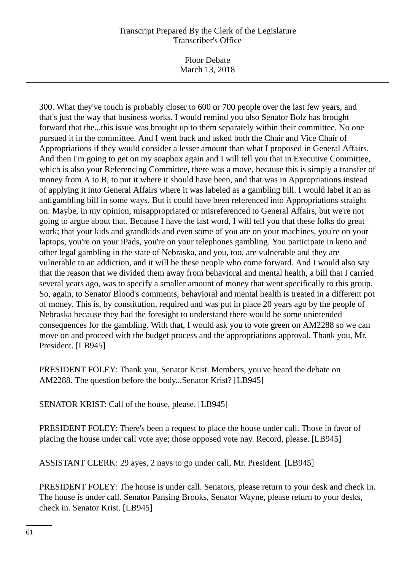Floor Debate March 13, 2018

300. What they've touch is probably closer to 600 or 700 people over the last few years, and that's just the way that business works. I would remind you also Senator Bolz has brought forward that the...this issue was brought up to them separately within their committee. No one pursued it in the committee. And I went back and asked both the Chair and Vice Chair of Appropriations if they would consider a lesser amount than what I proposed in General Affairs. And then I'm going to get on my soapbox again and I will tell you that in Executive Committee, which is also your Referencing Committee, there was a move, because this is simply a transfer of money from A to B, to put it where it should have been, and that was in Appropriations instead of applying it into General Affairs where it was labeled as a gambling bill. I would label it an as antigambling bill in some ways. But it could have been referenced into Appropriations straight on. Maybe, in my opinion, misappropriated or misreferenced to General Affairs, but we're not going to argue about that. Because I have the last word, I will tell you that these folks do great work; that your kids and grandkids and even some of you are on your machines, you're on your laptops, you're on your iPads, you're on your telephones gambling. You participate in keno and other legal gambling in the state of Nebraska, and you, too, are vulnerable and they are vulnerable to an addiction, and it will be these people who come forward. And I would also say that the reason that we divided them away from behavioral and mental health, a bill that I carried several years ago, was to specify a smaller amount of money that went specifically to this group. So, again, to Senator Blood's comments, behavioral and mental health is treated in a different pot of money. This is, by constitution, required and was put in place 20 years ago by the people of Nebraska because they had the foresight to understand there would be some unintended consequences for the gambling. With that, I would ask you to vote green on AM2288 so we can move on and proceed with the budget process and the appropriations approval. Thank you, Mr. President. [LB945]

PRESIDENT FOLEY: Thank you, Senator Krist. Members, you've heard the debate on AM2288. The question before the body...Senator Krist? [LB945]

SENATOR KRIST: Call of the house, please. [LB945]

PRESIDENT FOLEY: There's been a request to place the house under call. Those in favor of placing the house under call vote aye; those opposed vote nay. Record, please. [LB945]

ASSISTANT CLERK: 29 ayes, 2 nays to go under call, Mr. President. [LB945]

PRESIDENT FOLEY: The house is under call. Senators, please return to your desk and check in. The house is under call. Senator Pansing Brooks, Senator Wayne, please return to your desks, check in. Senator Krist. [LB945]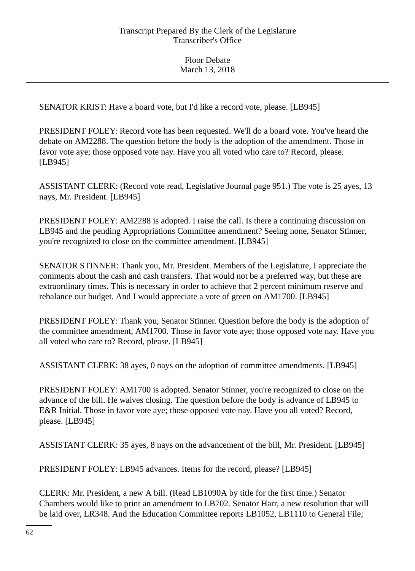SENATOR KRIST: Have a board vote, but I'd like a record vote, please. [LB945]

PRESIDENT FOLEY: Record vote has been requested. We'll do a board vote. You've heard the debate on AM2288. The question before the body is the adoption of the amendment. Those in favor vote aye; those opposed vote nay. Have you all voted who care to? Record, please. [LB945]

ASSISTANT CLERK: (Record vote read, Legislative Journal page 951.) The vote is 25 ayes, 13 nays, Mr. President. [LB945]

PRESIDENT FOLEY: AM2288 is adopted. I raise the call. Is there a continuing discussion on LB945 and the pending Appropriations Committee amendment? Seeing none, Senator Stinner, you're recognized to close on the committee amendment. [LB945]

SENATOR STINNER: Thank you, Mr. President. Members of the Legislature, I appreciate the comments about the cash and cash transfers. That would not be a preferred way, but these are extraordinary times. This is necessary in order to achieve that 2 percent minimum reserve and rebalance our budget. And I would appreciate a vote of green on AM1700. [LB945]

PRESIDENT FOLEY: Thank you, Senator Stinner. Question before the body is the adoption of the committee amendment, AM1700. Those in favor vote aye; those opposed vote nay. Have you all voted who care to? Record, please. [LB945]

ASSISTANT CLERK: 38 ayes, 0 nays on the adoption of committee amendments. [LB945]

PRESIDENT FOLEY: AM1700 is adopted. Senator Stinner, you're recognized to close on the advance of the bill. He waives closing. The question before the body is advance of LB945 to E&R Initial. Those in favor vote aye; those opposed vote nay. Have you all voted? Record, please. [LB945]

ASSISTANT CLERK: 35 ayes, 8 nays on the advancement of the bill, Mr. President. [LB945]

PRESIDENT FOLEY: LB945 advances. Items for the record, please? [LB945]

CLERK: Mr. President, a new A bill. (Read LB1090A by title for the first time.) Senator Chambers would like to print an amendment to LB702. Senator Harr, a new resolution that will be laid over, LR348. And the Education Committee reports LB1052, LB1110 to General File;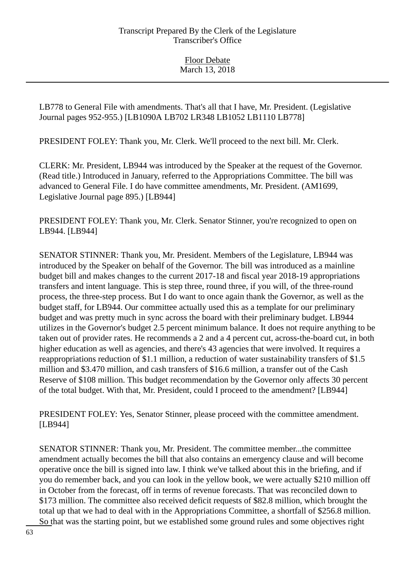LB778 to General File with amendments. That's all that I have, Mr. President. (Legislative Journal pages 952-955.) [LB1090A LB702 LR348 LB1052 LB1110 LB778]

PRESIDENT FOLEY: Thank you, Mr. Clerk. We'll proceed to the next bill. Mr. Clerk.

CLERK: Mr. President, LB944 was introduced by the Speaker at the request of the Governor. (Read title.) Introduced in January, referred to the Appropriations Committee. The bill was advanced to General File. I do have committee amendments, Mr. President. (AM1699, Legislative Journal page 895.) [LB944]

PRESIDENT FOLEY: Thank you, Mr. Clerk. Senator Stinner, you're recognized to open on LB944. [LB944]

SENATOR STINNER: Thank you, Mr. President. Members of the Legislature, LB944 was introduced by the Speaker on behalf of the Governor. The bill was introduced as a mainline budget bill and makes changes to the current 2017-18 and fiscal year 2018-19 appropriations transfers and intent language. This is step three, round three, if you will, of the three-round process, the three-step process. But I do want to once again thank the Governor, as well as the budget staff, for LB944. Our committee actually used this as a template for our preliminary budget and was pretty much in sync across the board with their preliminary budget. LB944 utilizes in the Governor's budget 2.5 percent minimum balance. It does not require anything to be taken out of provider rates. He recommends a 2 and a 4 percent cut, across-the-board cut, in both higher education as well as agencies, and there's 43 agencies that were involved. It requires a reappropriations reduction of \$1.1 million, a reduction of water sustainability transfers of \$1.5 million and \$3.470 million, and cash transfers of \$16.6 million, a transfer out of the Cash Reserve of \$108 million. This budget recommendation by the Governor only affects 30 percent of the total budget. With that, Mr. President, could I proceed to the amendment? [LB944]

PRESIDENT FOLEY: Yes, Senator Stinner, please proceed with the committee amendment. [LB944]

SENATOR STINNER: Thank you, Mr. President. The committee member...the committee amendment actually becomes the bill that also contains an emergency clause and will become operative once the bill is signed into law. I think we've talked about this in the briefing, and if you do remember back, and you can look in the yellow book, we were actually \$210 million off in October from the forecast, off in terms of revenue forecasts. That was reconciled down to \$173 million. The committee also received deficit requests of \$82.8 million, which brought the total up that we had to deal with in the Appropriations Committee, a shortfall of \$256.8 million. So that was the starting point, but we established some ground rules and some objectives right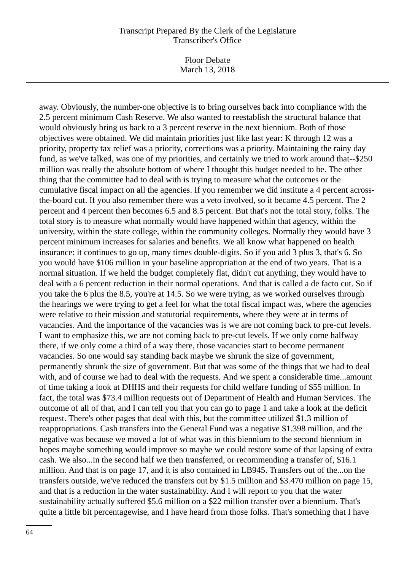Floor Debate March 13, 2018

away. Obviously, the number-one objective is to bring ourselves back into compliance with the 2.5 percent minimum Cash Reserve. We also wanted to reestablish the structural balance that would obviously bring us back to a 3 percent reserve in the next biennium. Both of those objectives were obtained. We did maintain priorities just like last year: K through 12 was a priority, property tax relief was a priority, corrections was a priority. Maintaining the rainy day fund, as we've talked, was one of my priorities, and certainly we tried to work around that--\$250 million was really the absolute bottom of where I thought this budget needed to be. The other thing that the committee had to deal with is trying to measure what the outcomes or the cumulative fiscal impact on all the agencies. If you remember we did institute a 4 percent acrossthe-board cut. If you also remember there was a veto involved, so it became 4.5 percent. The 2 percent and 4 percent then becomes 6.5 and 8.5 percent. But that's not the total story, folks. The total story is to measure what normally would have happened within that agency, within the university, within the state college, within the community colleges. Normally they would have 3 percent minimum increases for salaries and benefits. We all know what happened on health insurance: it continues to go up, many times double-digits. So if you add 3 plus 3, that's 6. So you would have \$106 million in your baseline appropriation at the end of two years. That is a normal situation. If we held the budget completely flat, didn't cut anything, they would have to deal with a 6 percent reduction in their normal operations. And that is called a de facto cut. So if you take the 6 plus the 8.5, you're at 14.5. So we were trying, as we worked ourselves through the hearings we were trying to get a feel for what the total fiscal impact was, where the agencies were relative to their mission and statutorial requirements, where they were at in terms of vacancies. And the importance of the vacancies was is we are not coming back to pre-cut levels. I want to emphasize this, we are not coming back to pre-cut levels. If we only come halfway there, if we only come a third of a way there, those vacancies start to become permanent vacancies. So one would say standing back maybe we shrunk the size of government, permanently shrunk the size of government. But that was some of the things that we had to deal with, and of course we had to deal with the requests. And we spent a considerable time...amount of time taking a look at DHHS and their requests for child welfare funding of \$55 million. In fact, the total was \$73.4 million requests out of Department of Health and Human Services. The outcome of all of that, and I can tell you that you can go to page 1 and take a look at the deficit request. There's other pages that deal with this, but the committee utilized \$1.3 million of reappropriations. Cash transfers into the General Fund was a negative \$1.398 million, and the negative was because we moved a lot of what was in this biennium to the second biennium in hopes maybe something would improve so maybe we could restore some of that lapsing of extra cash. We also...in the second half we then transferred, or recommending a transfer of, \$16.1 million. And that is on page 17, and it is also contained in LB945. Transfers out of the...on the transfers outside, we've reduced the transfers out by \$1.5 million and \$3.470 million on page 15, and that is a reduction in the water sustainability. And I will report to you that the water sustainability actually suffered \$5.6 million on a \$22 million transfer over a biennium. That's quite a little bit percentagewise, and I have heard from those folks. That's something that I have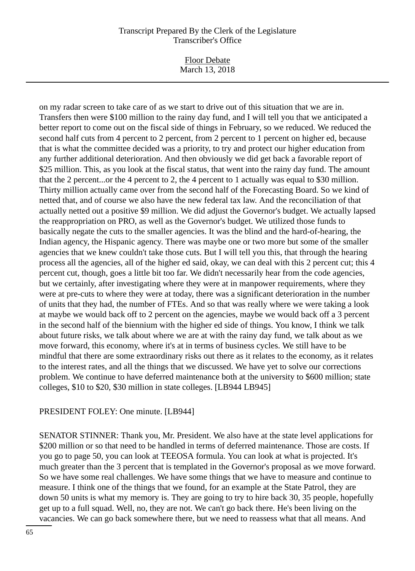Floor Debate March 13, 2018

on my radar screen to take care of as we start to drive out of this situation that we are in. Transfers then were \$100 million to the rainy day fund, and I will tell you that we anticipated a better report to come out on the fiscal side of things in February, so we reduced. We reduced the second half cuts from 4 percent to 2 percent, from 2 percent to 1 percent on higher ed, because that is what the committee decided was a priority, to try and protect our higher education from any further additional deterioration. And then obviously we did get back a favorable report of \$25 million. This, as you look at the fiscal status, that went into the rainy day fund. The amount that the 2 percent...or the 4 percent to 2, the 4 percent to 1 actually was equal to \$30 million. Thirty million actually came over from the second half of the Forecasting Board. So we kind of netted that, and of course we also have the new federal tax law. And the reconciliation of that actually netted out a positive \$9 million. We did adjust the Governor's budget. We actually lapsed the reappropriation on PRO, as well as the Governor's budget. We utilized those funds to basically negate the cuts to the smaller agencies. It was the blind and the hard-of-hearing, the Indian agency, the Hispanic agency. There was maybe one or two more but some of the smaller agencies that we knew couldn't take those cuts. But I will tell you this, that through the hearing process all the agencies, all of the higher ed said, okay, we can deal with this 2 percent cut; this 4 percent cut, though, goes a little bit too far. We didn't necessarily hear from the code agencies, but we certainly, after investigating where they were at in manpower requirements, where they were at pre-cuts to where they were at today, there was a significant deterioration in the number of units that they had, the number of FTEs. And so that was really where we were taking a look at maybe we would back off to 2 percent on the agencies, maybe we would back off a 3 percent in the second half of the biennium with the higher ed side of things. You know, I think we talk about future risks, we talk about where we are at with the rainy day fund, we talk about as we move forward, this economy, where it's at in terms of business cycles. We still have to be mindful that there are some extraordinary risks out there as it relates to the economy, as it relates to the interest rates, and all the things that we discussed. We have yet to solve our corrections problem. We continue to have deferred maintenance both at the university to \$600 million; state colleges, \$10 to \$20, \$30 million in state colleges. [LB944 LB945]

#### PRESIDENT FOLEY: One minute. [LB944]

SENATOR STINNER: Thank you, Mr. President. We also have at the state level applications for \$200 million or so that need to be handled in terms of deferred maintenance. Those are costs. If you go to page 50, you can look at TEEOSA formula. You can look at what is projected. It's much greater than the 3 percent that is templated in the Governor's proposal as we move forward. So we have some real challenges. We have some things that we have to measure and continue to measure. I think one of the things that we found, for an example at the State Patrol, they are down 50 units is what my memory is. They are going to try to hire back 30, 35 people, hopefully get up to a full squad. Well, no, they are not. We can't go back there. He's been living on the vacancies. We can go back somewhere there, but we need to reassess what that all means. And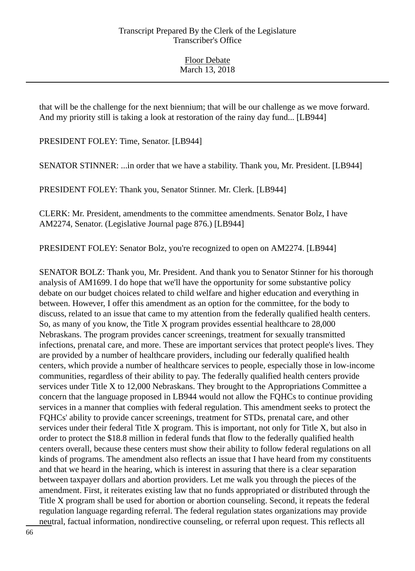that will be the challenge for the next biennium; that will be our challenge as we move forward. And my priority still is taking a look at restoration of the rainy day fund... [LB944]

PRESIDENT FOLEY: Time, Senator. [LB944]

SENATOR STINNER: ...in order that we have a stability. Thank you, Mr. President. [LB944]

PRESIDENT FOLEY: Thank you, Senator Stinner. Mr. Clerk. [LB944]

CLERK: Mr. President, amendments to the committee amendments. Senator Bolz, I have AM2274, Senator. (Legislative Journal page 876.) [LB944]

PRESIDENT FOLEY: Senator Bolz, you're recognized to open on AM2274. [LB944]

SENATOR BOLZ: Thank you, Mr. President. And thank you to Senator Stinner for his thorough analysis of AM1699. I do hope that we'll have the opportunity for some substantive policy debate on our budget choices related to child welfare and higher education and everything in between. However, I offer this amendment as an option for the committee, for the body to discuss, related to an issue that came to my attention from the federally qualified health centers. So, as many of you know, the Title X program provides essential healthcare to 28,000 Nebraskans. The program provides cancer screenings, treatment for sexually transmitted infections, prenatal care, and more. These are important services that protect people's lives. They are provided by a number of healthcare providers, including our federally qualified health centers, which provide a number of healthcare services to people, especially those in low-income communities, regardless of their ability to pay. The federally qualified health centers provide services under Title X to 12,000 Nebraskans. They brought to the Appropriations Committee a concern that the language proposed in LB944 would not allow the FQHCs to continue providing services in a manner that complies with federal regulation. This amendment seeks to protect the FQHCs' ability to provide cancer screenings, treatment for STDs, prenatal care, and other services under their federal Title X program. This is important, not only for Title X, but also in order to protect the \$18.8 million in federal funds that flow to the federally qualified health centers overall, because these centers must show their ability to follow federal regulations on all kinds of programs. The amendment also reflects an issue that I have heard from my constituents and that we heard in the hearing, which is interest in assuring that there is a clear separation between taxpayer dollars and abortion providers. Let me walk you through the pieces of the amendment. First, it reiterates existing law that no funds appropriated or distributed through the Title X program shall be used for abortion or abortion counseling. Second, it repeats the federal regulation language regarding referral. The federal regulation states organizations may provide neutral, factual information, nondirective counseling, or referral upon request. This reflects all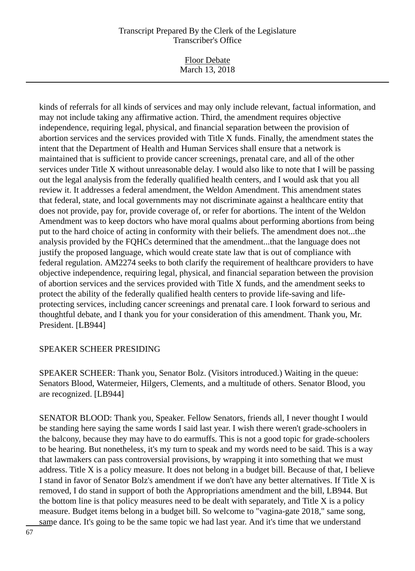Floor Debate March 13, 2018

kinds of referrals for all kinds of services and may only include relevant, factual information, and may not include taking any affirmative action. Third, the amendment requires objective independence, requiring legal, physical, and financial separation between the provision of abortion services and the services provided with Title X funds. Finally, the amendment states the intent that the Department of Health and Human Services shall ensure that a network is maintained that is sufficient to provide cancer screenings, prenatal care, and all of the other services under Title X without unreasonable delay. I would also like to note that I will be passing out the legal analysis from the federally qualified health centers, and I would ask that you all review it. It addresses a federal amendment, the Weldon Amendment. This amendment states that federal, state, and local governments may not discriminate against a healthcare entity that does not provide, pay for, provide coverage of, or refer for abortions. The intent of the Weldon Amendment was to keep doctors who have moral qualms about performing abortions from being put to the hard choice of acting in conformity with their beliefs. The amendment does not...the analysis provided by the FQHCs determined that the amendment...that the language does not justify the proposed language, which would create state law that is out of compliance with federal regulation. AM2274 seeks to both clarify the requirement of healthcare providers to have objective independence, requiring legal, physical, and financial separation between the provision of abortion services and the services provided with Title X funds, and the amendment seeks to protect the ability of the federally qualified health centers to provide life-saving and lifeprotecting services, including cancer screenings and prenatal care. I look forward to serious and thoughtful debate, and I thank you for your consideration of this amendment. Thank you, Mr. President. [LB944]

# SPEAKER SCHEER PRESIDING

SPEAKER SCHEER: Thank you, Senator Bolz. (Visitors introduced.) Waiting in the queue: Senators Blood, Watermeier, Hilgers, Clements, and a multitude of others. Senator Blood, you are recognized. [LB944]

SENATOR BLOOD: Thank you, Speaker. Fellow Senators, friends all, I never thought I would be standing here saying the same words I said last year. I wish there weren't grade-schoolers in the balcony, because they may have to do earmuffs. This is not a good topic for grade-schoolers to be hearing. But nonetheless, it's my turn to speak and my words need to be said. This is a way that lawmakers can pass controversial provisions, by wrapping it into something that we must address. Title X is a policy measure. It does not belong in a budget bill. Because of that, I believe I stand in favor of Senator Bolz's amendment if we don't have any better alternatives. If Title X is removed, I do stand in support of both the Appropriations amendment and the bill, LB944. But the bottom line is that policy measures need to be dealt with separately, and Title X is a policy measure. Budget items belong in a budget bill. So welcome to "vagina-gate 2018," same song, same dance. It's going to be the same topic we had last year. And it's time that we understand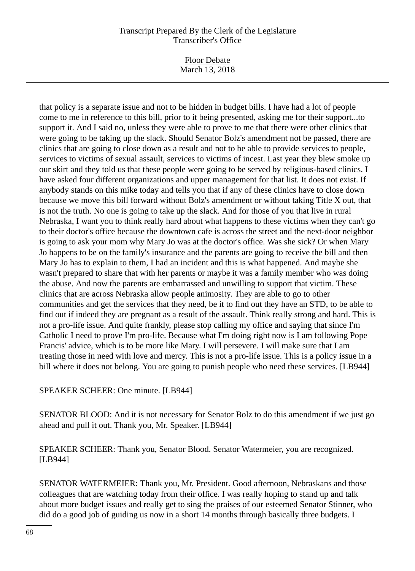Floor Debate March 13, 2018

that policy is a separate issue and not to be hidden in budget bills. I have had a lot of people come to me in reference to this bill, prior to it being presented, asking me for their support...to support it. And I said no, unless they were able to prove to me that there were other clinics that were going to be taking up the slack. Should Senator Bolz's amendment not be passed, there are clinics that are going to close down as a result and not to be able to provide services to people, services to victims of sexual assault, services to victims of incest. Last year they blew smoke up our skirt and they told us that these people were going to be served by religious-based clinics. I have asked four different organizations and upper management for that list. It does not exist. If anybody stands on this mike today and tells you that if any of these clinics have to close down because we move this bill forward without Bolz's amendment or without taking Title X out, that is not the truth. No one is going to take up the slack. And for those of you that live in rural Nebraska, I want you to think really hard about what happens to these victims when they can't go to their doctor's office because the downtown cafe is across the street and the next-door neighbor is going to ask your mom why Mary Jo was at the doctor's office. Was she sick? Or when Mary Jo happens to be on the family's insurance and the parents are going to receive the bill and then Mary Jo has to explain to them, I had an incident and this is what happened. And maybe she wasn't prepared to share that with her parents or maybe it was a family member who was doing the abuse. And now the parents are embarrassed and unwilling to support that victim. These clinics that are across Nebraska allow people animosity. They are able to go to other communities and get the services that they need, be it to find out they have an STD, to be able to find out if indeed they are pregnant as a result of the assault. Think really strong and hard. This is not a pro-life issue. And quite frankly, please stop calling my office and saying that since I'm Catholic I need to prove I'm pro-life. Because what I'm doing right now is I am following Pope Francis' advice, which is to be more like Mary. I will persevere. I will make sure that I am treating those in need with love and mercy. This is not a pro-life issue. This is a policy issue in a bill where it does not belong. You are going to punish people who need these services. [LB944]

# SPEAKER SCHEER: One minute. [LB944]

SENATOR BLOOD: And it is not necessary for Senator Bolz to do this amendment if we just go ahead and pull it out. Thank you, Mr. Speaker. [LB944]

SPEAKER SCHEER: Thank you, Senator Blood. Senator Watermeier, you are recognized. [LB944]

SENATOR WATERMEIER: Thank you, Mr. President. Good afternoon, Nebraskans and those colleagues that are watching today from their office. I was really hoping to stand up and talk about more budget issues and really get to sing the praises of our esteemed Senator Stinner, who did do a good job of guiding us now in a short 14 months through basically three budgets. I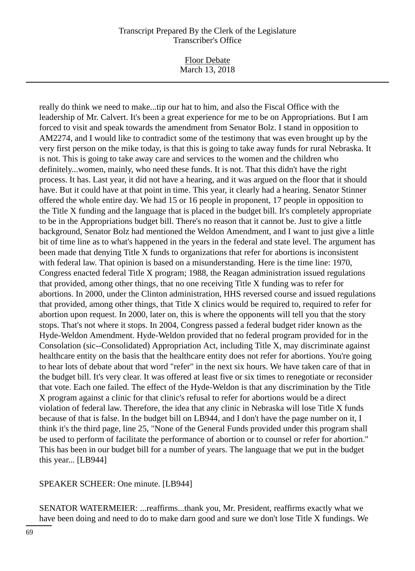Floor Debate March 13, 2018

really do think we need to make...tip our hat to him, and also the Fiscal Office with the leadership of Mr. Calvert. It's been a great experience for me to be on Appropriations. But I am forced to visit and speak towards the amendment from Senator Bolz. I stand in opposition to AM2274, and I would like to contradict some of the testimony that was even brought up by the very first person on the mike today, is that this is going to take away funds for rural Nebraska. It is not. This is going to take away care and services to the women and the children who definitely...women, mainly, who need these funds. It is not. That this didn't have the right process. It has. Last year, it did not have a hearing, and it was argued on the floor that it should have. But it could have at that point in time. This year, it clearly had a hearing. Senator Stinner offered the whole entire day. We had 15 or 16 people in proponent, 17 people in opposition to the Title X funding and the language that is placed in the budget bill. It's completely appropriate to be in the Appropriations budget bill. There's no reason that it cannot be. Just to give a little background, Senator Bolz had mentioned the Weldon Amendment, and I want to just give a little bit of time line as to what's happened in the years in the federal and state level. The argument has been made that denying Title X funds to organizations that refer for abortions is inconsistent with federal law. That opinion is based on a misunderstanding. Here is the time line: 1970, Congress enacted federal Title X program; 1988, the Reagan administration issued regulations that provided, among other things, that no one receiving Title X funding was to refer for abortions. In 2000, under the Clinton administration, HHS reversed course and issued regulations that provided, among other things, that Title X clinics would be required to, required to refer for abortion upon request. In 2000, later on, this is where the opponents will tell you that the story stops. That's not where it stops. In 2004, Congress passed a federal budget rider known as the Hyde-Weldon Amendment. Hyde-Weldon provided that no federal program provided for in the Consolation (sic--Consolidated) Appropriation Act, including Title X, may discriminate against healthcare entity on the basis that the healthcare entity does not refer for abortions. You're going to hear lots of debate about that word "refer" in the next six hours. We have taken care of that in the budget bill. It's very clear. It was offered at least five or six times to renegotiate or reconsider that vote. Each one failed. The effect of the Hyde-Weldon is that any discrimination by the Title X program against a clinic for that clinic's refusal to refer for abortions would be a direct violation of federal law. Therefore, the idea that any clinic in Nebraska will lose Title X funds because of that is false. In the budget bill on LB944, and I don't have the page number on it, I think it's the third page, line 25, "None of the General Funds provided under this program shall be used to perform of facilitate the performance of abortion or to counsel or refer for abortion." This has been in our budget bill for a number of years. The language that we put in the budget this year... [LB944]

SPEAKER SCHEER: One minute. [LB944]

SENATOR WATERMEIER: ...reaffirms...thank you, Mr. President, reaffirms exactly what we have been doing and need to do to make darn good and sure we don't lose Title X fundings. We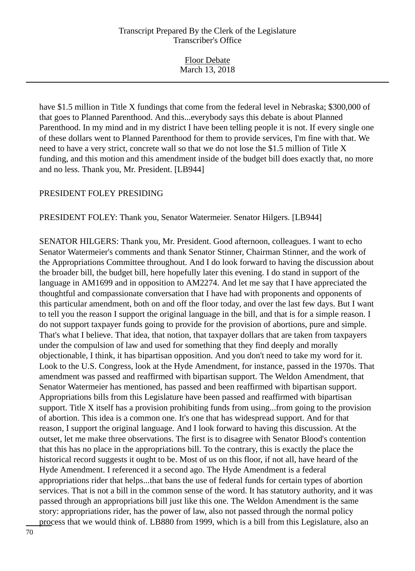Floor Debate March 13, 2018

have \$1.5 million in Title X fundings that come from the federal level in Nebraska; \$300,000 of that goes to Planned Parenthood. And this...everybody says this debate is about Planned Parenthood. In my mind and in my district I have been telling people it is not. If every single one of these dollars went to Planned Parenthood for them to provide services, I'm fine with that. We need to have a very strict, concrete wall so that we do not lose the \$1.5 million of Title X funding, and this motion and this amendment inside of the budget bill does exactly that, no more and no less. Thank you, Mr. President. [LB944]

#### PRESIDENT FOLEY PRESIDING

PRESIDENT FOLEY: Thank you, Senator Watermeier. Senator Hilgers. [LB944]

SENATOR HILGERS: Thank you, Mr. President. Good afternoon, colleagues. I want to echo Senator Watermeier's comments and thank Senator Stinner, Chairman Stinner, and the work of the Appropriations Committee throughout. And I do look forward to having the discussion about the broader bill, the budget bill, here hopefully later this evening. I do stand in support of the language in AM1699 and in opposition to AM2274. And let me say that I have appreciated the thoughtful and compassionate conversation that I have had with proponents and opponents of this particular amendment, both on and off the floor today, and over the last few days. But I want to tell you the reason I support the original language in the bill, and that is for a simple reason. I do not support taxpayer funds going to provide for the provision of abortions, pure and simple. That's what I believe. That idea, that notion, that taxpayer dollars that are taken from taxpayers under the compulsion of law and used for something that they find deeply and morally objectionable, I think, it has bipartisan opposition. And you don't need to take my word for it. Look to the U.S. Congress, look at the Hyde Amendment, for instance, passed in the 1970s. That amendment was passed and reaffirmed with bipartisan support. The Weldon Amendment, that Senator Watermeier has mentioned, has passed and been reaffirmed with bipartisan support. Appropriations bills from this Legislature have been passed and reaffirmed with bipartisan support. Title X itself has a provision prohibiting funds from using...from going to the provision of abortion. This idea is a common one. It's one that has widespread support. And for that reason, I support the original language. And I look forward to having this discussion. At the outset, let me make three observations. The first is to disagree with Senator Blood's contention that this has no place in the appropriations bill. To the contrary, this is exactly the place the historical record suggests it ought to be. Most of us on this floor, if not all, have heard of the Hyde Amendment. I referenced it a second ago. The Hyde Amendment is a federal appropriations rider that helps...that bans the use of federal funds for certain types of abortion services. That is not a bill in the common sense of the word. It has statutory authority, and it was passed through an appropriations bill just like this one. The Weldon Amendment is the same story: appropriations rider, has the power of law, also not passed through the normal policy process that we would think of. LB880 from 1999, which is a bill from this Legislature, also an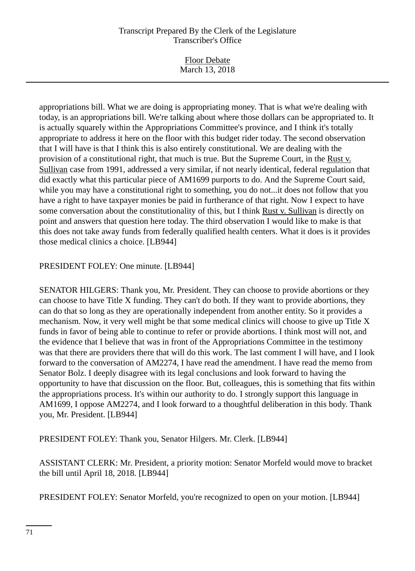Floor Debate March 13, 2018

appropriations bill. What we are doing is appropriating money. That is what we're dealing with today, is an appropriations bill. We're talking about where those dollars can be appropriated to. It is actually squarely within the Appropriations Committee's province, and I think it's totally appropriate to address it here on the floor with this budget rider today. The second observation that I will have is that I think this is also entirely constitutional. We are dealing with the provision of a constitutional right, that much is true. But the Supreme Court, in the Rust v. Sullivan case from 1991, addressed a very similar, if not nearly identical, federal regulation that did exactly what this particular piece of AM1699 purports to do. And the Supreme Court said, while you may have a constitutional right to something, you do not...it does not follow that you have a right to have taxpayer monies be paid in furtherance of that right. Now I expect to have some conversation about the constitutionality of this, but I think Rust v. Sullivan is directly on point and answers that question here today. The third observation I would like to make is that this does not take away funds from federally qualified health centers. What it does is it provides those medical clinics a choice. [LB944]

# PRESIDENT FOLEY: One minute. [LB944]

SENATOR HILGERS: Thank you, Mr. President. They can choose to provide abortions or they can choose to have Title X funding. They can't do both. If they want to provide abortions, they can do that so long as they are operationally independent from another entity. So it provides a mechanism. Now, it very well might be that some medical clinics will choose to give up Title X funds in favor of being able to continue to refer or provide abortions. I think most will not, and the evidence that I believe that was in front of the Appropriations Committee in the testimony was that there are providers there that will do this work. The last comment I will have, and I look forward to the conversation of AM2274, I have read the amendment. I have read the memo from Senator Bolz. I deeply disagree with its legal conclusions and look forward to having the opportunity to have that discussion on the floor. But, colleagues, this is something that fits within the appropriations process. It's within our authority to do. I strongly support this language in AM1699, I oppose AM2274, and I look forward to a thoughtful deliberation in this body. Thank you, Mr. President. [LB944]

PRESIDENT FOLEY: Thank you, Senator Hilgers. Mr. Clerk. [LB944]

ASSISTANT CLERK: Mr. President, a priority motion: Senator Morfeld would move to bracket the bill until April 18, 2018. [LB944]

PRESIDENT FOLEY: Senator Morfeld, you're recognized to open on your motion. [LB944]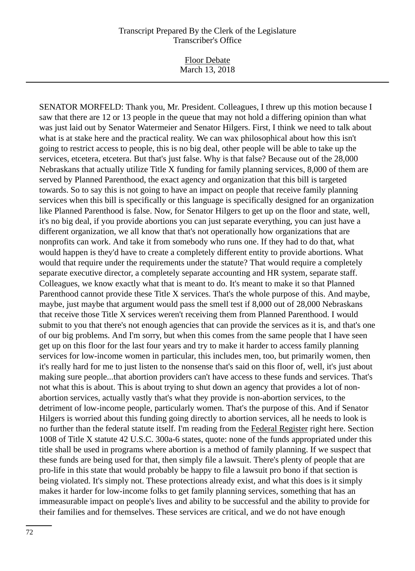Floor Debate March 13, 2018

SENATOR MORFELD: Thank you, Mr. President. Colleagues, I threw up this motion because I saw that there are 12 or 13 people in the queue that may not hold a differing opinion than what was just laid out by Senator Watermeier and Senator Hilgers. First, I think we need to talk about what is at stake here and the practical reality. We can wax philosophical about how this isn't going to restrict access to people, this is no big deal, other people will be able to take up the services, etcetera, etcetera. But that's just false. Why is that false? Because out of the 28,000 Nebraskans that actually utilize Title X funding for family planning services, 8,000 of them are served by Planned Parenthood, the exact agency and organization that this bill is targeted towards. So to say this is not going to have an impact on people that receive family planning services when this bill is specifically or this language is specifically designed for an organization like Planned Parenthood is false. Now, for Senator Hilgers to get up on the floor and state, well, it's no big deal, if you provide abortions you can just separate everything, you can just have a different organization, we all know that that's not operationally how organizations that are nonprofits can work. And take it from somebody who runs one. If they had to do that, what would happen is they'd have to create a completely different entity to provide abortions. What would that require under the requirements under the statute? That would require a completely separate executive director, a completely separate accounting and HR system, separate staff. Colleagues, we know exactly what that is meant to do. It's meant to make it so that Planned Parenthood cannot provide these Title X services. That's the whole purpose of this. And maybe, maybe, just maybe that argument would pass the smell test if 8,000 out of 28,000 Nebraskans that receive those Title X services weren't receiving them from Planned Parenthood. I would submit to you that there's not enough agencies that can provide the services as it is, and that's one of our big problems. And I'm sorry, but when this comes from the same people that I have seen get up on this floor for the last four years and try to make it harder to access family planning services for low-income women in particular, this includes men, too, but primarily women, then it's really hard for me to just listen to the nonsense that's said on this floor of, well, it's just about making sure people...that abortion providers can't have access to these funds and services. That's not what this is about. This is about trying to shut down an agency that provides a lot of nonabortion services, actually vastly that's what they provide is non-abortion services, to the detriment of low-income people, particularly women. That's the purpose of this. And if Senator Hilgers is worried about this funding going directly to abortion services, all he needs to look is no further than the federal statute itself. I'm reading from the Federal Register right here. Section 1008 of Title X statute 42 U.S.C. 300a-6 states, quote: none of the funds appropriated under this title shall be used in programs where abortion is a method of family planning. If we suspect that these funds are being used for that, then simply file a lawsuit. There's plenty of people that are pro-life in this state that would probably be happy to file a lawsuit pro bono if that section is being violated. It's simply not. These protections already exist, and what this does is it simply makes it harder for low-income folks to get family planning services, something that has an immeasurable impact on people's lives and ability to be successful and the ability to provide for their families and for themselves. These services are critical, and we do not have enough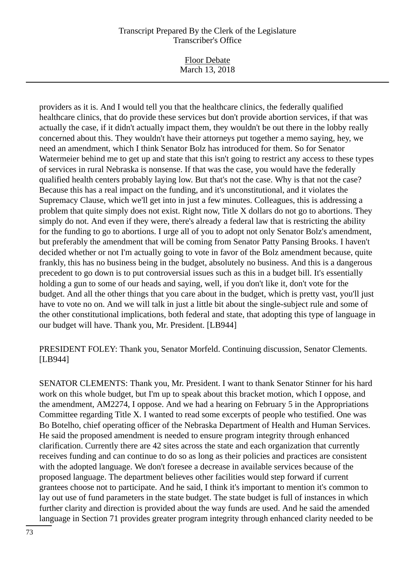Floor Debate March 13, 2018

providers as it is. And I would tell you that the healthcare clinics, the federally qualified healthcare clinics, that do provide these services but don't provide abortion services, if that was actually the case, if it didn't actually impact them, they wouldn't be out there in the lobby really concerned about this. They wouldn't have their attorneys put together a memo saying, hey, we need an amendment, which I think Senator Bolz has introduced for them. So for Senator Watermeier behind me to get up and state that this isn't going to restrict any access to these types of services in rural Nebraska is nonsense. If that was the case, you would have the federally qualified health centers probably laying low. But that's not the case. Why is that not the case? Because this has a real impact on the funding, and it's unconstitutional, and it violates the Supremacy Clause, which we'll get into in just a few minutes. Colleagues, this is addressing a problem that quite simply does not exist. Right now, Title X dollars do not go to abortions. They simply do not. And even if they were, there's already a federal law that is restricting the ability for the funding to go to abortions. I urge all of you to adopt not only Senator Bolz's amendment, but preferably the amendment that will be coming from Senator Patty Pansing Brooks. I haven't decided whether or not I'm actually going to vote in favor of the Bolz amendment because, quite frankly, this has no business being in the budget, absolutely no business. And this is a dangerous precedent to go down is to put controversial issues such as this in a budget bill. It's essentially holding a gun to some of our heads and saying, well, if you don't like it, don't vote for the budget. And all the other things that you care about in the budget, which is pretty vast, you'll just have to vote no on. And we will talk in just a little bit about the single-subject rule and some of the other constitutional implications, both federal and state, that adopting this type of language in our budget will have. Thank you, Mr. President. [LB944]

PRESIDENT FOLEY: Thank you, Senator Morfeld. Continuing discussion, Senator Clements. [LB944]

SENATOR CLEMENTS: Thank you, Mr. President. I want to thank Senator Stinner for his hard work on this whole budget, but I'm up to speak about this bracket motion, which I oppose, and the amendment, AM2274, I oppose. And we had a hearing on February 5 in the Appropriations Committee regarding Title X. I wanted to read some excerpts of people who testified. One was Bo Botelho, chief operating officer of the Nebraska Department of Health and Human Services. He said the proposed amendment is needed to ensure program integrity through enhanced clarification. Currently there are 42 sites across the state and each organization that currently receives funding and can continue to do so as long as their policies and practices are consistent with the adopted language. We don't foresee a decrease in available services because of the proposed language. The department believes other facilities would step forward if current grantees choose not to participate. And he said, I think it's important to mention it's common to lay out use of fund parameters in the state budget. The state budget is full of instances in which further clarity and direction is provided about the way funds are used. And he said the amended language in Section 71 provides greater program integrity through enhanced clarity needed to be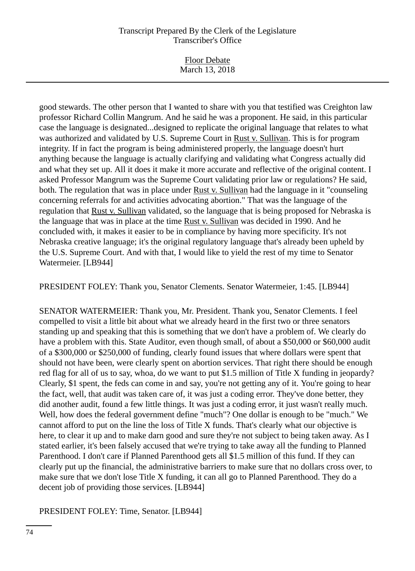Floor Debate March 13, 2018

good stewards. The other person that I wanted to share with you that testified was Creighton law professor Richard Collin Mangrum. And he said he was a proponent. He said, in this particular case the language is designated...designed to replicate the original language that relates to what was authorized and validated by U.S. Supreme Court in Rust v. Sullivan. This is for program integrity. If in fact the program is being administered properly, the language doesn't hurt anything because the language is actually clarifying and validating what Congress actually did and what they set up. All it does it make it more accurate and reflective of the original content. I asked Professor Mangrum was the Supreme Court validating prior law or regulations? He said, both. The regulation that was in place under Rust v. Sullivan had the language in it "counseling concerning referrals for and activities advocating abortion." That was the language of the regulation that Rust v. Sullivan validated, so the language that is being proposed for Nebraska is the language that was in place at the time Rust v. Sullivan was decided in 1990. And he concluded with, it makes it easier to be in compliance by having more specificity. It's not Nebraska creative language; it's the original regulatory language that's already been upheld by the U.S. Supreme Court. And with that, I would like to yield the rest of my time to Senator Watermeier. [LB944]

PRESIDENT FOLEY: Thank you, Senator Clements. Senator Watermeier, 1:45. [LB944]

SENATOR WATERMEIER: Thank you, Mr. President. Thank you, Senator Clements. I feel compelled to visit a little bit about what we already heard in the first two or three senators standing up and speaking that this is something that we don't have a problem of. We clearly do have a problem with this. State Auditor, even though small, of about a \$50,000 or \$60,000 audit of a \$300,000 or \$250,000 of funding, clearly found issues that where dollars were spent that should not have been, were clearly spent on abortion services. That right there should be enough red flag for all of us to say, whoa, do we want to put \$1.5 million of Title X funding in jeopardy? Clearly, \$1 spent, the feds can come in and say, you're not getting any of it. You're going to hear the fact, well, that audit was taken care of, it was just a coding error. They've done better, they did another audit, found a few little things. It was just a coding error, it just wasn't really much. Well, how does the federal government define "much"? One dollar is enough to be "much." We cannot afford to put on the line the loss of Title X funds. That's clearly what our objective is here, to clear it up and to make darn good and sure they're not subject to being taken away. As I stated earlier, it's been falsely accused that we're trying to take away all the funding to Planned Parenthood. I don't care if Planned Parenthood gets all \$1.5 million of this fund. If they can clearly put up the financial, the administrative barriers to make sure that no dollars cross over, to make sure that we don't lose Title X funding, it can all go to Planned Parenthood. They do a decent job of providing those services. [LB944]

PRESIDENT FOLEY: Time, Senator. [LB944]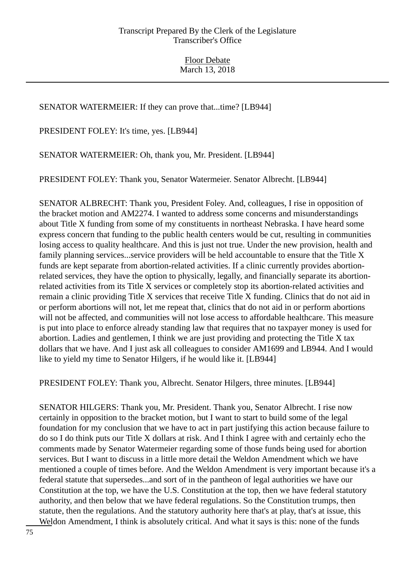### SENATOR WATERMEIER: If they can prove that...time? [LB944]

PRESIDENT FOLEY: It's time, yes. [LB944]

SENATOR WATERMEIER: Oh, thank you, Mr. President. [LB944]

PRESIDENT FOLEY: Thank you, Senator Watermeier. Senator Albrecht. [LB944]

SENATOR ALBRECHT: Thank you, President Foley. And, colleagues, I rise in opposition of the bracket motion and AM2274. I wanted to address some concerns and misunderstandings about Title X funding from some of my constituents in northeast Nebraska. I have heard some express concern that funding to the public health centers would be cut, resulting in communities losing access to quality healthcare. And this is just not true. Under the new provision, health and family planning services...service providers will be held accountable to ensure that the Title X funds are kept separate from abortion-related activities. If a clinic currently provides abortionrelated services, they have the option to physically, legally, and financially separate its abortionrelated activities from its Title X services or completely stop its abortion-related activities and remain a clinic providing Title X services that receive Title X funding. Clinics that do not aid in or perform abortions will not, let me repeat that, clinics that do not aid in or perform abortions will not be affected, and communities will not lose access to affordable healthcare. This measure is put into place to enforce already standing law that requires that no taxpayer money is used for abortion. Ladies and gentlemen, I think we are just providing and protecting the Title X tax dollars that we have. And I just ask all colleagues to consider AM1699 and LB944. And I would like to yield my time to Senator Hilgers, if he would like it. [LB944]

PRESIDENT FOLEY: Thank you, Albrecht. Senator Hilgers, three minutes. [LB944]

SENATOR HILGERS: Thank you, Mr. President. Thank you, Senator Albrecht. I rise now certainly in opposition to the bracket motion, but I want to start to build some of the legal foundation for my conclusion that we have to act in part justifying this action because failure to do so I do think puts our Title X dollars at risk. And I think I agree with and certainly echo the comments made by Senator Watermeier regarding some of those funds being used for abortion services. But I want to discuss in a little more detail the Weldon Amendment which we have mentioned a couple of times before. And the Weldon Amendment is very important because it's a federal statute that supersedes...and sort of in the pantheon of legal authorities we have our Constitution at the top, we have the U.S. Constitution at the top, then we have federal statutory authority, and then below that we have federal regulations. So the Constitution trumps, then statute, then the regulations. And the statutory authority here that's at play, that's at issue, this Weldon Amendment, I think is absolutely critical. And what it says is this: none of the funds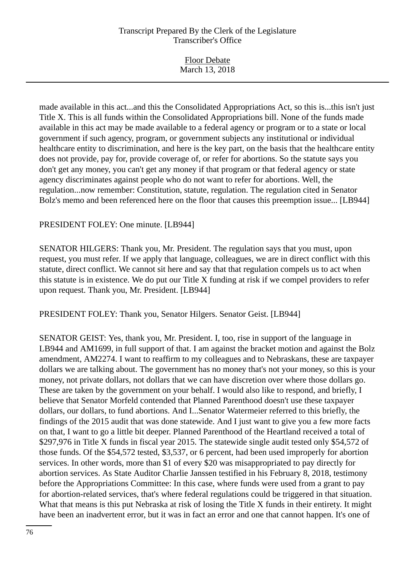| <b>Floor Debate</b> |  |
|---------------------|--|
| March 13, 2018      |  |
|                     |  |

made available in this act...and this the Consolidated Appropriations Act, so this is...this isn't just Title X. This is all funds within the Consolidated Appropriations bill. None of the funds made available in this act may be made available to a federal agency or program or to a state or local government if such agency, program, or government subjects any institutional or individual healthcare entity to discrimination, and here is the key part, on the basis that the healthcare entity does not provide, pay for, provide coverage of, or refer for abortions. So the statute says you don't get any money, you can't get any money if that program or that federal agency or state agency discriminates against people who do not want to refer for abortions. Well, the regulation...now remember: Constitution, statute, regulation. The regulation cited in Senator Bolz's memo and been referenced here on the floor that causes this preemption issue... [LB944]

### PRESIDENT FOLEY: One minute. [LB944]

SENATOR HILGERS: Thank you, Mr. President. The regulation says that you must, upon request, you must refer. If we apply that language, colleagues, we are in direct conflict with this statute, direct conflict. We cannot sit here and say that that regulation compels us to act when this statute is in existence. We do put our Title X funding at risk if we compel providers to refer upon request. Thank you, Mr. President. [LB944]

PRESIDENT FOLEY: Thank you, Senator Hilgers. Senator Geist. [LB944]

SENATOR GEIST: Yes, thank you, Mr. President. I, too, rise in support of the language in LB944 and AM1699, in full support of that. I am against the bracket motion and against the Bolz amendment, AM2274. I want to reaffirm to my colleagues and to Nebraskans, these are taxpayer dollars we are talking about. The government has no money that's not your money, so this is your money, not private dollars, not dollars that we can have discretion over where those dollars go. These are taken by the government on your behalf. I would also like to respond, and briefly, I believe that Senator Morfeld contended that Planned Parenthood doesn't use these taxpayer dollars, our dollars, to fund abortions. And I...Senator Watermeier referred to this briefly, the findings of the 2015 audit that was done statewide. And I just want to give you a few more facts on that, I want to go a little bit deeper. Planned Parenthood of the Heartland received a total of \$297,976 in Title X funds in fiscal year 2015. The statewide single audit tested only \$54,572 of those funds. Of the \$54,572 tested, \$3,537, or 6 percent, had been used improperly for abortion services. In other words, more than \$1 of every \$20 was misappropriated to pay directly for abortion services. As State Auditor Charlie Janssen testified in his February 8, 2018, testimony before the Appropriations Committee: In this case, where funds were used from a grant to pay for abortion-related services, that's where federal regulations could be triggered in that situation. What that means is this put Nebraska at risk of losing the Title X funds in their entirety. It might have been an inadvertent error, but it was in fact an error and one that cannot happen. It's one of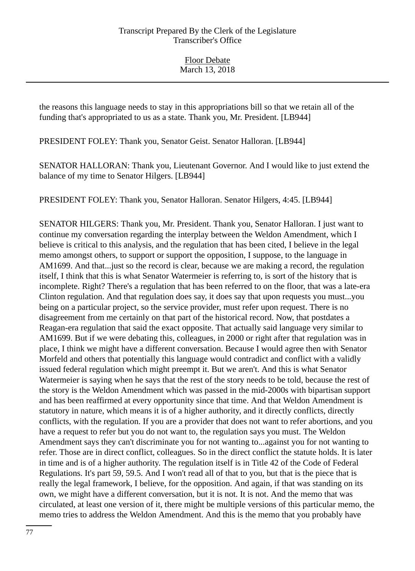the reasons this language needs to stay in this appropriations bill so that we retain all of the funding that's appropriated to us as a state. Thank you, Mr. President. [LB944]

PRESIDENT FOLEY: Thank you, Senator Geist. Senator Halloran. [LB944]

SENATOR HALLORAN: Thank you, Lieutenant Governor. And I would like to just extend the balance of my time to Senator Hilgers. [LB944]

PRESIDENT FOLEY: Thank you, Senator Halloran. Senator Hilgers, 4:45. [LB944]

SENATOR HILGERS: Thank you, Mr. President. Thank you, Senator Halloran. I just want to continue my conversation regarding the interplay between the Weldon Amendment, which I believe is critical to this analysis, and the regulation that has been cited, I believe in the legal memo amongst others, to support or support the opposition, I suppose, to the language in AM1699. And that...just so the record is clear, because we are making a record, the regulation itself, I think that this is what Senator Watermeier is referring to, is sort of the history that is incomplete. Right? There's a regulation that has been referred to on the floor, that was a late-era Clinton regulation. And that regulation does say, it does say that upon requests you must...you being on a particular project, so the service provider, must refer upon request. There is no disagreement from me certainly on that part of the historical record. Now, that postdates a Reagan-era regulation that said the exact opposite. That actually said language very similar to AM1699. But if we were debating this, colleagues, in 2000 or right after that regulation was in place, I think we might have a different conversation. Because I would agree then with Senator Morfeld and others that potentially this language would contradict and conflict with a validly issued federal regulation which might preempt it. But we aren't. And this is what Senator Watermeier is saying when he says that the rest of the story needs to be told, because the rest of the story is the Weldon Amendment which was passed in the mid-2000s with bipartisan support and has been reaffirmed at every opportunity since that time. And that Weldon Amendment is statutory in nature, which means it is of a higher authority, and it directly conflicts, directly conflicts, with the regulation. If you are a provider that does not want to refer abortions, and you have a request to refer but you do not want to, the regulation says you must. The Weldon Amendment says they can't discriminate you for not wanting to...against you for not wanting to refer. Those are in direct conflict, colleagues. So in the direct conflict the statute holds. It is later in time and is of a higher authority. The regulation itself is in Title 42 of the Code of Federal Regulations. It's part 59, 59.5. And I won't read all of that to you, but that is the piece that is really the legal framework, I believe, for the opposition. And again, if that was standing on its own, we might have a different conversation, but it is not. It is not. And the memo that was circulated, at least one version of it, there might be multiple versions of this particular memo, the memo tries to address the Weldon Amendment. And this is the memo that you probably have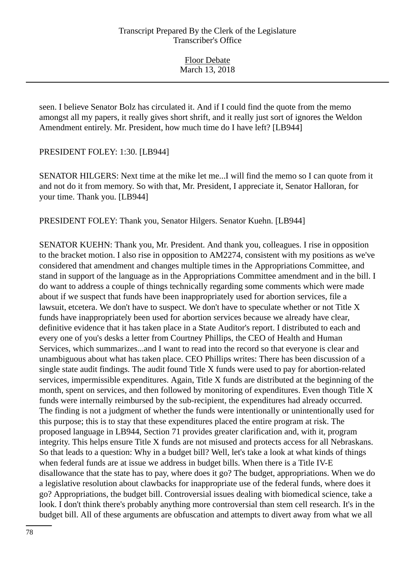seen. I believe Senator Bolz has circulated it. And if I could find the quote from the memo amongst all my papers, it really gives short shrift, and it really just sort of ignores the Weldon Amendment entirely. Mr. President, how much time do I have left? [LB944]

PRESIDENT FOLEY: 1:30. [LB944]

SENATOR HILGERS: Next time at the mike let me...I will find the memo so I can quote from it and not do it from memory. So with that, Mr. President, I appreciate it, Senator Halloran, for your time. Thank you. [LB944]

PRESIDENT FOLEY: Thank you, Senator Hilgers. Senator Kuehn. [LB944]

SENATOR KUEHN: Thank you, Mr. President. And thank you, colleagues. I rise in opposition to the bracket motion. I also rise in opposition to AM2274, consistent with my positions as we've considered that amendment and changes multiple times in the Appropriations Committee, and stand in support of the language as in the Appropriations Committee amendment and in the bill. I do want to address a couple of things technically regarding some comments which were made about if we suspect that funds have been inappropriately used for abortion services, file a lawsuit, etcetera. We don't have to suspect. We don't have to speculate whether or not Title X funds have inappropriately been used for abortion services because we already have clear, definitive evidence that it has taken place in a State Auditor's report. I distributed to each and every one of you's desks a letter from Courtney Phillips, the CEO of Health and Human Services, which summarizes...and I want to read into the record so that everyone is clear and unambiguous about what has taken place. CEO Phillips writes: There has been discussion of a single state audit findings. The audit found Title X funds were used to pay for abortion-related services, impermissible expenditures. Again, Title X funds are distributed at the beginning of the month, spent on services, and then followed by monitoring of expenditures. Even though Title X funds were internally reimbursed by the sub-recipient, the expenditures had already occurred. The finding is not a judgment of whether the funds were intentionally or unintentionally used for this purpose; this is to stay that these expenditures placed the entire program at risk. The proposed language in LB944, Section 71 provides greater clarification and, with it, program integrity. This helps ensure Title X funds are not misused and protects access for all Nebraskans. So that leads to a question: Why in a budget bill? Well, let's take a look at what kinds of things when federal funds are at issue we address in budget bills. When there is a Title IV-E disallowance that the state has to pay, where does it go? The budget, appropriations. When we do a legislative resolution about clawbacks for inappropriate use of the federal funds, where does it go? Appropriations, the budget bill. Controversial issues dealing with biomedical science, take a look. I don't think there's probably anything more controversial than stem cell research. It's in the budget bill. All of these arguments are obfuscation and attempts to divert away from what we all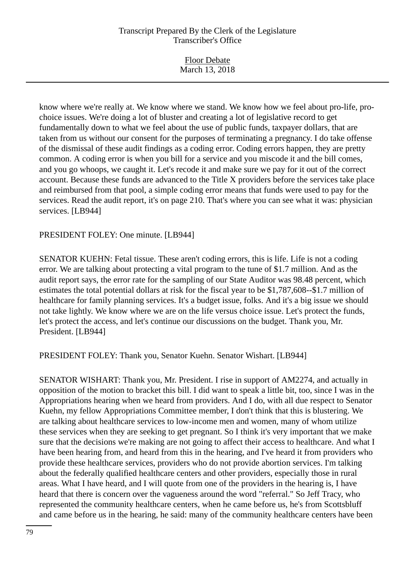| <b>Floor Debate</b> |  |
|---------------------|--|
| March 13, 2018      |  |

know where we're really at. We know where we stand. We know how we feel about pro-life, prochoice issues. We're doing a lot of bluster and creating a lot of legislative record to get fundamentally down to what we feel about the use of public funds, taxpayer dollars, that are taken from us without our consent for the purposes of terminating a pregnancy. I do take offense of the dismissal of these audit findings as a coding error. Coding errors happen, they are pretty common. A coding error is when you bill for a service and you miscode it and the bill comes, and you go whoops, we caught it. Let's recode it and make sure we pay for it out of the correct account. Because these funds are advanced to the Title X providers before the services take place and reimbursed from that pool, a simple coding error means that funds were used to pay for the services. Read the audit report, it's on page 210. That's where you can see what it was: physician services. [LB944]

#### PRESIDENT FOLEY: One minute. [LB944]

SENATOR KUEHN: Fetal tissue. These aren't coding errors, this is life. Life is not a coding error. We are talking about protecting a vital program to the tune of \$1.7 million. And as the audit report says, the error rate for the sampling of our State Auditor was 98.48 percent, which estimates the total potential dollars at risk for the fiscal year to be \$1,787,608--\$1.7 million of healthcare for family planning services. It's a budget issue, folks. And it's a big issue we should not take lightly. We know where we are on the life versus choice issue. Let's protect the funds, let's protect the access, and let's continue our discussions on the budget. Thank you, Mr. President. [LB944]

PRESIDENT FOLEY: Thank you, Senator Kuehn. Senator Wishart. [LB944]

SENATOR WISHART: Thank you, Mr. President. I rise in support of AM2274, and actually in opposition of the motion to bracket this bill. I did want to speak a little bit, too, since I was in the Appropriations hearing when we heard from providers. And I do, with all due respect to Senator Kuehn, my fellow Appropriations Committee member, I don't think that this is blustering. We are talking about healthcare services to low-income men and women, many of whom utilize these services when they are seeking to get pregnant. So I think it's very important that we make sure that the decisions we're making are not going to affect their access to healthcare. And what I have been hearing from, and heard from this in the hearing, and I've heard it from providers who provide these healthcare services, providers who do not provide abortion services. I'm talking about the federally qualified healthcare centers and other providers, especially those in rural areas. What I have heard, and I will quote from one of the providers in the hearing is, I have heard that there is concern over the vagueness around the word "referral." So Jeff Tracy, who represented the community healthcare centers, when he came before us, he's from Scottsbluff and came before us in the hearing, he said: many of the community healthcare centers have been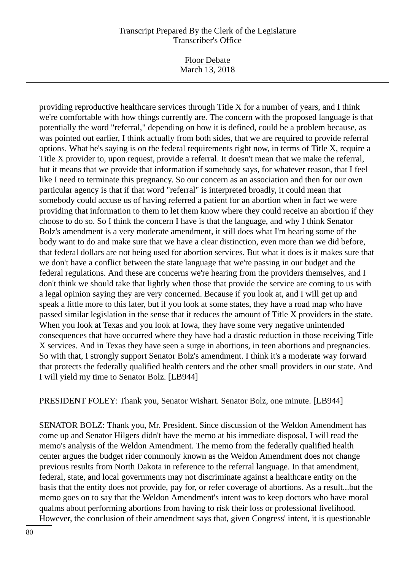Floor Debate March 13, 2018

providing reproductive healthcare services through Title X for a number of years, and I think we're comfortable with how things currently are. The concern with the proposed language is that potentially the word "referral," depending on how it is defined, could be a problem because, as was pointed out earlier, I think actually from both sides, that we are required to provide referral options. What he's saying is on the federal requirements right now, in terms of Title X, require a Title X provider to, upon request, provide a referral. It doesn't mean that we make the referral, but it means that we provide that information if somebody says, for whatever reason, that I feel like I need to terminate this pregnancy. So our concern as an association and then for our own particular agency is that if that word "referral" is interpreted broadly, it could mean that somebody could accuse us of having referred a patient for an abortion when in fact we were providing that information to them to let them know where they could receive an abortion if they choose to do so. So I think the concern I have is that the language, and why I think Senator Bolz's amendment is a very moderate amendment, it still does what I'm hearing some of the body want to do and make sure that we have a clear distinction, even more than we did before, that federal dollars are not being used for abortion services. But what it does is it makes sure that we don't have a conflict between the state language that we're passing in our budget and the federal regulations. And these are concerns we're hearing from the providers themselves, and I don't think we should take that lightly when those that provide the service are coming to us with a legal opinion saying they are very concerned. Because if you look at, and I will get up and speak a little more to this later, but if you look at some states, they have a road map who have passed similar legislation in the sense that it reduces the amount of Title X providers in the state. When you look at Texas and you look at Iowa, they have some very negative unintended consequences that have occurred where they have had a drastic reduction in those receiving Title X services. And in Texas they have seen a surge in abortions, in teen abortions and pregnancies. So with that, I strongly support Senator Bolz's amendment. I think it's a moderate way forward that protects the federally qualified health centers and the other small providers in our state. And I will yield my time to Senator Bolz. [LB944]

PRESIDENT FOLEY: Thank you, Senator Wishart. Senator Bolz, one minute. [LB944]

SENATOR BOLZ: Thank you, Mr. President. Since discussion of the Weldon Amendment has come up and Senator Hilgers didn't have the memo at his immediate disposal, I will read the memo's analysis of the Weldon Amendment. The memo from the federally qualified health center argues the budget rider commonly known as the Weldon Amendment does not change previous results from North Dakota in reference to the referral language. In that amendment, federal, state, and local governments may not discriminate against a healthcare entity on the basis that the entity does not provide, pay for, or refer coverage of abortions. As a result...but the memo goes on to say that the Weldon Amendment's intent was to keep doctors who have moral qualms about performing abortions from having to risk their loss or professional livelihood. However, the conclusion of their amendment says that, given Congress' intent, it is questionable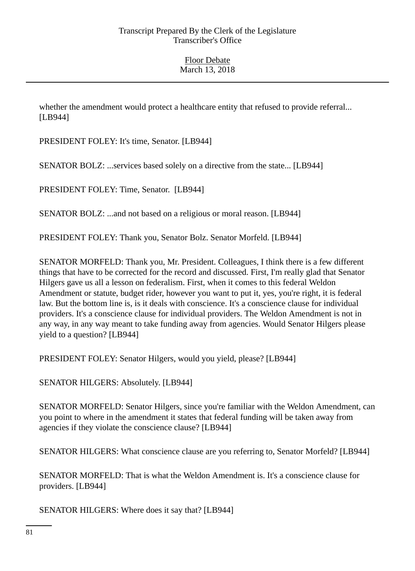whether the amendment would protect a healthcare entity that refused to provide referral... [LB944]

PRESIDENT FOLEY: It's time, Senator. [LB944]

SENATOR BOLZ: ...services based solely on a directive from the state... [LB944]

PRESIDENT FOLEY: Time, Senator. [LB944]

SENATOR BOLZ: ...and not based on a religious or moral reason. [LB944]

PRESIDENT FOLEY: Thank you, Senator Bolz. Senator Morfeld. [LB944]

SENATOR MORFELD: Thank you, Mr. President. Colleagues, I think there is a few different things that have to be corrected for the record and discussed. First, I'm really glad that Senator Hilgers gave us all a lesson on federalism. First, when it comes to this federal Weldon Amendment or statute, budget rider, however you want to put it, yes, you're right, it is federal law. But the bottom line is, is it deals with conscience. It's a conscience clause for individual providers. It's a conscience clause for individual providers. The Weldon Amendment is not in any way, in any way meant to take funding away from agencies. Would Senator Hilgers please yield to a question? [LB944]

PRESIDENT FOLEY: Senator Hilgers, would you yield, please? [LB944]

SENATOR HILGERS: Absolutely. [LB944]

SENATOR MORFELD: Senator Hilgers, since you're familiar with the Weldon Amendment, can you point to where in the amendment it states that federal funding will be taken away from agencies if they violate the conscience clause? [LB944]

SENATOR HILGERS: What conscience clause are you referring to, Senator Morfeld? [LB944]

SENATOR MORFELD: That is what the Weldon Amendment is. It's a conscience clause for providers. [LB944]

SENATOR HILGERS: Where does it say that? [LB944]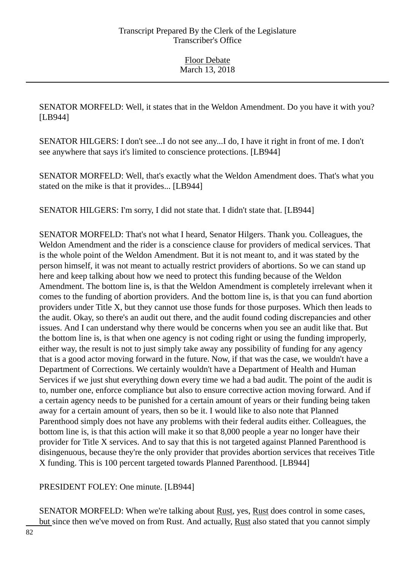SENATOR MORFELD: Well, it states that in the Weldon Amendment. Do you have it with you? [LB944]

SENATOR HILGERS: I don't see...I do not see any...I do, I have it right in front of me. I don't see anywhere that says it's limited to conscience protections. [LB944]

SENATOR MORFELD: Well, that's exactly what the Weldon Amendment does. That's what you stated on the mike is that it provides... [LB944]

SENATOR HILGERS: I'm sorry, I did not state that. I didn't state that. [LB944]

SENATOR MORFELD: That's not what I heard, Senator Hilgers. Thank you. Colleagues, the Weldon Amendment and the rider is a conscience clause for providers of medical services. That is the whole point of the Weldon Amendment. But it is not meant to, and it was stated by the person himself, it was not meant to actually restrict providers of abortions. So we can stand up here and keep talking about how we need to protect this funding because of the Weldon Amendment. The bottom line is, is that the Weldon Amendment is completely irrelevant when it comes to the funding of abortion providers. And the bottom line is, is that you can fund abortion providers under Title X, but they cannot use those funds for those purposes. Which then leads to the audit. Okay, so there's an audit out there, and the audit found coding discrepancies and other issues. And I can understand why there would be concerns when you see an audit like that. But the bottom line is, is that when one agency is not coding right or using the funding improperly, either way, the result is not to just simply take away any possibility of funding for any agency that is a good actor moving forward in the future. Now, if that was the case, we wouldn't have a Department of Corrections. We certainly wouldn't have a Department of Health and Human Services if we just shut everything down every time we had a bad audit. The point of the audit is to, number one, enforce compliance but also to ensure corrective action moving forward. And if a certain agency needs to be punished for a certain amount of years or their funding being taken away for a certain amount of years, then so be it. I would like to also note that Planned Parenthood simply does not have any problems with their federal audits either. Colleagues, the bottom line is, is that this action will make it so that 8,000 people a year no longer have their provider for Title X services. And to say that this is not targeted against Planned Parenthood is disingenuous, because they're the only provider that provides abortion services that receives Title X funding. This is 100 percent targeted towards Planned Parenthood. [LB944]

PRESIDENT FOLEY: One minute. [LB944]

SENATOR MORFELD: When we're talking about Rust, yes, Rust does control in some cases, but since then we've moved on from Rust. And actually, Rust also stated that you cannot simply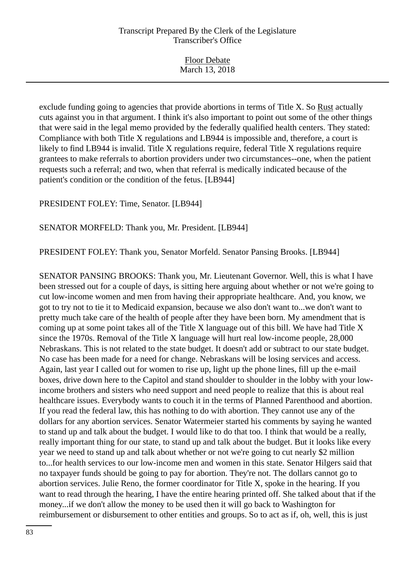| <b>Floor Debate</b> |  |
|---------------------|--|
| March 13, 2018      |  |

exclude funding going to agencies that provide abortions in terms of Title X. So Rust actually cuts against you in that argument. I think it's also important to point out some of the other things that were said in the legal memo provided by the federally qualified health centers. They stated: Compliance with both Title X regulations and LB944 is impossible and, therefore, a court is likely to find LB944 is invalid. Title X regulations require, federal Title X regulations require grantees to make referrals to abortion providers under two circumstances--one, when the patient requests such a referral; and two, when that referral is medically indicated because of the patient's condition or the condition of the fetus. [LB944]

PRESIDENT FOLEY: Time, Senator. [LB944]

SENATOR MORFELD: Thank you, Mr. President. [LB944]

PRESIDENT FOLEY: Thank you, Senator Morfeld. Senator Pansing Brooks. [LB944]

SENATOR PANSING BROOKS: Thank you, Mr. Lieutenant Governor. Well, this is what I have been stressed out for a couple of days, is sitting here arguing about whether or not we're going to cut low-income women and men from having their appropriate healthcare. And, you know, we got to try not to tie it to Medicaid expansion, because we also don't want to...we don't want to pretty much take care of the health of people after they have been born. My amendment that is coming up at some point takes all of the Title X language out of this bill. We have had Title X since the 1970s. Removal of the Title X language will hurt real low-income people, 28,000 Nebraskans. This is not related to the state budget. It doesn't add or subtract to our state budget. No case has been made for a need for change. Nebraskans will be losing services and access. Again, last year I called out for women to rise up, light up the phone lines, fill up the e-mail boxes, drive down here to the Capitol and stand shoulder to shoulder in the lobby with your lowincome brothers and sisters who need support and need people to realize that this is about real healthcare issues. Everybody wants to couch it in the terms of Planned Parenthood and abortion. If you read the federal law, this has nothing to do with abortion. They cannot use any of the dollars for any abortion services. Senator Watermeier started his comments by saying he wanted to stand up and talk about the budget. I would like to do that too. I think that would be a really, really important thing for our state, to stand up and talk about the budget. But it looks like every year we need to stand up and talk about whether or not we're going to cut nearly \$2 million to...for health services to our low-income men and women in this state. Senator Hilgers said that no taxpayer funds should be going to pay for abortion. They're not. The dollars cannot go to abortion services. Julie Reno, the former coordinator for Title X, spoke in the hearing. If you want to read through the hearing, I have the entire hearing printed off. She talked about that if the money...if we don't allow the money to be used then it will go back to Washington for reimbursement or disbursement to other entities and groups. So to act as if, oh, well, this is just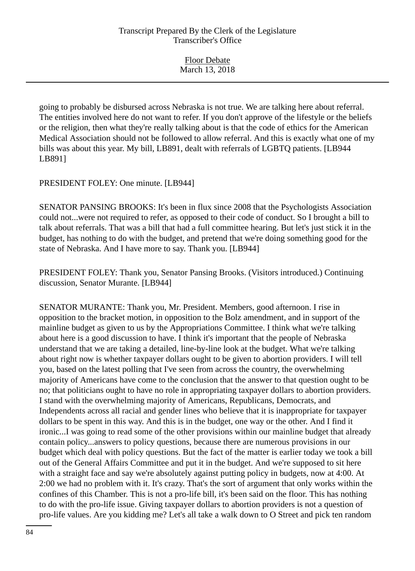| <b>Floor Debate</b> |  |
|---------------------|--|
| March 13, 2018      |  |

going to probably be disbursed across Nebraska is not true. We are talking here about referral. The entities involved here do not want to refer. If you don't approve of the lifestyle or the beliefs or the religion, then what they're really talking about is that the code of ethics for the American Medical Association should not be followed to allow referral. And this is exactly what one of my bills was about this year. My bill, LB891, dealt with referrals of LGBTQ patients. [LB944 LB891]

PRESIDENT FOLEY: One minute. [LB944]

SENATOR PANSING BROOKS: It's been in flux since 2008 that the Psychologists Association could not...were not required to refer, as opposed to their code of conduct. So I brought a bill to talk about referrals. That was a bill that had a full committee hearing. But let's just stick it in the budget, has nothing to do with the budget, and pretend that we're doing something good for the state of Nebraska. And I have more to say. Thank you. [LB944]

PRESIDENT FOLEY: Thank you, Senator Pansing Brooks. (Visitors introduced.) Continuing discussion, Senator Murante. [LB944]

SENATOR MURANTE: Thank you, Mr. President. Members, good afternoon. I rise in opposition to the bracket motion, in opposition to the Bolz amendment, and in support of the mainline budget as given to us by the Appropriations Committee. I think what we're talking about here is a good discussion to have. I think it's important that the people of Nebraska understand that we are taking a detailed, line-by-line look at the budget. What we're talking about right now is whether taxpayer dollars ought to be given to abortion providers. I will tell you, based on the latest polling that I've seen from across the country, the overwhelming majority of Americans have come to the conclusion that the answer to that question ought to be no; that politicians ought to have no role in appropriating taxpayer dollars to abortion providers. I stand with the overwhelming majority of Americans, Republicans, Democrats, and Independents across all racial and gender lines who believe that it is inappropriate for taxpayer dollars to be spent in this way. And this is in the budget, one way or the other. And I find it ironic...I was going to read some of the other provisions within our mainline budget that already contain policy...answers to policy questions, because there are numerous provisions in our budget which deal with policy questions. But the fact of the matter is earlier today we took a bill out of the General Affairs Committee and put it in the budget. And we're supposed to sit here with a straight face and say we're absolutely against putting policy in budgets, now at 4:00. At 2:00 we had no problem with it. It's crazy. That's the sort of argument that only works within the confines of this Chamber. This is not a pro-life bill, it's been said on the floor. This has nothing to do with the pro-life issue. Giving taxpayer dollars to abortion providers is not a question of pro-life values. Are you kidding me? Let's all take a walk down to O Street and pick ten random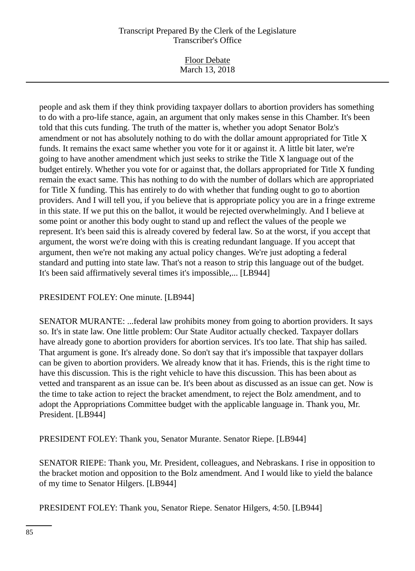Floor Debate March 13, 2018

people and ask them if they think providing taxpayer dollars to abortion providers has something to do with a pro-life stance, again, an argument that only makes sense in this Chamber. It's been told that this cuts funding. The truth of the matter is, whether you adopt Senator Bolz's amendment or not has absolutely nothing to do with the dollar amount appropriated for Title X funds. It remains the exact same whether you vote for it or against it. A little bit later, we're going to have another amendment which just seeks to strike the Title X language out of the budget entirely. Whether you vote for or against that, the dollars appropriated for Title X funding remain the exact same. This has nothing to do with the number of dollars which are appropriated for Title X funding. This has entirely to do with whether that funding ought to go to abortion providers. And I will tell you, if you believe that is appropriate policy you are in a fringe extreme in this state. If we put this on the ballot, it would be rejected overwhelmingly. And I believe at some point or another this body ought to stand up and reflect the values of the people we represent. It's been said this is already covered by federal law. So at the worst, if you accept that argument, the worst we're doing with this is creating redundant language. If you accept that argument, then we're not making any actual policy changes. We're just adopting a federal standard and putting into state law. That's not a reason to strip this language out of the budget. It's been said affirmatively several times it's impossible,... [LB944]

PRESIDENT FOLEY: One minute. [LB944]

SENATOR MURANTE: ...federal law prohibits money from going to abortion providers. It says so. It's in state law. One little problem: Our State Auditor actually checked. Taxpayer dollars have already gone to abortion providers for abortion services. It's too late. That ship has sailed. That argument is gone. It's already done. So don't say that it's impossible that taxpayer dollars can be given to abortion providers. We already know that it has. Friends, this is the right time to have this discussion. This is the right vehicle to have this discussion. This has been about as vetted and transparent as an issue can be. It's been about as discussed as an issue can get. Now is the time to take action to reject the bracket amendment, to reject the Bolz amendment, and to adopt the Appropriations Committee budget with the applicable language in. Thank you, Mr. President. [LB944]

PRESIDENT FOLEY: Thank you, Senator Murante. Senator Riepe. [LB944]

SENATOR RIEPE: Thank you, Mr. President, colleagues, and Nebraskans. I rise in opposition to the bracket motion and opposition to the Bolz amendment. And I would like to yield the balance of my time to Senator Hilgers. [LB944]

PRESIDENT FOLEY: Thank you, Senator Riepe. Senator Hilgers, 4:50. [LB944]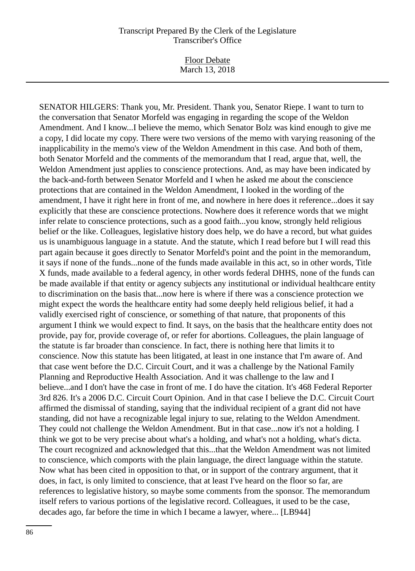Floor Debate March 13, 2018

SENATOR HILGERS: Thank you, Mr. President. Thank you, Senator Riepe. I want to turn to the conversation that Senator Morfeld was engaging in regarding the scope of the Weldon Amendment. And I know...I believe the memo, which Senator Bolz was kind enough to give me a copy, I did locate my copy. There were two versions of the memo with varying reasoning of the inapplicability in the memo's view of the Weldon Amendment in this case. And both of them, both Senator Morfeld and the comments of the memorandum that I read, argue that, well, the Weldon Amendment just applies to conscience protections. And, as may have been indicated by the back-and-forth between Senator Morfeld and I when he asked me about the conscience protections that are contained in the Weldon Amendment, I looked in the wording of the amendment, I have it right here in front of me, and nowhere in here does it reference...does it say explicitly that these are conscience protections. Nowhere does it reference words that we might infer relate to conscience protections, such as a good faith...you know, strongly held religious belief or the like. Colleagues, legislative history does help, we do have a record, but what guides us is unambiguous language in a statute. And the statute, which I read before but I will read this part again because it goes directly to Senator Morfeld's point and the point in the memorandum, it says if none of the funds...none of the funds made available in this act, so in other words, Title X funds, made available to a federal agency, in other words federal DHHS, none of the funds can be made available if that entity or agency subjects any institutional or individual healthcare entity to discrimination on the basis that...now here is where if there was a conscience protection we might expect the words the healthcare entity had some deeply held religious belief, it had a validly exercised right of conscience, or something of that nature, that proponents of this argument I think we would expect to find. It says, on the basis that the healthcare entity does not provide, pay for, provide coverage of, or refer for abortions. Colleagues, the plain language of the statute is far broader than conscience. In fact, there is nothing here that limits it to conscience. Now this statute has been litigated, at least in one instance that I'm aware of. And that case went before the D.C. Circuit Court, and it was a challenge by the National Family Planning and Reproductive Health Association. And it was challenge to the law and I believe...and I don't have the case in front of me. I do have the citation. It's 468 Federal Reporter 3rd 826. It's a 2006 D.C. Circuit Court Opinion. And in that case I believe the D.C. Circuit Court affirmed the dismissal of standing, saying that the individual recipient of a grant did not have standing, did not have a recognizable legal injury to sue, relating to the Weldon Amendment. They could not challenge the Weldon Amendment. But in that case...now it's not a holding. I think we got to be very precise about what's a holding, and what's not a holding, what's dicta. The court recognized and acknowledged that this...that the Weldon Amendment was not limited to conscience, which comports with the plain language, the direct language within the statute. Now what has been cited in opposition to that, or in support of the contrary argument, that it does, in fact, is only limited to conscience, that at least I've heard on the floor so far, are references to legislative history, so maybe some comments from the sponsor. The memorandum itself refers to various portions of the legislative record. Colleagues, it used to be the case, decades ago, far before the time in which I became a lawyer, where... [LB944]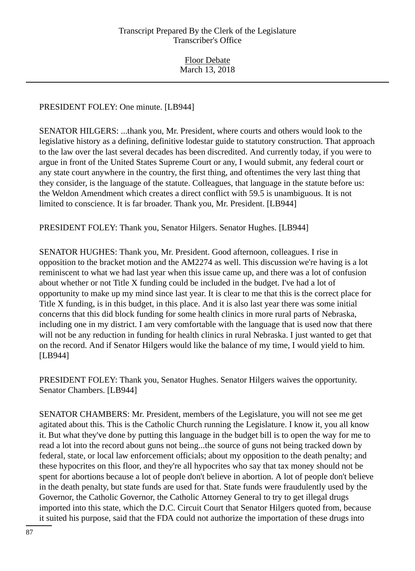PRESIDENT FOLEY: One minute. [LB944]

SENATOR HILGERS: ...thank you, Mr. President, where courts and others would look to the legislative history as a defining, definitive lodestar guide to statutory construction. That approach to the law over the last several decades has been discredited. And currently today, if you were to argue in front of the United States Supreme Court or any, I would submit, any federal court or any state court anywhere in the country, the first thing, and oftentimes the very last thing that they consider, is the language of the statute. Colleagues, that language in the statute before us: the Weldon Amendment which creates a direct conflict with 59.5 is unambiguous. It is not limited to conscience. It is far broader. Thank you, Mr. President. [LB944]

PRESIDENT FOLEY: Thank you, Senator Hilgers. Senator Hughes. [LB944]

SENATOR HUGHES: Thank you, Mr. President. Good afternoon, colleagues. I rise in opposition to the bracket motion and the AM2274 as well. This discussion we're having is a lot reminiscent to what we had last year when this issue came up, and there was a lot of confusion about whether or not Title X funding could be included in the budget. I've had a lot of opportunity to make up my mind since last year. It is clear to me that this is the correct place for Title X funding, is in this budget, in this place. And it is also last year there was some initial concerns that this did block funding for some health clinics in more rural parts of Nebraska, including one in my district. I am very comfortable with the language that is used now that there will not be any reduction in funding for health clinics in rural Nebraska. I just wanted to get that on the record. And if Senator Hilgers would like the balance of my time, I would yield to him. [LB944]

PRESIDENT FOLEY: Thank you, Senator Hughes. Senator Hilgers waives the opportunity. Senator Chambers. [LB944]

SENATOR CHAMBERS: Mr. President, members of the Legislature, you will not see me get agitated about this. This is the Catholic Church running the Legislature. I know it, you all know it. But what they've done by putting this language in the budget bill is to open the way for me to read a lot into the record about guns not being...the source of guns not being tracked down by federal, state, or local law enforcement officials; about my opposition to the death penalty; and these hypocrites on this floor, and they're all hypocrites who say that tax money should not be spent for abortions because a lot of people don't believe in abortion. A lot of people don't believe in the death penalty, but state funds are used for that. State funds were fraudulently used by the Governor, the Catholic Governor, the Catholic Attorney General to try to get illegal drugs imported into this state, which the D.C. Circuit Court that Senator Hilgers quoted from, because it suited his purpose, said that the FDA could not authorize the importation of these drugs into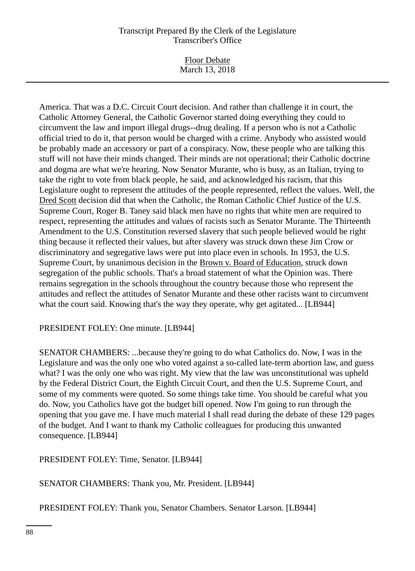Floor Debate March 13, 2018

America. That was a D.C. Circuit Court decision. And rather than challenge it in court, the Catholic Attorney General, the Catholic Governor started doing everything they could to circumvent the law and import illegal drugs--drug dealing. If a person who is not a Catholic official tried to do it, that person would be charged with a crime. Anybody who assisted would be probably made an accessory or part of a conspiracy. Now, these people who are talking this stuff will not have their minds changed. Their minds are not operational; their Catholic doctrine and dogma are what we're hearing. Now Senator Murante, who is busy, as an Italian, trying to take the right to vote from black people, he said, and acknowledged his racism, that this Legislature ought to represent the attitudes of the people represented, reflect the values. Well, the Dred Scott decision did that when the Catholic, the Roman Catholic Chief Justice of the U.S. Supreme Court, Roger B. Taney said black men have no rights that white men are required to respect, representing the attitudes and values of racists such as Senator Murante. The Thirteenth Amendment to the U.S. Constitution reversed slavery that such people believed would be right thing because it reflected their values, but after slavery was struck down these Jim Crow or discriminatory and segregative laws were put into place even in schools. In 1953, the U.S. Supreme Court, by unanimous decision in the Brown v. Board of Education, struck down segregation of the public schools. That's a broad statement of what the Opinion was. There remains segregation in the schools throughout the country because those who represent the attitudes and reflect the attitudes of Senator Murante and these other racists want to circumvent what the court said. Knowing that's the way they operate, why get agitated... [LB944]

PRESIDENT FOLEY: One minute. [LB944]

SENATOR CHAMBERS: ...because they're going to do what Catholics do. Now, I was in the Legislature and was the only one who voted against a so-called late-term abortion law, and guess what? I was the only one who was right. My view that the law was unconstitutional was upheld by the Federal District Court, the Eighth Circuit Court, and then the U.S. Supreme Court, and some of my comments were quoted. So some things take time. You should be careful what you do. Now, you Catholics have got the budget bill opened. Now I'm going to run through the opening that you gave me. I have much material I shall read during the debate of these 129 pages of the budget. And I want to thank my Catholic colleagues for producing this unwanted consequence. [LB944]

PRESIDENT FOLEY: Time, Senator. [LB944]

SENATOR CHAMBERS: Thank you, Mr. President. [LB944]

PRESIDENT FOLEY: Thank you, Senator Chambers. Senator Larson. [LB944]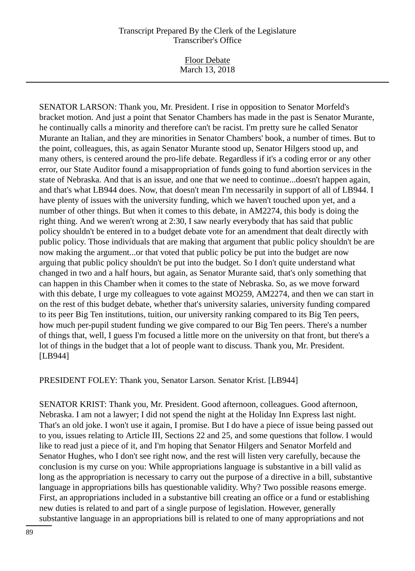Floor Debate March 13, 2018

SENATOR LARSON: Thank you, Mr. President. I rise in opposition to Senator Morfeld's bracket motion. And just a point that Senator Chambers has made in the past is Senator Murante, he continually calls a minority and therefore can't be racist. I'm pretty sure he called Senator Murante an Italian, and they are minorities in Senator Chambers' book, a number of times. But to the point, colleagues, this, as again Senator Murante stood up, Senator Hilgers stood up, and many others, is centered around the pro-life debate. Regardless if it's a coding error or any other error, our State Auditor found a misappropriation of funds going to fund abortion services in the state of Nebraska. And that is an issue, and one that we need to continue...doesn't happen again, and that's what LB944 does. Now, that doesn't mean I'm necessarily in support of all of LB944. I have plenty of issues with the university funding, which we haven't touched upon yet, and a number of other things. But when it comes to this debate, in AM2274, this body is doing the right thing. And we weren't wrong at 2:30, I saw nearly everybody that has said that public policy shouldn't be entered in to a budget debate vote for an amendment that dealt directly with public policy. Those individuals that are making that argument that public policy shouldn't be are now making the argument...or that voted that public policy be put into the budget are now arguing that public policy shouldn't be put into the budget. So I don't quite understand what changed in two and a half hours, but again, as Senator Murante said, that's only something that can happen in this Chamber when it comes to the state of Nebraska. So, as we move forward with this debate, I urge my colleagues to vote against MO259, AM2274, and then we can start in on the rest of this budget debate, whether that's university salaries, university funding compared to its peer Big Ten institutions, tuition, our university ranking compared to its Big Ten peers, how much per-pupil student funding we give compared to our Big Ten peers. There's a number of things that, well, I guess I'm focused a little more on the university on that front, but there's a lot of things in the budget that a lot of people want to discuss. Thank you, Mr. President. [LB944]

# PRESIDENT FOLEY: Thank you, Senator Larson. Senator Krist. [LB944]

SENATOR KRIST: Thank you, Mr. President. Good afternoon, colleagues. Good afternoon, Nebraska. I am not a lawyer; I did not spend the night at the Holiday Inn Express last night. That's an old joke. I won't use it again, I promise. But I do have a piece of issue being passed out to you, issues relating to Article III, Sections 22 and 25, and some questions that follow. I would like to read just a piece of it, and I'm hoping that Senator Hilgers and Senator Morfeld and Senator Hughes, who I don't see right now, and the rest will listen very carefully, because the conclusion is my curse on you: While appropriations language is substantive in a bill valid as long as the appropriation is necessary to carry out the purpose of a directive in a bill, substantive language in appropriations bills has questionable validity. Why? Two possible reasons emerge. First, an appropriations included in a substantive bill creating an office or a fund or establishing new duties is related to and part of a single purpose of legislation. However, generally substantive language in an appropriations bill is related to one of many appropriations and not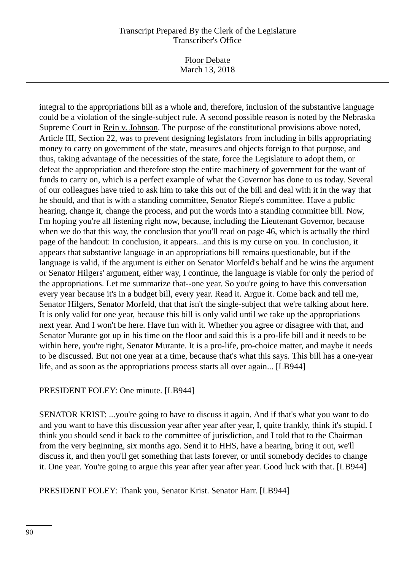Floor Debate March 13, 2018

integral to the appropriations bill as a whole and, therefore, inclusion of the substantive language could be a violation of the single-subject rule. A second possible reason is noted by the Nebraska Supreme Court in Rein v. Johnson. The purpose of the constitutional provisions above noted, Article III, Section 22, was to prevent designing legislators from including in bills appropriating money to carry on government of the state, measures and objects foreign to that purpose, and thus, taking advantage of the necessities of the state, force the Legislature to adopt them, or defeat the appropriation and therefore stop the entire machinery of government for the want of funds to carry on, which is a perfect example of what the Governor has done to us today. Several of our colleagues have tried to ask him to take this out of the bill and deal with it in the way that he should, and that is with a standing committee, Senator Riepe's committee. Have a public hearing, change it, change the process, and put the words into a standing committee bill. Now, I'm hoping you're all listening right now, because, including the Lieutenant Governor, because when we do that this way, the conclusion that you'll read on page 46, which is actually the third page of the handout: In conclusion, it appears...and this is my curse on you. In conclusion, it appears that substantive language in an appropriations bill remains questionable, but if the language is valid, if the argument is either on Senator Morfeld's behalf and he wins the argument or Senator Hilgers' argument, either way, I continue, the language is viable for only the period of the appropriations. Let me summarize that--one year. So you're going to have this conversation every year because it's in a budget bill, every year. Read it. Argue it. Come back and tell me, Senator Hilgers, Senator Morfeld, that that isn't the single-subject that we're talking about here. It is only valid for one year, because this bill is only valid until we take up the appropriations next year. And I won't be here. Have fun with it. Whether you agree or disagree with that, and Senator Murante got up in his time on the floor and said this is a pro-life bill and it needs to be within here, you're right, Senator Murante. It is a pro-life, pro-choice matter, and maybe it needs to be discussed. But not one year at a time, because that's what this says. This bill has a one-year life, and as soon as the appropriations process starts all over again... [LB944]

# PRESIDENT FOLEY: One minute. [LB944]

SENATOR KRIST: ...you're going to have to discuss it again. And if that's what you want to do and you want to have this discussion year after year after year, I, quite frankly, think it's stupid. I think you should send it back to the committee of jurisdiction, and I told that to the Chairman from the very beginning, six months ago. Send it to HHS, have a hearing, bring it out, we'll discuss it, and then you'll get something that lasts forever, or until somebody decides to change it. One year. You're going to argue this year after year after year. Good luck with that. [LB944]

PRESIDENT FOLEY: Thank you, Senator Krist. Senator Harr. [LB944]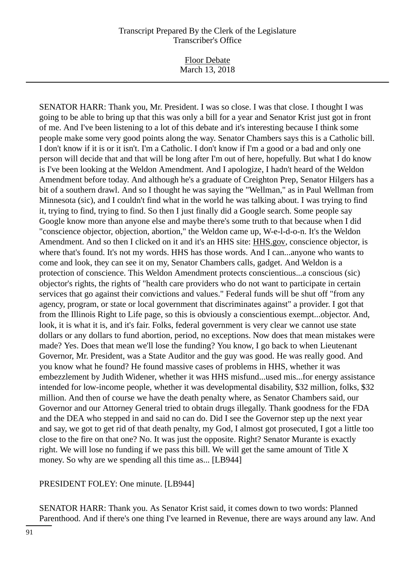Floor Debate March 13, 2018

SENATOR HARR: Thank you, Mr. President. I was so close. I was that close. I thought I was going to be able to bring up that this was only a bill for a year and Senator Krist just got in front of me. And I've been listening to a lot of this debate and it's interesting because I think some people make some very good points along the way. Senator Chambers says this is a Catholic bill. I don't know if it is or it isn't. I'm a Catholic. I don't know if I'm a good or a bad and only one person will decide that and that will be long after I'm out of here, hopefully. But what I do know is I've been looking at the Weldon Amendment. And I apologize, I hadn't heard of the Weldon Amendment before today. And although he's a graduate of Creighton Prep, Senator Hilgers has a bit of a southern drawl. And so I thought he was saying the "Wellman," as in Paul Wellman from Minnesota (sic), and I couldn't find what in the world he was talking about. I was trying to find it, trying to find, trying to find. So then I just finally did a Google search. Some people say Google know more than anyone else and maybe there's some truth to that because when I did "conscience objector, objection, abortion," the Weldon came up, W-e-l-d-o-n. It's the Weldon Amendment. And so then I clicked on it and it's an HHS site: HHS.gov, conscience objector, is where that's found. It's not my words. HHS has those words. And I can...anyone who wants to come and look, they can see it on my, Senator Chambers calls, gadget. And Weldon is a protection of conscience. This Weldon Amendment protects conscientious...a conscious (sic) objector's rights, the rights of "health care providers who do not want to participate in certain services that go against their convictions and values." Federal funds will be shut off "from any agency, program, or state or local government that discriminates against" a provider. I got that from the Illinois Right to Life page, so this is obviously a conscientious exempt...objector. And, look, it is what it is, and it's fair. Folks, federal government is very clear we cannot use state dollars or any dollars to fund abortion, period, no exceptions. Now does that mean mistakes were made? Yes. Does that mean we'll lose the funding? You know, I go back to when Lieutenant Governor, Mr. President, was a State Auditor and the guy was good. He was really good. And you know what he found? He found massive cases of problems in HHS, whether it was embezzlement by Judith Widener, whether it was HHS misfund...used mis...for energy assistance intended for low-income people, whether it was developmental disability, \$32 million, folks, \$32 million. And then of course we have the death penalty where, as Senator Chambers said, our Governor and our Attorney General tried to obtain drugs illegally. Thank goodness for the FDA and the DEA who stepped in and said no can do. Did I see the Governor step up the next year and say, we got to get rid of that death penalty, my God, I almost got prosecuted, I got a little too close to the fire on that one? No. It was just the opposite. Right? Senator Murante is exactly right. We will lose no funding if we pass this bill. We will get the same amount of Title X money. So why are we spending all this time as... [LB944]

PRESIDENT FOLEY: One minute. [LB944]

SENATOR HARR: Thank you. As Senator Krist said, it comes down to two words: Planned Parenthood. And if there's one thing I've learned in Revenue, there are ways around any law. And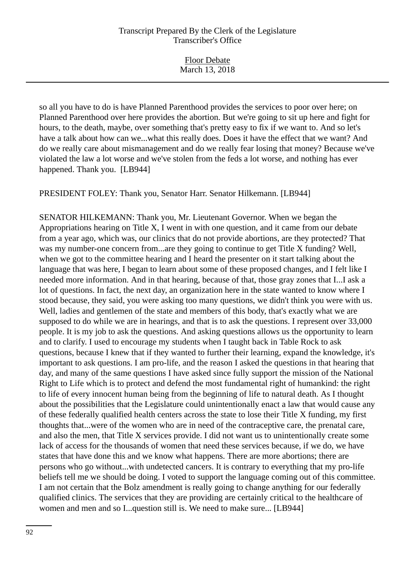Floor Debate March 13, 2018

so all you have to do is have Planned Parenthood provides the services to poor over here; on Planned Parenthood over here provides the abortion. But we're going to sit up here and fight for hours, to the death, maybe, over something that's pretty easy to fix if we want to. And so let's have a talk about how can we...what this really does. Does it have the effect that we want? And do we really care about mismanagement and do we really fear losing that money? Because we've violated the law a lot worse and we've stolen from the feds a lot worse, and nothing has ever happened. Thank you. [LB944]

PRESIDENT FOLEY: Thank you, Senator Harr. Senator Hilkemann. [LB944]

SENATOR HILKEMANN: Thank you, Mr. Lieutenant Governor. When we began the Appropriations hearing on Title X, I went in with one question, and it came from our debate from a year ago, which was, our clinics that do not provide abortions, are they protected? That was my number-one concern from...are they going to continue to get Title X funding? Well, when we got to the committee hearing and I heard the presenter on it start talking about the language that was here, I began to learn about some of these proposed changes, and I felt like I needed more information. And in that hearing, because of that, those gray zones that I...I ask a lot of questions. In fact, the next day, an organization here in the state wanted to know where I stood because, they said, you were asking too many questions, we didn't think you were with us. Well, ladies and gentlemen of the state and members of this body, that's exactly what we are supposed to do while we are in hearings, and that is to ask the questions. I represent over 33,000 people. It is my job to ask the questions. And asking questions allows us the opportunity to learn and to clarify. I used to encourage my students when I taught back in Table Rock to ask questions, because I knew that if they wanted to further their learning, expand the knowledge, it's important to ask questions. I am pro-life, and the reason I asked the questions in that hearing that day, and many of the same questions I have asked since fully support the mission of the National Right to Life which is to protect and defend the most fundamental right of humankind: the right to life of every innocent human being from the beginning of life to natural death. As I thought about the possibilities that the Legislature could unintentionally enact a law that would cause any of these federally qualified health centers across the state to lose their Title X funding, my first thoughts that...were of the women who are in need of the contraceptive care, the prenatal care, and also the men, that Title X services provide. I did not want us to unintentionally create some lack of access for the thousands of women that need these services because, if we do, we have states that have done this and we know what happens. There are more abortions; there are persons who go without...with undetected cancers. It is contrary to everything that my pro-life beliefs tell me we should be doing. I voted to support the language coming out of this committee. I am not certain that the Bolz amendment is really going to change anything for our federally qualified clinics. The services that they are providing are certainly critical to the healthcare of women and men and so I...question still is. We need to make sure... [LB944]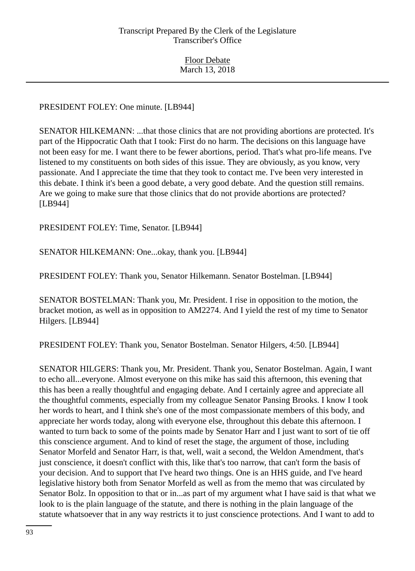# PRESIDENT FOLEY: One minute. [LB944]

SENATOR HILKEMANN: ...that those clinics that are not providing abortions are protected. It's part of the Hippocratic Oath that I took: First do no harm. The decisions on this language have not been easy for me. I want there to be fewer abortions, period. That's what pro-life means. I've listened to my constituents on both sides of this issue. They are obviously, as you know, very passionate. And I appreciate the time that they took to contact me. I've been very interested in this debate. I think it's been a good debate, a very good debate. And the question still remains. Are we going to make sure that those clinics that do not provide abortions are protected? [LB944]

PRESIDENT FOLEY: Time, Senator. [LB944]

SENATOR HILKEMANN: One...okay, thank you. [LB944]

PRESIDENT FOLEY: Thank you, Senator Hilkemann. Senator Bostelman. [LB944]

SENATOR BOSTELMAN: Thank you, Mr. President. I rise in opposition to the motion, the bracket motion, as well as in opposition to AM2274. And I yield the rest of my time to Senator Hilgers. [LB944]

PRESIDENT FOLEY: Thank you, Senator Bostelman. Senator Hilgers, 4:50. [LB944]

SENATOR HILGERS: Thank you, Mr. President. Thank you, Senator Bostelman. Again, I want to echo all...everyone. Almost everyone on this mike has said this afternoon, this evening that this has been a really thoughtful and engaging debate. And I certainly agree and appreciate all the thoughtful comments, especially from my colleague Senator Pansing Brooks. I know I took her words to heart, and I think she's one of the most compassionate members of this body, and appreciate her words today, along with everyone else, throughout this debate this afternoon. I wanted to turn back to some of the points made by Senator Harr and I just want to sort of tie off this conscience argument. And to kind of reset the stage, the argument of those, including Senator Morfeld and Senator Harr, is that, well, wait a second, the Weldon Amendment, that's just conscience, it doesn't conflict with this, like that's too narrow, that can't form the basis of your decision. And to support that I've heard two things. One is an HHS guide, and I've heard legislative history both from Senator Morfeld as well as from the memo that was circulated by Senator Bolz. In opposition to that or in...as part of my argument what I have said is that what we look to is the plain language of the statute, and there is nothing in the plain language of the statute whatsoever that in any way restricts it to just conscience protections. And I want to add to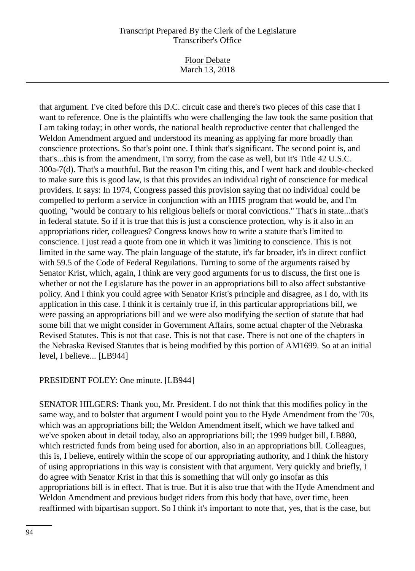Floor Debate March 13, 2018

that argument. I've cited before this D.C. circuit case and there's two pieces of this case that I want to reference. One is the plaintiffs who were challenging the law took the same position that I am taking today; in other words, the national health reproductive center that challenged the Weldon Amendment argued and understood its meaning as applying far more broadly than conscience protections. So that's point one. I think that's significant. The second point is, and that's...this is from the amendment, I'm sorry, from the case as well, but it's Title 42 U.S.C. 300a-7(d). That's a mouthful. But the reason I'm citing this, and I went back and double-checked to make sure this is good law, is that this provides an individual right of conscience for medical providers. It says: In 1974, Congress passed this provision saying that no individual could be compelled to perform a service in conjunction with an HHS program that would be, and I'm quoting, "would be contrary to his religious beliefs or moral convictions." That's in state...that's in federal statute. So if it is true that this is just a conscience protection, why is it also in an appropriations rider, colleagues? Congress knows how to write a statute that's limited to conscience. I just read a quote from one in which it was limiting to conscience. This is not limited in the same way. The plain language of the statute, it's far broader, it's in direct conflict with 59.5 of the Code of Federal Regulations. Turning to some of the arguments raised by Senator Krist, which, again, I think are very good arguments for us to discuss, the first one is whether or not the Legislature has the power in an appropriations bill to also affect substantive policy. And I think you could agree with Senator Krist's principle and disagree, as I do, with its application in this case. I think it is certainly true if, in this particular appropriations bill, we were passing an appropriations bill and we were also modifying the section of statute that had some bill that we might consider in Government Affairs, some actual chapter of the Nebraska Revised Statutes. This is not that case. This is not that case. There is not one of the chapters in the Nebraska Revised Statutes that is being modified by this portion of AM1699. So at an initial level, I believe... [LB944]

# PRESIDENT FOLEY: One minute. [LB944]

SENATOR HILGERS: Thank you, Mr. President. I do not think that this modifies policy in the same way, and to bolster that argument I would point you to the Hyde Amendment from the '70s, which was an appropriations bill; the Weldon Amendment itself, which we have talked and we've spoken about in detail today, also an appropriations bill; the 1999 budget bill, LB880, which restricted funds from being used for abortion, also in an appropriations bill. Colleagues, this is, I believe, entirely within the scope of our appropriating authority, and I think the history of using appropriations in this way is consistent with that argument. Very quickly and briefly, I do agree with Senator Krist in that this is something that will only go insofar as this appropriations bill is in effect. That is true. But it is also true that with the Hyde Amendment and Weldon Amendment and previous budget riders from this body that have, over time, been reaffirmed with bipartisan support. So I think it's important to note that, yes, that is the case, but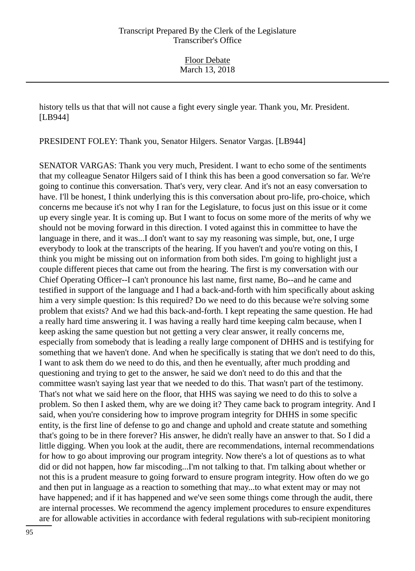history tells us that that will not cause a fight every single year. Thank you, Mr. President. [LB944]

PRESIDENT FOLEY: Thank you, Senator Hilgers. Senator Vargas. [LB944]

SENATOR VARGAS: Thank you very much, President. I want to echo some of the sentiments that my colleague Senator Hilgers said of I think this has been a good conversation so far. We're going to continue this conversation. That's very, very clear. And it's not an easy conversation to have. I'll be honest, I think underlying this is this conversation about pro-life, pro-choice, which concerns me because it's not why I ran for the Legislature, to focus just on this issue or it come up every single year. It is coming up. But I want to focus on some more of the merits of why we should not be moving forward in this direction. I voted against this in committee to have the language in there, and it was...I don't want to say my reasoning was simple, but, one, I urge everybody to look at the transcripts of the hearing. If you haven't and you're voting on this, I think you might be missing out on information from both sides. I'm going to highlight just a couple different pieces that came out from the hearing. The first is my conversation with our Chief Operating Officer--I can't pronounce his last name, first name, Bo--and he came and testified in support of the language and I had a back-and-forth with him specifically about asking him a very simple question: Is this required? Do we need to do this because we're solving some problem that exists? And we had this back-and-forth. I kept repeating the same question. He had a really hard time answering it. I was having a really hard time keeping calm because, when I keep asking the same question but not getting a very clear answer, it really concerns me, especially from somebody that is leading a really large component of DHHS and is testifying for something that we haven't done. And when he specifically is stating that we don't need to do this, I want to ask them do we need to do this, and then he eventually, after much prodding and questioning and trying to get to the answer, he said we don't need to do this and that the committee wasn't saying last year that we needed to do this. That wasn't part of the testimony. That's not what we said here on the floor, that HHS was saying we need to do this to solve a problem. So then I asked them, why are we doing it? They came back to program integrity. And I said, when you're considering how to improve program integrity for DHHS in some specific entity, is the first line of defense to go and change and uphold and create statute and something that's going to be in there forever? His answer, he didn't really have an answer to that. So I did a little digging. When you look at the audit, there are recommendations, internal recommendations for how to go about improving our program integrity. Now there's a lot of questions as to what did or did not happen, how far miscoding...I'm not talking to that. I'm talking about whether or not this is a prudent measure to going forward to ensure program integrity. How often do we go and then put in language as a reaction to something that may...to what extent may or may not have happened; and if it has happened and we've seen some things come through the audit, there are internal processes. We recommend the agency implement procedures to ensure expenditures are for allowable activities in accordance with federal regulations with sub-recipient monitoring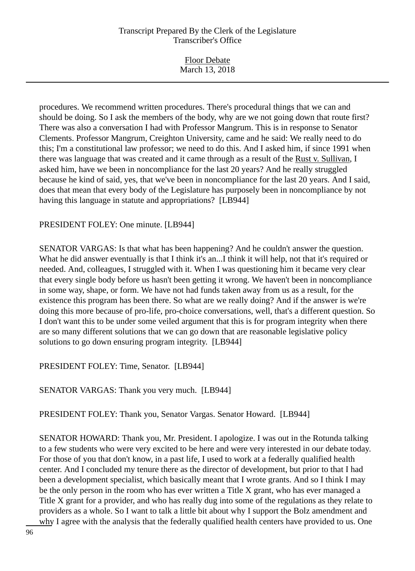| <b>Floor Debate</b> |  |
|---------------------|--|
| March 13, 2018      |  |

procedures. We recommend written procedures. There's procedural things that we can and should be doing. So I ask the members of the body, why are we not going down that route first? There was also a conversation I had with Professor Mangrum. This is in response to Senator Clements. Professor Mangrum, Creighton University, came and he said: We really need to do this; I'm a constitutional law professor; we need to do this. And I asked him, if since 1991 when there was language that was created and it came through as a result of the Rust v. Sullivan, I asked him, have we been in noncompliance for the last 20 years? And he really struggled because he kind of said, yes, that we've been in noncompliance for the last 20 years. And I said, does that mean that every body of the Legislature has purposely been in noncompliance by not having this language in statute and appropriations? [LB944]

### PRESIDENT FOLEY: One minute. [LB944]

SENATOR VARGAS: Is that what has been happening? And he couldn't answer the question. What he did answer eventually is that I think it's an...I think it will help, not that it's required or needed. And, colleagues, I struggled with it. When I was questioning him it became very clear that every single body before us hasn't been getting it wrong. We haven't been in noncompliance in some way, shape, or form. We have not had funds taken away from us as a result, for the existence this program has been there. So what are we really doing? And if the answer is we're doing this more because of pro-life, pro-choice conversations, well, that's a different question. So I don't want this to be under some veiled argument that this is for program integrity when there are so many different solutions that we can go down that are reasonable legislative policy solutions to go down ensuring program integrity. [LB944]

PRESIDENT FOLEY: Time, Senator. [LB944]

SENATOR VARGAS: Thank you very much. [LB944]

PRESIDENT FOLEY: Thank you, Senator Vargas. Senator Howard. [LB944]

SENATOR HOWARD: Thank you, Mr. President. I apologize. I was out in the Rotunda talking to a few students who were very excited to be here and were very interested in our debate today. For those of you that don't know, in a past life, I used to work at a federally qualified health center. And I concluded my tenure there as the director of development, but prior to that I had been a development specialist, which basically meant that I wrote grants. And so I think I may be the only person in the room who has ever written a Title X grant, who has ever managed a Title X grant for a provider, and who has really dug into some of the regulations as they relate to providers as a whole. So I want to talk a little bit about why I support the Bolz amendment and why I agree with the analysis that the federally qualified health centers have provided to us. One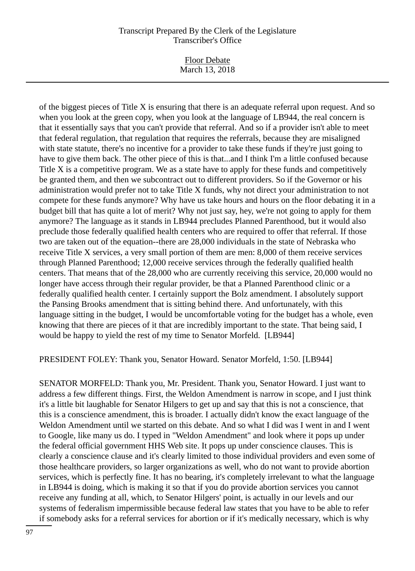Floor Debate March 13, 2018

of the biggest pieces of Title X is ensuring that there is an adequate referral upon request. And so when you look at the green copy, when you look at the language of LB944, the real concern is that it essentially says that you can't provide that referral. And so if a provider isn't able to meet that federal regulation, that regulation that requires the referrals, because they are misaligned with state statute, there's no incentive for a provider to take these funds if they're just going to have to give them back. The other piece of this is that...and I think I'm a little confused because Title X is a competitive program. We as a state have to apply for these funds and competitively be granted them, and then we subcontract out to different providers. So if the Governor or his administration would prefer not to take Title X funds, why not direct your administration to not compete for these funds anymore? Why have us take hours and hours on the floor debating it in a budget bill that has quite a lot of merit? Why not just say, hey, we're not going to apply for them anymore? The language as it stands in LB944 precludes Planned Parenthood, but it would also preclude those federally qualified health centers who are required to offer that referral. If those two are taken out of the equation--there are 28,000 individuals in the state of Nebraska who receive Title X services, a very small portion of them are men: 8,000 of them receive services through Planned Parenthood; 12,000 receive services through the federally qualified health centers. That means that of the 28,000 who are currently receiving this service, 20,000 would no longer have access through their regular provider, be that a Planned Parenthood clinic or a federally qualified health center. I certainly support the Bolz amendment. I absolutely support the Pansing Brooks amendment that is sitting behind there. And unfortunately, with this language sitting in the budget, I would be uncomfortable voting for the budget has a whole, even knowing that there are pieces of it that are incredibly important to the state. That being said, I would be happy to yield the rest of my time to Senator Morfeld. [LB944]

PRESIDENT FOLEY: Thank you, Senator Howard. Senator Morfeld, 1:50. [LB944]

SENATOR MORFELD: Thank you, Mr. President. Thank you, Senator Howard. I just want to address a few different things. First, the Weldon Amendment is narrow in scope, and I just think it's a little bit laughable for Senator Hilgers to get up and say that this is not a conscience, that this is a conscience amendment, this is broader. I actually didn't know the exact language of the Weldon Amendment until we started on this debate. And so what I did was I went in and I went to Google, like many us do. I typed in "Weldon Amendment" and look where it pops up under the federal official government HHS Web site. It pops up under conscience clauses. This is clearly a conscience clause and it's clearly limited to those individual providers and even some of those healthcare providers, so larger organizations as well, who do not want to provide abortion services, which is perfectly fine. It has no bearing, it's completely irrelevant to what the language in LB944 is doing, which is making it so that if you do provide abortion services you cannot receive any funding at all, which, to Senator Hilgers' point, is actually in our levels and our systems of federalism impermissible because federal law states that you have to be able to refer if somebody asks for a referral services for abortion or if it's medically necessary, which is why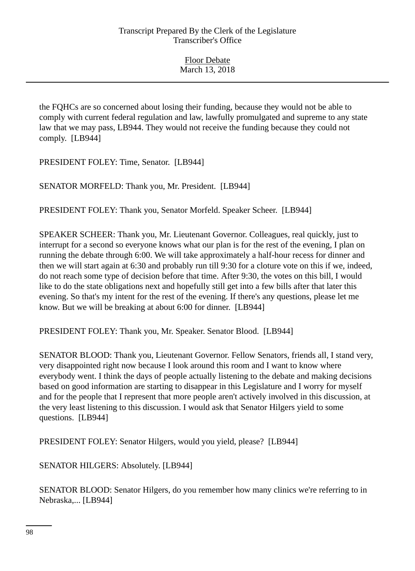the FQHCs are so concerned about losing their funding, because they would not be able to comply with current federal regulation and law, lawfully promulgated and supreme to any state law that we may pass, LB944. They would not receive the funding because they could not comply. [LB944]

PRESIDENT FOLEY: Time, Senator. [LB944]

SENATOR MORFELD: Thank you, Mr. President. [LB944]

PRESIDENT FOLEY: Thank you, Senator Morfeld. Speaker Scheer. [LB944]

SPEAKER SCHEER: Thank you, Mr. Lieutenant Governor. Colleagues, real quickly, just to interrupt for a second so everyone knows what our plan is for the rest of the evening, I plan on running the debate through 6:00. We will take approximately a half-hour recess for dinner and then we will start again at 6:30 and probably run till 9:30 for a cloture vote on this if we, indeed, do not reach some type of decision before that time. After 9:30, the votes on this bill, I would like to do the state obligations next and hopefully still get into a few bills after that later this evening. So that's my intent for the rest of the evening. If there's any questions, please let me know. But we will be breaking at about 6:00 for dinner. [LB944]

PRESIDENT FOLEY: Thank you, Mr. Speaker. Senator Blood. [LB944]

SENATOR BLOOD: Thank you, Lieutenant Governor. Fellow Senators, friends all, I stand very, very disappointed right now because I look around this room and I want to know where everybody went. I think the days of people actually listening to the debate and making decisions based on good information are starting to disappear in this Legislature and I worry for myself and for the people that I represent that more people aren't actively involved in this discussion, at the very least listening to this discussion. I would ask that Senator Hilgers yield to some questions. [LB944]

PRESIDENT FOLEY: Senator Hilgers, would you yield, please? [LB944]

SENATOR HILGERS: Absolutely. [LB944]

SENATOR BLOOD: Senator Hilgers, do you remember how many clinics we're referring to in Nebraska,... [LB944]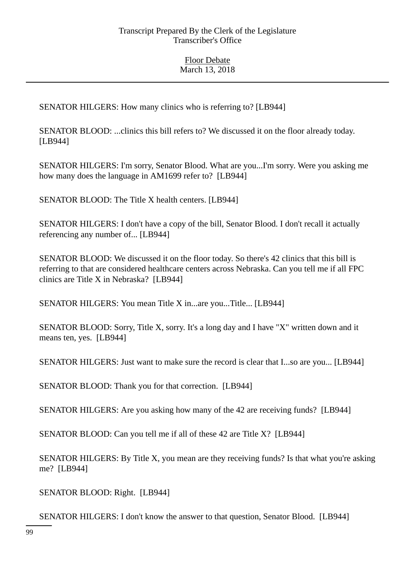SENATOR HILGERS: How many clinics who is referring to? [LB944]

SENATOR BLOOD: ...clinics this bill refers to? We discussed it on the floor already today. [LB944]

SENATOR HILGERS: I'm sorry, Senator Blood. What are you...I'm sorry. Were you asking me how many does the language in AM1699 refer to? [LB944]

SENATOR BLOOD: The Title X health centers. [LB944]

SENATOR HILGERS: I don't have a copy of the bill, Senator Blood. I don't recall it actually referencing any number of... [LB944]

SENATOR BLOOD: We discussed it on the floor today. So there's 42 clinics that this bill is referring to that are considered healthcare centers across Nebraska. Can you tell me if all FPC clinics are Title X in Nebraska? [LB944]

SENATOR HILGERS: You mean Title X in...are you...Title... [LB944]

SENATOR BLOOD: Sorry, Title X, sorry. It's a long day and I have "X" written down and it means ten, yes. [LB944]

SENATOR HILGERS: Just want to make sure the record is clear that I...so are you... [LB944]

SENATOR BLOOD: Thank you for that correction. [LB944]

SENATOR HILGERS: Are you asking how many of the 42 are receiving funds? [LB944]

SENATOR BLOOD: Can you tell me if all of these 42 are Title X? [LB944]

SENATOR HILGERS: By Title X, you mean are they receiving funds? Is that what you're asking me? [LB944]

SENATOR BLOOD: Right. [LB944]

SENATOR HILGERS: I don't know the answer to that question, Senator Blood. [LB944]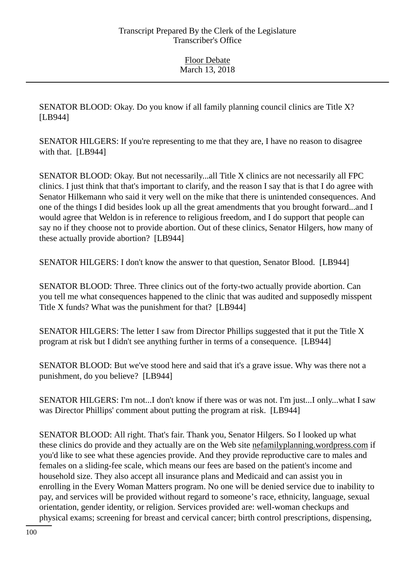SENATOR BLOOD: Okay. Do you know if all family planning council clinics are Title X? [LB944]

SENATOR HILGERS: If you're representing to me that they are, I have no reason to disagree with that. [LB944]

SENATOR BLOOD: Okay. But not necessarily...all Title X clinics are not necessarily all FPC clinics. I just think that that's important to clarify, and the reason I say that is that I do agree with Senator Hilkemann who said it very well on the mike that there is unintended consequences. And one of the things I did besides look up all the great amendments that you brought forward...and I would agree that Weldon is in reference to religious freedom, and I do support that people can say no if they choose not to provide abortion. Out of these clinics, Senator Hilgers, how many of these actually provide abortion? [LB944]

SENATOR HILGERS: I don't know the answer to that question, Senator Blood. [LB944]

SENATOR BLOOD: Three. Three clinics out of the forty-two actually provide abortion. Can you tell me what consequences happened to the clinic that was audited and supposedly misspent Title X funds? What was the punishment for that? [LB944]

SENATOR HILGERS: The letter I saw from Director Phillips suggested that it put the Title X program at risk but I didn't see anything further in terms of a consequence. [LB944]

SENATOR BLOOD: But we've stood here and said that it's a grave issue. Why was there not a punishment, do you believe? [LB944]

SENATOR HILGERS: I'm not...I don't know if there was or was not. I'm just...I only...what I saw was Director Phillips' comment about putting the program at risk. [LB944]

SENATOR BLOOD: All right. That's fair. Thank you, Senator Hilgers. So I looked up what these clinics do provide and they actually are on the Web site nefamilyplanning.wordpress.com if you'd like to see what these agencies provide. And they provide reproductive care to males and females on a sliding-fee scale, which means our fees are based on the patient's income and household size. They also accept all insurance plans and Medicaid and can assist you in enrolling in the Every Woman Matters program. No one will be denied service due to inability to pay, and services will be provided without regard to someone's race, ethnicity, language, sexual orientation, gender identity, or religion. Services provided are: well-woman checkups and physical exams; screening for breast and cervical cancer; birth control prescriptions, dispensing,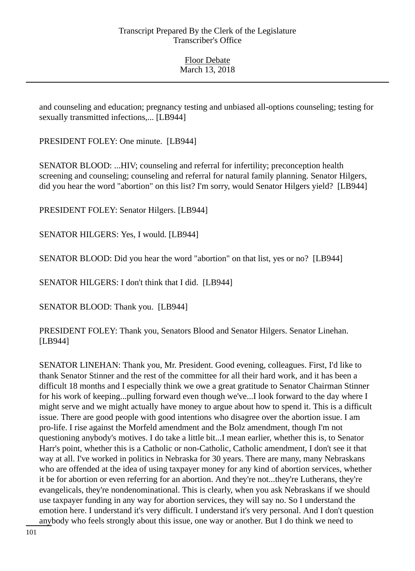and counseling and education; pregnancy testing and unbiased all-options counseling; testing for sexually transmitted infections,... [LB944]

PRESIDENT FOLEY: One minute. [LB944]

SENATOR BLOOD: ...HIV; counseling and referral for infertility; preconception health screening and counseling; counseling and referral for natural family planning. Senator Hilgers, did you hear the word "abortion" on this list? I'm sorry, would Senator Hilgers yield? [LB944]

PRESIDENT FOLEY: Senator Hilgers. [LB944]

SENATOR HILGERS: Yes, I would. [LB944]

SENATOR BLOOD: Did you hear the word "abortion" on that list, yes or no? [LB944]

SENATOR HILGERS: I don't think that I did. [LB944]

SENATOR BLOOD: Thank you. [LB944]

PRESIDENT FOLEY: Thank you, Senators Blood and Senator Hilgers. Senator Linehan. [LB944]

SENATOR LINEHAN: Thank you, Mr. President. Good evening, colleagues. First, I'd like to thank Senator Stinner and the rest of the committee for all their hard work, and it has been a difficult 18 months and I especially think we owe a great gratitude to Senator Chairman Stinner for his work of keeping...pulling forward even though we've...I look forward to the day where I might serve and we might actually have money to argue about how to spend it. This is a difficult issue. There are good people with good intentions who disagree over the abortion issue. I am pro-life. I rise against the Morfeld amendment and the Bolz amendment, though I'm not questioning anybody's motives. I do take a little bit...I mean earlier, whether this is, to Senator Harr's point, whether this is a Catholic or non-Catholic, Catholic amendment, I don't see it that way at all. I've worked in politics in Nebraska for 30 years. There are many, many Nebraskans who are offended at the idea of using taxpayer money for any kind of abortion services, whether it be for abortion or even referring for an abortion. And they're not...they're Lutherans, they're evangelicals, they're nondenominational. This is clearly, when you ask Nebraskans if we should use taxpayer funding in any way for abortion services, they will say no. So I understand the emotion here. I understand it's very difficult. I understand it's very personal. And I don't question anybody who feels strongly about this issue, one way or another. But I do think we need to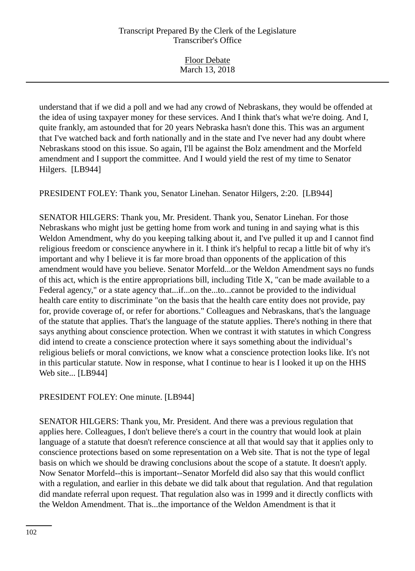| <b>Floor Debate</b> |  |
|---------------------|--|
| March 13, 2018      |  |
|                     |  |

understand that if we did a poll and we had any crowd of Nebraskans, they would be offended at the idea of using taxpayer money for these services. And I think that's what we're doing. And I, quite frankly, am astounded that for 20 years Nebraska hasn't done this. This was an argument that I've watched back and forth nationally and in the state and I've never had any doubt where Nebraskans stood on this issue. So again, I'll be against the Bolz amendment and the Morfeld amendment and I support the committee. And I would yield the rest of my time to Senator Hilgers. [LB944]

PRESIDENT FOLEY: Thank you, Senator Linehan. Senator Hilgers, 2:20. [LB944]

SENATOR HILGERS: Thank you, Mr. President. Thank you, Senator Linehan. For those Nebraskans who might just be getting home from work and tuning in and saying what is this Weldon Amendment, why do you keeping talking about it, and I've pulled it up and I cannot find religious freedom or conscience anywhere in it. I think it's helpful to recap a little bit of why it's important and why I believe it is far more broad than opponents of the application of this amendment would have you believe. Senator Morfeld...or the Weldon Amendment says no funds of this act, which is the entire appropriations bill, including Title X, "can be made available to a Federal agency," or a state agency that...if...on the...to...cannot be provided to the individual health care entity to discriminate "on the basis that the health care entity does not provide, pay for, provide coverage of, or refer for abortions." Colleagues and Nebraskans, that's the language of the statute that applies. That's the language of the statute applies. There's nothing in there that says anything about conscience protection. When we contrast it with statutes in which Congress did intend to create a conscience protection where it says something about the individual's religious beliefs or moral convictions, we know what a conscience protection looks like. It's not in this particular statute. Now in response, what I continue to hear is I looked it up on the HHS Web site... [LB944]

#### PRESIDENT FOLEY: One minute. [LB944]

SENATOR HILGERS: Thank you, Mr. President. And there was a previous regulation that applies here. Colleagues, I don't believe there's a court in the country that would look at plain language of a statute that doesn't reference conscience at all that would say that it applies only to conscience protections based on some representation on a Web site. That is not the type of legal basis on which we should be drawing conclusions about the scope of a statute. It doesn't apply. Now Senator Morfeld--this is important--Senator Morfeld did also say that this would conflict with a regulation, and earlier in this debate we did talk about that regulation. And that regulation did mandate referral upon request. That regulation also was in 1999 and it directly conflicts with the Weldon Amendment. That is...the importance of the Weldon Amendment is that it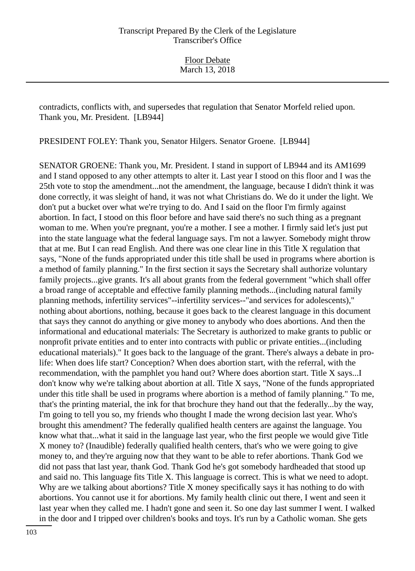contradicts, conflicts with, and supersedes that regulation that Senator Morfeld relied upon. Thank you, Mr. President. [LB944]

PRESIDENT FOLEY: Thank you, Senator Hilgers. Senator Groene. [LB944]

SENATOR GROENE: Thank you, Mr. President. I stand in support of LB944 and its AM1699 and I stand opposed to any other attempts to alter it. Last year I stood on this floor and I was the 25th vote to stop the amendment...not the amendment, the language, because I didn't think it was done correctly, it was sleight of hand, it was not what Christians do. We do it under the light. We don't put a bucket over what we're trying to do. And I said on the floor I'm firmly against abortion. In fact, I stood on this floor before and have said there's no such thing as a pregnant woman to me. When you're pregnant, you're a mother. I see a mother. I firmly said let's just put into the state language what the federal language says. I'm not a lawyer. Somebody might throw that at me. But I can read English. And there was one clear line in this Title X regulation that says, "None of the funds appropriated under this title shall be used in programs where abortion is a method of family planning." In the first section it says the Secretary shall authorize voluntary family projects...give grants. It's all about grants from the federal government "which shall offer a broad range of acceptable and effective family planning methods...(including natural family planning methods, infertility services"--infertility services--"and services for adolescents)," nothing about abortions, nothing, because it goes back to the clearest language in this document that says they cannot do anything or give money to anybody who does abortions. And then the informational and educational materials: The Secretary is authorized to make grants to public or nonprofit private entities and to enter into contracts with public or private entities...(including educational materials)." It goes back to the language of the grant. There's always a debate in prolife: When does life start? Conception? When does abortion start, with the referral, with the recommendation, with the pamphlet you hand out? Where does abortion start. Title X says...I don't know why we're talking about abortion at all. Title X says, "None of the funds appropriated under this title shall be used in programs where abortion is a method of family planning." To me, that's the printing material, the ink for that brochure they hand out that the federally...by the way, I'm going to tell you so, my friends who thought I made the wrong decision last year. Who's brought this amendment? The federally qualified health centers are against the language. You know what that...what it said in the language last year, who the first people we would give Title X money to? (Inaudible) federally qualified health centers, that's who we were going to give money to, and they're arguing now that they want to be able to refer abortions. Thank God we did not pass that last year, thank God. Thank God he's got somebody hardheaded that stood up and said no. This language fits Title X. This language is correct. This is what we need to adopt. Why are we talking about abortions? Title X money specifically says it has nothing to do with abortions. You cannot use it for abortions. My family health clinic out there, I went and seen it last year when they called me. I hadn't gone and seen it. So one day last summer I went. I walked in the door and I tripped over children's books and toys. It's run by a Catholic woman. She gets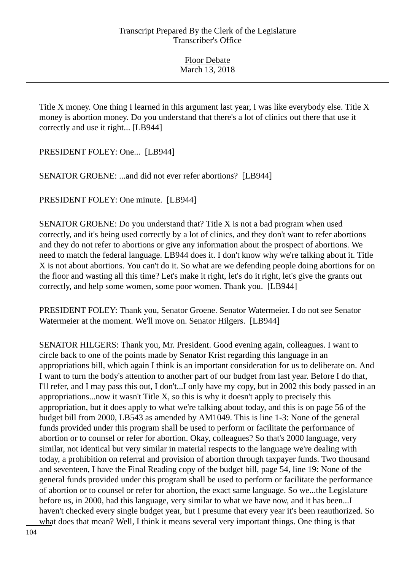Title X money. One thing I learned in this argument last year, I was like everybody else. Title X money is abortion money. Do you understand that there's a lot of clinics out there that use it correctly and use it right... [LB944]

PRESIDENT FOLEY: One... [LB944]

SENATOR GROENE: ...and did not ever refer abortions? [LB944]

PRESIDENT FOLEY: One minute. [LB944]

SENATOR GROENE: Do you understand that? Title X is not a bad program when used correctly, and it's being used correctly by a lot of clinics, and they don't want to refer abortions and they do not refer to abortions or give any information about the prospect of abortions. We need to match the federal language. LB944 does it. I don't know why we're talking about it. Title X is not about abortions. You can't do it. So what are we defending people doing abortions for on the floor and wasting all this time? Let's make it right, let's do it right, let's give the grants out correctly, and help some women, some poor women. Thank you. [LB944]

PRESIDENT FOLEY: Thank you, Senator Groene. Senator Watermeier. I do not see Senator Watermeier at the moment. We'll move on. Senator Hilgers. [LB944]

SENATOR HILGERS: Thank you, Mr. President. Good evening again, colleagues. I want to circle back to one of the points made by Senator Krist regarding this language in an appropriations bill, which again I think is an important consideration for us to deliberate on. And I want to turn the body's attention to another part of our budget from last year. Before I do that, I'll refer, and I may pass this out, I don't...I only have my copy, but in 2002 this body passed in an appropriations...now it wasn't Title X, so this is why it doesn't apply to precisely this appropriation, but it does apply to what we're talking about today, and this is on page 56 of the budget bill from 2000, LB543 as amended by AM1049. This is line 1-3: None of the general funds provided under this program shall be used to perform or facilitate the performance of abortion or to counsel or refer for abortion. Okay, colleagues? So that's 2000 language, very similar, not identical but very similar in material respects to the language we're dealing with today, a prohibition on referral and provision of abortion through taxpayer funds. Two thousand and seventeen, I have the Final Reading copy of the budget bill, page 54, line 19: None of the general funds provided under this program shall be used to perform or facilitate the performance of abortion or to counsel or refer for abortion, the exact same language. So we...the Legislature before us, in 2000, had this language, very similar to what we have now, and it has been...I haven't checked every single budget year, but I presume that every year it's been reauthorized. So what does that mean? Well, I think it means several very important things. One thing is that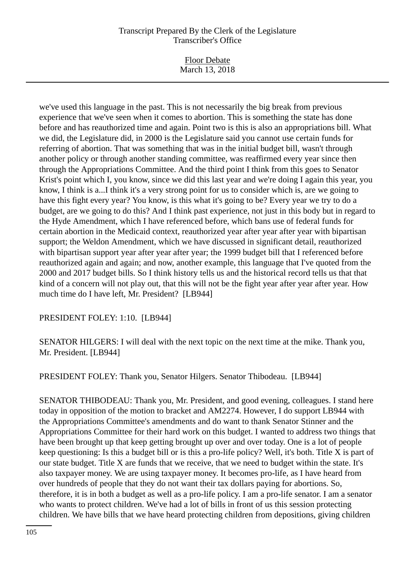Floor Debate March 13, 2018

we've used this language in the past. This is not necessarily the big break from previous experience that we've seen when it comes to abortion. This is something the state has done before and has reauthorized time and again. Point two is this is also an appropriations bill. What we did, the Legislature did, in 2000 is the Legislature said you cannot use certain funds for referring of abortion. That was something that was in the initial budget bill, wasn't through another policy or through another standing committee, was reaffirmed every year since then through the Appropriations Committee. And the third point I think from this goes to Senator Krist's point which I, you know, since we did this last year and we're doing I again this year, you know, I think is a...I think it's a very strong point for us to consider which is, are we going to have this fight every year? You know, is this what it's going to be? Every year we try to do a budget, are we going to do this? And I think past experience, not just in this body but in regard to the Hyde Amendment, which I have referenced before, which bans use of federal funds for certain abortion in the Medicaid context, reauthorized year after year after year with bipartisan support; the Weldon Amendment, which we have discussed in significant detail, reauthorized with bipartisan support year after year after year; the 1999 budget bill that I referenced before reauthorized again and again; and now, another example, this language that I've quoted from the 2000 and 2017 budget bills. So I think history tells us and the historical record tells us that that kind of a concern will not play out, that this will not be the fight year after year after year. How much time do I have left, Mr. President? [LB944]

PRESIDENT FOLEY: 1:10. [LB944]

SENATOR HILGERS: I will deal with the next topic on the next time at the mike. Thank you, Mr. President. [LB944]

PRESIDENT FOLEY: Thank you, Senator Hilgers. Senator Thibodeau. [LB944]

SENATOR THIBODEAU: Thank you, Mr. President, and good evening, colleagues. I stand here today in opposition of the motion to bracket and AM2274. However, I do support LB944 with the Appropriations Committee's amendments and do want to thank Senator Stinner and the Appropriations Committee for their hard work on this budget. I wanted to address two things that have been brought up that keep getting brought up over and over today. One is a lot of people keep questioning: Is this a budget bill or is this a pro-life policy? Well, it's both. Title X is part of our state budget. Title X are funds that we receive, that we need to budget within the state. It's also taxpayer money. We are using taxpayer money. It becomes pro-life, as I have heard from over hundreds of people that they do not want their tax dollars paying for abortions. So, therefore, it is in both a budget as well as a pro-life policy. I am a pro-life senator. I am a senator who wants to protect children. We've had a lot of bills in front of us this session protecting children. We have bills that we have heard protecting children from depositions, giving children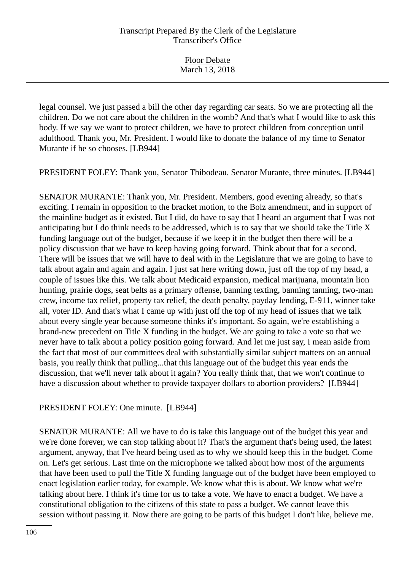Floor Debate March 13, 2018

legal counsel. We just passed a bill the other day regarding car seats. So we are protecting all the children. Do we not care about the children in the womb? And that's what I would like to ask this body. If we say we want to protect children, we have to protect children from conception until adulthood. Thank you, Mr. President. I would like to donate the balance of my time to Senator Murante if he so chooses. [LB944]

PRESIDENT FOLEY: Thank you, Senator Thibodeau. Senator Murante, three minutes. [LB944]

SENATOR MURANTE: Thank you, Mr. President. Members, good evening already, so that's exciting. I remain in opposition to the bracket motion, to the Bolz amendment, and in support of the mainline budget as it existed. But I did, do have to say that I heard an argument that I was not anticipating but I do think needs to be addressed, which is to say that we should take the Title X funding language out of the budget, because if we keep it in the budget then there will be a policy discussion that we have to keep having going forward. Think about that for a second. There will be issues that we will have to deal with in the Legislature that we are going to have to talk about again and again and again. I just sat here writing down, just off the top of my head, a couple of issues like this. We talk about Medicaid expansion, medical marijuana, mountain lion hunting, prairie dogs, seat belts as a primary offense, banning texting, banning tanning, two-man crew, income tax relief, property tax relief, the death penalty, payday lending, E-911, winner take all, voter ID. And that's what I came up with just off the top of my head of issues that we talk about every single year because someone thinks it's important. So again, we're establishing a brand-new precedent on Title X funding in the budget. We are going to take a vote so that we never have to talk about a policy position going forward. And let me just say, I mean aside from the fact that most of our committees deal with substantially similar subject matters on an annual basis, you really think that pulling...that this language out of the budget this year ends the discussion, that we'll never talk about it again? You really think that, that we won't continue to have a discussion about whether to provide taxpayer dollars to abortion providers? [LB944]

#### PRESIDENT FOLEY: One minute. [LB944]

SENATOR MURANTE: All we have to do is take this language out of the budget this year and we're done forever, we can stop talking about it? That's the argument that's being used, the latest argument, anyway, that I've heard being used as to why we should keep this in the budget. Come on. Let's get serious. Last time on the microphone we talked about how most of the arguments that have been used to pull the Title X funding language out of the budget have been employed to enact legislation earlier today, for example. We know what this is about. We know what we're talking about here. I think it's time for us to take a vote. We have to enact a budget. We have a constitutional obligation to the citizens of this state to pass a budget. We cannot leave this session without passing it. Now there are going to be parts of this budget I don't like, believe me.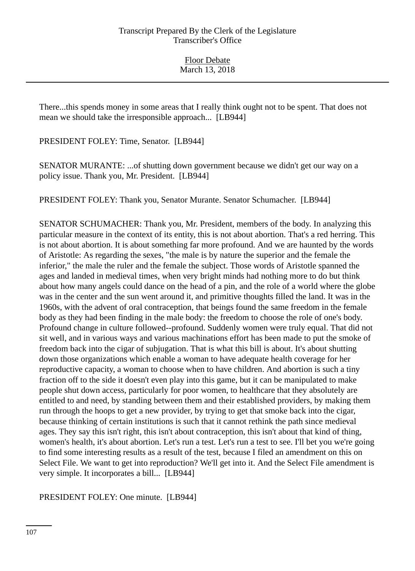There...this spends money in some areas that I really think ought not to be spent. That does not mean we should take the irresponsible approach... [LB944]

PRESIDENT FOLEY: Time, Senator. [LB944]

SENATOR MURANTE: ...of shutting down government because we didn't get our way on a policy issue. Thank you, Mr. President. [LB944]

PRESIDENT FOLEY: Thank you, Senator Murante. Senator Schumacher. [LB944]

SENATOR SCHUMACHER: Thank you, Mr. President, members of the body. In analyzing this particular measure in the context of its entity, this is not about abortion. That's a red herring. This is not about abortion. It is about something far more profound. And we are haunted by the words of Aristotle: As regarding the sexes, "the male is by nature the superior and the female the inferior," the male the ruler and the female the subject. Those words of Aristotle spanned the ages and landed in medieval times, when very bright minds had nothing more to do but think about how many angels could dance on the head of a pin, and the role of a world where the globe was in the center and the sun went around it, and primitive thoughts filled the land. It was in the 1960s, with the advent of oral contraception, that beings found the same freedom in the female body as they had been finding in the male body: the freedom to choose the role of one's body. Profound change in culture followed--profound. Suddenly women were truly equal. That did not sit well, and in various ways and various machinations effort has been made to put the smoke of freedom back into the cigar of subjugation. That is what this bill is about. It's about shutting down those organizations which enable a woman to have adequate health coverage for her reproductive capacity, a woman to choose when to have children. And abortion is such a tiny fraction off to the side it doesn't even play into this game, but it can be manipulated to make people shut down access, particularly for poor women, to healthcare that they absolutely are entitled to and need, by standing between them and their established providers, by making them run through the hoops to get a new provider, by trying to get that smoke back into the cigar, because thinking of certain institutions is such that it cannot rethink the path since medieval ages. They say this isn't right, this isn't about contraception, this isn't about that kind of thing, women's health, it's about abortion. Let's run a test. Let's run a test to see. I'll bet you we're going to find some interesting results as a result of the test, because I filed an amendment on this on Select File. We want to get into reproduction? We'll get into it. And the Select File amendment is very simple. It incorporates a bill... [LB944]

PRESIDENT FOLEY: One minute. [LB944]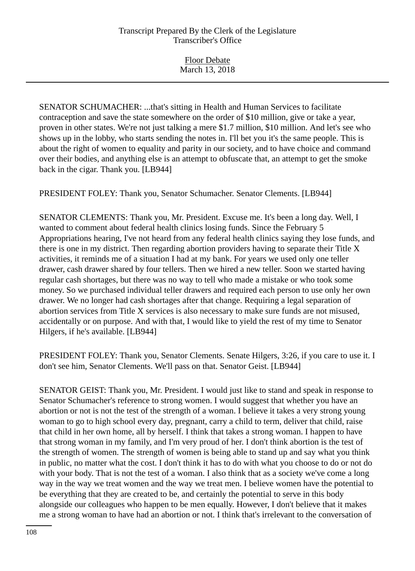Floor Debate March 13, 2018

SENATOR SCHUMACHER: ...that's sitting in Health and Human Services to facilitate contraception and save the state somewhere on the order of \$10 million, give or take a year, proven in other states. We're not just talking a mere \$1.7 million, \$10 million. And let's see who shows up in the lobby, who starts sending the notes in. I'll bet you it's the same people. This is about the right of women to equality and parity in our society, and to have choice and command over their bodies, and anything else is an attempt to obfuscate that, an attempt to get the smoke back in the cigar. Thank you. [LB944]

PRESIDENT FOLEY: Thank you, Senator Schumacher. Senator Clements. [LB944]

SENATOR CLEMENTS: Thank you, Mr. President. Excuse me. It's been a long day. Well, I wanted to comment about federal health clinics losing funds. Since the February 5 Appropriations hearing, I've not heard from any federal health clinics saying they lose funds, and there is one in my district. Then regarding abortion providers having to separate their Title X activities, it reminds me of a situation I had at my bank. For years we used only one teller drawer, cash drawer shared by four tellers. Then we hired a new teller. Soon we started having regular cash shortages, but there was no way to tell who made a mistake or who took some money. So we purchased individual teller drawers and required each person to use only her own drawer. We no longer had cash shortages after that change. Requiring a legal separation of abortion services from Title X services is also necessary to make sure funds are not misused, accidentally or on purpose. And with that, I would like to yield the rest of my time to Senator Hilgers, if he's available. [LB944]

PRESIDENT FOLEY: Thank you, Senator Clements. Senate Hilgers, 3:26, if you care to use it. I don't see him, Senator Clements. We'll pass on that. Senator Geist. [LB944]

SENATOR GEIST: Thank you, Mr. President. I would just like to stand and speak in response to Senator Schumacher's reference to strong women. I would suggest that whether you have an abortion or not is not the test of the strength of a woman. I believe it takes a very strong young woman to go to high school every day, pregnant, carry a child to term, deliver that child, raise that child in her own home, all by herself. I think that takes a strong woman. I happen to have that strong woman in my family, and I'm very proud of her. I don't think abortion is the test of the strength of women. The strength of women is being able to stand up and say what you think in public, no matter what the cost. I don't think it has to do with what you choose to do or not do with your body. That is not the test of a woman. I also think that as a society we've come a long way in the way we treat women and the way we treat men. I believe women have the potential to be everything that they are created to be, and certainly the potential to serve in this body alongside our colleagues who happen to be men equally. However, I don't believe that it makes me a strong woman to have had an abortion or not. I think that's irrelevant to the conversation of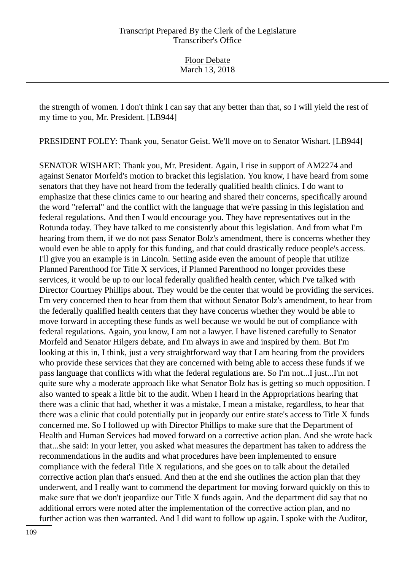the strength of women. I don't think I can say that any better than that, so I will yield the rest of my time to you, Mr. President. [LB944]

PRESIDENT FOLEY: Thank you, Senator Geist. We'll move on to Senator Wishart. [LB944]

SENATOR WISHART: Thank you, Mr. President. Again, I rise in support of AM2274 and against Senator Morfeld's motion to bracket this legislation. You know, I have heard from some senators that they have not heard from the federally qualified health clinics. I do want to emphasize that these clinics came to our hearing and shared their concerns, specifically around the word "referral" and the conflict with the language that we're passing in this legislation and federal regulations. And then I would encourage you. They have representatives out in the Rotunda today. They have talked to me consistently about this legislation. And from what I'm hearing from them, if we do not pass Senator Bolz's amendment, there is concerns whether they would even be able to apply for this funding, and that could drastically reduce people's access. I'll give you an example is in Lincoln. Setting aside even the amount of people that utilize Planned Parenthood for Title X services, if Planned Parenthood no longer provides these services, it would be up to our local federally qualified health center, which I've talked with Director Courtney Phillips about. They would be the center that would be providing the services. I'm very concerned then to hear from them that without Senator Bolz's amendment, to hear from the federally qualified health centers that they have concerns whether they would be able to move forward in accepting these funds as well because we would be out of compliance with federal regulations. Again, you know, I am not a lawyer. I have listened carefully to Senator Morfeld and Senator Hilgers debate, and I'm always in awe and inspired by them. But I'm looking at this in, I think, just a very straightforward way that I am hearing from the providers who provide these services that they are concerned with being able to access these funds if we pass language that conflicts with what the federal regulations are. So I'm not...I just...I'm not quite sure why a moderate approach like what Senator Bolz has is getting so much opposition. I also wanted to speak a little bit to the audit. When I heard in the Appropriations hearing that there was a clinic that had, whether it was a mistake, I mean a mistake, regardless, to hear that there was a clinic that could potentially put in jeopardy our entire state's access to Title X funds concerned me. So I followed up with Director Phillips to make sure that the Department of Health and Human Services had moved forward on a corrective action plan. And she wrote back that...she said: In your letter, you asked what measures the department has taken to address the recommendations in the audits and what procedures have been implemented to ensure compliance with the federal Title X regulations, and she goes on to talk about the detailed corrective action plan that's ensued. And then at the end she outlines the action plan that they underwent, and I really want to commend the department for moving forward quickly on this to make sure that we don't jeopardize our Title X funds again. And the department did say that no additional errors were noted after the implementation of the corrective action plan, and no further action was then warranted. And I did want to follow up again. I spoke with the Auditor,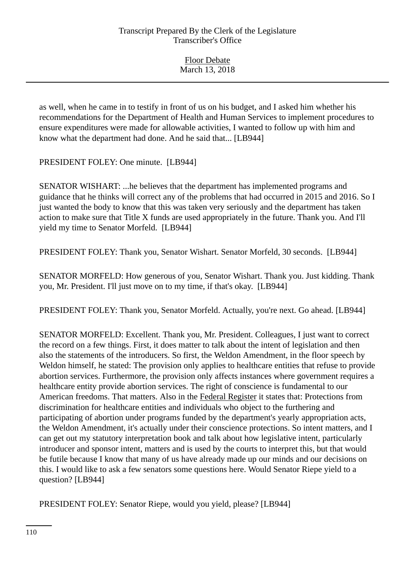| <b>Floor Debate</b> |
|---------------------|
| March 13, 2018      |

as well, when he came in to testify in front of us on his budget, and I asked him whether his recommendations for the Department of Health and Human Services to implement procedures to ensure expenditures were made for allowable activities, I wanted to follow up with him and know what the department had done. And he said that... [LB944]

PRESIDENT FOLEY: One minute. [LB944]

SENATOR WISHART: ...he believes that the department has implemented programs and guidance that he thinks will correct any of the problems that had occurred in 2015 and 2016. So I just wanted the body to know that this was taken very seriously and the department has taken action to make sure that Title X funds are used appropriately in the future. Thank you. And I'll yield my time to Senator Morfeld. [LB944]

PRESIDENT FOLEY: Thank you, Senator Wishart. Senator Morfeld, 30 seconds. [LB944]

SENATOR MORFELD: How generous of you, Senator Wishart. Thank you. Just kidding. Thank you, Mr. President. I'll just move on to my time, if that's okay. [LB944]

PRESIDENT FOLEY: Thank you, Senator Morfeld. Actually, you're next. Go ahead. [LB944]

SENATOR MORFELD: Excellent. Thank you, Mr. President. Colleagues, I just want to correct the record on a few things. First, it does matter to talk about the intent of legislation and then also the statements of the introducers. So first, the Weldon Amendment, in the floor speech by Weldon himself, he stated: The provision only applies to healthcare entities that refuse to provide abortion services. Furthermore, the provision only affects instances where government requires a healthcare entity provide abortion services. The right of conscience is fundamental to our American freedoms. That matters. Also in the Federal Register it states that: Protections from discrimination for healthcare entities and individuals who object to the furthering and participating of abortion under programs funded by the department's yearly appropriation acts, the Weldon Amendment, it's actually under their conscience protections. So intent matters, and I can get out my statutory interpretation book and talk about how legislative intent, particularly introducer and sponsor intent, matters and is used by the courts to interpret this, but that would be futile because I know that many of us have already made up our minds and our decisions on this. I would like to ask a few senators some questions here. Would Senator Riepe yield to a question? [LB944]

PRESIDENT FOLEY: Senator Riepe, would you yield, please? [LB944]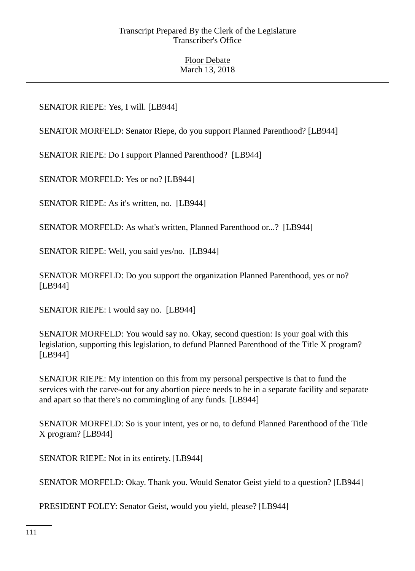# SENATOR RIEPE: Yes, I will. [LB944]

SENATOR MORFELD: Senator Riepe, do you support Planned Parenthood? [LB944]

SENATOR RIEPE: Do I support Planned Parenthood? [LB944]

SENATOR MORFELD: Yes or no? [LB944]

SENATOR RIEPE: As it's written, no. [LB944]

SENATOR MORFELD: As what's written, Planned Parenthood or...? [LB944]

SENATOR RIEPE: Well, you said yes/no. [LB944]

SENATOR MORFELD: Do you support the organization Planned Parenthood, yes or no? [LB944]

SENATOR RIEPE: I would say no. [LB944]

SENATOR MORFELD: You would say no. Okay, second question: Is your goal with this legislation, supporting this legislation, to defund Planned Parenthood of the Title X program? [LB944]

SENATOR RIEPE: My intention on this from my personal perspective is that to fund the services with the carve-out for any abortion piece needs to be in a separate facility and separate and apart so that there's no commingling of any funds. [LB944]

SENATOR MORFELD: So is your intent, yes or no, to defund Planned Parenthood of the Title X program? [LB944]

SENATOR RIEPE: Not in its entirety. [LB944]

SENATOR MORFELD: Okay. Thank you. Would Senator Geist yield to a question? [LB944]

PRESIDENT FOLEY: Senator Geist, would you yield, please? [LB944]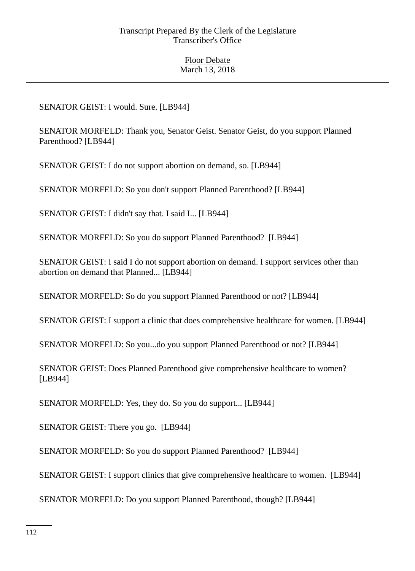# SENATOR GEIST: I would. Sure. [LB944]

SENATOR MORFELD: Thank you, Senator Geist. Senator Geist, do you support Planned Parenthood? [LB944]

SENATOR GEIST: I do not support abortion on demand, so. [LB944]

SENATOR MORFELD: So you don't support Planned Parenthood? [LB944]

SENATOR GEIST: I didn't say that. I said I... [LB944]

SENATOR MORFELD: So you do support Planned Parenthood? [LB944]

SENATOR GEIST: I said I do not support abortion on demand. I support services other than abortion on demand that Planned... [LB944]

SENATOR MORFELD: So do you support Planned Parenthood or not? [LB944]

SENATOR GEIST: I support a clinic that does comprehensive healthcare for women. [LB944]

SENATOR MORFELD: So you...do you support Planned Parenthood or not? [LB944]

SENATOR GEIST: Does Planned Parenthood give comprehensive healthcare to women? [LB944]

SENATOR MORFELD: Yes, they do. So you do support... [LB944]

SENATOR GEIST: There you go. [LB944]

SENATOR MORFELD: So you do support Planned Parenthood? [LB944]

SENATOR GEIST: I support clinics that give comprehensive healthcare to women. [LB944]

SENATOR MORFELD: Do you support Planned Parenthood, though? [LB944]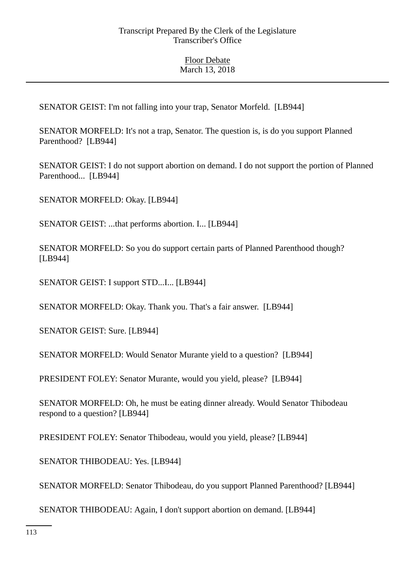SENATOR GEIST: I'm not falling into your trap, Senator Morfeld. [LB944]

SENATOR MORFELD: It's not a trap, Senator. The question is, is do you support Planned Parenthood? [LB944]

SENATOR GEIST: I do not support abortion on demand. I do not support the portion of Planned Parenthood... [LB944]

SENATOR MORFELD: Okay. [LB944]

SENATOR GEIST: ...that performs abortion. I... [LB944]

SENATOR MORFELD: So you do support certain parts of Planned Parenthood though? [LB944]

SENATOR GEIST: I support STD...I... [LB944]

SENATOR MORFELD: Okay. Thank you. That's a fair answer. [LB944]

SENATOR GEIST: Sure. [LB944]

SENATOR MORFELD: Would Senator Murante yield to a question? [LB944]

PRESIDENT FOLEY: Senator Murante, would you yield, please? [LB944]

SENATOR MORFELD: Oh, he must be eating dinner already. Would Senator Thibodeau respond to a question? [LB944]

PRESIDENT FOLEY: Senator Thibodeau, would you yield, please? [LB944]

SENATOR THIBODEAU: Yes. [LB944]

SENATOR MORFELD: Senator Thibodeau, do you support Planned Parenthood? [LB944]

SENATOR THIBODEAU: Again, I don't support abortion on demand. [LB944]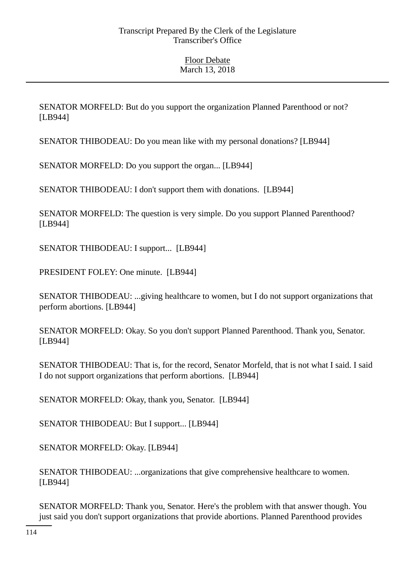SENATOR MORFELD: But do you support the organization Planned Parenthood or not? [LB944]

SENATOR THIBODEAU: Do you mean like with my personal donations? [LB944]

SENATOR MORFELD: Do you support the organ... [LB944]

SENATOR THIBODEAU: I don't support them with donations. [LB944]

SENATOR MORFELD: The question is very simple. Do you support Planned Parenthood? [LB944]

SENATOR THIBODEAU: I support... [LB944]

PRESIDENT FOLEY: One minute. [LB944]

SENATOR THIBODEAU: ...giving healthcare to women, but I do not support organizations that perform abortions. [LB944]

SENATOR MORFELD: Okay. So you don't support Planned Parenthood. Thank you, Senator. [LB944]

SENATOR THIBODEAU: That is, for the record, Senator Morfeld, that is not what I said. I said I do not support organizations that perform abortions. [LB944]

SENATOR MORFELD: Okay, thank you, Senator. [LB944]

SENATOR THIBODEAU: But I support... [LB944]

SENATOR MORFELD: Okay. [LB944]

SENATOR THIBODEAU: ...organizations that give comprehensive healthcare to women. [LB944]

SENATOR MORFELD: Thank you, Senator. Here's the problem with that answer though. You just said you don't support organizations that provide abortions. Planned Parenthood provides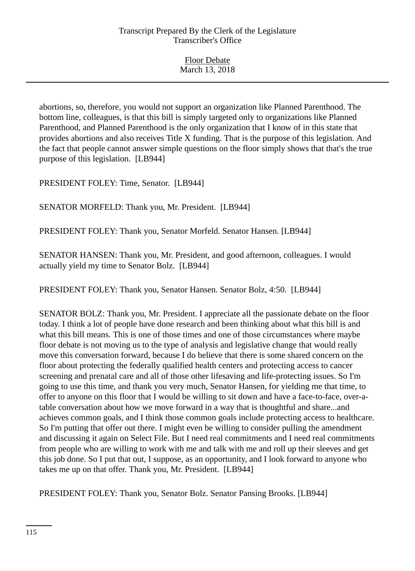Floor Debate March 13, 2018

abortions, so, therefore, you would not support an organization like Planned Parenthood. The bottom line, colleagues, is that this bill is simply targeted only to organizations like Planned Parenthood, and Planned Parenthood is the only organization that I know of in this state that provides abortions and also receives Title X funding. That is the purpose of this legislation. And the fact that people cannot answer simple questions on the floor simply shows that that's the true purpose of this legislation. [LB944]

PRESIDENT FOLEY: Time, Senator. [LB944]

SENATOR MORFELD: Thank you, Mr. President. [LB944]

PRESIDENT FOLEY: Thank you, Senator Morfeld. Senator Hansen. [LB944]

SENATOR HANSEN: Thank you, Mr. President, and good afternoon, colleagues. I would actually yield my time to Senator Bolz. [LB944]

PRESIDENT FOLEY: Thank you, Senator Hansen. Senator Bolz, 4:50. [LB944]

SENATOR BOLZ: Thank you, Mr. President. I appreciate all the passionate debate on the floor today. I think a lot of people have done research and been thinking about what this bill is and what this bill means. This is one of those times and one of those circumstances where maybe floor debate is not moving us to the type of analysis and legislative change that would really move this conversation forward, because I do believe that there is some shared concern on the floor about protecting the federally qualified health centers and protecting access to cancer screening and prenatal care and all of those other lifesaving and life-protecting issues. So I'm going to use this time, and thank you very much, Senator Hansen, for yielding me that time, to offer to anyone on this floor that I would be willing to sit down and have a face-to-face, over-atable conversation about how we move forward in a way that is thoughtful and share...and achieves common goals, and I think those common goals include protecting access to healthcare. So I'm putting that offer out there. I might even be willing to consider pulling the amendment and discussing it again on Select File. But I need real commitments and I need real commitments from people who are willing to work with me and talk with me and roll up their sleeves and get this job done. So I put that out, I suppose, as an opportunity, and I look forward to anyone who takes me up on that offer. Thank you, Mr. President. [LB944]

PRESIDENT FOLEY: Thank you, Senator Bolz. Senator Pansing Brooks. [LB944]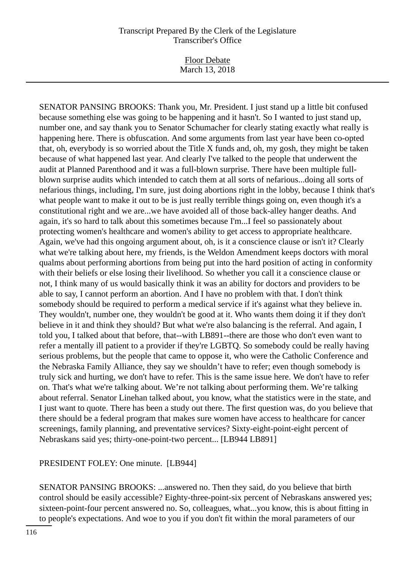Floor Debate March 13, 2018

SENATOR PANSING BROOKS: Thank you, Mr. President. I just stand up a little bit confused because something else was going to be happening and it hasn't. So I wanted to just stand up, number one, and say thank you to Senator Schumacher for clearly stating exactly what really is happening here. There is obfuscation. And some arguments from last year have been co-opted that, oh, everybody is so worried about the Title X funds and, oh, my gosh, they might be taken because of what happened last year. And clearly I've talked to the people that underwent the audit at Planned Parenthood and it was a full-blown surprise. There have been multiple fullblown surprise audits which intended to catch them at all sorts of nefarious...doing all sorts of nefarious things, including, I'm sure, just doing abortions right in the lobby, because I think that's what people want to make it out to be is just really terrible things going on, even though it's a constitutional right and we are...we have avoided all of those back-alley hanger deaths. And again, it's so hard to talk about this sometimes because I'm...I feel so passionately about protecting women's healthcare and women's ability to get access to appropriate healthcare. Again, we've had this ongoing argument about, oh, is it a conscience clause or isn't it? Clearly what we're talking about here, my friends, is the Weldon Amendment keeps doctors with moral qualms about performing abortions from being put into the hard position of acting in conformity with their beliefs or else losing their livelihood. So whether you call it a conscience clause or not, I think many of us would basically think it was an ability for doctors and providers to be able to say, I cannot perform an abortion. And I have no problem with that. I don't think somebody should be required to perform a medical service if it's against what they believe in. They wouldn't, number one, they wouldn't be good at it. Who wants them doing it if they don't believe in it and think they should? But what we're also balancing is the referral. And again, I told you, I talked about that before, that--with LB891--there are those who don't even want to refer a mentally ill patient to a provider if they're LGBTQ. So somebody could be really having serious problems, but the people that came to oppose it, who were the Catholic Conference and the Nebraska Family Alliance, they say we shouldn't have to refer; even though somebody is truly sick and hurting, we don't have to refer. This is the same issue here. We don't have to refer on. That's what we're talking about. We're not talking about performing them. We're talking about referral. Senator Linehan talked about, you know, what the statistics were in the state, and I just want to quote. There has been a study out there. The first question was, do you believe that there should be a federal program that makes sure women have access to healthcare for cancer screenings, family planning, and preventative services? Sixty-eight-point-eight percent of Nebraskans said yes; thirty-one-point-two percent... [LB944 LB891]

## PRESIDENT FOLEY: One minute. [LB944]

SENATOR PANSING BROOKS: ...answered no. Then they said, do you believe that birth control should be easily accessible? Eighty-three-point-six percent of Nebraskans answered yes; sixteen-point-four percent answered no. So, colleagues, what...you know, this is about fitting in to people's expectations. And woe to you if you don't fit within the moral parameters of our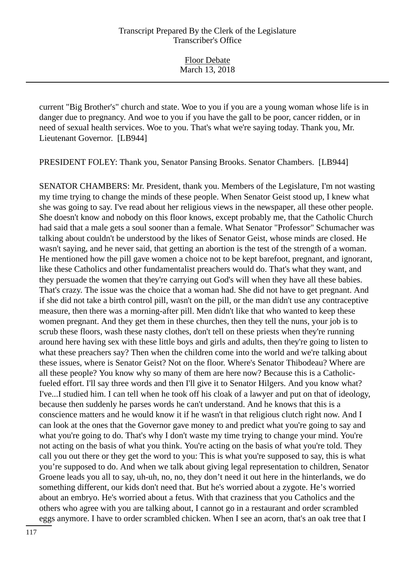current "Big Brother's" church and state. Woe to you if you are a young woman whose life is in danger due to pregnancy. And woe to you if you have the gall to be poor, cancer ridden, or in need of sexual health services. Woe to you. That's what we're saying today. Thank you, Mr. Lieutenant Governor. [LB944]

PRESIDENT FOLEY: Thank you, Senator Pansing Brooks. Senator Chambers. [LB944]

SENATOR CHAMBERS: Mr. President, thank you. Members of the Legislature, I'm not wasting my time trying to change the minds of these people. When Senator Geist stood up, I knew what she was going to say. I've read about her religious views in the newspaper, all these other people. She doesn't know and nobody on this floor knows, except probably me, that the Catholic Church had said that a male gets a soul sooner than a female. What Senator "Professor" Schumacher was talking about couldn't be understood by the likes of Senator Geist, whose minds are closed. He wasn't saying, and he never said, that getting an abortion is the test of the strength of a woman. He mentioned how the pill gave women a choice not to be kept barefoot, pregnant, and ignorant, like these Catholics and other fundamentalist preachers would do. That's what they want, and they persuade the women that they're carrying out God's will when they have all these babies. That's crazy. The issue was the choice that a woman had. She did not have to get pregnant. And if she did not take a birth control pill, wasn't on the pill, or the man didn't use any contraceptive measure, then there was a morning-after pill. Men didn't like that who wanted to keep these women pregnant. And they get them in these churches, then they tell the nuns, your job is to scrub these floors, wash these nasty clothes, don't tell on these priests when they're running around here having sex with these little boys and girls and adults, then they're going to listen to what these preachers say? Then when the children come into the world and we're talking about these issues, where is Senator Geist? Not on the floor. Where's Senator Thibodeau? Where are all these people? You know why so many of them are here now? Because this is a Catholicfueled effort. I'll say three words and then I'll give it to Senator Hilgers. And you know what? I've...I studied him. I can tell when he took off his cloak of a lawyer and put on that of ideology, because then suddenly he parses words he can't understand. And he knows that this is a conscience matters and he would know it if he wasn't in that religious clutch right now. And I can look at the ones that the Governor gave money to and predict what you're going to say and what you're going to do. That's why I don't waste my time trying to change your mind. You're not acting on the basis of what you think. You're acting on the basis of what you're told. They call you out there or they get the word to you: This is what you're supposed to say, this is what you're supposed to do. And when we talk about giving legal representation to children, Senator Groene leads you all to say, uh-uh, no, no, they don't need it out here in the hinterlands, we do something different, our kids don't need that. But he's worried about a zygote. He's worried about an embryo. He's worried about a fetus. With that craziness that you Catholics and the others who agree with you are talking about, I cannot go in a restaurant and order scrambled eggs anymore. I have to order scrambled chicken. When I see an acorn, that's an oak tree that I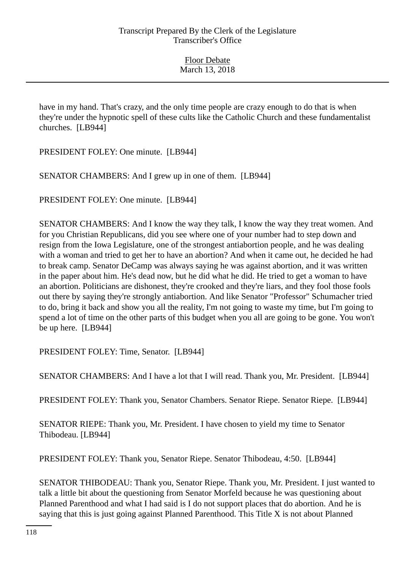have in my hand. That's crazy, and the only time people are crazy enough to do that is when they're under the hypnotic spell of these cults like the Catholic Church and these fundamentalist churches. [LB944]

PRESIDENT FOLEY: One minute. [LB944]

SENATOR CHAMBERS: And I grew up in one of them. [LB944]

PRESIDENT FOLEY: One minute. [LB944]

SENATOR CHAMBERS: And I know the way they talk, I know the way they treat women. And for you Christian Republicans, did you see where one of your number had to step down and resign from the Iowa Legislature, one of the strongest antiabortion people, and he was dealing with a woman and tried to get her to have an abortion? And when it came out, he decided he had to break camp. Senator DeCamp was always saying he was against abortion, and it was written in the paper about him. He's dead now, but he did what he did. He tried to get a woman to have an abortion. Politicians are dishonest, they're crooked and they're liars, and they fool those fools out there by saying they're strongly antiabortion. And like Senator "Professor" Schumacher tried to do, bring it back and show you all the reality, I'm not going to waste my time, but I'm going to spend a lot of time on the other parts of this budget when you all are going to be gone. You won't be up here. [LB944]

PRESIDENT FOLEY: Time, Senator. [LB944]

SENATOR CHAMBERS: And I have a lot that I will read. Thank you, Mr. President. [LB944]

PRESIDENT FOLEY: Thank you, Senator Chambers. Senator Riepe. Senator Riepe. [LB944]

SENATOR RIEPE: Thank you, Mr. President. I have chosen to yield my time to Senator Thibodeau. [LB944]

PRESIDENT FOLEY: Thank you, Senator Riepe. Senator Thibodeau, 4:50. [LB944]

SENATOR THIBODEAU: Thank you, Senator Riepe. Thank you, Mr. President. I just wanted to talk a little bit about the questioning from Senator Morfeld because he was questioning about Planned Parenthood and what I had said is I do not support places that do abortion. And he is saying that this is just going against Planned Parenthood. This Title X is not about Planned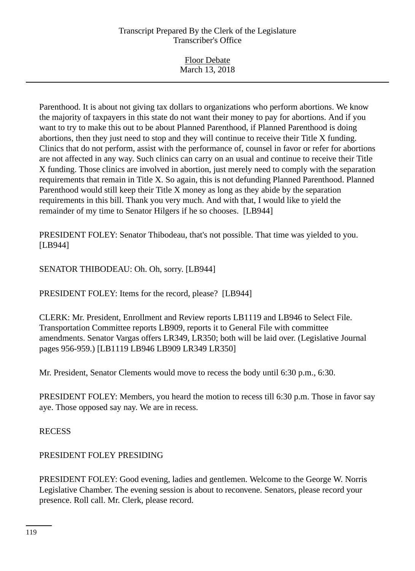| <b>Floor Debate</b> |  |
|---------------------|--|
| March 13, 2018      |  |
|                     |  |

Parenthood. It is about not giving tax dollars to organizations who perform abortions. We know the majority of taxpayers in this state do not want their money to pay for abortions. And if you want to try to make this out to be about Planned Parenthood, if Planned Parenthood is doing abortions, then they just need to stop and they will continue to receive their Title X funding. Clinics that do not perform, assist with the performance of, counsel in favor or refer for abortions are not affected in any way. Such clinics can carry on an usual and continue to receive their Title X funding. Those clinics are involved in abortion, just merely need to comply with the separation requirements that remain in Title X. So again, this is not defunding Planned Parenthood. Planned Parenthood would still keep their Title X money as long as they abide by the separation requirements in this bill. Thank you very much. And with that, I would like to yield the remainder of my time to Senator Hilgers if he so chooses. [LB944]

PRESIDENT FOLEY: Senator Thibodeau, that's not possible. That time was yielded to you. [LB944]

SENATOR THIBODEAU: Oh. Oh, sorry. [LB944]

PRESIDENT FOLEY: Items for the record, please? [LB944]

CLERK: Mr. President, Enrollment and Review reports LB1119 and LB946 to Select File. Transportation Committee reports LB909, reports it to General File with committee amendments. Senator Vargas offers LR349, LR350; both will be laid over. (Legislative Journal pages 956-959.) [LB1119 LB946 LB909 LR349 LR350]

Mr. President, Senator Clements would move to recess the body until 6:30 p.m., 6:30.

PRESIDENT FOLEY: Members, you heard the motion to recess till 6:30 p.m. Those in favor say aye. Those opposed say nay. We are in recess.

RECESS

## PRESIDENT FOLEY PRESIDING

PRESIDENT FOLEY: Good evening, ladies and gentlemen. Welcome to the George W. Norris Legislative Chamber. The evening session is about to reconvene. Senators, please record your presence. Roll call. Mr. Clerk, please record.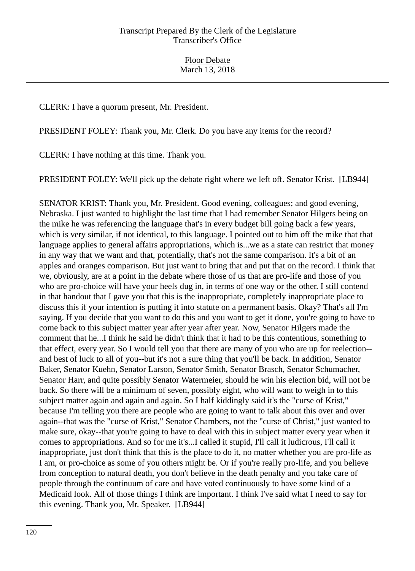CLERK: I have a quorum present, Mr. President.

PRESIDENT FOLEY: Thank you, Mr. Clerk. Do you have any items for the record?

CLERK: I have nothing at this time. Thank you.

PRESIDENT FOLEY: We'll pick up the debate right where we left off. Senator Krist. [LB944]

SENATOR KRIST: Thank you, Mr. President. Good evening, colleagues; and good evening, Nebraska. I just wanted to highlight the last time that I had remember Senator Hilgers being on the mike he was referencing the language that's in every budget bill going back a few years, which is very similar, if not identical, to this language. I pointed out to him off the mike that that language applies to general affairs appropriations, which is...we as a state can restrict that money in any way that we want and that, potentially, that's not the same comparison. It's a bit of an apples and oranges comparison. But just want to bring that and put that on the record. I think that we, obviously, are at a point in the debate where those of us that are pro-life and those of you who are pro-choice will have your heels dug in, in terms of one way or the other. I still contend in that handout that I gave you that this is the inappropriate, completely inappropriate place to discuss this if your intention is putting it into statute on a permanent basis. Okay? That's all I'm saying. If you decide that you want to do this and you want to get it done, you're going to have to come back to this subject matter year after year after year. Now, Senator Hilgers made the comment that he...I think he said he didn't think that it had to be this contentious, something to that effect, every year. So I would tell you that there are many of you who are up for reelection- and best of luck to all of you--but it's not a sure thing that you'll be back. In addition, Senator Baker, Senator Kuehn, Senator Larson, Senator Smith, Senator Brasch, Senator Schumacher, Senator Harr, and quite possibly Senator Watermeier, should he win his election bid, will not be back. So there will be a minimum of seven, possibly eight, who will want to weigh in to this subject matter again and again and again. So I half kiddingly said it's the "curse of Krist," because I'm telling you there are people who are going to want to talk about this over and over again--that was the "curse of Krist," Senator Chambers, not the "curse of Christ," just wanted to make sure, okay--that you're going to have to deal with this in subject matter every year when it comes to appropriations. And so for me it's...I called it stupid, I'll call it ludicrous, I'll call it inappropriate, just don't think that this is the place to do it, no matter whether you are pro-life as I am, or pro-choice as some of you others might be. Or if you're really pro-life, and you believe from conception to natural death, you don't believe in the death penalty and you take care of people through the continuum of care and have voted continuously to have some kind of a Medicaid look. All of those things I think are important. I think I've said what I need to say for this evening. Thank you, Mr. Speaker. [LB944]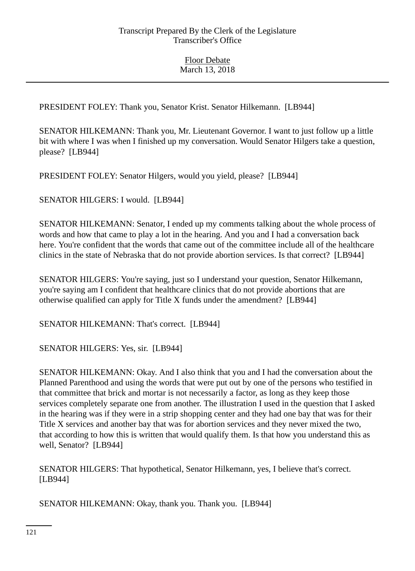PRESIDENT FOLEY: Thank you, Senator Krist. Senator Hilkemann. [LB944]

SENATOR HILKEMANN: Thank you, Mr. Lieutenant Governor. I want to just follow up a little bit with where I was when I finished up my conversation. Would Senator Hilgers take a question, please? [LB944]

PRESIDENT FOLEY: Senator Hilgers, would you yield, please? [LB944]

SENATOR HILGERS: I would. [LB944]

SENATOR HILKEMANN: Senator, I ended up my comments talking about the whole process of words and how that came to play a lot in the hearing. And you and I had a conversation back here. You're confident that the words that came out of the committee include all of the healthcare clinics in the state of Nebraska that do not provide abortion services. Is that correct? [LB944]

SENATOR HILGERS: You're saying, just so I understand your question, Senator Hilkemann, you're saying am I confident that healthcare clinics that do not provide abortions that are otherwise qualified can apply for Title X funds under the amendment? [LB944]

SENATOR HILKEMANN: That's correct. [LB944]

SENATOR HILGERS: Yes, sir. [LB944]

SENATOR HILKEMANN: Okay. And I also think that you and I had the conversation about the Planned Parenthood and using the words that were put out by one of the persons who testified in that committee that brick and mortar is not necessarily a factor, as long as they keep those services completely separate one from another. The illustration I used in the question that I asked in the hearing was if they were in a strip shopping center and they had one bay that was for their Title X services and another bay that was for abortion services and they never mixed the two, that according to how this is written that would qualify them. Is that how you understand this as well, Senator? [LB944]

SENATOR HILGERS: That hypothetical, Senator Hilkemann, yes, I believe that's correct. [LB944]

SENATOR HILKEMANN: Okay, thank you. Thank you. [LB944]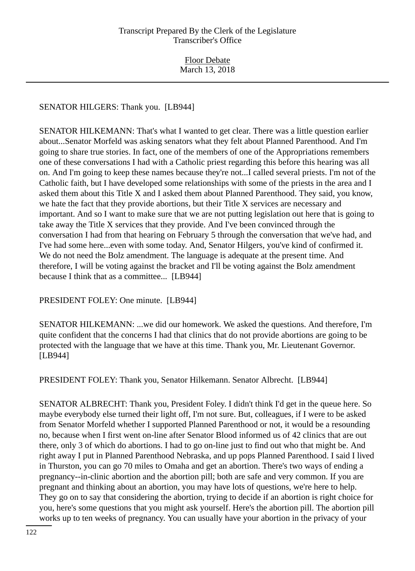SENATOR HILGERS: Thank you. [LB944]

SENATOR HILKEMANN: That's what I wanted to get clear. There was a little question earlier about...Senator Morfeld was asking senators what they felt about Planned Parenthood. And I'm going to share true stories. In fact, one of the members of one of the Appropriations remembers one of these conversations I had with a Catholic priest regarding this before this hearing was all on. And I'm going to keep these names because they're not...I called several priests. I'm not of the Catholic faith, but I have developed some relationships with some of the priests in the area and I asked them about this Title X and I asked them about Planned Parenthood. They said, you know, we hate the fact that they provide abortions, but their Title X services are necessary and important. And so I want to make sure that we are not putting legislation out here that is going to take away the Title X services that they provide. And I've been convinced through the conversation I had from that hearing on February 5 through the conversation that we've had, and I've had some here...even with some today. And, Senator Hilgers, you've kind of confirmed it. We do not need the Bolz amendment. The language is adequate at the present time. And therefore, I will be voting against the bracket and I'll be voting against the Bolz amendment because I think that as a committee... [LB944]

PRESIDENT FOLEY: One minute. [LB944]

SENATOR HILKEMANN: ...we did our homework. We asked the questions. And therefore, I'm quite confident that the concerns I had that clinics that do not provide abortions are going to be protected with the language that we have at this time. Thank you, Mr. Lieutenant Governor. [LB944]

PRESIDENT FOLEY: Thank you, Senator Hilkemann. Senator Albrecht. [LB944]

SENATOR ALBRECHT: Thank you, President Foley. I didn't think I'd get in the queue here. So maybe everybody else turned their light off, I'm not sure. But, colleagues, if I were to be asked from Senator Morfeld whether I supported Planned Parenthood or not, it would be a resounding no, because when I first went on-line after Senator Blood informed us of 42 clinics that are out there, only 3 of which do abortions. I had to go on-line just to find out who that might be. And right away I put in Planned Parenthood Nebraska, and up pops Planned Parenthood. I said I lived in Thurston, you can go 70 miles to Omaha and get an abortion. There's two ways of ending a pregnancy--in-clinic abortion and the abortion pill; both are safe and very common. If you are pregnant and thinking about an abortion, you may have lots of questions, we're here to help. They go on to say that considering the abortion, trying to decide if an abortion is right choice for you, here's some questions that you might ask yourself. Here's the abortion pill. The abortion pill works up to ten weeks of pregnancy. You can usually have your abortion in the privacy of your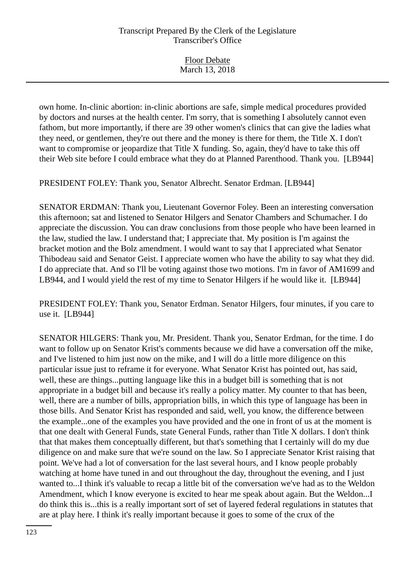| <b>Floor Debate</b> |  |
|---------------------|--|
| March 13, 2018      |  |
|                     |  |

own home. In-clinic abortion: in-clinic abortions are safe, simple medical procedures provided by doctors and nurses at the health center. I'm sorry, that is something I absolutely cannot even fathom, but more importantly, if there are 39 other women's clinics that can give the ladies what they need, or gentlemen, they're out there and the money is there for them, the Title X. I don't want to compromise or jeopardize that Title X funding. So, again, they'd have to take this off their Web site before I could embrace what they do at Planned Parenthood. Thank you. [LB944]

PRESIDENT FOLEY: Thank you, Senator Albrecht. Senator Erdman. [LB944]

SENATOR ERDMAN: Thank you, Lieutenant Governor Foley. Been an interesting conversation this afternoon; sat and listened to Senator Hilgers and Senator Chambers and Schumacher. I do appreciate the discussion. You can draw conclusions from those people who have been learned in the law, studied the law. I understand that; I appreciate that. My position is I'm against the bracket motion and the Bolz amendment. I would want to say that I appreciated what Senator Thibodeau said and Senator Geist. I appreciate women who have the ability to say what they did. I do appreciate that. And so I'll be voting against those two motions. I'm in favor of AM1699 and LB944, and I would yield the rest of my time to Senator Hilgers if he would like it. [LB944]

PRESIDENT FOLEY: Thank you, Senator Erdman. Senator Hilgers, four minutes, if you care to use it. [LB944]

SENATOR HILGERS: Thank you, Mr. President. Thank you, Senator Erdman, for the time. I do want to follow up on Senator Krist's comments because we did have a conversation off the mike, and I've listened to him just now on the mike, and I will do a little more diligence on this particular issue just to reframe it for everyone. What Senator Krist has pointed out, has said, well, these are things...putting language like this in a budget bill is something that is not appropriate in a budget bill and because it's really a policy matter. My counter to that has been, well, there are a number of bills, appropriation bills, in which this type of language has been in those bills. And Senator Krist has responded and said, well, you know, the difference between the example...one of the examples you have provided and the one in front of us at the moment is that one dealt with General Funds, state General Funds, rather than Title X dollars. I don't think that that makes them conceptually different, but that's something that I certainly will do my due diligence on and make sure that we're sound on the law. So I appreciate Senator Krist raising that point. We've had a lot of conversation for the last several hours, and I know people probably watching at home have tuned in and out throughout the day, throughout the evening, and I just wanted to...I think it's valuable to recap a little bit of the conversation we've had as to the Weldon Amendment, which I know everyone is excited to hear me speak about again. But the Weldon...I do think this is...this is a really important sort of set of layered federal regulations in statutes that are at play here. I think it's really important because it goes to some of the crux of the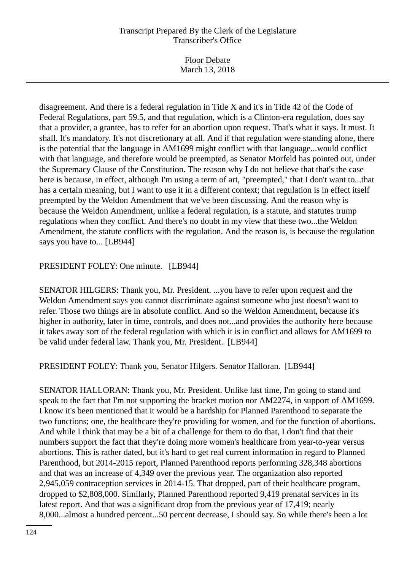| <b>Floor Debate</b> |
|---------------------|
|                     |
| March 13, 2018      |
|                     |

disagreement. And there is a federal regulation in Title X and it's in Title 42 of the Code of Federal Regulations, part 59.5, and that regulation, which is a Clinton-era regulation, does say that a provider, a grantee, has to refer for an abortion upon request. That's what it says. It must. It shall. It's mandatory. It's not discretionary at all. And if that regulation were standing alone, there is the potential that the language in AM1699 might conflict with that language...would conflict with that language, and therefore would be preempted, as Senator Morfeld has pointed out, under the Supremacy Clause of the Constitution. The reason why I do not believe that that's the case here is because, in effect, although I'm using a term of art, "preempted," that I don't want to...that has a certain meaning, but I want to use it in a different context; that regulation is in effect itself preempted by the Weldon Amendment that we've been discussing. And the reason why is because the Weldon Amendment, unlike a federal regulation, is a statute, and statutes trump regulations when they conflict. And there's no doubt in my view that these two...the Weldon Amendment, the statute conflicts with the regulation. And the reason is, is because the regulation says you have to... [LB944]

## PRESIDENT FOLEY: One minute. [LB944]

SENATOR HILGERS: Thank you, Mr. President. ...you have to refer upon request and the Weldon Amendment says you cannot discriminate against someone who just doesn't want to refer. Those two things are in absolute conflict. And so the Weldon Amendment, because it's higher in authority, later in time, controls, and does not...and provides the authority here because it takes away sort of the federal regulation with which it is in conflict and allows for AM1699 to be valid under federal law. Thank you, Mr. President. [LB944]

PRESIDENT FOLEY: Thank you, Senator Hilgers. Senator Halloran. [LB944]

SENATOR HALLORAN: Thank you, Mr. President. Unlike last time, I'm going to stand and speak to the fact that I'm not supporting the bracket motion nor AM2274, in support of AM1699. I know it's been mentioned that it would be a hardship for Planned Parenthood to separate the two functions; one, the healthcare they're providing for women, and for the function of abortions. And while I think that may be a bit of a challenge for them to do that, I don't find that their numbers support the fact that they're doing more women's healthcare from year-to-year versus abortions. This is rather dated, but it's hard to get real current information in regard to Planned Parenthood, but 2014-2015 report, Planned Parenthood reports performing 328,348 abortions and that was an increase of 4,349 over the previous year. The organization also reported 2,945,059 contraception services in 2014-15. That dropped, part of their healthcare program, dropped to \$2,808,000. Similarly, Planned Parenthood reported 9,419 prenatal services in its latest report. And that was a significant drop from the previous year of 17,419; nearly 8,000...almost a hundred percent...50 percent decrease, I should say. So while there's been a lot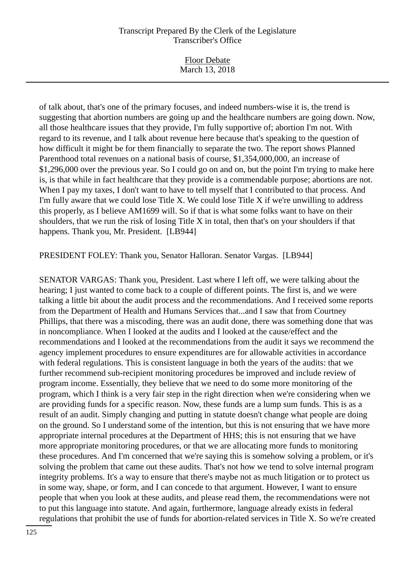Floor Debate March 13, 2018

of talk about, that's one of the primary focuses, and indeed numbers-wise it is, the trend is suggesting that abortion numbers are going up and the healthcare numbers are going down. Now, all those healthcare issues that they provide, I'm fully supportive of; abortion I'm not. With regard to its revenue, and I talk about revenue here because that's speaking to the question of how difficult it might be for them financially to separate the two. The report shows Planned Parenthood total revenues on a national basis of course, \$1,354,000,000, an increase of \$1,296,000 over the previous year. So I could go on and on, but the point I'm trying to make here is, is that while in fact healthcare that they provide is a commendable purpose; abortions are not. When I pay my taxes, I don't want to have to tell myself that I contributed to that process. And I'm fully aware that we could lose Title X. We could lose Title X if we're unwilling to address this properly, as I believe AM1699 will. So if that is what some folks want to have on their shoulders, that we run the risk of losing Title X in total, then that's on your shoulders if that happens. Thank you, Mr. President. [LB944]

PRESIDENT FOLEY: Thank you, Senator Halloran. Senator Vargas. [LB944]

SENATOR VARGAS: Thank you, President. Last where I left off, we were talking about the hearing; I just wanted to come back to a couple of different points. The first is, and we were talking a little bit about the audit process and the recommendations. And I received some reports from the Department of Health and Humans Services that...and I saw that from Courtney Phillips, that there was a miscoding, there was an audit done, there was something done that was in noncompliance. When I looked at the audits and I looked at the cause/effect and the recommendations and I looked at the recommendations from the audit it says we recommend the agency implement procedures to ensure expenditures are for allowable activities in accordance with federal regulations. This is consistent language in both the years of the audits: that we further recommend sub-recipient monitoring procedures be improved and include review of program income. Essentially, they believe that we need to do some more monitoring of the program, which I think is a very fair step in the right direction when we're considering when we are providing funds for a specific reason. Now, these funds are a lump sum funds. This is as a result of an audit. Simply changing and putting in statute doesn't change what people are doing on the ground. So I understand some of the intention, but this is not ensuring that we have more appropriate internal procedures at the Department of HHS; this is not ensuring that we have more appropriate monitoring procedures, or that we are allocating more funds to monitoring these procedures. And I'm concerned that we're saying this is somehow solving a problem, or it's solving the problem that came out these audits. That's not how we tend to solve internal program integrity problems. It's a way to ensure that there's maybe not as much litigation or to protect us in some way, shape, or form, and I can concede to that argument. However, I want to ensure people that when you look at these audits, and please read them, the recommendations were not to put this language into statute. And again, furthermore, language already exists in federal regulations that prohibit the use of funds for abortion-related services in Title X. So we're created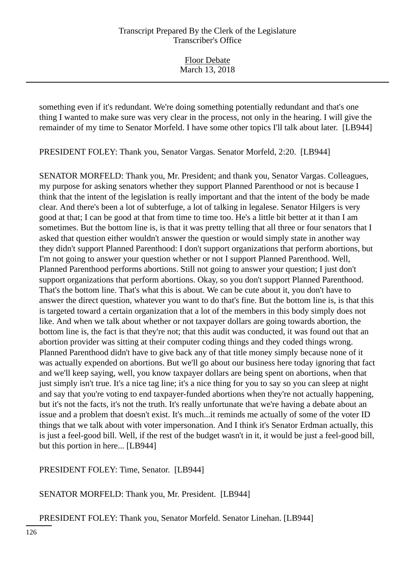Floor Debate March 13, 2018

something even if it's redundant. We're doing something potentially redundant and that's one thing I wanted to make sure was very clear in the process, not only in the hearing. I will give the remainder of my time to Senator Morfeld. I have some other topics I'll talk about later. [LB944]

PRESIDENT FOLEY: Thank you, Senator Vargas. Senator Morfeld, 2:20. [LB944]

SENATOR MORFELD: Thank you, Mr. President; and thank you, Senator Vargas. Colleagues, my purpose for asking senators whether they support Planned Parenthood or not is because I think that the intent of the legislation is really important and that the intent of the body be made clear. And there's been a lot of subterfuge, a lot of talking in legalese. Senator Hilgers is very good at that; I can be good at that from time to time too. He's a little bit better at it than I am sometimes. But the bottom line is, is that it was pretty telling that all three or four senators that I asked that question either wouldn't answer the question or would simply state in another way they didn't support Planned Parenthood: I don't support organizations that perform abortions, but I'm not going to answer your question whether or not I support Planned Parenthood. Well, Planned Parenthood performs abortions. Still not going to answer your question; I just don't support organizations that perform abortions. Okay, so you don't support Planned Parenthood. That's the bottom line. That's what this is about. We can be cute about it, you don't have to answer the direct question, whatever you want to do that's fine. But the bottom line is, is that this is targeted toward a certain organization that a lot of the members in this body simply does not like. And when we talk about whether or not taxpayer dollars are going towards abortion, the bottom line is, the fact is that they're not; that this audit was conducted, it was found out that an abortion provider was sitting at their computer coding things and they coded things wrong. Planned Parenthood didn't have to give back any of that title money simply because none of it was actually expended on abortions. But we'll go about our business here today ignoring that fact and we'll keep saying, well, you know taxpayer dollars are being spent on abortions, when that just simply isn't true. It's a nice tag line; it's a nice thing for you to say so you can sleep at night and say that you're voting to end taxpayer-funded abortions when they're not actually happening, but it's not the facts, it's not the truth. It's really unfortunate that we're having a debate about an issue and a problem that doesn't exist. It's much...it reminds me actually of some of the voter ID things that we talk about with voter impersonation. And I think it's Senator Erdman actually, this is just a feel-good bill. Well, if the rest of the budget wasn't in it, it would be just a feel-good bill, but this portion in here... [LB944]

PRESIDENT FOLEY: Time, Senator. [LB944]

SENATOR MORFELD: Thank you, Mr. President. [LB944]

PRESIDENT FOLEY: Thank you, Senator Morfeld. Senator Linehan. [LB944]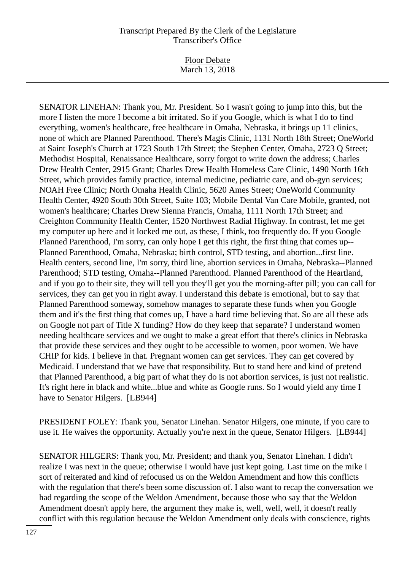Floor Debate March 13, 2018

SENATOR LINEHAN: Thank you, Mr. President. So I wasn't going to jump into this, but the more I listen the more I become a bit irritated. So if you Google, which is what I do to find everything, women's healthcare, free healthcare in Omaha, Nebraska, it brings up 11 clinics, none of which are Planned Parenthood. There's Magis Clinic, 1131 North 18th Street; OneWorld at Saint Joseph's Church at 1723 South 17th Street; the Stephen Center, Omaha, 2723 Q Street; Methodist Hospital, Renaissance Healthcare, sorry forgot to write down the address; Charles Drew Health Center, 2915 Grant; Charles Drew Health Homeless Care Clinic, 1490 North 16th Street, which provides family practice, internal medicine, pediatric care, and ob-gyn services; NOAH Free Clinic; North Omaha Health Clinic, 5620 Ames Street; OneWorld Community Health Center, 4920 South 30th Street, Suite 103; Mobile Dental Van Care Mobile, granted, not women's healthcare; Charles Drew Sienna Francis, Omaha, 1111 North 17th Street; and Creighton Community Health Center, 1520 Northwest Radial Highway. In contrast, let me get my computer up here and it locked me out, as these, I think, too frequently do. If you Google Planned Parenthood, I'm sorry, can only hope I get this right, the first thing that comes up-- Planned Parenthood, Omaha, Nebraska; birth control, STD testing, and abortion...first line. Health centers, second line, I'm sorry, third line, abortion services in Omaha, Nebraska--Planned Parenthood; STD testing, Omaha--Planned Parenthood. Planned Parenthood of the Heartland, and if you go to their site, they will tell you they'll get you the morning-after pill; you can call for services, they can get you in right away. I understand this debate is emotional, but to say that Planned Parenthood someway, somehow manages to separate these funds when you Google them and it's the first thing that comes up, I have a hard time believing that. So are all these ads on Google not part of Title X funding? How do they keep that separate? I understand women needing healthcare services and we ought to make a great effort that there's clinics in Nebraska that provide these services and they ought to be accessible to women, poor women. We have CHIP for kids. I believe in that. Pregnant women can get services. They can get covered by Medicaid. I understand that we have that responsibility. But to stand here and kind of pretend that Planned Parenthood, a big part of what they do is not abortion services, is just not realistic. It's right here in black and white...blue and white as Google runs. So I would yield any time I have to Senator Hilgers. [LB944]

PRESIDENT FOLEY: Thank you, Senator Linehan. Senator Hilgers, one minute, if you care to use it. He waives the opportunity. Actually you're next in the queue, Senator Hilgers. [LB944]

SENATOR HILGERS: Thank you, Mr. President; and thank you, Senator Linehan. I didn't realize I was next in the queue; otherwise I would have just kept going. Last time on the mike I sort of reiterated and kind of refocused us on the Weldon Amendment and how this conflicts with the regulation that there's been some discussion of. I also want to recap the conversation we had regarding the scope of the Weldon Amendment, because those who say that the Weldon Amendment doesn't apply here, the argument they make is, well, well, well, it doesn't really conflict with this regulation because the Weldon Amendment only deals with conscience, rights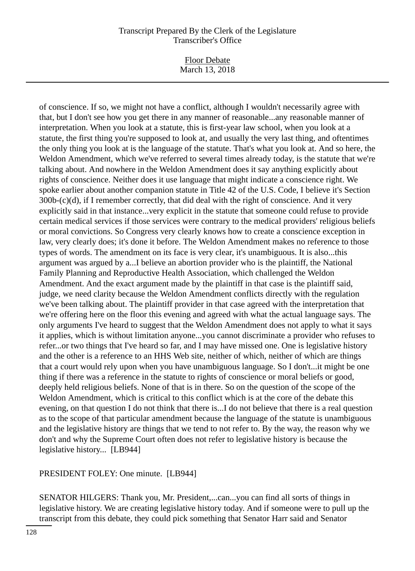Floor Debate March 13, 2018

of conscience. If so, we might not have a conflict, although I wouldn't necessarily agree with that, but I don't see how you get there in any manner of reasonable...any reasonable manner of interpretation. When you look at a statute, this is first-year law school, when you look at a statute, the first thing you're supposed to look at, and usually the very last thing, and oftentimes the only thing you look at is the language of the statute. That's what you look at. And so here, the Weldon Amendment, which we've referred to several times already today, is the statute that we're talking about. And nowhere in the Weldon Amendment does it say anything explicitly about rights of conscience. Neither does it use language that might indicate a conscience right. We spoke earlier about another companion statute in Title 42 of the U.S. Code, I believe it's Section 300b-(c)(d), if I remember correctly, that did deal with the right of conscience. And it very explicitly said in that instance...very explicit in the statute that someone could refuse to provide certain medical services if those services were contrary to the medical providers' religious beliefs or moral convictions. So Congress very clearly knows how to create a conscience exception in law, very clearly does; it's done it before. The Weldon Amendment makes no reference to those types of words. The amendment on its face is very clear, it's unambiguous. It is also...this argument was argued by a...I believe an abortion provider who is the plaintiff, the National Family Planning and Reproductive Health Association, which challenged the Weldon Amendment. And the exact argument made by the plaintiff in that case is the plaintiff said, judge, we need clarity because the Weldon Amendment conflicts directly with the regulation we've been talking about. The plaintiff provider in that case agreed with the interpretation that we're offering here on the floor this evening and agreed with what the actual language says. The only arguments I've heard to suggest that the Weldon Amendment does not apply to what it says it applies, which is without limitation anyone...you cannot discriminate a provider who refuses to refer...or two things that I've heard so far, and I may have missed one. One is legislative history and the other is a reference to an HHS Web site, neither of which, neither of which are things that a court would rely upon when you have unambiguous language. So I don't...it might be one thing if there was a reference in the statute to rights of conscience or moral beliefs or good, deeply held religious beliefs. None of that is in there. So on the question of the scope of the Weldon Amendment, which is critical to this conflict which is at the core of the debate this evening, on that question I do not think that there is...I do not believe that there is a real question as to the scope of that particular amendment because the language of the statute is unambiguous and the legislative history are things that we tend to not refer to. By the way, the reason why we don't and why the Supreme Court often does not refer to legislative history is because the legislative history... [LB944]

PRESIDENT FOLEY: One minute. [LB944]

SENATOR HILGERS: Thank you, Mr. President,...can...you can find all sorts of things in legislative history. We are creating legislative history today. And if someone were to pull up the transcript from this debate, they could pick something that Senator Harr said and Senator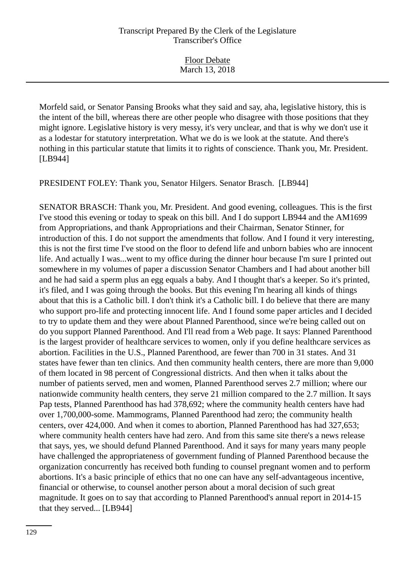| <b>Floor Debate</b> |  |
|---------------------|--|
| March 13, 2018      |  |

Morfeld said, or Senator Pansing Brooks what they said and say, aha, legislative history, this is the intent of the bill, whereas there are other people who disagree with those positions that they might ignore. Legislative history is very messy, it's very unclear, and that is why we don't use it as a lodestar for statutory interpretation. What we do is we look at the statute. And there's nothing in this particular statute that limits it to rights of conscience. Thank you, Mr. President. [LB944]

PRESIDENT FOLEY: Thank you, Senator Hilgers. Senator Brasch. [LB944]

SENATOR BRASCH: Thank you, Mr. President. And good evening, colleagues. This is the first I've stood this evening or today to speak on this bill. And I do support LB944 and the AM1699 from Appropriations, and thank Appropriations and their Chairman, Senator Stinner, for introduction of this. I do not support the amendments that follow. And I found it very interesting, this is not the first time I've stood on the floor to defend life and unborn babies who are innocent life. And actually I was...went to my office during the dinner hour because I'm sure I printed out somewhere in my volumes of paper a discussion Senator Chambers and I had about another bill and he had said a sperm plus an egg equals a baby. And I thought that's a keeper. So it's printed, it's filed, and I was going through the books. But this evening I'm hearing all kinds of things about that this is a Catholic bill. I don't think it's a Catholic bill. I do believe that there are many who support pro-life and protecting innocent life. And I found some paper articles and I decided to try to update them and they were about Planned Parenthood, since we're being called out on do you support Planned Parenthood. And I'll read from a Web page. It says: Planned Parenthood is the largest provider of healthcare services to women, only if you define healthcare services as abortion. Facilities in the U.S., Planned Parenthood, are fewer than 700 in 31 states. And 31 states have fewer than ten clinics. And then community health centers, there are more than 9,000 of them located in 98 percent of Congressional districts. And then when it talks about the number of patients served, men and women, Planned Parenthood serves 2.7 million; where our nationwide community health centers, they serve 21 million compared to the 2.7 million. It says Pap tests, Planned Parenthood has had 378,692; where the community health centers have had over 1,700,000-some. Mammograms, Planned Parenthood had zero; the community health centers, over 424,000. And when it comes to abortion, Planned Parenthood has had 327,653; where community health centers have had zero. And from this same site there's a news release that says, yes, we should defund Planned Parenthood. And it says for many years many people have challenged the appropriateness of government funding of Planned Parenthood because the organization concurrently has received both funding to counsel pregnant women and to perform abortions. It's a basic principle of ethics that no one can have any self-advantageous incentive, financial or otherwise, to counsel another person about a moral decision of such great magnitude. It goes on to say that according to Planned Parenthood's annual report in 2014-15 that they served... [LB944]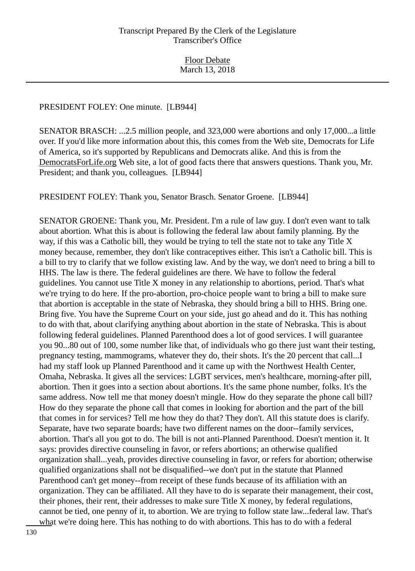#### PRESIDENT FOLEY: One minute. [LB944]

SENATOR BRASCH: ...2.5 million people, and 323,000 were abortions and only 17,000...a little over. If you'd like more information about this, this comes from the Web site, Democrats for Life of America, so it's supported by Republicans and Democrats alike. And this is from the DemocratsForLife.org Web site, a lot of good facts there that answers questions. Thank you, Mr. President; and thank you, colleagues. [LB944]

PRESIDENT FOLEY: Thank you, Senator Brasch. Senator Groene. [LB944]

SENATOR GROENE: Thank you, Mr. President. I'm a rule of law guy. I don't even want to talk about abortion. What this is about is following the federal law about family planning. By the way, if this was a Catholic bill, they would be trying to tell the state not to take any Title X money because, remember, they don't like contraceptives either. This isn't a Catholic bill. This is a bill to try to clarify that we follow existing law. And by the way, we don't need to bring a bill to HHS. The law is there. The federal guidelines are there. We have to follow the federal guidelines. You cannot use Title X money in any relationship to abortions, period. That's what we're trying to do here. If the pro-abortion, pro-choice people want to bring a bill to make sure that abortion is acceptable in the state of Nebraska, they should bring a bill to HHS. Bring one. Bring five. You have the Supreme Court on your side, just go ahead and do it. This has nothing to do with that, about clarifying anything about abortion in the state of Nebraska. This is about following federal guidelines. Planned Parenthood does a lot of good services. I will guarantee you 90...80 out of 100, some number like that, of individuals who go there just want their testing, pregnancy testing, mammograms, whatever they do, their shots. It's the 20 percent that call...I had my staff look up Planned Parenthood and it came up with the Northwest Health Center, Omaha, Nebraska. It gives all the services: LGBT services, men's healthcare, morning-after pill, abortion. Then it goes into a section about abortions. It's the same phone number, folks. It's the same address. Now tell me that money doesn't mingle. How do they separate the phone call bill? How do they separate the phone call that comes in looking for abortion and the part of the bill that comes in for services? Tell me how they do that? They don't. All this statute does is clarify. Separate, have two separate boards; have two different names on the door--family services, abortion. That's all you got to do. The bill is not anti-Planned Parenthood. Doesn't mention it. It says: provides directive counseling in favor, or refers abortions; an otherwise qualified organization shall...yeah, provides directive counseling in favor, or refers for abortion; otherwise qualified organizations shall not be disqualified--we don't put in the statute that Planned Parenthood can't get money--from receipt of these funds because of its affiliation with an organization. They can be affiliated. All they have to do is separate their management, their cost, their phones, their rent, their addresses to make sure Title X money, by federal regulations, cannot be tied, one penny of it, to abortion. We are trying to follow state law...federal law. That's what we're doing here. This has nothing to do with abortions. This has to do with a federal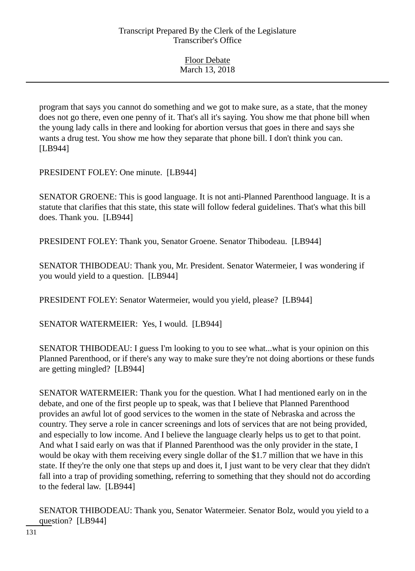| <b>Floor Debate</b> |  |
|---------------------|--|
| March 13, 2018      |  |

program that says you cannot do something and we got to make sure, as a state, that the money does not go there, even one penny of it. That's all it's saying. You show me that phone bill when the young lady calls in there and looking for abortion versus that goes in there and says she wants a drug test. You show me how they separate that phone bill. I don't think you can. [LB944]

PRESIDENT FOLEY: One minute. [LB944]

SENATOR GROENE: This is good language. It is not anti-Planned Parenthood language. It is a statute that clarifies that this state, this state will follow federal guidelines. That's what this bill does. Thank you. [LB944]

PRESIDENT FOLEY: Thank you, Senator Groene. Senator Thibodeau. [LB944]

SENATOR THIBODEAU: Thank you, Mr. President. Senator Watermeier, I was wondering if you would yield to a question. [LB944]

PRESIDENT FOLEY: Senator Watermeier, would you yield, please? [LB944]

SENATOR WATERMEIER: Yes, I would. [LB944]

SENATOR THIBODEAU: I guess I'm looking to you to see what...what is your opinion on this Planned Parenthood, or if there's any way to make sure they're not doing abortions or these funds are getting mingled? [LB944]

SENATOR WATERMEIER: Thank you for the question. What I had mentioned early on in the debate, and one of the first people up to speak, was that I believe that Planned Parenthood provides an awful lot of good services to the women in the state of Nebraska and across the country. They serve a role in cancer screenings and lots of services that are not being provided, and especially to low income. And I believe the language clearly helps us to get to that point. And what I said early on was that if Planned Parenthood was the only provider in the state, I would be okay with them receiving every single dollar of the \$1.7 million that we have in this state. If they're the only one that steps up and does it, I just want to be very clear that they didn't fall into a trap of providing something, referring to something that they should not do according to the federal law. [LB944]

SENATOR THIBODEAU: Thank you, Senator Watermeier. Senator Bolz, would you yield to a question? [LB944]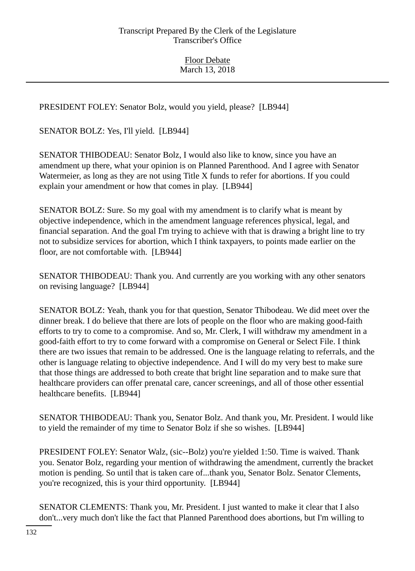PRESIDENT FOLEY: Senator Bolz, would you yield, please? [LB944]

SENATOR BOLZ: Yes, I'll yield. [LB944]

SENATOR THIBODEAU: Senator Bolz, I would also like to know, since you have an amendment up there, what your opinion is on Planned Parenthood. And I agree with Senator Watermeier, as long as they are not using Title X funds to refer for abortions. If you could explain your amendment or how that comes in play. [LB944]

SENATOR BOLZ: Sure. So my goal with my amendment is to clarify what is meant by objective independence, which in the amendment language references physical, legal, and financial separation. And the goal I'm trying to achieve with that is drawing a bright line to try not to subsidize services for abortion, which I think taxpayers, to points made earlier on the floor, are not comfortable with. [LB944]

SENATOR THIBODEAU: Thank you. And currently are you working with any other senators on revising language? [LB944]

SENATOR BOLZ: Yeah, thank you for that question, Senator Thibodeau. We did meet over the dinner break. I do believe that there are lots of people on the floor who are making good-faith efforts to try to come to a compromise. And so, Mr. Clerk, I will withdraw my amendment in a good-faith effort to try to come forward with a compromise on General or Select File. I think there are two issues that remain to be addressed. One is the language relating to referrals, and the other is language relating to objective independence. And I will do my very best to make sure that those things are addressed to both create that bright line separation and to make sure that healthcare providers can offer prenatal care, cancer screenings, and all of those other essential healthcare benefits. [LB944]

SENATOR THIBODEAU: Thank you, Senator Bolz. And thank you, Mr. President. I would like to yield the remainder of my time to Senator Bolz if she so wishes. [LB944]

PRESIDENT FOLEY: Senator Walz, (sic--Bolz) you're yielded 1:50. Time is waived. Thank you. Senator Bolz, regarding your mention of withdrawing the amendment, currently the bracket motion is pending. So until that is taken care of...thank you, Senator Bolz. Senator Clements, you're recognized, this is your third opportunity. [LB944]

SENATOR CLEMENTS: Thank you, Mr. President. I just wanted to make it clear that I also don't...very much don't like the fact that Planned Parenthood does abortions, but I'm willing to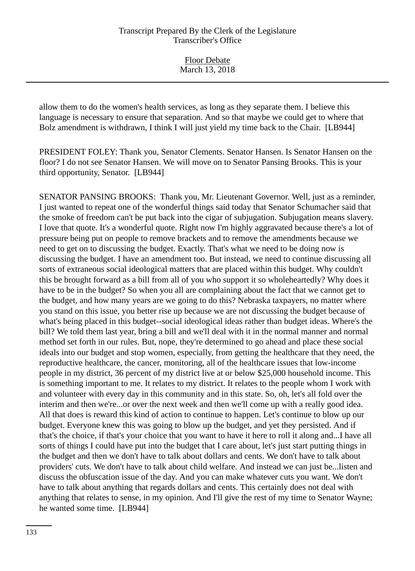Floor Debate March 13, 2018

allow them to do the women's health services, as long as they separate them. I believe this language is necessary to ensure that separation. And so that maybe we could get to where that Bolz amendment is withdrawn, I think I will just yield my time back to the Chair. [LB944]

PRESIDENT FOLEY: Thank you, Senator Clements. Senator Hansen. Is Senator Hansen on the floor? I do not see Senator Hansen. We will move on to Senator Pansing Brooks. This is your third opportunity, Senator. [LB944]

SENATOR PANSING BROOKS: Thank you, Mr. Lieutenant Governor. Well, just as a reminder, I just wanted to repeat one of the wonderful things said today that Senator Schumacher said that the smoke of freedom can't be put back into the cigar of subjugation. Subjugation means slavery. I love that quote. It's a wonderful quote. Right now I'm highly aggravated because there's a lot of pressure being put on people to remove brackets and to remove the amendments because we need to get on to discussing the budget. Exactly. That's what we need to be doing now is discussing the budget. I have an amendment too. But instead, we need to continue discussing all sorts of extraneous social ideological matters that are placed within this budget. Why couldn't this be brought forward as a bill from all of you who support it so wholeheartedly? Why does it have to be in the budget? So when you all are complaining about the fact that we cannot get to the budget, and how many years are we going to do this? Nebraska taxpayers, no matter where you stand on this issue, you better rise up because we are not discussing the budget because of what's being placed in this budget--social ideological ideas rather than budget ideas. Where's the bill? We told them last year, bring a bill and we'll deal with it in the normal manner and normal method set forth in our rules. But, nope, they're determined to go ahead and place these social ideals into our budget and stop women, especially, from getting the healthcare that they need, the reproductive healthcare, the cancer, monitoring, all of the healthcare issues that low-income people in my district, 36 percent of my district live at or below \$25,000 household income. This is something important to me. It relates to my district. It relates to the people whom I work with and volunteer with every day in this community and in this state. So, oh, let's all fold over the interim and then we're...or over the next week and then we'll come up with a really good idea. All that does is reward this kind of action to continue to happen. Let's continue to blow up our budget. Everyone knew this was going to blow up the budget, and yet they persisted. And if that's the choice, if that's your choice that you want to have it here to roll it along and...I have all sorts of things I could have put into the budget that I care about, let's just start putting things in the budget and then we don't have to talk about dollars and cents. We don't have to talk about providers' cuts. We don't have to talk about child welfare. And instead we can just be...listen and discuss the obfuscation issue of the day. And you can make whatever cuts you want. We don't have to talk about anything that regards dollars and cents. This certainly does not deal with anything that relates to sense, in my opinion. And I'll give the rest of my time to Senator Wayne; he wanted some time. [LB944]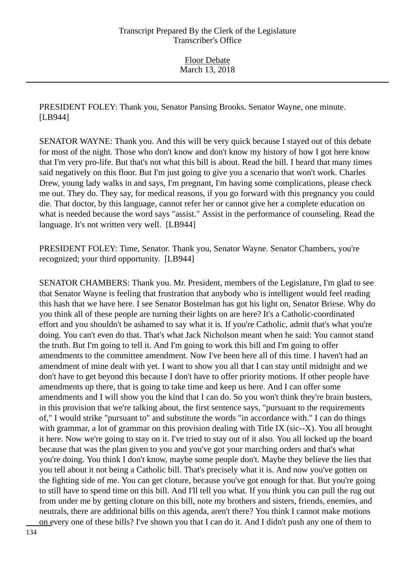PRESIDENT FOLEY: Thank you, Senator Pansing Brooks. Senator Wayne, one minute. [LB944]

SENATOR WAYNE: Thank you. And this will be very quick because I stayed out of this debate for most of the night. Those who don't know and don't know my history of how I got here know that I'm very pro-life. But that's not what this bill is about. Read the bill. I heard that many times said negatively on this floor. But I'm just going to give you a scenario that won't work. Charles Drew, young lady walks in and says, I'm pregnant, I'm having some complications, please check me out. They do. They say, for medical reasons, if you go forward with this pregnancy you could die. That doctor, by this language, cannot refer her or cannot give her a complete education on what is needed because the word says "assist." Assist in the performance of counseling. Read the language. It's not written very well. [LB944]

PRESIDENT FOLEY: Time, Senator. Thank you, Senator Wayne. Senator Chambers, you're recognized; your third opportunity. [LB944]

SENATOR CHAMBERS: Thank you. Mr. President, members of the Legislature, I'm glad to see that Senator Wayne is feeling that frustration that anybody who is intelligent would feel reading this hash that we have here. I see Senator Bostelman has got his light on, Senator Briese. Why do you think all of these people are turning their lights on are here? It's a Catholic-coordinated effort and you shouldn't be ashamed to say what it is. If you're Catholic, admit that's what you're doing. You can't even do that. That's what Jack Nicholson meant when he said: You cannot stand the truth. But I'm going to tell it. And I'm going to work this bill and I'm going to offer amendments to the committee amendment. Now I've been here all of this time. I haven't had an amendment of mine dealt with yet. I want to show you all that I can stay until midnight and we don't have to get beyond this because I don't have to offer priority motions. If other people have amendments up there, that is going to take time and keep us here. And I can offer some amendments and I will show you the kind that I can do. So you won't think they're brain busters, in this provision that we're talking about, the first sentence says, "pursuant to the requirements of," I would strike "pursuant to" and substitute the words "in accordance with." I can do things with grammar, a lot of grammar on this provision dealing with Title IX (sic--X). You all brought it here. Now we're going to stay on it. I've tried to stay out of it also. You all locked up the board because that was the plan given to you and you've got your marching orders and that's what you're doing. You think I don't know, maybe some people don't. Maybe they believe the lies that you tell about it not being a Catholic bill. That's precisely what it is. And now you've gotten on the fighting side of me. You can get cloture, because you've got enough for that. But you're going to still have to spend time on this bill. And I'll tell you what. If you think you can pull the rug out from under me by getting cloture on this bill, note my brothers and sisters, friends, enemies, and neutrals, there are additional bills on this agenda, aren't there? You think I cannot make motions on every one of these bills? I've shown you that I can do it. And I didn't push any one of them to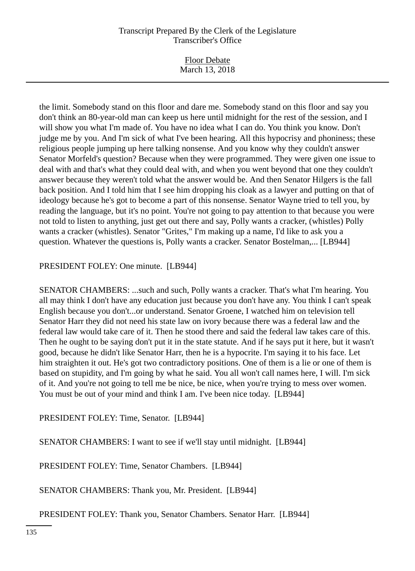Floor Debate March 13, 2018

the limit. Somebody stand on this floor and dare me. Somebody stand on this floor and say you don't think an 80-year-old man can keep us here until midnight for the rest of the session, and I will show you what I'm made of. You have no idea what I can do. You think you know. Don't judge me by you. And I'm sick of what I've been hearing. All this hypocrisy and phoniness; these religious people jumping up here talking nonsense. And you know why they couldn't answer Senator Morfeld's question? Because when they were programmed. They were given one issue to deal with and that's what they could deal with, and when you went beyond that one they couldn't answer because they weren't told what the answer would be. And then Senator Hilgers is the fall back position. And I told him that I see him dropping his cloak as a lawyer and putting on that of ideology because he's got to become a part of this nonsense. Senator Wayne tried to tell you, by reading the language, but it's no point. You're not going to pay attention to that because you were not told to listen to anything, just get out there and say, Polly wants a cracker, (whistles) Polly wants a cracker (whistles). Senator "Grites," I'm making up a name, I'd like to ask you a question. Whatever the questions is, Polly wants a cracker. Senator Bostelman,... [LB944]

PRESIDENT FOLEY: One minute. [LB944]

SENATOR CHAMBERS: ...such and such, Polly wants a cracker. That's what I'm hearing. You all may think I don't have any education just because you don't have any. You think I can't speak English because you don't...or understand. Senator Groene, I watched him on television tell Senator Harr they did not need his state law on ivory because there was a federal law and the federal law would take care of it. Then he stood there and said the federal law takes care of this. Then he ought to be saying don't put it in the state statute. And if he says put it here, but it wasn't good, because he didn't like Senator Harr, then he is a hypocrite. I'm saying it to his face. Let him straighten it out. He's got two contradictory positions. One of them is a lie or one of them is based on stupidity, and I'm going by what he said. You all won't call names here, I will. I'm sick of it. And you're not going to tell me be nice, be nice, when you're trying to mess over women. You must be out of your mind and think I am. I've been nice today. [LB944]

PRESIDENT FOLEY: Time, Senator. [LB944]

SENATOR CHAMBERS: I want to see if we'll stay until midnight. [LB944]

PRESIDENT FOLEY: Time, Senator Chambers. [LB944]

SENATOR CHAMBERS: Thank you, Mr. President. [LB944]

PRESIDENT FOLEY: Thank you, Senator Chambers. Senator Harr. [LB944]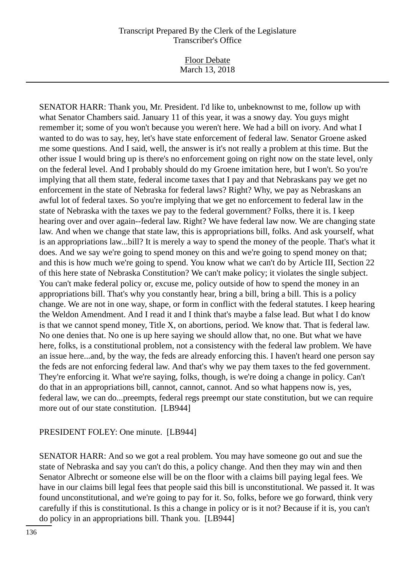Floor Debate March 13, 2018

SENATOR HARR: Thank you, Mr. President. I'd like to, unbeknownst to me, follow up with what Senator Chambers said. January 11 of this year, it was a snowy day. You guys might remember it; some of you won't because you weren't here. We had a bill on ivory. And what I wanted to do was to say, hey, let's have state enforcement of federal law. Senator Groene asked me some questions. And I said, well, the answer is it's not really a problem at this time. But the other issue I would bring up is there's no enforcement going on right now on the state level, only on the federal level. And I probably should do my Groene imitation here, but I won't. So you're implying that all them state, federal income taxes that I pay and that Nebraskans pay we get no enforcement in the state of Nebraska for federal laws? Right? Why, we pay as Nebraskans an awful lot of federal taxes. So you're implying that we get no enforcement to federal law in the state of Nebraska with the taxes we pay to the federal government? Folks, there it is. I keep hearing over and over again--federal law. Right? We have federal law now. We are changing state law. And when we change that state law, this is appropriations bill, folks. And ask yourself, what is an appropriations law...bill? It is merely a way to spend the money of the people. That's what it does. And we say we're going to spend money on this and we're going to spend money on that; and this is how much we're going to spend. You know what we can't do by Article III, Section 22 of this here state of Nebraska Constitution? We can't make policy; it violates the single subject. You can't make federal policy or, excuse me, policy outside of how to spend the money in an appropriations bill. That's why you constantly hear, bring a bill, bring a bill. This is a policy change. We are not in one way, shape, or form in conflict with the federal statutes. I keep hearing the Weldon Amendment. And I read it and I think that's maybe a false lead. But what I do know is that we cannot spend money, Title X, on abortions, period. We know that. That is federal law. No one denies that. No one is up here saying we should allow that, no one. But what we have here, folks, is a constitutional problem, not a consistency with the federal law problem. We have an issue here...and, by the way, the feds are already enforcing this. I haven't heard one person say the feds are not enforcing federal law. And that's why we pay them taxes to the fed government. They're enforcing it. What we're saying, folks, though, is we're doing a change in policy. Can't do that in an appropriations bill, cannot, cannot, cannot. And so what happens now is, yes, federal law, we can do...preempts, federal regs preempt our state constitution, but we can require more out of our state constitution. [LB944]

## PRESIDENT FOLEY: One minute. [LB944]

SENATOR HARR: And so we got a real problem. You may have someone go out and sue the state of Nebraska and say you can't do this, a policy change. And then they may win and then Senator Albrecht or someone else will be on the floor with a claims bill paying legal fees. We have in our claims bill legal fees that people said this bill is unconstitutional. We passed it. It was found unconstitutional, and we're going to pay for it. So, folks, before we go forward, think very carefully if this is constitutional. Is this a change in policy or is it not? Because if it is, you can't do policy in an appropriations bill. Thank you. [LB944]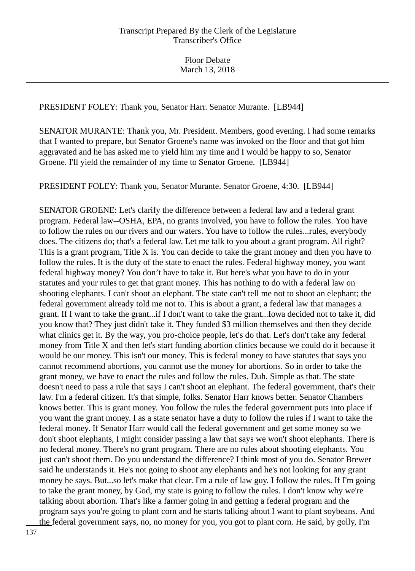PRESIDENT FOLEY: Thank you, Senator Harr. Senator Murante. [LB944]

SENATOR MURANTE: Thank you, Mr. President. Members, good evening. I had some remarks that I wanted to prepare, but Senator Groene's name was invoked on the floor and that got him aggravated and he has asked me to yield him my time and I would be happy to so, Senator Groene. I'll yield the remainder of my time to Senator Groene. [LB944]

PRESIDENT FOLEY: Thank you, Senator Murante. Senator Groene, 4:30. [LB944]

SENATOR GROENE: Let's clarify the difference between a federal law and a federal grant program. Federal law--OSHA, EPA, no grants involved, you have to follow the rules. You have to follow the rules on our rivers and our waters. You have to follow the rules...rules, everybody does. The citizens do; that's a federal law. Let me talk to you about a grant program. All right? This is a grant program, Title X is. You can decide to take the grant money and then you have to follow the rules. It is the duty of the state to enact the rules. Federal highway money, you want federal highway money? You don't have to take it. But here's what you have to do in your statutes and your rules to get that grant money. This has nothing to do with a federal law on shooting elephants. I can't shoot an elephant. The state can't tell me not to shoot an elephant; the federal government already told me not to. This is about a grant, a federal law that manages a grant. If I want to take the grant...if I don't want to take the grant...Iowa decided not to take it, did you know that? They just didn't take it. They funded \$3 million themselves and then they decide what clinics get it. By the way, you pro-choice people, let's do that. Let's don't take any federal money from Title X and then let's start funding abortion clinics because we could do it because it would be our money. This isn't our money. This is federal money to have statutes that says you cannot recommend abortions, you cannot use the money for abortions. So in order to take the grant money, we have to enact the rules and follow the rules. Duh. Simple as that. The state doesn't need to pass a rule that says I can't shoot an elephant. The federal government, that's their law. I'm a federal citizen. It's that simple, folks. Senator Harr knows better. Senator Chambers knows better. This is grant money. You follow the rules the federal government puts into place if you want the grant money. I as a state senator have a duty to follow the rules if I want to take the federal money. If Senator Harr would call the federal government and get some money so we don't shoot elephants, I might consider passing a law that says we won't shoot elephants. There is no federal money. There's no grant program. There are no rules about shooting elephants. You just can't shoot them. Do you understand the difference? I think most of you do. Senator Brewer said he understands it. He's not going to shoot any elephants and he's not looking for any grant money he says. But...so let's make that clear. I'm a rule of law guy. I follow the rules. If I'm going to take the grant money, by God, my state is going to follow the rules. I don't know why we're talking about abortion. That's like a farmer going in and getting a federal program and the program says you're going to plant corn and he starts talking about I want to plant soybeans. And the federal government says, no, no money for you, you got to plant corn. He said, by golly, I'm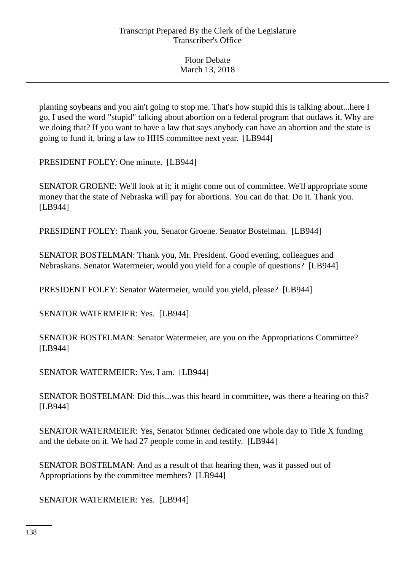| <b>Floor Debate</b> |  |
|---------------------|--|
| March 13, 2018      |  |

planting soybeans and you ain't going to stop me. That's how stupid this is talking about...here I go, I used the word "stupid" talking about abortion on a federal program that outlaws it. Why are we doing that? If you want to have a law that says anybody can have an abortion and the state is going to fund it, bring a law to HHS committee next year. [LB944]

PRESIDENT FOLEY: One minute. [LB944]

SENATOR GROENE: We'll look at it; it might come out of committee. We'll appropriate some money that the state of Nebraska will pay for abortions. You can do that. Do it. Thank you. [LB944]

PRESIDENT FOLEY: Thank you, Senator Groene. Senator Bostelman. [LB944]

SENATOR BOSTELMAN: Thank you, Mr. President. Good evening, colleagues and Nebraskans. Senator Watermeier, would you yield for a couple of questions? [LB944]

PRESIDENT FOLEY: Senator Watermeier, would you yield, please? [LB944]

SENATOR WATERMEIER: Yes. [LB944]

SENATOR BOSTELMAN: Senator Watermeier, are you on the Appropriations Committee? [LB944]

SENATOR WATERMEIER: Yes, I am. [LB944]

SENATOR BOSTELMAN: Did this...was this heard in committee, was there a hearing on this? [LB944]

SENATOR WATERMEIER: Yes, Senator Stinner dedicated one whole day to Title X funding and the debate on it. We had 27 people come in and testify. [LB944]

SENATOR BOSTELMAN: And as a result of that hearing then, was it passed out of Appropriations by the committee members? [LB944]

SENATOR WATERMEIER: Yes. [LB944]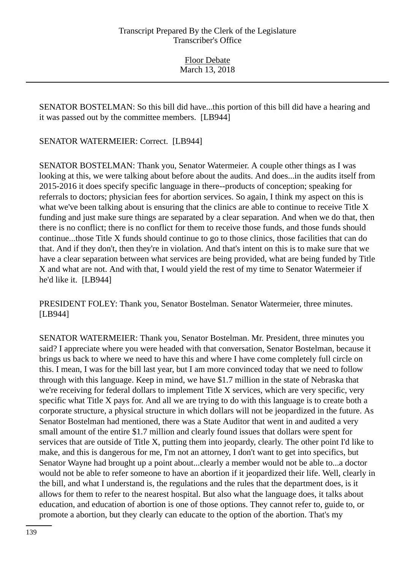SENATOR BOSTELMAN: So this bill did have...this portion of this bill did have a hearing and it was passed out by the committee members. [LB944]

SENATOR WATERMEIER: Correct. [LB944]

SENATOR BOSTELMAN: Thank you, Senator Watermeier. A couple other things as I was looking at this, we were talking about before about the audits. And does...in the audits itself from 2015-2016 it does specify specific language in there--products of conception; speaking for referrals to doctors; physician fees for abortion services. So again, I think my aspect on this is what we've been talking about is ensuring that the clinics are able to continue to receive Title X funding and just make sure things are separated by a clear separation. And when we do that, then there is no conflict; there is no conflict for them to receive those funds, and those funds should continue...those Title X funds should continue to go to those clinics, those facilities that can do that. And if they don't, then they're in violation. And that's intent on this is to make sure that we have a clear separation between what services are being provided, what are being funded by Title X and what are not. And with that, I would yield the rest of my time to Senator Watermeier if he'd like it. [LB944]

PRESIDENT FOLEY: Thank you, Senator Bostelman. Senator Watermeier, three minutes. [LB944]

SENATOR WATERMEIER: Thank you, Senator Bostelman. Mr. President, three minutes you said? I appreciate where you were headed with that conversation, Senator Bostelman, because it brings us back to where we need to have this and where I have come completely full circle on this. I mean, I was for the bill last year, but I am more convinced today that we need to follow through with this language. Keep in mind, we have \$1.7 million in the state of Nebraska that we're receiving for federal dollars to implement Title X services, which are very specific, very specific what Title X pays for. And all we are trying to do with this language is to create both a corporate structure, a physical structure in which dollars will not be jeopardized in the future. As Senator Bostelman had mentioned, there was a State Auditor that went in and audited a very small amount of the entire \$1.7 million and clearly found issues that dollars were spent for services that are outside of Title X, putting them into jeopardy, clearly. The other point I'd like to make, and this is dangerous for me, I'm not an attorney, I don't want to get into specifics, but Senator Wayne had brought up a point about...clearly a member would not be able to...a doctor would not be able to refer someone to have an abortion if it jeopardized their life. Well, clearly in the bill, and what I understand is, the regulations and the rules that the department does, is it allows for them to refer to the nearest hospital. But also what the language does, it talks about education, and education of abortion is one of those options. They cannot refer to, guide to, or promote a abortion, but they clearly can educate to the option of the abortion. That's my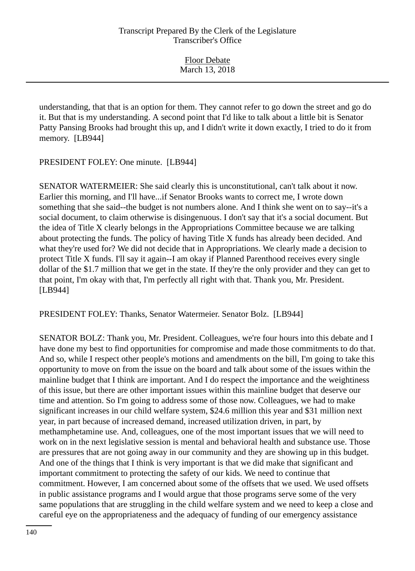understanding, that that is an option for them. They cannot refer to go down the street and go do it. But that is my understanding. A second point that I'd like to talk about a little bit is Senator Patty Pansing Brooks had brought this up, and I didn't write it down exactly, I tried to do it from memory. [LB944]

PRESIDENT FOLEY: One minute. [LB944]

SENATOR WATERMEIER: She said clearly this is unconstitutional, can't talk about it now. Earlier this morning, and I'll have...if Senator Brooks wants to correct me, I wrote down something that she said--the budget is not numbers alone. And I think she went on to say--it's a social document, to claim otherwise is disingenuous. I don't say that it's a social document. But the idea of Title X clearly belongs in the Appropriations Committee because we are talking about protecting the funds. The policy of having Title X funds has already been decided. And what they're used for? We did not decide that in Appropriations. We clearly made a decision to protect Title X funds. I'll say it again--I am okay if Planned Parenthood receives every single dollar of the \$1.7 million that we get in the state. If they're the only provider and they can get to that point, I'm okay with that, I'm perfectly all right with that. Thank you, Mr. President. [LB944]

PRESIDENT FOLEY: Thanks, Senator Watermeier. Senator Bolz. [LB944]

SENATOR BOLZ: Thank you, Mr. President. Colleagues, we're four hours into this debate and I have done my best to find opportunities for compromise and made those commitments to do that. And so, while I respect other people's motions and amendments on the bill, I'm going to take this opportunity to move on from the issue on the board and talk about some of the issues within the mainline budget that I think are important. And I do respect the importance and the weightiness of this issue, but there are other important issues within this mainline budget that deserve our time and attention. So I'm going to address some of those now. Colleagues, we had to make significant increases in our child welfare system, \$24.6 million this year and \$31 million next year, in part because of increased demand, increased utilization driven, in part, by methamphetamine use. And, colleagues, one of the most important issues that we will need to work on in the next legislative session is mental and behavioral health and substance use. Those are pressures that are not going away in our community and they are showing up in this budget. And one of the things that I think is very important is that we did make that significant and important commitment to protecting the safety of our kids. We need to continue that commitment. However, I am concerned about some of the offsets that we used. We used offsets in public assistance programs and I would argue that those programs serve some of the very same populations that are struggling in the child welfare system and we need to keep a close and careful eye on the appropriateness and the adequacy of funding of our emergency assistance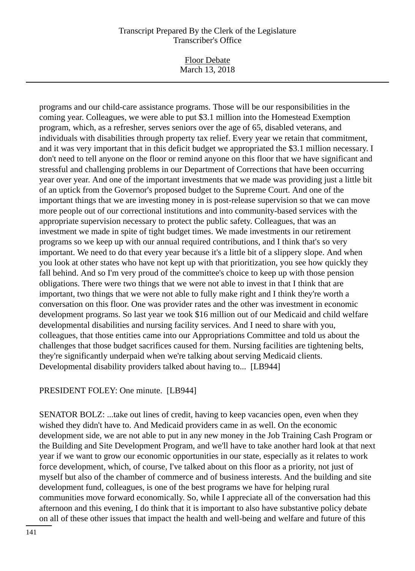Floor Debate March 13, 2018

programs and our child-care assistance programs. Those will be our responsibilities in the coming year. Colleagues, we were able to put \$3.1 million into the Homestead Exemption program, which, as a refresher, serves seniors over the age of 65, disabled veterans, and individuals with disabilities through property tax relief. Every year we retain that commitment, and it was very important that in this deficit budget we appropriated the \$3.1 million necessary. I don't need to tell anyone on the floor or remind anyone on this floor that we have significant and stressful and challenging problems in our Department of Corrections that have been occurring year over year. And one of the important investments that we made was providing just a little bit of an uptick from the Governor's proposed budget to the Supreme Court. And one of the important things that we are investing money in is post-release supervision so that we can move more people out of our correctional institutions and into community-based services with the appropriate supervision necessary to protect the public safety. Colleagues, that was an investment we made in spite of tight budget times. We made investments in our retirement programs so we keep up with our annual required contributions, and I think that's so very important. We need to do that every year because it's a little bit of a slippery slope. And when you look at other states who have not kept up with that prioritization, you see how quickly they fall behind. And so I'm very proud of the committee's choice to keep up with those pension obligations. There were two things that we were not able to invest in that I think that are important, two things that we were not able to fully make right and I think they're worth a conversation on this floor. One was provider rates and the other was investment in economic development programs. So last year we took \$16 million out of our Medicaid and child welfare developmental disabilities and nursing facility services. And I need to share with you, colleagues, that those entities came into our Appropriations Committee and told us about the challenges that those budget sacrifices caused for them. Nursing facilities are tightening belts, they're significantly underpaid when we're talking about serving Medicaid clients. Developmental disability providers talked about having to... [LB944]

## PRESIDENT FOLEY: One minute. [LB944]

SENATOR BOLZ: ...take out lines of credit, having to keep vacancies open, even when they wished they didn't have to. And Medicaid providers came in as well. On the economic development side, we are not able to put in any new money in the Job Training Cash Program or the Building and Site Development Program, and we'll have to take another hard look at that next year if we want to grow our economic opportunities in our state, especially as it relates to work force development, which, of course, I've talked about on this floor as a priority, not just of myself but also of the chamber of commerce and of business interests. And the building and site development fund, colleagues, is one of the best programs we have for helping rural communities move forward economically. So, while I appreciate all of the conversation had this afternoon and this evening, I do think that it is important to also have substantive policy debate on all of these other issues that impact the health and well-being and welfare and future of this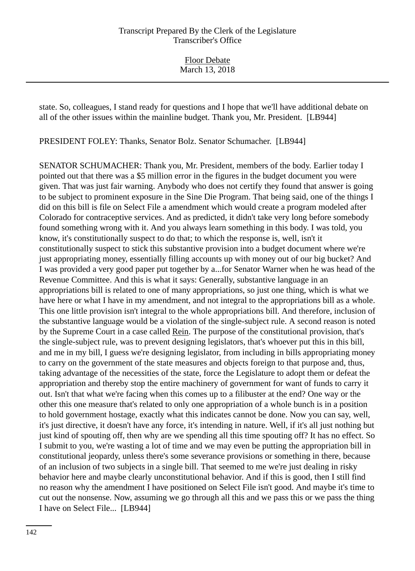Floor Debate March 13, 2018

state. So, colleagues, I stand ready for questions and I hope that we'll have additional debate on all of the other issues within the mainline budget. Thank you, Mr. President. [LB944]

PRESIDENT FOLEY: Thanks, Senator Bolz. Senator Schumacher. [LB944]

SENATOR SCHUMACHER: Thank you, Mr. President, members of the body. Earlier today I pointed out that there was a \$5 million error in the figures in the budget document you were given. That was just fair warning. Anybody who does not certify they found that answer is going to be subject to prominent exposure in the Sine Die Program. That being said, one of the things I did on this bill is file on Select File a amendment which would create a program modeled after Colorado for contraceptive services. And as predicted, it didn't take very long before somebody found something wrong with it. And you always learn something in this body. I was told, you know, it's constitutionally suspect to do that; to which the response is, well, isn't it constitutionally suspect to stick this substantive provision into a budget document where we're just appropriating money, essentially filling accounts up with money out of our big bucket? And I was provided a very good paper put together by a...for Senator Warner when he was head of the Revenue Committee. And this is what it says: Generally, substantive language in an appropriations bill is related to one of many appropriations, so just one thing, which is what we have here or what I have in my amendment, and not integral to the appropriations bill as a whole. This one little provision isn't integral to the whole appropriations bill. And therefore, inclusion of the substantive language would be a violation of the single-subject rule. A second reason is noted by the Supreme Court in a case called Rein. The purpose of the constitutional provision, that's the single-subject rule, was to prevent designing legislators, that's whoever put this in this bill, and me in my bill, I guess we're designing legislator, from including in bills appropriating money to carry on the government of the state measures and objects foreign to that purpose and, thus, taking advantage of the necessities of the state, force the Legislature to adopt them or defeat the appropriation and thereby stop the entire machinery of government for want of funds to carry it out. Isn't that what we're facing when this comes up to a filibuster at the end? One way or the other this one measure that's related to only one appropriation of a whole bunch is in a position to hold government hostage, exactly what this indicates cannot be done. Now you can say, well, it's just directive, it doesn't have any force, it's intending in nature. Well, if it's all just nothing but just kind of spouting off, then why are we spending all this time spouting off? It has no effect. So I submit to you, we're wasting a lot of time and we may even be putting the appropriation bill in constitutional jeopardy, unless there's some severance provisions or something in there, because of an inclusion of two subjects in a single bill. That seemed to me we're just dealing in risky behavior here and maybe clearly unconstitutional behavior. And if this is good, then I still find no reason why the amendment I have positioned on Select File isn't good. And maybe it's time to cut out the nonsense. Now, assuming we go through all this and we pass this or we pass the thing I have on Select File... [LB944]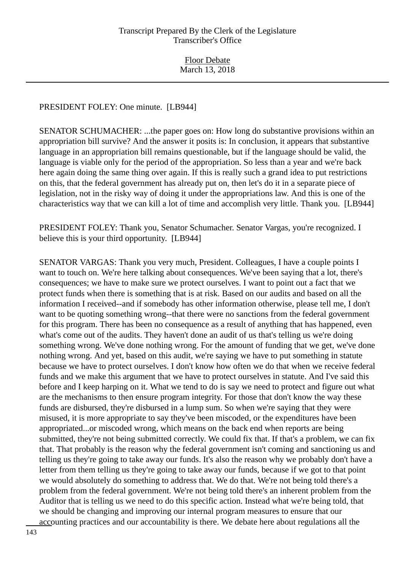### PRESIDENT FOLEY: One minute. [LB944]

SENATOR SCHUMACHER: ...the paper goes on: How long do substantive provisions within an appropriation bill survive? And the answer it posits is: In conclusion, it appears that substantive language in an appropriation bill remains questionable, but if the language should be valid, the language is viable only for the period of the appropriation. So less than a year and we're back here again doing the same thing over again. If this is really such a grand idea to put restrictions on this, that the federal government has already put on, then let's do it in a separate piece of legislation, not in the risky way of doing it under the appropriations law. And this is one of the characteristics way that we can kill a lot of time and accomplish very little. Thank you. [LB944]

PRESIDENT FOLEY: Thank you, Senator Schumacher. Senator Vargas, you're recognized. I believe this is your third opportunity. [LB944]

SENATOR VARGAS: Thank you very much, President. Colleagues, I have a couple points I want to touch on. We're here talking about consequences. We've been saying that a lot, there's consequences; we have to make sure we protect ourselves. I want to point out a fact that we protect funds when there is something that is at risk. Based on our audits and based on all the information I received--and if somebody has other information otherwise, please tell me, I don't want to be quoting something wrong--that there were no sanctions from the federal government for this program. There has been no consequence as a result of anything that has happened, even what's come out of the audits. They haven't done an audit of us that's telling us we're doing something wrong. We've done nothing wrong. For the amount of funding that we get, we've done nothing wrong. And yet, based on this audit, we're saying we have to put something in statute because we have to protect ourselves. I don't know how often we do that when we receive federal funds and we make this argument that we have to protect ourselves in statute. And I've said this before and I keep harping on it. What we tend to do is say we need to protect and figure out what are the mechanisms to then ensure program integrity. For those that don't know the way these funds are disbursed, they're disbursed in a lump sum. So when we're saying that they were misused, it is more appropriate to say they've been miscoded, or the expenditures have been appropriated...or miscoded wrong, which means on the back end when reports are being submitted, they're not being submitted correctly. We could fix that. If that's a problem, we can fix that. That probably is the reason why the federal government isn't coming and sanctioning us and telling us they're going to take away our funds. It's also the reason why we probably don't have a letter from them telling us they're going to take away our funds, because if we got to that point we would absolutely do something to address that. We do that. We're not being told there's a problem from the federal government. We're not being told there's an inherent problem from the Auditor that is telling us we need to do this specific action. Instead what we're being told, that we should be changing and improving our internal program measures to ensure that our accounting practices and our accountability is there. We debate here about regulations all the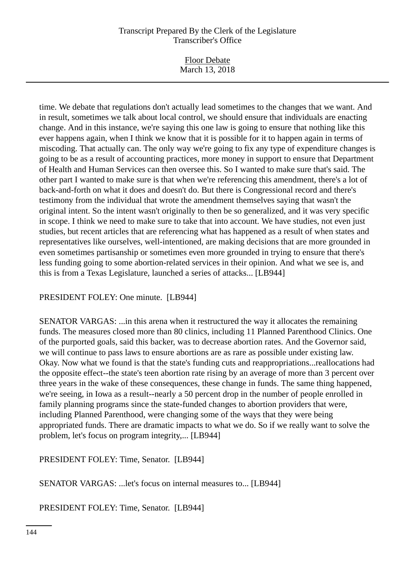Floor Debate March 13, 2018

time. We debate that regulations don't actually lead sometimes to the changes that we want. And in result, sometimes we talk about local control, we should ensure that individuals are enacting change. And in this instance, we're saying this one law is going to ensure that nothing like this ever happens again, when I think we know that it is possible for it to happen again in terms of miscoding. That actually can. The only way we're going to fix any type of expenditure changes is going to be as a result of accounting practices, more money in support to ensure that Department of Health and Human Services can then oversee this. So I wanted to make sure that's said. The other part I wanted to make sure is that when we're referencing this amendment, there's a lot of back-and-forth on what it does and doesn't do. But there is Congressional record and there's testimony from the individual that wrote the amendment themselves saying that wasn't the original intent. So the intent wasn't originally to then be so generalized, and it was very specific in scope. I think we need to make sure to take that into account. We have studies, not even just studies, but recent articles that are referencing what has happened as a result of when states and representatives like ourselves, well-intentioned, are making decisions that are more grounded in even sometimes partisanship or sometimes even more grounded in trying to ensure that there's less funding going to some abortion-related services in their opinion. And what we see is, and this is from a Texas Legislature, launched a series of attacks... [LB944]

## PRESIDENT FOLEY: One minute. [LB944]

SENATOR VARGAS: ...in this arena when it restructured the way it allocates the remaining funds. The measures closed more than 80 clinics, including 11 Planned Parenthood Clinics. One of the purported goals, said this backer, was to decrease abortion rates. And the Governor said, we will continue to pass laws to ensure abortions are as rare as possible under existing law. Okay. Now what we found is that the state's funding cuts and reappropriations...reallocations had the opposite effect--the state's teen abortion rate rising by an average of more than 3 percent over three years in the wake of these consequences, these change in funds. The same thing happened, we're seeing, in Iowa as a result--nearly a 50 percent drop in the number of people enrolled in family planning programs since the state-funded changes to abortion providers that were, including Planned Parenthood, were changing some of the ways that they were being appropriated funds. There are dramatic impacts to what we do. So if we really want to solve the problem, let's focus on program integrity,... [LB944]

## PRESIDENT FOLEY: Time, Senator. [LB944]

SENATOR VARGAS: ...let's focus on internal measures to... [LB944]

PRESIDENT FOLEY: Time, Senator. [LB944]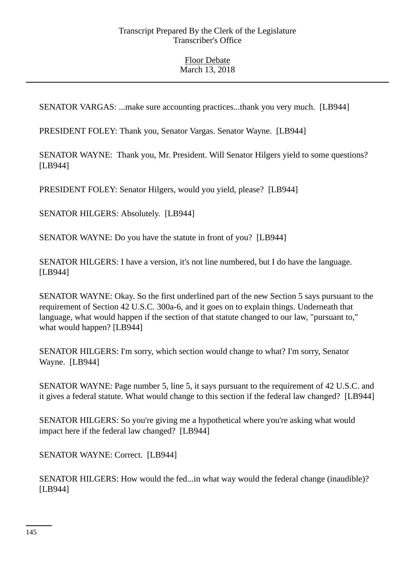SENATOR VARGAS: ...make sure accounting practices...thank you very much. [LB944]

PRESIDENT FOLEY: Thank you, Senator Vargas. Senator Wayne. [LB944]

SENATOR WAYNE: Thank you, Mr. President. Will Senator Hilgers yield to some questions? [LB944]

PRESIDENT FOLEY: Senator Hilgers, would you yield, please? [LB944]

SENATOR HILGERS: Absolutely. [LB944]

SENATOR WAYNE: Do you have the statute in front of you? [LB944]

SENATOR HILGERS: I have a version, it's not line numbered, but I do have the language. [LB944]

SENATOR WAYNE: Okay. So the first underlined part of the new Section 5 says pursuant to the requirement of Section 42 U.S.C. 300a-6, and it goes on to explain things. Underneath that language, what would happen if the section of that statute changed to our law, "pursuant to," what would happen? [LB944]

SENATOR HILGERS: I'm sorry, which section would change to what? I'm sorry, Senator Wayne. [LB944]

SENATOR WAYNE: Page number 5, line 5, it says pursuant to the requirement of 42 U.S.C. and it gives a federal statute. What would change to this section if the federal law changed? [LB944]

SENATOR HILGERS: So you're giving me a hypothetical where you're asking what would impact here if the federal law changed? [LB944]

SENATOR WAYNE: Correct. [LB944]

SENATOR HILGERS: How would the fed...in what way would the federal change (inaudible)? [LB944]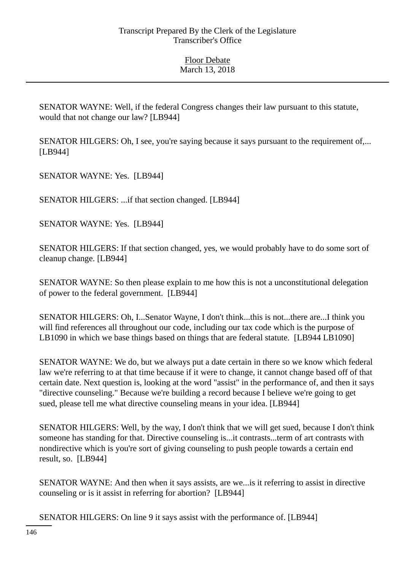SENATOR WAYNE: Well, if the federal Congress changes their law pursuant to this statute, would that not change our law? [LB944]

SENATOR HILGERS: Oh, I see, you're saying because it says pursuant to the requirement of,... [LB944]

SENATOR WAYNE: Yes. [LB944]

SENATOR HILGERS: ...if that section changed. [LB944]

SENATOR WAYNE: Yes. [LB944]

SENATOR HILGERS: If that section changed, yes, we would probably have to do some sort of cleanup change. [LB944]

SENATOR WAYNE: So then please explain to me how this is not a unconstitutional delegation of power to the federal government. [LB944]

SENATOR HILGERS: Oh, I...Senator Wayne, I don't think...this is not...there are...I think you will find references all throughout our code, including our tax code which is the purpose of LB1090 in which we base things based on things that are federal statute. [LB944 LB1090]

SENATOR WAYNE: We do, but we always put a date certain in there so we know which federal law we're referring to at that time because if it were to change, it cannot change based off of that certain date. Next question is, looking at the word "assist" in the performance of, and then it says "directive counseling." Because we're building a record because I believe we're going to get sued, please tell me what directive counseling means in your idea. [LB944]

SENATOR HILGERS: Well, by the way, I don't think that we will get sued, because I don't think someone has standing for that. Directive counseling is...it contrasts...term of art contrasts with nondirective which is you're sort of giving counseling to push people towards a certain end result, so. [LB944]

SENATOR WAYNE: And then when it says assists, are we...is it referring to assist in directive counseling or is it assist in referring for abortion? [LB944]

SENATOR HILGERS: On line 9 it says assist with the performance of. [LB944]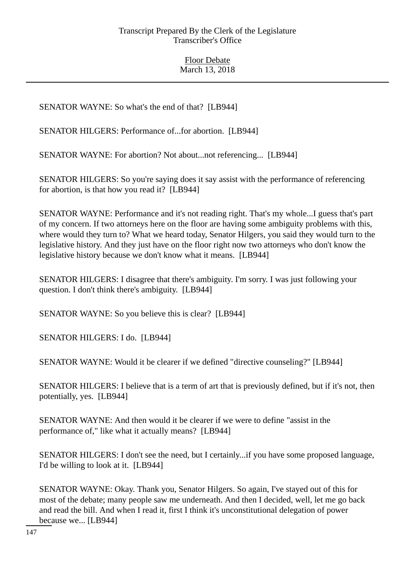SENATOR WAYNE: So what's the end of that? [LB944]

SENATOR HILGERS: Performance of...for abortion. [LB944]

SENATOR WAYNE: For abortion? Not about...not referencing... [LB944]

SENATOR HILGERS: So you're saying does it say assist with the performance of referencing for abortion, is that how you read it? [LB944]

SENATOR WAYNE: Performance and it's not reading right. That's my whole...I guess that's part of my concern. If two attorneys here on the floor are having some ambiguity problems with this, where would they turn to? What we heard today, Senator Hilgers, you said they would turn to the legislative history. And they just have on the floor right now two attorneys who don't know the legislative history because we don't know what it means. [LB944]

SENATOR HILGERS: I disagree that there's ambiguity. I'm sorry. I was just following your question. I don't think there's ambiguity. [LB944]

SENATOR WAYNE: So you believe this is clear? [LB944]

SENATOR HILGERS: I do. [LB944]

SENATOR WAYNE: Would it be clearer if we defined "directive counseling?" [LB944]

SENATOR HILGERS: I believe that is a term of art that is previously defined, but if it's not, then potentially, yes. [LB944]

SENATOR WAYNE: And then would it be clearer if we were to define "assist in the performance of," like what it actually means? [LB944]

SENATOR HILGERS: I don't see the need, but I certainly...if you have some proposed language, I'd be willing to look at it. [LB944]

SENATOR WAYNE: Okay. Thank you, Senator Hilgers. So again, I've stayed out of this for most of the debate; many people saw me underneath. And then I decided, well, let me go back and read the bill. And when I read it, first I think it's unconstitutional delegation of power because we... [LB944]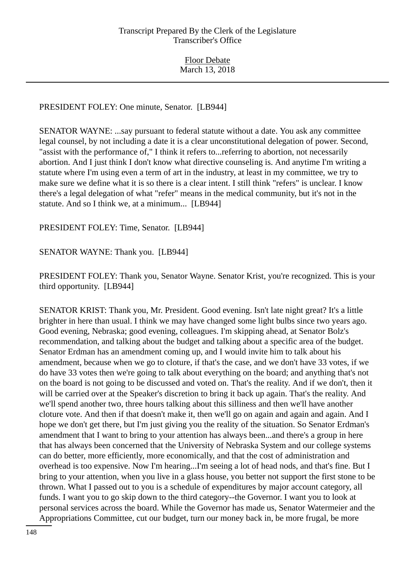### PRESIDENT FOLEY: One minute, Senator. [LB944]

SENATOR WAYNE: ...say pursuant to federal statute without a date. You ask any committee legal counsel, by not including a date it is a clear unconstitutional delegation of power. Second, "assist with the performance of," I think it refers to...referring to abortion, not necessarily abortion. And I just think I don't know what directive counseling is. And anytime I'm writing a statute where I'm using even a term of art in the industry, at least in my committee, we try to make sure we define what it is so there is a clear intent. I still think "refers" is unclear. I know there's a legal delegation of what "refer" means in the medical community, but it's not in the statute. And so I think we, at a minimum... [LB944]

PRESIDENT FOLEY: Time, Senator. [LB944]

SENATOR WAYNE: Thank you. [LB944]

PRESIDENT FOLEY: Thank you, Senator Wayne. Senator Krist, you're recognized. This is your third opportunity. [LB944]

SENATOR KRIST: Thank you, Mr. President. Good evening. Isn't late night great? It's a little brighter in here than usual. I think we may have changed some light bulbs since two years ago. Good evening, Nebraska; good evening, colleagues. I'm skipping ahead, at Senator Bolz's recommendation, and talking about the budget and talking about a specific area of the budget. Senator Erdman has an amendment coming up, and I would invite him to talk about his amendment, because when we go to cloture, if that's the case, and we don't have 33 votes, if we do have 33 votes then we're going to talk about everything on the board; and anything that's not on the board is not going to be discussed and voted on. That's the reality. And if we don't, then it will be carried over at the Speaker's discretion to bring it back up again. That's the reality. And we'll spend another two, three hours talking about this silliness and then we'll have another cloture vote. And then if that doesn't make it, then we'll go on again and again and again. And I hope we don't get there, but I'm just giving you the reality of the situation. So Senator Erdman's amendment that I want to bring to your attention has always been...and there's a group in here that has always been concerned that the University of Nebraska System and our college systems can do better, more efficiently, more economically, and that the cost of administration and overhead is too expensive. Now I'm hearing...I'm seeing a lot of head nods, and that's fine. But I bring to your attention, when you live in a glass house, you better not support the first stone to be thrown. What I passed out to you is a schedule of expenditures by major account category, all funds. I want you to go skip down to the third category--the Governor. I want you to look at personal services across the board. While the Governor has made us, Senator Watermeier and the Appropriations Committee, cut our budget, turn our money back in, be more frugal, be more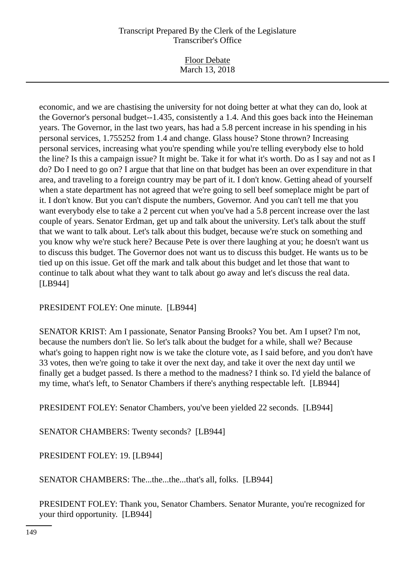Floor Debate March 13, 2018

economic, and we are chastising the university for not doing better at what they can do, look at the Governor's personal budget--1.435, consistently a 1.4. And this goes back into the Heineman years. The Governor, in the last two years, has had a 5.8 percent increase in his spending in his personal services, 1.755252 from 1.4 and change. Glass house? Stone thrown? Increasing personal services, increasing what you're spending while you're telling everybody else to hold the line? Is this a campaign issue? It might be. Take it for what it's worth. Do as I say and not as I do? Do I need to go on? I argue that that line on that budget has been an over expenditure in that area, and traveling to a foreign country may be part of it. I don't know. Getting ahead of yourself when a state department has not agreed that we're going to sell beef someplace might be part of it. I don't know. But you can't dispute the numbers, Governor. And you can't tell me that you want everybody else to take a 2 percent cut when you've had a 5.8 percent increase over the last couple of years. Senator Erdman, get up and talk about the university. Let's talk about the stuff that we want to talk about. Let's talk about this budget, because we're stuck on something and you know why we're stuck here? Because Pete is over there laughing at you; he doesn't want us to discuss this budget. The Governor does not want us to discuss this budget. He wants us to be tied up on this issue. Get off the mark and talk about this budget and let those that want to continue to talk about what they want to talk about go away and let's discuss the real data. [LB944]

PRESIDENT FOLEY: One minute. [LB944]

SENATOR KRIST: Am I passionate, Senator Pansing Brooks? You bet. Am I upset? I'm not, because the numbers don't lie. So let's talk about the budget for a while, shall we? Because what's going to happen right now is we take the cloture vote, as I said before, and you don't have 33 votes, then we're going to take it over the next day, and take it over the next day until we finally get a budget passed. Is there a method to the madness? I think so. I'd yield the balance of my time, what's left, to Senator Chambers if there's anything respectable left. [LB944]

PRESIDENT FOLEY: Senator Chambers, you've been yielded 22 seconds. [LB944]

SENATOR CHAMBERS: Twenty seconds? [LB944]

PRESIDENT FOLEY: 19. [LB944]

SENATOR CHAMBERS: The...the...the...that's all, folks. [LB944]

PRESIDENT FOLEY: Thank you, Senator Chambers. Senator Murante, you're recognized for your third opportunity. [LB944]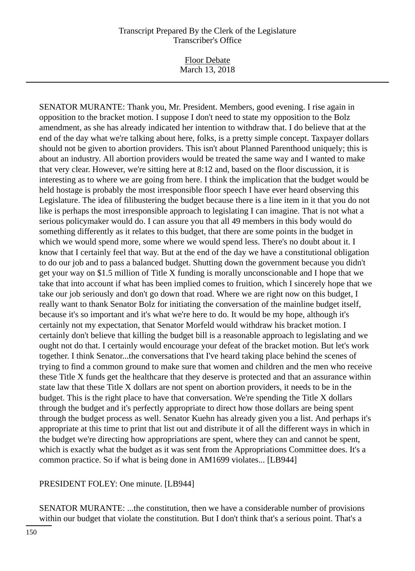Floor Debate March 13, 2018

SENATOR MURANTE: Thank you, Mr. President. Members, good evening. I rise again in opposition to the bracket motion. I suppose I don't need to state my opposition to the Bolz amendment, as she has already indicated her intention to withdraw that. I do believe that at the end of the day what we're talking about here, folks, is a pretty simple concept. Taxpayer dollars should not be given to abortion providers. This isn't about Planned Parenthood uniquely; this is about an industry. All abortion providers would be treated the same way and I wanted to make that very clear. However, we're sitting here at 8:12 and, based on the floor discussion, it is interesting as to where we are going from here. I think the implication that the budget would be held hostage is probably the most irresponsible floor speech I have ever heard observing this Legislature. The idea of filibustering the budget because there is a line item in it that you do not like is perhaps the most irresponsible approach to legislating I can imagine. That is not what a serious policymaker would do. I can assure you that all 49 members in this body would do something differently as it relates to this budget, that there are some points in the budget in which we would spend more, some where we would spend less. There's no doubt about it. I know that I certainly feel that way. But at the end of the day we have a constitutional obligation to do our job and to pass a balanced budget. Shutting down the government because you didn't get your way on \$1.5 million of Title X funding is morally unconscionable and I hope that we take that into account if what has been implied comes to fruition, which I sincerely hope that we take our job seriously and don't go down that road. Where we are right now on this budget, I really want to thank Senator Bolz for initiating the conversation of the mainline budget itself, because it's so important and it's what we're here to do. It would be my hope, although it's certainly not my expectation, that Senator Morfeld would withdraw his bracket motion. I certainly don't believe that killing the budget bill is a reasonable approach to legislating and we ought not do that. I certainly would encourage your defeat of the bracket motion. But let's work together. I think Senator...the conversations that I've heard taking place behind the scenes of trying to find a common ground to make sure that women and children and the men who receive these Title X funds get the healthcare that they deserve is protected and that an assurance within state law that these Title X dollars are not spent on abortion providers, it needs to be in the budget. This is the right place to have that conversation. We're spending the Title X dollars through the budget and it's perfectly appropriate to direct how those dollars are being spent through the budget process as well. Senator Kuehn has already given you a list. And perhaps it's appropriate at this time to print that list out and distribute it of all the different ways in which in the budget we're directing how appropriations are spent, where they can and cannot be spent, which is exactly what the budget as it was sent from the Appropriations Committee does. It's a common practice. So if what is being done in AM1699 violates... [LB944]

PRESIDENT FOLEY: One minute. [LB944]

SENATOR MURANTE: ...the constitution, then we have a considerable number of provisions within our budget that violate the constitution. But I don't think that's a serious point. That's a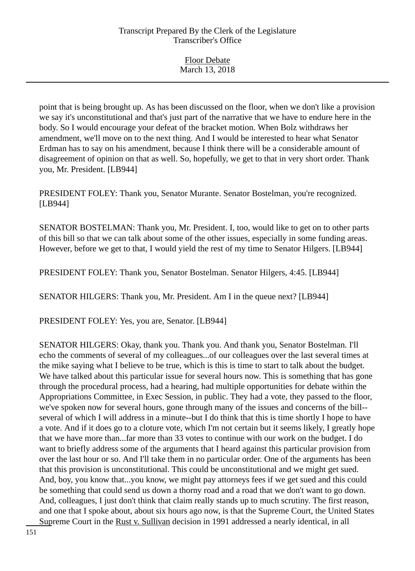Floor Debate March 13, 2018

point that is being brought up. As has been discussed on the floor, when we don't like a provision we say it's unconstitutional and that's just part of the narrative that we have to endure here in the body. So I would encourage your defeat of the bracket motion. When Bolz withdraws her amendment, we'll move on to the next thing. And I would be interested to hear what Senator Erdman has to say on his amendment, because I think there will be a considerable amount of disagreement of opinion on that as well. So, hopefully, we get to that in very short order. Thank you, Mr. President. [LB944]

PRESIDENT FOLEY: Thank you, Senator Murante. Senator Bostelman, you're recognized. [LB944]

SENATOR BOSTELMAN: Thank you, Mr. President. I, too, would like to get on to other parts of this bill so that we can talk about some of the other issues, especially in some funding areas. However, before we get to that, I would yield the rest of my time to Senator Hilgers. [LB944]

PRESIDENT FOLEY: Thank you, Senator Bostelman. Senator Hilgers, 4:45. [LB944]

SENATOR HILGERS: Thank you, Mr. President. Am I in the queue next? [LB944]

PRESIDENT FOLEY: Yes, you are, Senator. [LB944]

SENATOR HILGERS: Okay, thank you. Thank you. And thank you, Senator Bostelman. I'll echo the comments of several of my colleagues...of our colleagues over the last several times at the mike saying what I believe to be true, which is this is time to start to talk about the budget. We have talked about this particular issue for several hours now. This is something that has gone through the procedural process, had a hearing, had multiple opportunities for debate within the Appropriations Committee, in Exec Session, in public. They had a vote, they passed to the floor, we've spoken now for several hours, gone through many of the issues and concerns of the bill- several of which I will address in a minute--but I do think that this is time shortly I hope to have a vote. And if it does go to a cloture vote, which I'm not certain but it seems likely, I greatly hope that we have more than...far more than 33 votes to continue with our work on the budget. I do want to briefly address some of the arguments that I heard against this particular provision from over the last hour or so. And I'll take them in no particular order. One of the arguments has been that this provision is unconstitutional. This could be unconstitutional and we might get sued. And, boy, you know that...you know, we might pay attorneys fees if we get sued and this could be something that could send us down a thorny road and a road that we don't want to go down. And, colleagues, I just don't think that claim really stands up to much scrutiny. The first reason, and one that I spoke about, about six hours ago now, is that the Supreme Court, the United States Supreme Court in the Rust v. Sullivan decision in 1991 addressed a nearly identical, in all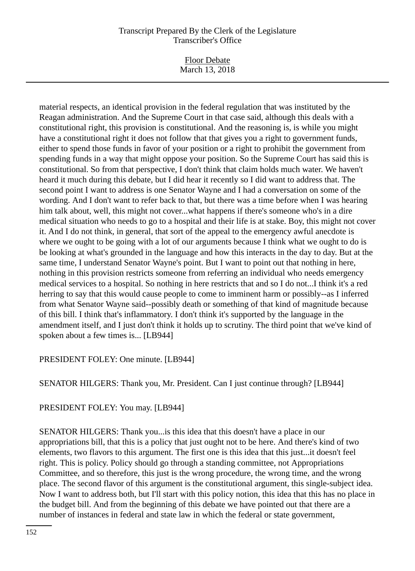Floor Debate March 13, 2018

material respects, an identical provision in the federal regulation that was instituted by the Reagan administration. And the Supreme Court in that case said, although this deals with a constitutional right, this provision is constitutional. And the reasoning is, is while you might have a constitutional right it does not follow that that gives you a right to government funds, either to spend those funds in favor of your position or a right to prohibit the government from spending funds in a way that might oppose your position. So the Supreme Court has said this is constitutional. So from that perspective, I don't think that claim holds much water. We haven't heard it much during this debate, but I did hear it recently so I did want to address that. The second point I want to address is one Senator Wayne and I had a conversation on some of the wording. And I don't want to refer back to that, but there was a time before when I was hearing him talk about, well, this might not cover...what happens if there's someone who's in a dire medical situation who needs to go to a hospital and their life is at stake. Boy, this might not cover it. And I do not think, in general, that sort of the appeal to the emergency awful anecdote is where we ought to be going with a lot of our arguments because I think what we ought to do is be looking at what's grounded in the language and how this interacts in the day to day. But at the same time, I understand Senator Wayne's point. But I want to point out that nothing in here, nothing in this provision restricts someone from referring an individual who needs emergency medical services to a hospital. So nothing in here restricts that and so I do not...I think it's a red herring to say that this would cause people to come to imminent harm or possibly--as I inferred from what Senator Wayne said--possibly death or something of that kind of magnitude because of this bill. I think that's inflammatory. I don't think it's supported by the language in the amendment itself, and I just don't think it holds up to scrutiny. The third point that we've kind of spoken about a few times is... [LB944]

## PRESIDENT FOLEY: One minute. [LB944]

SENATOR HILGERS: Thank you, Mr. President. Can I just continue through? [LB944]

#### PRESIDENT FOLEY: You may. [LB944]

SENATOR HILGERS: Thank you...is this idea that this doesn't have a place in our appropriations bill, that this is a policy that just ought not to be here. And there's kind of two elements, two flavors to this argument. The first one is this idea that this just...it doesn't feel right. This is policy. Policy should go through a standing committee, not Appropriations Committee, and so therefore, this just is the wrong procedure, the wrong time, and the wrong place. The second flavor of this argument is the constitutional argument, this single-subject idea. Now I want to address both, but I'll start with this policy notion, this idea that this has no place in the budget bill. And from the beginning of this debate we have pointed out that there are a number of instances in federal and state law in which the federal or state government,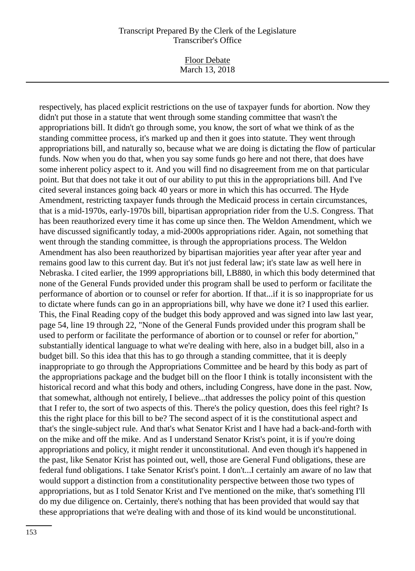Floor Debate March 13, 2018

respectively, has placed explicit restrictions on the use of taxpayer funds for abortion. Now they didn't put those in a statute that went through some standing committee that wasn't the appropriations bill. It didn't go through some, you know, the sort of what we think of as the standing committee process, it's marked up and then it goes into statute. They went through appropriations bill, and naturally so, because what we are doing is dictating the flow of particular funds. Now when you do that, when you say some funds go here and not there, that does have some inherent policy aspect to it. And you will find no disagreement from me on that particular point. But that does not take it out of our ability to put this in the appropriations bill. And I've cited several instances going back 40 years or more in which this has occurred. The Hyde Amendment, restricting taxpayer funds through the Medicaid process in certain circumstances, that is a mid-1970s, early-1970s bill, bipartisan appropriation rider from the U.S. Congress. That has been reauthorized every time it has come up since then. The Weldon Amendment, which we have discussed significantly today, a mid-2000s appropriations rider. Again, not something that went through the standing committee, is through the appropriations process. The Weldon Amendment has also been reauthorized by bipartisan majorities year after year after year and remains good law to this current day. But it's not just federal law; it's state law as well here in Nebraska. I cited earlier, the 1999 appropriations bill, LB880, in which this body determined that none of the General Funds provided under this program shall be used to perform or facilitate the performance of abortion or to counsel or refer for abortion. If that...if it is so inappropriate for us to dictate where funds can go in an appropriations bill, why have we done it? I used this earlier. This, the Final Reading copy of the budget this body approved and was signed into law last year, page 54, line 19 through 22, "None of the General Funds provided under this program shall be used to perform or facilitate the performance of abortion or to counsel or refer for abortion," substantially identical language to what we're dealing with here, also in a budget bill, also in a budget bill. So this idea that this has to go through a standing committee, that it is deeply inappropriate to go through the Appropriations Committee and be heard by this body as part of the appropriations package and the budget bill on the floor I think is totally inconsistent with the historical record and what this body and others, including Congress, have done in the past. Now, that somewhat, although not entirely, I believe...that addresses the policy point of this question that I refer to, the sort of two aspects of this. There's the policy question, does this feel right? Is this the right place for this bill to be? The second aspect of it is the constitutional aspect and that's the single-subject rule. And that's what Senator Krist and I have had a back-and-forth with on the mike and off the mike. And as I understand Senator Krist's point, it is if you're doing appropriations and policy, it might render it unconstitutional. And even though it's happened in the past, like Senator Krist has pointed out, well, those are General Fund obligations, these are federal fund obligations. I take Senator Krist's point. I don't...I certainly am aware of no law that would support a distinction from a constitutionality perspective between those two types of appropriations, but as I told Senator Krist and I've mentioned on the mike, that's something I'll do my due diligence on. Certainly, there's nothing that has been provided that would say that these appropriations that we're dealing with and those of its kind would be unconstitutional.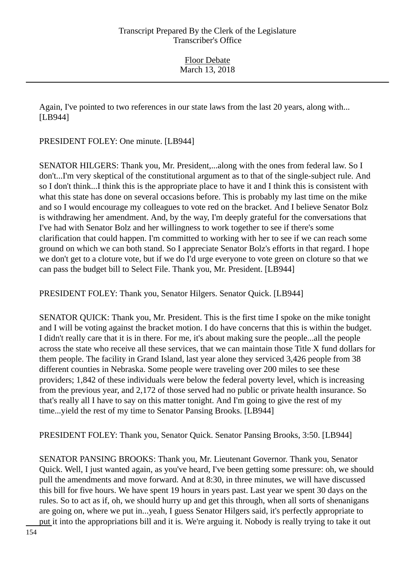Again, I've pointed to two references in our state laws from the last 20 years, along with... [LB944]

PRESIDENT FOLEY: One minute. [LB944]

SENATOR HILGERS: Thank you, Mr. President,...along with the ones from federal law. So I don't...I'm very skeptical of the constitutional argument as to that of the single-subject rule. And so I don't think...I think this is the appropriate place to have it and I think this is consistent with what this state has done on several occasions before. This is probably my last time on the mike and so I would encourage my colleagues to vote red on the bracket. And I believe Senator Bolz is withdrawing her amendment. And, by the way, I'm deeply grateful for the conversations that I've had with Senator Bolz and her willingness to work together to see if there's some clarification that could happen. I'm committed to working with her to see if we can reach some ground on which we can both stand. So I appreciate Senator Bolz's efforts in that regard. I hope we don't get to a cloture vote, but if we do I'd urge everyone to vote green on cloture so that we can pass the budget bill to Select File. Thank you, Mr. President. [LB944]

PRESIDENT FOLEY: Thank you, Senator Hilgers. Senator Quick. [LB944]

SENATOR QUICK: Thank you, Mr. President. This is the first time I spoke on the mike tonight and I will be voting against the bracket motion. I do have concerns that this is within the budget. I didn't really care that it is in there. For me, it's about making sure the people...all the people across the state who receive all these services, that we can maintain those Title X fund dollars for them people. The facility in Grand Island, last year alone they serviced 3,426 people from 38 different counties in Nebraska. Some people were traveling over 200 miles to see these providers; 1,842 of these individuals were below the federal poverty level, which is increasing from the previous year, and 2,172 of those served had no public or private health insurance. So that's really all I have to say on this matter tonight. And I'm going to give the rest of my time...yield the rest of my time to Senator Pansing Brooks. [LB944]

PRESIDENT FOLEY: Thank you, Senator Quick. Senator Pansing Brooks, 3:50. [LB944]

SENATOR PANSING BROOKS: Thank you, Mr. Lieutenant Governor. Thank you, Senator Quick. Well, I just wanted again, as you've heard, I've been getting some pressure: oh, we should pull the amendments and move forward. And at 8:30, in three minutes, we will have discussed this bill for five hours. We have spent 19 hours in years past. Last year we spent 30 days on the rules. So to act as if, oh, we should hurry up and get this through, when all sorts of shenanigans are going on, where we put in...yeah, I guess Senator Hilgers said, it's perfectly appropriate to put it into the appropriations bill and it is. We're arguing it. Nobody is really trying to take it out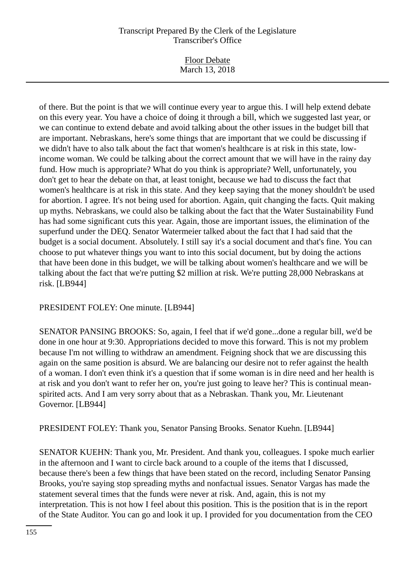Floor Debate March 13, 2018

of there. But the point is that we will continue every year to argue this. I will help extend debate on this every year. You have a choice of doing it through a bill, which we suggested last year, or we can continue to extend debate and avoid talking about the other issues in the budget bill that are important. Nebraskans, here's some things that are important that we could be discussing if we didn't have to also talk about the fact that women's healthcare is at risk in this state, lowincome woman. We could be talking about the correct amount that we will have in the rainy day fund. How much is appropriate? What do you think is appropriate? Well, unfortunately, you don't get to hear the debate on that, at least tonight, because we had to discuss the fact that women's healthcare is at risk in this state. And they keep saying that the money shouldn't be used for abortion. I agree. It's not being used for abortion. Again, quit changing the facts. Quit making up myths. Nebraskans, we could also be talking about the fact that the Water Sustainability Fund has had some significant cuts this year. Again, those are important issues, the elimination of the superfund under the DEQ. Senator Watermeier talked about the fact that I had said that the budget is a social document. Absolutely. I still say it's a social document and that's fine. You can choose to put whatever things you want to into this social document, but by doing the actions that have been done in this budget, we will be talking about women's healthcare and we will be talking about the fact that we're putting \$2 million at risk. We're putting 28,000 Nebraskans at risk. [LB944]

PRESIDENT FOLEY: One minute. [LB944]

SENATOR PANSING BROOKS: So, again, I feel that if we'd gone...done a regular bill, we'd be done in one hour at 9:30. Appropriations decided to move this forward. This is not my problem because I'm not willing to withdraw an amendment. Feigning shock that we are discussing this again on the same position is absurd. We are balancing our desire not to refer against the health of a woman. I don't even think it's a question that if some woman is in dire need and her health is at risk and you don't want to refer her on, you're just going to leave her? This is continual meanspirited acts. And I am very sorry about that as a Nebraskan. Thank you, Mr. Lieutenant Governor. [LB944]

PRESIDENT FOLEY: Thank you, Senator Pansing Brooks. Senator Kuehn. [LB944]

SENATOR KUEHN: Thank you, Mr. President. And thank you, colleagues. I spoke much earlier in the afternoon and I want to circle back around to a couple of the items that I discussed, because there's been a few things that have been stated on the record, including Senator Pansing Brooks, you're saying stop spreading myths and nonfactual issues. Senator Vargas has made the statement several times that the funds were never at risk. And, again, this is not my interpretation. This is not how I feel about this position. This is the position that is in the report of the State Auditor. You can go and look it up. I provided for you documentation from the CEO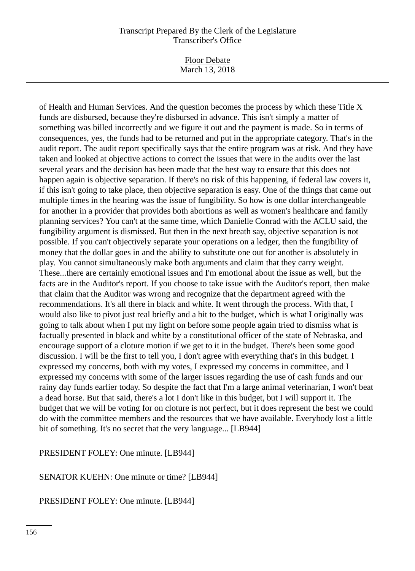Floor Debate March 13, 2018

of Health and Human Services. And the question becomes the process by which these Title X funds are disbursed, because they're disbursed in advance. This isn't simply a matter of something was billed incorrectly and we figure it out and the payment is made. So in terms of consequences, yes, the funds had to be returned and put in the appropriate category. That's in the audit report. The audit report specifically says that the entire program was at risk. And they have taken and looked at objective actions to correct the issues that were in the audits over the last several years and the decision has been made that the best way to ensure that this does not happen again is objective separation. If there's no risk of this happening, if federal law covers it, if this isn't going to take place, then objective separation is easy. One of the things that came out multiple times in the hearing was the issue of fungibility. So how is one dollar interchangeable for another in a provider that provides both abortions as well as women's healthcare and family planning services? You can't at the same time, which Danielle Conrad with the ACLU said, the fungibility argument is dismissed. But then in the next breath say, objective separation is not possible. If you can't objectively separate your operations on a ledger, then the fungibility of money that the dollar goes in and the ability to substitute one out for another is absolutely in play. You cannot simultaneously make both arguments and claim that they carry weight. These...there are certainly emotional issues and I'm emotional about the issue as well, but the facts are in the Auditor's report. If you choose to take issue with the Auditor's report, then make that claim that the Auditor was wrong and recognize that the department agreed with the recommendations. It's all there in black and white. It went through the process. With that, I would also like to pivot just real briefly and a bit to the budget, which is what I originally was going to talk about when I put my light on before some people again tried to dismiss what is factually presented in black and white by a constitutional officer of the state of Nebraska, and encourage support of a cloture motion if we get to it in the budget. There's been some good discussion. I will be the first to tell you, I don't agree with everything that's in this budget. I expressed my concerns, both with my votes, I expressed my concerns in committee, and I expressed my concerns with some of the larger issues regarding the use of cash funds and our rainy day funds earlier today. So despite the fact that I'm a large animal veterinarian, I won't beat a dead horse. But that said, there's a lot I don't like in this budget, but I will support it. The budget that we will be voting for on cloture is not perfect, but it does represent the best we could do with the committee members and the resources that we have available. Everybody lost a little bit of something. It's no secret that the very language... [LB944]

PRESIDENT FOLEY: One minute. [LB944]

SENATOR KUEHN: One minute or time? [LB944]

PRESIDENT FOLEY: One minute. [LB944]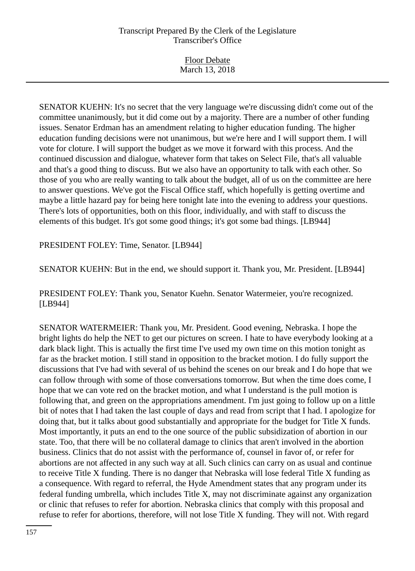| <b>Floor Debate</b> |  |
|---------------------|--|
| March 13, 2018      |  |
|                     |  |

SENATOR KUEHN: It's no secret that the very language we're discussing didn't come out of the committee unanimously, but it did come out by a majority. There are a number of other funding issues. Senator Erdman has an amendment relating to higher education funding. The higher education funding decisions were not unanimous, but we're here and I will support them. I will vote for cloture. I will support the budget as we move it forward with this process. And the continued discussion and dialogue, whatever form that takes on Select File, that's all valuable and that's a good thing to discuss. But we also have an opportunity to talk with each other. So those of you who are really wanting to talk about the budget, all of us on the committee are here to answer questions. We've got the Fiscal Office staff, which hopefully is getting overtime and maybe a little hazard pay for being here tonight late into the evening to address your questions. There's lots of opportunities, both on this floor, individually, and with staff to discuss the elements of this budget. It's got some good things; it's got some bad things. [LB944]

PRESIDENT FOLEY: Time, Senator. [LB944]

SENATOR KUEHN: But in the end, we should support it. Thank you, Mr. President. [LB944]

PRESIDENT FOLEY: Thank you, Senator Kuehn. Senator Watermeier, you're recognized. [LB944]

SENATOR WATERMEIER: Thank you, Mr. President. Good evening, Nebraska. I hope the bright lights do help the NET to get our pictures on screen. I hate to have everybody looking at a dark black light. This is actually the first time I've used my own time on this motion tonight as far as the bracket motion. I still stand in opposition to the bracket motion. I do fully support the discussions that I've had with several of us behind the scenes on our break and I do hope that we can follow through with some of those conversations tomorrow. But when the time does come, I hope that we can vote red on the bracket motion, and what I understand is the pull motion is following that, and green on the appropriations amendment. I'm just going to follow up on a little bit of notes that I had taken the last couple of days and read from script that I had. I apologize for doing that, but it talks about good substantially and appropriate for the budget for Title X funds. Most importantly, it puts an end to the one source of the public subsidization of abortion in our state. Too, that there will be no collateral damage to clinics that aren't involved in the abortion business. Clinics that do not assist with the performance of, counsel in favor of, or refer for abortions are not affected in any such way at all. Such clinics can carry on as usual and continue to receive Title X funding. There is no danger that Nebraska will lose federal Title X funding as a consequence. With regard to referral, the Hyde Amendment states that any program under its federal funding umbrella, which includes Title X, may not discriminate against any organization or clinic that refuses to refer for abortion. Nebraska clinics that comply with this proposal and refuse to refer for abortions, therefore, will not lose Title X funding. They will not. With regard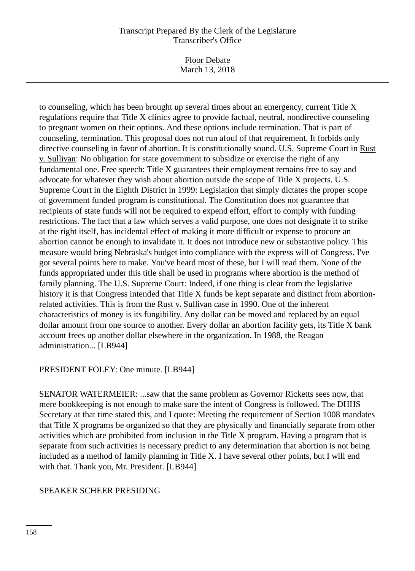Floor Debate March 13, 2018

to counseling, which has been brought up several times about an emergency, current Title X regulations require that Title X clinics agree to provide factual, neutral, nondirective counseling to pregnant women on their options. And these options include termination. That is part of counseling, termination. This proposal does not run afoul of that requirement. It forbids only directive counseling in favor of abortion. It is constitutionally sound. U.S. Supreme Court in Rust v. Sullivan: No obligation for state government to subsidize or exercise the right of any fundamental one. Free speech: Title X guarantees their employment remains free to say and advocate for whatever they wish about abortion outside the scope of Title X projects. U.S. Supreme Court in the Eighth District in 1999: Legislation that simply dictates the proper scope of government funded program is constitutional. The Constitution does not guarantee that recipients of state funds will not be required to expend effort, effort to comply with funding restrictions. The fact that a law which serves a valid purpose, one does not designate it to strike at the right itself, has incidental effect of making it more difficult or expense to procure an abortion cannot be enough to invalidate it. It does not introduce new or substantive policy. This measure would bring Nebraska's budget into compliance with the express will of Congress. I've got several points here to make. You've heard most of these, but I will read them. None of the funds appropriated under this title shall be used in programs where abortion is the method of family planning. The U.S. Supreme Court: Indeed, if one thing is clear from the legislative history it is that Congress intended that Title X funds be kept separate and distinct from abortionrelated activities. This is from the Rust v. Sullivan case in 1990. One of the inherent characteristics of money is its fungibility. Any dollar can be moved and replaced by an equal dollar amount from one source to another. Every dollar an abortion facility gets, its Title X bank account frees up another dollar elsewhere in the organization. In 1988, the Reagan administration... [LB944]

## PRESIDENT FOLEY: One minute. [LB944]

SENATOR WATERMEIER: ...saw that the same problem as Governor Ricketts sees now, that mere bookkeeping is not enough to make sure the intent of Congress is followed. The DHHS Secretary at that time stated this, and I quote: Meeting the requirement of Section 1008 mandates that Title X programs be organized so that they are physically and financially separate from other activities which are prohibited from inclusion in the Title X program. Having a program that is separate from such activities is necessary predict to any determination that abortion is not being included as a method of family planning in Title X. I have several other points, but I will end with that. Thank you, Mr. President. [LB944]

## SPEAKER SCHEER PRESIDING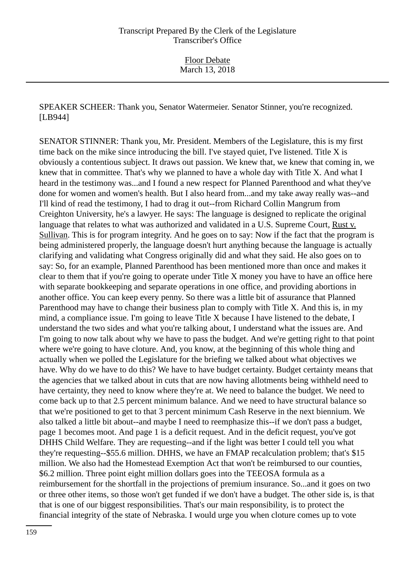SPEAKER SCHEER: Thank you, Senator Watermeier. Senator Stinner, you're recognized. [LB944]

SENATOR STINNER: Thank you, Mr. President. Members of the Legislature, this is my first time back on the mike since introducing the bill. I've stayed quiet, I've listened. Title X is obviously a contentious subject. It draws out passion. We knew that, we knew that coming in, we knew that in committee. That's why we planned to have a whole day with Title X. And what I heard in the testimony was...and I found a new respect for Planned Parenthood and what they've done for women and women's health. But I also heard from...and my take away really was--and I'll kind of read the testimony, I had to drag it out--from Richard Collin Mangrum from Creighton University, he's a lawyer. He says: The language is designed to replicate the original language that relates to what was authorized and validated in a U.S. Supreme Court, Rust v. Sullivan. This is for program integrity. And he goes on to say: Now if the fact that the program is being administered properly, the language doesn't hurt anything because the language is actually clarifying and validating what Congress originally did and what they said. He also goes on to say: So, for an example, Planned Parenthood has been mentioned more than once and makes it clear to them that if you're going to operate under Title X money you have to have an office here with separate bookkeeping and separate operations in one office, and providing abortions in another office. You can keep every penny. So there was a little bit of assurance that Planned Parenthood may have to change their business plan to comply with Title X. And this is, in my mind, a compliance issue. I'm going to leave Title X because I have listened to the debate, I understand the two sides and what you're talking about, I understand what the issues are. And I'm going to now talk about why we have to pass the budget. And we're getting right to that point where we're going to have cloture. And, you know, at the beginning of this whole thing and actually when we polled the Legislature for the briefing we talked about what objectives we have. Why do we have to do this? We have to have budget certainty. Budget certainty means that the agencies that we talked about in cuts that are now having allotments being withheld need to have certainty, they need to know where they're at. We need to balance the budget. We need to come back up to that 2.5 percent minimum balance. And we need to have structural balance so that we're positioned to get to that 3 percent minimum Cash Reserve in the next biennium. We also talked a little bit about--and maybe I need to reemphasize this--if we don't pass a budget, page 1 becomes moot. And page 1 is a deficit request. And in the deficit request, you've got DHHS Child Welfare. They are requesting--and if the light was better I could tell you what they're requesting--\$55.6 million. DHHS, we have an FMAP recalculation problem; that's \$15 million. We also had the Homestead Exemption Act that won't be reimbursed to our counties, \$6.2 million. Three point eight million dollars goes into the TEEOSA formula as a reimbursement for the shortfall in the projections of premium insurance. So...and it goes on two or three other items, so those won't get funded if we don't have a budget. The other side is, is that that is one of our biggest responsibilities. That's our main responsibility, is to protect the financial integrity of the state of Nebraska. I would urge you when cloture comes up to vote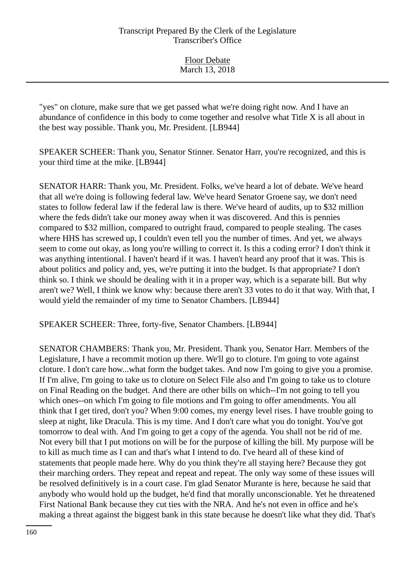Floor Debate March 13, 2018

"yes" on cloture, make sure that we get passed what we're doing right now. And I have an abundance of confidence in this body to come together and resolve what Title X is all about in the best way possible. Thank you, Mr. President. [LB944]

SPEAKER SCHEER: Thank you, Senator Stinner. Senator Harr, you're recognized, and this is your third time at the mike. [LB944]

SENATOR HARR: Thank you, Mr. President. Folks, we've heard a lot of debate. We've heard that all we're doing is following federal law. We've heard Senator Groene say, we don't need states to follow federal law if the federal law is there. We've heard of audits, up to \$32 million where the feds didn't take our money away when it was discovered. And this is pennies compared to \$32 million, compared to outright fraud, compared to people stealing. The cases where HHS has screwed up, I couldn't even tell you the number of times. And yet, we always seem to come out okay, as long you're willing to correct it. Is this a coding error? I don't think it was anything intentional. I haven't heard if it was. I haven't heard any proof that it was. This is about politics and policy and, yes, we're putting it into the budget. Is that appropriate? I don't think so. I think we should be dealing with it in a proper way, which is a separate bill. But why aren't we? Well, I think we know why: because there aren't 33 votes to do it that way. With that, I would yield the remainder of my time to Senator Chambers. [LB944]

SPEAKER SCHEER: Three, forty-five, Senator Chambers. [LB944]

SENATOR CHAMBERS: Thank you, Mr. President. Thank you, Senator Harr. Members of the Legislature, I have a recommit motion up there. We'll go to cloture. I'm going to vote against cloture. I don't care how...what form the budget takes. And now I'm going to give you a promise. If I'm alive, I'm going to take us to cloture on Select File also and I'm going to take us to cloture on Final Reading on the budget. And there are other bills on which--I'm not going to tell you which ones--on which I'm going to file motions and I'm going to offer amendments. You all think that I get tired, don't you? When 9:00 comes, my energy level rises. I have trouble going to sleep at night, like Dracula. This is my time. And I don't care what you do tonight. You've got tomorrow to deal with. And I'm going to get a copy of the agenda. You shall not be rid of me. Not every bill that I put motions on will be for the purpose of killing the bill. My purpose will be to kill as much time as I can and that's what I intend to do. I've heard all of these kind of statements that people made here. Why do you think they're all staying here? Because they got their marching orders. They repeat and repeat and repeat. The only way some of these issues will be resolved definitively is in a court case. I'm glad Senator Murante is here, because he said that anybody who would hold up the budget, he'd find that morally unconscionable. Yet he threatened First National Bank because they cut ties with the NRA. And he's not even in office and he's making a threat against the biggest bank in this state because he doesn't like what they did. That's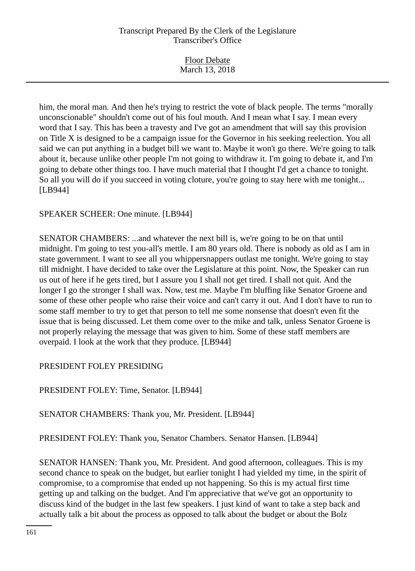| <b>Floor Debate</b> |  |
|---------------------|--|
| March 13, 2018      |  |

him, the moral man. And then he's trying to restrict the vote of black people. The terms "morally unconscionable" shouldn't come out of his foul mouth. And I mean what I say. I mean every word that I say. This has been a travesty and I've got an amendment that will say this provision on Title X is designed to be a campaign issue for the Governor in his seeking reelection. You all said we can put anything in a budget bill we want to. Maybe it won't go there. We're going to talk about it, because unlike other people I'm not going to withdraw it. I'm going to debate it, and I'm going to debate other things too. I have much material that I thought I'd get a chance to tonight. So all you will do if you succeed in voting cloture, you're going to stay here with me tonight... [LB944]

SPEAKER SCHEER: One minute. [LB944]

SENATOR CHAMBERS: ...and whatever the next bill is, we're going to be on that until midnight. I'm going to test you-all's mettle. I am 80 years old. There is nobody as old as I am in state government. I want to see all you whippersnappers outlast me tonight. We're going to stay till midnight. I have decided to take over the Legislature at this point. Now, the Speaker can run us out of here if he gets tired, but I assure you I shall not get tired. I shall not quit. And the longer I go the stronger I shall wax. Now, test me. Maybe I'm bluffing like Senator Groene and some of these other people who raise their voice and can't carry it out. And I don't have to run to some staff member to try to get that person to tell me some nonsense that doesn't even fit the issue that is being discussed. Let them come over to the mike and talk, unless Senator Groene is not properly relaying the message that was given to him. Some of these staff members are overpaid. I look at the work that they produce. [LB944]

## PRESIDENT FOLEY PRESIDING

PRESIDENT FOLEY: Time, Senator. [LB944]

SENATOR CHAMBERS: Thank you, Mr. President. [LB944]

PRESIDENT FOLEY: Thank you, Senator Chambers. Senator Hansen. [LB944]

SENATOR HANSEN: Thank you, Mr. President. And good afternoon, colleagues. This is my second chance to speak on the budget, but earlier tonight I had yielded my time, in the spirit of compromise, to a compromise that ended up not happening. So this is my actual first time getting up and talking on the budget. And I'm appreciative that we've got an opportunity to discuss kind of the budget in the last few speakers. I just kind of want to take a step back and actually talk a bit about the process as opposed to talk about the budget or about the Bolz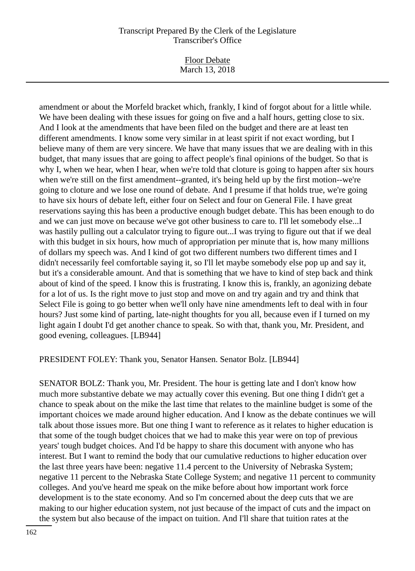Floor Debate March 13, 2018

amendment or about the Morfeld bracket which, frankly, I kind of forgot about for a little while. We have been dealing with these issues for going on five and a half hours, getting close to six. And I look at the amendments that have been filed on the budget and there are at least ten different amendments. I know some very similar in at least spirit if not exact wording, but I believe many of them are very sincere. We have that many issues that we are dealing with in this budget, that many issues that are going to affect people's final opinions of the budget. So that is why I, when we hear, when I hear, when we're told that cloture is going to happen after six hours when we're still on the first amendment--granted, it's being held up by the first motion--we're going to cloture and we lose one round of debate. And I presume if that holds true, we're going to have six hours of debate left, either four on Select and four on General File. I have great reservations saying this has been a productive enough budget debate. This has been enough to do and we can just move on because we've got other business to care to. I'll let somebody else...I was hastily pulling out a calculator trying to figure out...I was trying to figure out that if we deal with this budget in six hours, how much of appropriation per minute that is, how many millions of dollars my speech was. And I kind of got two different numbers two different times and I didn't necessarily feel comfortable saying it, so I'll let maybe somebody else pop up and say it, but it's a considerable amount. And that is something that we have to kind of step back and think about of kind of the speed. I know this is frustrating. I know this is, frankly, an agonizing debate for a lot of us. Is the right move to just stop and move on and try again and try and think that Select File is going to go better when we'll only have nine amendments left to deal with in four hours? Just some kind of parting, late-night thoughts for you all, because even if I turned on my light again I doubt I'd get another chance to speak. So with that, thank you, Mr. President, and good evening, colleagues. [LB944]

#### PRESIDENT FOLEY: Thank you, Senator Hansen. Senator Bolz. [LB944]

SENATOR BOLZ: Thank you, Mr. President. The hour is getting late and I don't know how much more substantive debate we may actually cover this evening. But one thing I didn't get a chance to speak about on the mike the last time that relates to the mainline budget is some of the important choices we made around higher education. And I know as the debate continues we will talk about those issues more. But one thing I want to reference as it relates to higher education is that some of the tough budget choices that we had to make this year were on top of previous years' tough budget choices. And I'd be happy to share this document with anyone who has interest. But I want to remind the body that our cumulative reductions to higher education over the last three years have been: negative 11.4 percent to the University of Nebraska System; negative 11 percent to the Nebraska State College System; and negative 11 percent to community colleges. And you've heard me speak on the mike before about how important work force development is to the state economy. And so I'm concerned about the deep cuts that we are making to our higher education system, not just because of the impact of cuts and the impact on the system but also because of the impact on tuition. And I'll share that tuition rates at the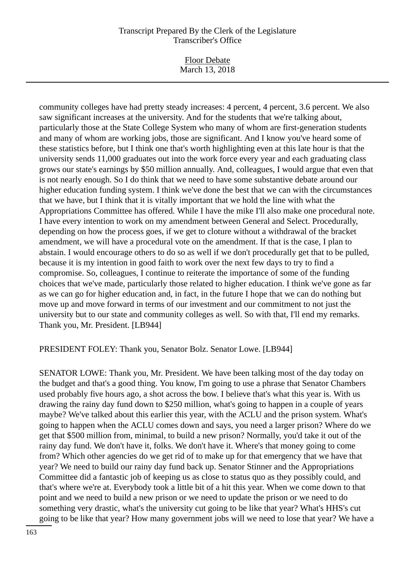Floor Debate March 13, 2018

community colleges have had pretty steady increases: 4 percent, 4 percent, 3.6 percent. We also saw significant increases at the university. And for the students that we're talking about, particularly those at the State College System who many of whom are first-generation students and many of whom are working jobs, those are significant. And I know you've heard some of these statistics before, but I think one that's worth highlighting even at this late hour is that the university sends 11,000 graduates out into the work force every year and each graduating class grows our state's earnings by \$50 million annually. And, colleagues, I would argue that even that is not nearly enough. So I do think that we need to have some substantive debate around our higher education funding system. I think we've done the best that we can with the circumstances that we have, but I think that it is vitally important that we hold the line with what the Appropriations Committee has offered. While I have the mike I'll also make one procedural note. I have every intention to work on my amendment between General and Select. Procedurally, depending on how the process goes, if we get to cloture without a withdrawal of the bracket amendment, we will have a procedural vote on the amendment. If that is the case, I plan to abstain. I would encourage others to do so as well if we don't procedurally get that to be pulled, because it is my intention in good faith to work over the next few days to try to find a compromise. So, colleagues, I continue to reiterate the importance of some of the funding choices that we've made, particularly those related to higher education. I think we've gone as far as we can go for higher education and, in fact, in the future I hope that we can do nothing but move up and move forward in terms of our investment and our commitment to not just the university but to our state and community colleges as well. So with that, I'll end my remarks. Thank you, Mr. President. [LB944]

#### PRESIDENT FOLEY: Thank you, Senator Bolz. Senator Lowe. [LB944]

SENATOR LOWE: Thank you, Mr. President. We have been talking most of the day today on the budget and that's a good thing. You know, I'm going to use a phrase that Senator Chambers used probably five hours ago, a shot across the bow. I believe that's what this year is. With us drawing the rainy day fund down to \$250 million, what's going to happen in a couple of years maybe? We've talked about this earlier this year, with the ACLU and the prison system. What's going to happen when the ACLU comes down and says, you need a larger prison? Where do we get that \$500 million from, minimal, to build a new prison? Normally, you'd take it out of the rainy day fund. We don't have it, folks. We don't have it. Where's that money going to come from? Which other agencies do we get rid of to make up for that emergency that we have that year? We need to build our rainy day fund back up. Senator Stinner and the Appropriations Committee did a fantastic job of keeping us as close to status quo as they possibly could, and that's where we're at. Everybody took a little bit of a hit this year. When we come down to that point and we need to build a new prison or we need to update the prison or we need to do something very drastic, what's the university cut going to be like that year? What's HHS's cut going to be like that year? How many government jobs will we need to lose that year? We have a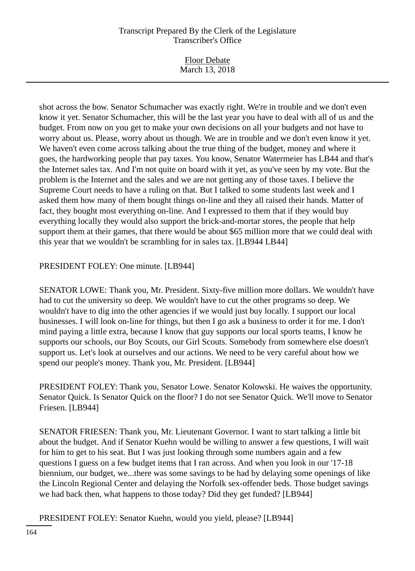Floor Debate March 13, 2018

shot across the bow. Senator Schumacher was exactly right. We're in trouble and we don't even know it yet. Senator Schumacher, this will be the last year you have to deal with all of us and the budget. From now on you get to make your own decisions on all your budgets and not have to worry about us. Please, worry about us though. We are in trouble and we don't even know it yet. We haven't even come across talking about the true thing of the budget, money and where it goes, the hardworking people that pay taxes. You know, Senator Watermeier has LB44 and that's the Internet sales tax. And I'm not quite on board with it yet, as you've seen by my vote. But the problem is the Internet and the sales and we are not getting any of those taxes. I believe the Supreme Court needs to have a ruling on that. But I talked to some students last week and I asked them how many of them bought things on-line and they all raised their hands. Matter of fact, they bought most everything on-line. And I expressed to them that if they would buy everything locally they would also support the brick-and-mortar stores, the people that help support them at their games, that there would be about \$65 million more that we could deal with this year that we wouldn't be scrambling for in sales tax. [LB944 LB44]

# PRESIDENT FOLEY: One minute. [LB944]

SENATOR LOWE: Thank you, Mr. President. Sixty-five million more dollars. We wouldn't have had to cut the university so deep. We wouldn't have to cut the other programs so deep. We wouldn't have to dig into the other agencies if we would just buy locally. I support our local businesses. I will look on-line for things, but then I go ask a business to order it for me. I don't mind paying a little extra, because I know that guy supports our local sports teams, I know he supports our schools, our Boy Scouts, our Girl Scouts. Somebody from somewhere else doesn't support us. Let's look at ourselves and our actions. We need to be very careful about how we spend our people's money. Thank you, Mr. President. [LB944]

PRESIDENT FOLEY: Thank you, Senator Lowe. Senator Kolowski. He waives the opportunity. Senator Quick. Is Senator Quick on the floor? I do not see Senator Quick. We'll move to Senator Friesen. [LB944]

SENATOR FRIESEN: Thank you, Mr. Lieutenant Governor. I want to start talking a little bit about the budget. And if Senator Kuehn would be willing to answer a few questions, I will wait for him to get to his seat. But I was just looking through some numbers again and a few questions I guess on a few budget items that I ran across. And when you look in our '17-18 biennium, our budget, we...there was some savings to be had by delaying some openings of like the Lincoln Regional Center and delaying the Norfolk sex-offender beds. Those budget savings we had back then, what happens to those today? Did they get funded? [LB944]

PRESIDENT FOLEY: Senator Kuehn, would you yield, please? [LB944]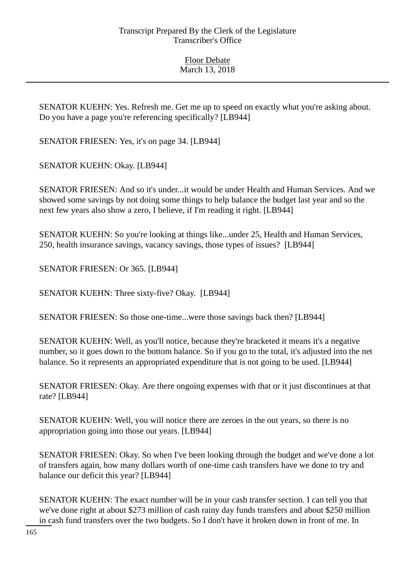SENATOR KUEHN: Yes. Refresh me. Get me up to speed on exactly what you're asking about. Do you have a page you're referencing specifically? [LB944]

SENATOR FRIESEN: Yes, it's on page 34. [LB944]

SENATOR KUEHN: Okay. [LB944]

SENATOR FRIESEN: And so it's under...it would be under Health and Human Services. And we showed some savings by not doing some things to help balance the budget last year and so the next few years also show a zero, I believe, if I'm reading it right. [LB944]

SENATOR KUEHN: So you're looking at things like...under 25, Health and Human Services, 250, health insurance savings, vacancy savings, those types of issues? [LB944]

SENATOR FRIESEN: Or 365. [LB944]

SENATOR KUEHN: Three sixty-five? Okay. [LB944]

SENATOR FRIESEN: So those one-time...were those savings back then? [LB944]

SENATOR KUEHN: Well, as you'll notice, because they're bracketed it means it's a negative number, so it goes down to the bottom balance. So if you go to the total, it's adjusted into the net balance. So it represents an appropriated expenditure that is not going to be used. [LB944]

SENATOR FRIESEN: Okay. Are there ongoing expenses with that or it just discontinues at that rate? [LB944]

SENATOR KUEHN: Well, you will notice there are zeroes in the out years, so there is no appropriation going into those out years. [LB944]

SENATOR FRIESEN: Okay. So when I've been looking through the budget and we've done a lot of transfers again, how many dollars worth of one-time cash transfers have we done to try and balance our deficit this year? [LB944]

SENATOR KUEHN: The exact number will be in your cash transfer section. I can tell you that we've done right at about \$273 million of cash rainy day funds transfers and about \$250 million in cash fund transfers over the two budgets. So I don't have it broken down in front of me. In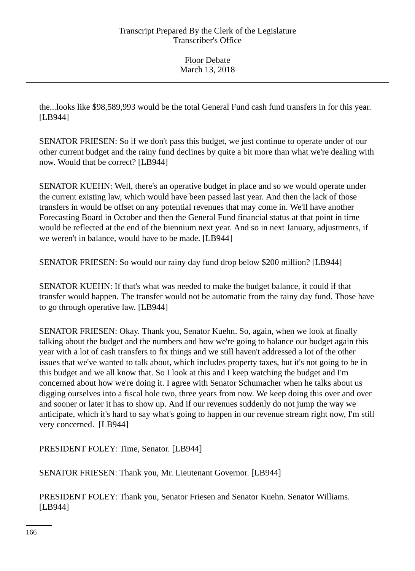the...looks like \$98,589,993 would be the total General Fund cash fund transfers in for this year. [LB944]

SENATOR FRIESEN: So if we don't pass this budget, we just continue to operate under of our other current budget and the rainy fund declines by quite a bit more than what we're dealing with now. Would that be correct? [LB944]

SENATOR KUEHN: Well, there's an operative budget in place and so we would operate under the current existing law, which would have been passed last year. And then the lack of those transfers in would be offset on any potential revenues that may come in. We'll have another Forecasting Board in October and then the General Fund financial status at that point in time would be reflected at the end of the biennium next year. And so in next January, adjustments, if we weren't in balance, would have to be made. [LB944]

SENATOR FRIESEN: So would our rainy day fund drop below \$200 million? [LB944]

SENATOR KUEHN: If that's what was needed to make the budget balance, it could if that transfer would happen. The transfer would not be automatic from the rainy day fund. Those have to go through operative law. [LB944]

SENATOR FRIESEN: Okay. Thank you, Senator Kuehn. So, again, when we look at finally talking about the budget and the numbers and how we're going to balance our budget again this year with a lot of cash transfers to fix things and we still haven't addressed a lot of the other issues that we've wanted to talk about, which includes property taxes, but it's not going to be in this budget and we all know that. So I look at this and I keep watching the budget and I'm concerned about how we're doing it. I agree with Senator Schumacher when he talks about us digging ourselves into a fiscal hole two, three years from now. We keep doing this over and over and sooner or later it has to show up. And if our revenues suddenly do not jump the way we anticipate, which it's hard to say what's going to happen in our revenue stream right now, I'm still very concerned. [LB944]

PRESIDENT FOLEY: Time, Senator. [LB944]

SENATOR FRIESEN: Thank you, Mr. Lieutenant Governor. [LB944]

PRESIDENT FOLEY: Thank you, Senator Friesen and Senator Kuehn. Senator Williams. [LB944]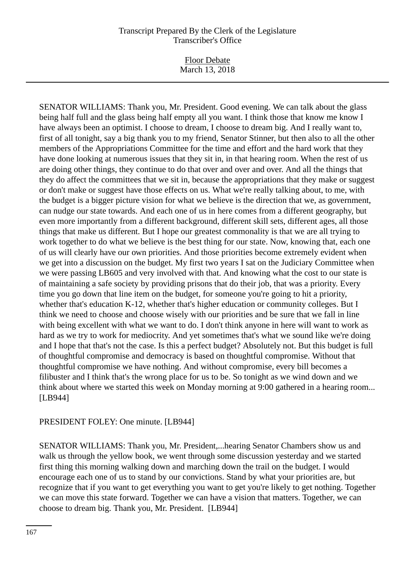Floor Debate March 13, 2018

SENATOR WILLIAMS: Thank you, Mr. President. Good evening. We can talk about the glass being half full and the glass being half empty all you want. I think those that know me know I have always been an optimist. I choose to dream, I choose to dream big. And I really want to, first of all tonight, say a big thank you to my friend, Senator Stinner, but then also to all the other members of the Appropriations Committee for the time and effort and the hard work that they have done looking at numerous issues that they sit in, in that hearing room. When the rest of us are doing other things, they continue to do that over and over and over. And all the things that they do affect the committees that we sit in, because the appropriations that they make or suggest or don't make or suggest have those effects on us. What we're really talking about, to me, with the budget is a bigger picture vision for what we believe is the direction that we, as government, can nudge our state towards. And each one of us in here comes from a different geography, but even more importantly from a different background, different skill sets, different ages, all those things that make us different. But I hope our greatest commonality is that we are all trying to work together to do what we believe is the best thing for our state. Now, knowing that, each one of us will clearly have our own priorities. And those priorities become extremely evident when we get into a discussion on the budget. My first two years I sat on the Judiciary Committee when we were passing LB605 and very involved with that. And knowing what the cost to our state is of maintaining a safe society by providing prisons that do their job, that was a priority. Every time you go down that line item on the budget, for someone you're going to hit a priority, whether that's education K-12, whether that's higher education or community colleges. But I think we need to choose and choose wisely with our priorities and be sure that we fall in line with being excellent with what we want to do. I don't think anyone in here will want to work as hard as we try to work for mediocrity. And yet sometimes that's what we sound like we're doing and I hope that that's not the case. Is this a perfect budget? Absolutely not. But this budget is full of thoughtful compromise and democracy is based on thoughtful compromise. Without that thoughtful compromise we have nothing. And without compromise, every bill becomes a filibuster and I think that's the wrong place for us to be. So tonight as we wind down and we think about where we started this week on Monday morning at 9:00 gathered in a hearing room... [LB944]

## PRESIDENT FOLEY: One minute. [LB944]

SENATOR WILLIAMS: Thank you, Mr. President,...hearing Senator Chambers show us and walk us through the yellow book, we went through some discussion yesterday and we started first thing this morning walking down and marching down the trail on the budget. I would encourage each one of us to stand by our convictions. Stand by what your priorities are, but recognize that if you want to get everything you want to get you're likely to get nothing. Together we can move this state forward. Together we can have a vision that matters. Together, we can choose to dream big. Thank you, Mr. President. [LB944]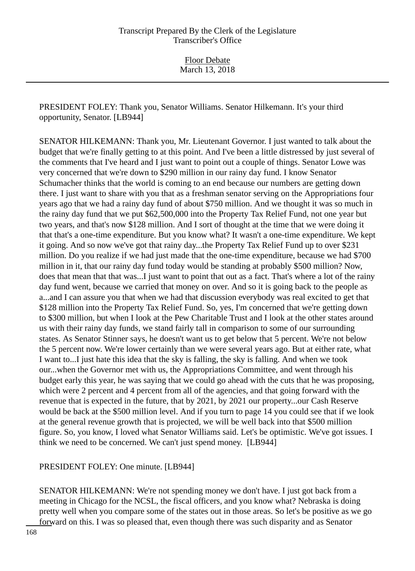PRESIDENT FOLEY: Thank you, Senator Williams. Senator Hilkemann. It's your third opportunity, Senator. [LB944]

SENATOR HILKEMANN: Thank you, Mr. Lieutenant Governor. I just wanted to talk about the budget that we're finally getting to at this point. And I've been a little distressed by just several of the comments that I've heard and I just want to point out a couple of things. Senator Lowe was very concerned that we're down to \$290 million in our rainy day fund. I know Senator Schumacher thinks that the world is coming to an end because our numbers are getting down there. I just want to share with you that as a freshman senator serving on the Appropriations four years ago that we had a rainy day fund of about \$750 million. And we thought it was so much in the rainy day fund that we put \$62,500,000 into the Property Tax Relief Fund, not one year but two years, and that's now \$128 million. And I sort of thought at the time that we were doing it that that's a one-time expenditure. But you know what? It wasn't a one-time expenditure. We kept it going. And so now we've got that rainy day...the Property Tax Relief Fund up to over \$231 million. Do you realize if we had just made that the one-time expenditure, because we had \$700 million in it, that our rainy day fund today would be standing at probably \$500 million? Now, does that mean that that was...I just want to point that out as a fact. That's where a lot of the rainy day fund went, because we carried that money on over. And so it is going back to the people as a...and I can assure you that when we had that discussion everybody was real excited to get that \$128 million into the Property Tax Relief Fund. So, yes, I'm concerned that we're getting down to \$300 million, but when I look at the Pew Charitable Trust and I look at the other states around us with their rainy day funds, we stand fairly tall in comparison to some of our surrounding states. As Senator Stinner says, he doesn't want us to get below that 5 percent. We're not below the 5 percent now. We're lower certainly than we were several years ago. But at either rate, what I want to...I just hate this idea that the sky is falling, the sky is falling. And when we took our...when the Governor met with us, the Appropriations Committee, and went through his budget early this year, he was saying that we could go ahead with the cuts that he was proposing, which were 2 percent and 4 percent from all of the agencies, and that going forward with the revenue that is expected in the future, that by 2021, by 2021 our property...our Cash Reserve would be back at the \$500 million level. And if you turn to page 14 you could see that if we look at the general revenue growth that is projected, we will be well back into that \$500 million figure. So, you know, I loved what Senator Williams said. Let's be optimistic. We've got issues. I think we need to be concerned. We can't just spend money. [LB944]

PRESIDENT FOLEY: One minute. [LB944]

SENATOR HILKEMANN: We're not spending money we don't have. I just got back from a meeting in Chicago for the NCSL, the fiscal officers, and you know what? Nebraska is doing pretty well when you compare some of the states out in those areas. So let's be positive as we go forward on this. I was so pleased that, even though there was such disparity and as Senator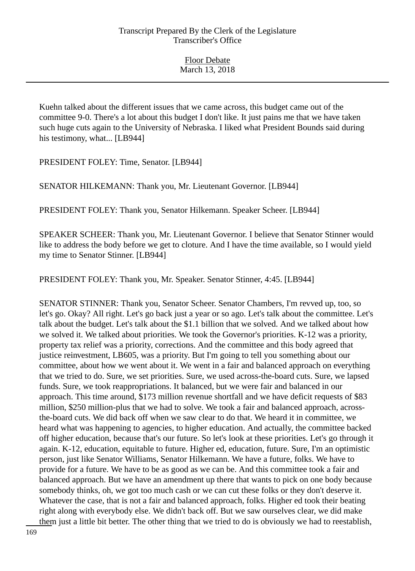Kuehn talked about the different issues that we came across, this budget came out of the committee 9-0. There's a lot about this budget I don't like. It just pains me that we have taken such huge cuts again to the University of Nebraska. I liked what President Bounds said during his testimony, what... [LB944]

PRESIDENT FOLEY: Time, Senator. [LB944]

SENATOR HILKEMANN: Thank you, Mr. Lieutenant Governor. [LB944]

PRESIDENT FOLEY: Thank you, Senator Hilkemann. Speaker Scheer. [LB944]

SPEAKER SCHEER: Thank you, Mr. Lieutenant Governor. I believe that Senator Stinner would like to address the body before we get to cloture. And I have the time available, so I would yield my time to Senator Stinner. [LB944]

PRESIDENT FOLEY: Thank you, Mr. Speaker. Senator Stinner, 4:45. [LB944]

SENATOR STINNER: Thank you, Senator Scheer. Senator Chambers, I'm revved up, too, so let's go. Okay? All right. Let's go back just a year or so ago. Let's talk about the committee. Let's talk about the budget. Let's talk about the \$1.1 billion that we solved. And we talked about how we solved it. We talked about priorities. We took the Governor's priorities. K-12 was a priority, property tax relief was a priority, corrections. And the committee and this body agreed that justice reinvestment, LB605, was a priority. But I'm going to tell you something about our committee, about how we went about it. We went in a fair and balanced approach on everything that we tried to do. Sure, we set priorities. Sure, we used across-the-board cuts. Sure, we lapsed funds. Sure, we took reappropriations. It balanced, but we were fair and balanced in our approach. This time around, \$173 million revenue shortfall and we have deficit requests of \$83 million, \$250 million-plus that we had to solve. We took a fair and balanced approach, acrossthe-board cuts. We did back off when we saw clear to do that. We heard it in committee, we heard what was happening to agencies, to higher education. And actually, the committee backed off higher education, because that's our future. So let's look at these priorities. Let's go through it again. K-12, education, equitable to future. Higher ed, education, future. Sure, I'm an optimistic person, just like Senator Williams, Senator Hilkemann. We have a future, folks. We have to provide for a future. We have to be as good as we can be. And this committee took a fair and balanced approach. But we have an amendment up there that wants to pick on one body because somebody thinks, oh, we got too much cash or we can cut these folks or they don't deserve it. Whatever the case, that is not a fair and balanced approach, folks. Higher ed took their beating right along with everybody else. We didn't back off. But we saw ourselves clear, we did make them just a little bit better. The other thing that we tried to do is obviously we had to reestablish,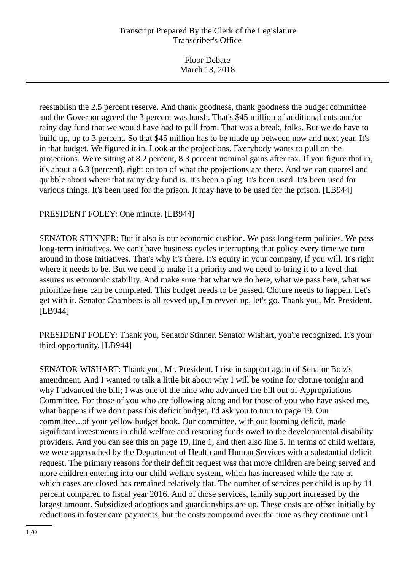| <b>Floor Debate</b> |  |
|---------------------|--|
| March 13, 2018      |  |
|                     |  |

reestablish the 2.5 percent reserve. And thank goodness, thank goodness the budget committee and the Governor agreed the 3 percent was harsh. That's \$45 million of additional cuts and/or rainy day fund that we would have had to pull from. That was a break, folks. But we do have to build up, up to 3 percent. So that \$45 million has to be made up between now and next year. It's in that budget. We figured it in. Look at the projections. Everybody wants to pull on the projections. We're sitting at 8.2 percent, 8.3 percent nominal gains after tax. If you figure that in, it's about a 6.3 (percent), right on top of what the projections are there. And we can quarrel and quibble about where that rainy day fund is. It's been a plug. It's been used. It's been used for various things. It's been used for the prison. It may have to be used for the prison. [LB944]

### PRESIDENT FOLEY: One minute. [LB944]

SENATOR STINNER: But it also is our economic cushion. We pass long-term policies. We pass long-term initiatives. We can't have business cycles interrupting that policy every time we turn around in those initiatives. That's why it's there. It's equity in your company, if you will. It's right where it needs to be. But we need to make it a priority and we need to bring it to a level that assures us economic stability. And make sure that what we do here, what we pass here, what we prioritize here can be completed. This budget needs to be passed. Cloture needs to happen. Let's get with it. Senator Chambers is all revved up, I'm revved up, let's go. Thank you, Mr. President. [LB944]

PRESIDENT FOLEY: Thank you, Senator Stinner. Senator Wishart, you're recognized. It's your third opportunity. [LB944]

SENATOR WISHART: Thank you, Mr. President. I rise in support again of Senator Bolz's amendment. And I wanted to talk a little bit about why I will be voting for cloture tonight and why I advanced the bill; I was one of the nine who advanced the bill out of Appropriations Committee. For those of you who are following along and for those of you who have asked me, what happens if we don't pass this deficit budget, I'd ask you to turn to page 19. Our committee...of your yellow budget book. Our committee, with our looming deficit, made significant investments in child welfare and restoring funds owed to the developmental disability providers. And you can see this on page 19, line 1, and then also line 5. In terms of child welfare, we were approached by the Department of Health and Human Services with a substantial deficit request. The primary reasons for their deficit request was that more children are being served and more children entering into our child welfare system, which has increased while the rate at which cases are closed has remained relatively flat. The number of services per child is up by 11 percent compared to fiscal year 2016. And of those services, family support increased by the largest amount. Subsidized adoptions and guardianships are up. These costs are offset initially by reductions in foster care payments, but the costs compound over the time as they continue until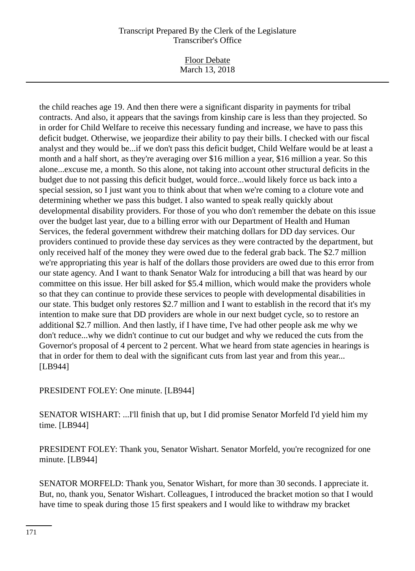Floor Debate March 13, 2018

the child reaches age 19. And then there were a significant disparity in payments for tribal contracts. And also, it appears that the savings from kinship care is less than they projected. So in order for Child Welfare to receive this necessary funding and increase, we have to pass this deficit budget. Otherwise, we jeopardize their ability to pay their bills. I checked with our fiscal analyst and they would be...if we don't pass this deficit budget, Child Welfare would be at least a month and a half short, as they're averaging over \$16 million a year, \$16 million a year. So this alone...excuse me, a month. So this alone, not taking into account other structural deficits in the budget due to not passing this deficit budget, would force...would likely force us back into a special session, so I just want you to think about that when we're coming to a cloture vote and determining whether we pass this budget. I also wanted to speak really quickly about developmental disability providers. For those of you who don't remember the debate on this issue over the budget last year, due to a billing error with our Department of Health and Human Services, the federal government withdrew their matching dollars for DD day services. Our providers continued to provide these day services as they were contracted by the department, but only received half of the money they were owed due to the federal grab back. The \$2.7 million we're appropriating this year is half of the dollars those providers are owed due to this error from our state agency. And I want to thank Senator Walz for introducing a bill that was heard by our committee on this issue. Her bill asked for \$5.4 million, which would make the providers whole so that they can continue to provide these services to people with developmental disabilities in our state. This budget only restores \$2.7 million and I want to establish in the record that it's my intention to make sure that DD providers are whole in our next budget cycle, so to restore an additional \$2.7 million. And then lastly, if I have time, I've had other people ask me why we don't reduce...why we didn't continue to cut our budget and why we reduced the cuts from the Governor's proposal of 4 percent to 2 percent. What we heard from state agencies in hearings is that in order for them to deal with the significant cuts from last year and from this year... [LB944]

PRESIDENT FOLEY: One minute. [LB944]

SENATOR WISHART: ...I'll finish that up, but I did promise Senator Morfeld I'd yield him my time. [LB944]

PRESIDENT FOLEY: Thank you, Senator Wishart. Senator Morfeld, you're recognized for one minute. [LB944]

SENATOR MORFELD: Thank you, Senator Wishart, for more than 30 seconds. I appreciate it. But, no, thank you, Senator Wishart. Colleagues, I introduced the bracket motion so that I would have time to speak during those 15 first speakers and I would like to withdraw my bracket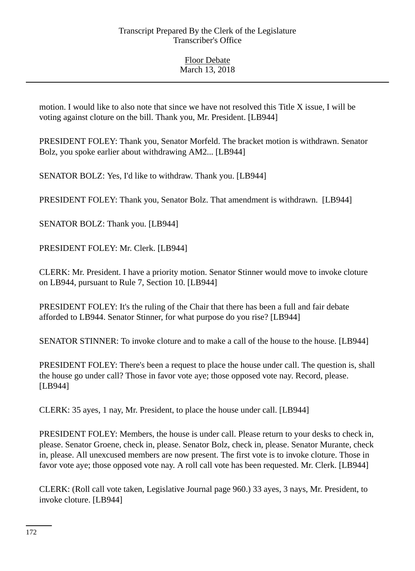motion. I would like to also note that since we have not resolved this Title X issue, I will be voting against cloture on the bill. Thank you, Mr. President. [LB944]

PRESIDENT FOLEY: Thank you, Senator Morfeld. The bracket motion is withdrawn. Senator Bolz, you spoke earlier about withdrawing AM2... [LB944]

SENATOR BOLZ: Yes, I'd like to withdraw. Thank you. [LB944]

PRESIDENT FOLEY: Thank you, Senator Bolz. That amendment is withdrawn. [LB944]

SENATOR BOLZ: Thank you. [LB944]

PRESIDENT FOLEY: Mr. Clerk. [LB944]

CLERK: Mr. President. I have a priority motion. Senator Stinner would move to invoke cloture on LB944, pursuant to Rule 7, Section 10. [LB944]

PRESIDENT FOLEY: It's the ruling of the Chair that there has been a full and fair debate afforded to LB944. Senator Stinner, for what purpose do you rise? [LB944]

SENATOR STINNER: To invoke cloture and to make a call of the house to the house. [LB944]

PRESIDENT FOLEY: There's been a request to place the house under call. The question is, shall the house go under call? Those in favor vote aye; those opposed vote nay. Record, please. [LB944]

CLERK: 35 ayes, 1 nay, Mr. President, to place the house under call. [LB944]

PRESIDENT FOLEY: Members, the house is under call. Please return to your desks to check in, please. Senator Groene, check in, please. Senator Bolz, check in, please. Senator Murante, check in, please. All unexcused members are now present. The first vote is to invoke cloture. Those in favor vote aye; those opposed vote nay. A roll call vote has been requested. Mr. Clerk. [LB944]

CLERK: (Roll call vote taken, Legislative Journal page 960.) 33 ayes, 3 nays, Mr. President, to invoke cloture. [LB944]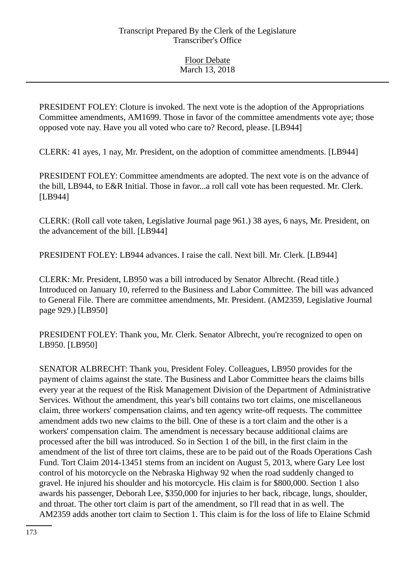PRESIDENT FOLEY: Cloture is invoked. The next vote is the adoption of the Appropriations Committee amendments, AM1699. Those in favor of the committee amendments vote aye; those opposed vote nay. Have you all voted who care to? Record, please. [LB944]

CLERK: 41 ayes, 1 nay, Mr. President, on the adoption of committee amendments. [LB944]

PRESIDENT FOLEY: Committee amendments are adopted. The next vote is on the advance of the bill, LB944, to E&R Initial. Those in favor...a roll call vote has been requested. Mr. Clerk. [LB944]

CLERK: (Roll call vote taken, Legislative Journal page 961.) 38 ayes, 6 nays, Mr. President, on the advancement of the bill. [LB944]

PRESIDENT FOLEY: LB944 advances. I raise the call. Next bill. Mr. Clerk. [LB944]

CLERK: Mr. President, LB950 was a bill introduced by Senator Albrecht. (Read title.) Introduced on January 10, referred to the Business and Labor Committee. The bill was advanced to General File. There are committee amendments, Mr. President. (AM2359, Legislative Journal page 929.) [LB950]

PRESIDENT FOLEY: Thank you, Mr. Clerk. Senator Albrecht, you're recognized to open on LB950. [LB950]

SENATOR ALBRECHT: Thank you, President Foley. Colleagues, LB950 provides for the payment of claims against the state. The Business and Labor Committee hears the claims bills every year at the request of the Risk Management Division of the Department of Administrative Services. Without the amendment, this year's bill contains two tort claims, one miscellaneous claim, three workers' compensation claims, and ten agency write-off requests. The committee amendment adds two new claims to the bill. One of these is a tort claim and the other is a workers' compensation claim. The amendment is necessary because additional claims are processed after the bill was introduced. So in Section 1 of the bill, in the first claim in the amendment of the list of three tort claims, these are to be paid out of the Roads Operations Cash Fund. Tort Claim 2014-13451 stems from an incident on August 5, 2013, where Gary Lee lost control of his motorcycle on the Nebraska Highway 92 when the road suddenly changed to gravel. He injured his shoulder and his motorcycle. His claim is for \$800,000. Section 1 also awards his passenger, Deborah Lee, \$350,000 for injuries to her back, ribcage, lungs, shoulder, and throat. The other tort claim is part of the amendment, so I'll read that in as well. The AM2359 adds another tort claim to Section 1. This claim is for the loss of life to Elaine Schmid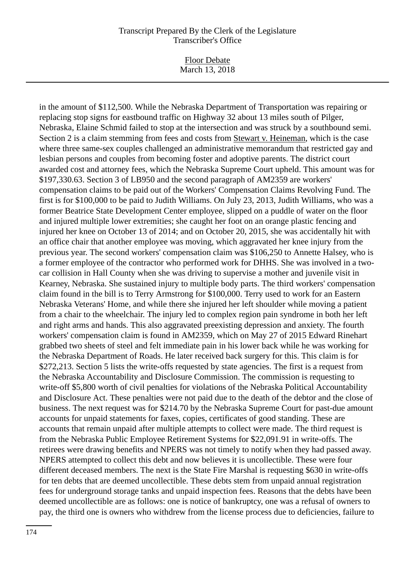Floor Debate March 13, 2018

in the amount of \$112,500. While the Nebraska Department of Transportation was repairing or replacing stop signs for eastbound traffic on Highway 32 about 13 miles south of Pilger, Nebraska, Elaine Schmid failed to stop at the intersection and was struck by a southbound semi. Section 2 is a claim stemming from fees and costs from Stewart v. Heineman, which is the case where three same-sex couples challenged an administrative memorandum that restricted gay and lesbian persons and couples from becoming foster and adoptive parents. The district court awarded cost and attorney fees, which the Nebraska Supreme Court upheld. This amount was for \$197,330.63. Section 3 of LB950 and the second paragraph of AM2359 are workers' compensation claims to be paid out of the Workers' Compensation Claims Revolving Fund. The first is for \$100,000 to be paid to Judith Williams. On July 23, 2013, Judith Williams, who was a former Beatrice State Development Center employee, slipped on a puddle of water on the floor and injured multiple lower extremities; she caught her foot on an orange plastic fencing and injured her knee on October 13 of 2014; and on October 20, 2015, she was accidentally hit with an office chair that another employee was moving, which aggravated her knee injury from the previous year. The second workers' compensation claim was \$106,250 to Annette Halsey, who is a former employee of the contractor who performed work for DHHS. She was involved in a twocar collision in Hall County when she was driving to supervise a mother and juvenile visit in Kearney, Nebraska. She sustained injury to multiple body parts. The third workers' compensation claim found in the bill is to Terry Armstrong for \$100,000. Terry used to work for an Eastern Nebraska Veterans' Home, and while there she injured her left shoulder while moving a patient from a chair to the wheelchair. The injury led to complex region pain syndrome in both her left and right arms and hands. This also aggravated preexisting depression and anxiety. The fourth workers' compensation claim is found in AM2359, which on May 27 of 2015 Edward Rinehart grabbed two sheets of steel and felt immediate pain in his lower back while he was working for the Nebraska Department of Roads. He later received back surgery for this. This claim is for \$272,213. Section 5 lists the write-offs requested by state agencies. The first is a request from the Nebraska Accountability and Disclosure Commission. The commission is requesting to write-off \$5,800 worth of civil penalties for violations of the Nebraska Political Accountability and Disclosure Act. These penalties were not paid due to the death of the debtor and the close of business. The next request was for \$214.70 by the Nebraska Supreme Court for past-due amount accounts for unpaid statements for faxes, copies, certificates of good standing. These are accounts that remain unpaid after multiple attempts to collect were made. The third request is from the Nebraska Public Employee Retirement Systems for \$22,091.91 in write-offs. The retirees were drawing benefits and NPERS was not timely to notify when they had passed away. NPERS attempted to collect this debt and now believes it is uncollectible. These were four different deceased members. The next is the State Fire Marshal is requesting \$630 in write-offs for ten debts that are deemed uncollectible. These debts stem from unpaid annual registration fees for underground storage tanks and unpaid inspection fees. Reasons that the debts have been deemed uncollectible are as follows: one is notice of bankruptcy, one was a refusal of owners to pay, the third one is owners who withdrew from the license process due to deficiencies, failure to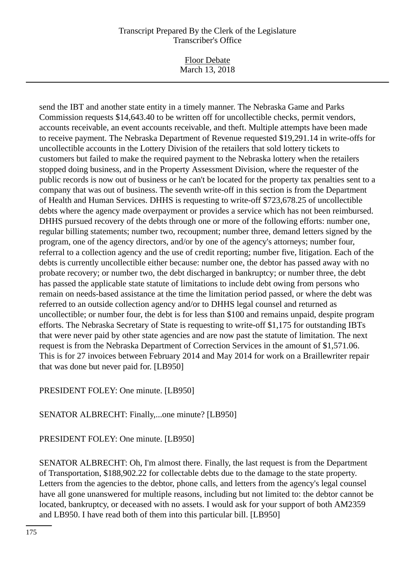Floor Debate March 13, 2018

send the IBT and another state entity in a timely manner. The Nebraska Game and Parks Commission requests \$14,643.40 to be written off for uncollectible checks, permit vendors, accounts receivable, an event accounts receivable, and theft. Multiple attempts have been made to receive payment. The Nebraska Department of Revenue requested \$19,291.14 in write-offs for uncollectible accounts in the Lottery Division of the retailers that sold lottery tickets to customers but failed to make the required payment to the Nebraska lottery when the retailers stopped doing business, and in the Property Assessment Division, where the requester of the public records is now out of business or he can't be located for the property tax penalties sent to a company that was out of business. The seventh write-off in this section is from the Department of Health and Human Services. DHHS is requesting to write-off \$723,678.25 of uncollectible debts where the agency made overpayment or provides a service which has not been reimbursed. DHHS pursued recovery of the debts through one or more of the following efforts: number one, regular billing statements; number two, recoupment; number three, demand letters signed by the program, one of the agency directors, and/or by one of the agency's attorneys; number four, referral to a collection agency and the use of credit reporting; number five, litigation. Each of the debts is currently uncollectible either because: number one, the debtor has passed away with no probate recovery; or number two, the debt discharged in bankruptcy; or number three, the debt has passed the applicable state statute of limitations to include debt owing from persons who remain on needs-based assistance at the time the limitation period passed, or where the debt was referred to an outside collection agency and/or to DHHS legal counsel and returned as uncollectible; or number four, the debt is for less than \$100 and remains unpaid, despite program efforts. The Nebraska Secretary of State is requesting to write-off \$1,175 for outstanding IBTs that were never paid by other state agencies and are now past the statute of limitation. The next request is from the Nebraska Department of Correction Services in the amount of \$1,571.06. This is for 27 invoices between February 2014 and May 2014 for work on a Braillewriter repair that was done but never paid for. [LB950]

## PRESIDENT FOLEY: One minute. [LB950]

## SENATOR ALBRECHT: Finally,...one minute? [LB950]

## PRESIDENT FOLEY: One minute. [LB950]

SENATOR ALBRECHT: Oh, I'm almost there. Finally, the last request is from the Department of Transportation, \$188,902.22 for collectable debts due to the damage to the state property. Letters from the agencies to the debtor, phone calls, and letters from the agency's legal counsel have all gone unanswered for multiple reasons, including but not limited to: the debtor cannot be located, bankruptcy, or deceased with no assets. I would ask for your support of both AM2359 and LB950. I have read both of them into this particular bill. [LB950]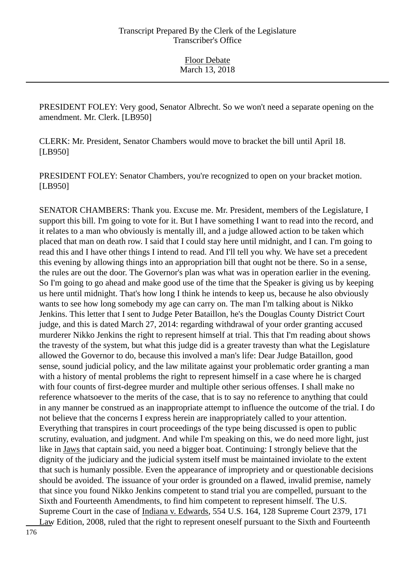PRESIDENT FOLEY: Very good, Senator Albrecht. So we won't need a separate opening on the amendment. Mr. Clerk. [LB950]

CLERK: Mr. President, Senator Chambers would move to bracket the bill until April 18. [LB950]

PRESIDENT FOLEY: Senator Chambers, you're recognized to open on your bracket motion. [LB950]

SENATOR CHAMBERS: Thank you. Excuse me. Mr. President, members of the Legislature, I support this bill. I'm going to vote for it. But I have something I want to read into the record, and it relates to a man who obviously is mentally ill, and a judge allowed action to be taken which placed that man on death row. I said that I could stay here until midnight, and I can. I'm going to read this and I have other things I intend to read. And I'll tell you why. We have set a precedent this evening by allowing things into an appropriation bill that ought not be there. So in a sense, the rules are out the door. The Governor's plan was what was in operation earlier in the evening. So I'm going to go ahead and make good use of the time that the Speaker is giving us by keeping us here until midnight. That's how long I think he intends to keep us, because he also obviously wants to see how long somebody my age can carry on. The man I'm talking about is Nikko Jenkins. This letter that I sent to Judge Peter Bataillon, he's the Douglas County District Court judge, and this is dated March 27, 2014: regarding withdrawal of your order granting accused murderer Nikko Jenkins the right to represent himself at trial. This that I'm reading about shows the travesty of the system, but what this judge did is a greater travesty than what the Legislature allowed the Governor to do, because this involved a man's life: Dear Judge Bataillon, good sense, sound judicial policy, and the law militate against your problematic order granting a man with a history of mental problems the right to represent himself in a case where he is charged with four counts of first-degree murder and multiple other serious offenses. I shall make no reference whatsoever to the merits of the case, that is to say no reference to anything that could in any manner be construed as an inappropriate attempt to influence the outcome of the trial. I do not believe that the concerns I express herein are inappropriately called to your attention. Everything that transpires in court proceedings of the type being discussed is open to public scrutiny, evaluation, and judgment. And while I'm speaking on this, we do need more light, just like in Jaws that captain said, you need a bigger boat. Continuing: I strongly believe that the dignity of the judiciary and the judicial system itself must be maintained inviolate to the extent that such is humanly possible. Even the appearance of impropriety and or questionable decisions should be avoided. The issuance of your order is grounded on a flawed, invalid premise, namely that since you found Nikko Jenkins competent to stand trial you are compelled, pursuant to the Sixth and Fourteenth Amendments, to find him competent to represent himself. The U.S. Supreme Court in the case of Indiana v. Edwards, 554 U.S. 164, 128 Supreme Court 2379, 171 Law Edition, 2008, ruled that the right to represent oneself pursuant to the Sixth and Fourteenth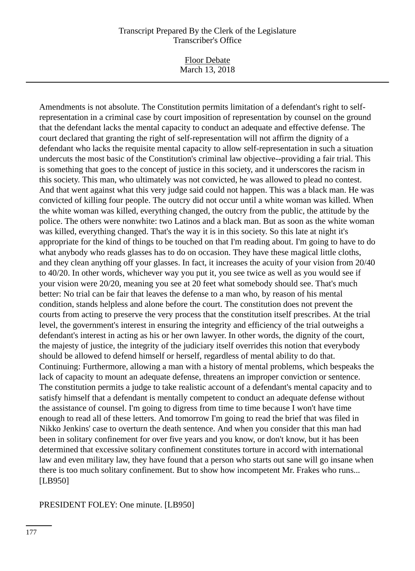Floor Debate March 13, 2018

Amendments is not absolute. The Constitution permits limitation of a defendant's right to selfrepresentation in a criminal case by court imposition of representation by counsel on the ground that the defendant lacks the mental capacity to conduct an adequate and effective defense. The court declared that granting the right of self-representation will not affirm the dignity of a defendant who lacks the requisite mental capacity to allow self-representation in such a situation undercuts the most basic of the Constitution's criminal law objective--providing a fair trial. This is something that goes to the concept of justice in this society, and it underscores the racism in this society. This man, who ultimately was not convicted, he was allowed to plead no contest. And that went against what this very judge said could not happen. This was a black man. He was convicted of killing four people. The outcry did not occur until a white woman was killed. When the white woman was killed, everything changed, the outcry from the public, the attitude by the police. The others were nonwhite: two Latinos and a black man. But as soon as the white woman was killed, everything changed. That's the way it is in this society. So this late at night it's appropriate for the kind of things to be touched on that I'm reading about. I'm going to have to do what anybody who reads glasses has to do on occasion. They have these magical little cloths, and they clean anything off your glasses. In fact, it increases the acuity of your vision from 20/40 to 40/20. In other words, whichever way you put it, you see twice as well as you would see if your vision were 20/20, meaning you see at 20 feet what somebody should see. That's much better: No trial can be fair that leaves the defense to a man who, by reason of his mental condition, stands helpless and alone before the court. The constitution does not prevent the courts from acting to preserve the very process that the constitution itself prescribes. At the trial level, the government's interest in ensuring the integrity and efficiency of the trial outweighs a defendant's interest in acting as his or her own lawyer. In other words, the dignity of the court, the majesty of justice, the integrity of the judiciary itself overrides this notion that everybody should be allowed to defend himself or herself, regardless of mental ability to do that. Continuing: Furthermore, allowing a man with a history of mental problems, which bespeaks the lack of capacity to mount an adequate defense, threatens an improper conviction or sentence. The constitution permits a judge to take realistic account of a defendant's mental capacity and to satisfy himself that a defendant is mentally competent to conduct an adequate defense without the assistance of counsel. I'm going to digress from time to time because I won't have time enough to read all of these letters. And tomorrow I'm going to read the brief that was filed in Nikko Jenkins' case to overturn the death sentence. And when you consider that this man had been in solitary confinement for over five years and you know, or don't know, but it has been determined that excessive solitary confinement constitutes torture in accord with international law and even military law, they have found that a person who starts out sane will go insane when there is too much solitary confinement. But to show how incompetent Mr. Frakes who runs... [LB950]

#### PRESIDENT FOLEY: One minute. [LB950]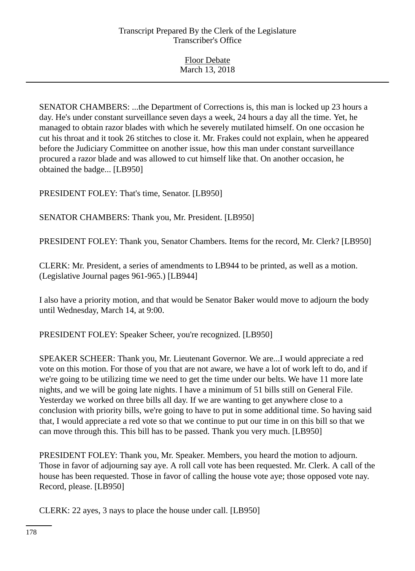SENATOR CHAMBERS: ...the Department of Corrections is, this man is locked up 23 hours a day. He's under constant surveillance seven days a week, 24 hours a day all the time. Yet, he managed to obtain razor blades with which he severely mutilated himself. On one occasion he cut his throat and it took 26 stitches to close it. Mr. Frakes could not explain, when he appeared before the Judiciary Committee on another issue, how this man under constant surveillance procured a razor blade and was allowed to cut himself like that. On another occasion, he obtained the badge... [LB950]

PRESIDENT FOLEY: That's time, Senator. [LB950]

SENATOR CHAMBERS: Thank you, Mr. President. [LB950]

PRESIDENT FOLEY: Thank you, Senator Chambers. Items for the record, Mr. Clerk? [LB950]

CLERK: Mr. President, a series of amendments to LB944 to be printed, as well as a motion. (Legislative Journal pages 961-965.) [LB944]

I also have a priority motion, and that would be Senator Baker would move to adjourn the body until Wednesday, March 14, at 9:00.

PRESIDENT FOLEY: Speaker Scheer, you're recognized. [LB950]

SPEAKER SCHEER: Thank you, Mr. Lieutenant Governor. We are...I would appreciate a red vote on this motion. For those of you that are not aware, we have a lot of work left to do, and if we're going to be utilizing time we need to get the time under our belts. We have 11 more late nights, and we will be going late nights. I have a minimum of 51 bills still on General File. Yesterday we worked on three bills all day. If we are wanting to get anywhere close to a conclusion with priority bills, we're going to have to put in some additional time. So having said that, I would appreciate a red vote so that we continue to put our time in on this bill so that we can move through this. This bill has to be passed. Thank you very much. [LB950]

PRESIDENT FOLEY: Thank you, Mr. Speaker. Members, you heard the motion to adjourn. Those in favor of adjourning say aye. A roll call vote has been requested. Mr. Clerk. A call of the house has been requested. Those in favor of calling the house vote aye; those opposed vote nay. Record, please. [LB950]

CLERK: 22 ayes, 3 nays to place the house under call. [LB950]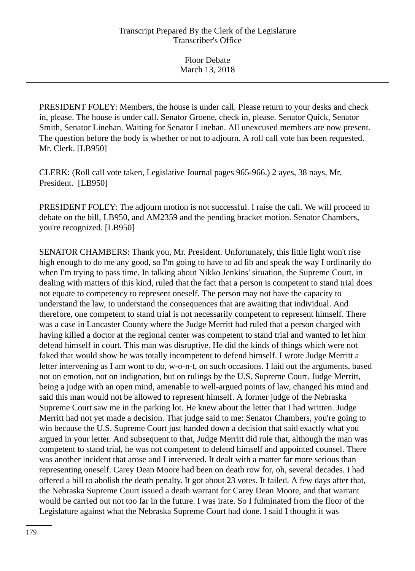PRESIDENT FOLEY: Members, the house is under call. Please return to your desks and check in, please. The house is under call. Senator Groene, check in, please. Senator Quick, Senator Smith, Senator Linehan. Waiting for Senator Linehan. All unexcused members are now present. The question before the body is whether or not to adjourn. A roll call vote has been requested. Mr. Clerk. [LB950]

CLERK: (Roll call vote taken, Legislative Journal pages 965-966.) 2 ayes, 38 nays, Mr. President. [LB950]

PRESIDENT FOLEY: The adjourn motion is not successful. I raise the call. We will proceed to debate on the bill, LB950, and AM2359 and the pending bracket motion. Senator Chambers, you're recognized. [LB950]

SENATOR CHAMBERS: Thank you, Mr. President. Unfortunately, this little light won't rise high enough to do me any good, so I'm going to have to ad lib and speak the way I ordinarily do when I'm trying to pass time. In talking about Nikko Jenkins' situation, the Supreme Court, in dealing with matters of this kind, ruled that the fact that a person is competent to stand trial does not equate to competency to represent oneself. The person may not have the capacity to understand the law, to understand the consequences that are awaiting that individual. And therefore, one competent to stand trial is not necessarily competent to represent himself. There was a case in Lancaster County where the Judge Merritt had ruled that a person charged with having killed a doctor at the regional center was competent to stand trial and wanted to let him defend himself in court. This man was disruptive. He did the kinds of things which were not faked that would show he was totally incompetent to defend himself. I wrote Judge Merritt a letter intervening as I am wont to do, w-o-n-t, on such occasions. I laid out the arguments, based not on emotion, not on indignation, but on rulings by the U.S. Supreme Court. Judge Merritt, being a judge with an open mind, amenable to well-argued points of law, changed his mind and said this man would not be allowed to represent himself. A former judge of the Nebraska Supreme Court saw me in the parking lot. He knew about the letter that I had written. Judge Merritt had not yet made a decision. That judge said to me: Senator Chambers, you're going to win because the U.S. Supreme Court just handed down a decision that said exactly what you argued in your letter. And subsequent to that, Judge Merritt did rule that, although the man was competent to stand trial, he was not competent to defend himself and appointed counsel. There was another incident that arose and I intervened. It dealt with a matter far more serious than representing oneself. Carey Dean Moore had been on death row for, oh, several decades. I had offered a bill to abolish the death penalty. It got about 23 votes. It failed. A few days after that, the Nebraska Supreme Court issued a death warrant for Carey Dean Moore, and that warrant would be carried out not too far in the future. I was irate. So I fulminated from the floor of the Legislature against what the Nebraska Supreme Court had done. I said I thought it was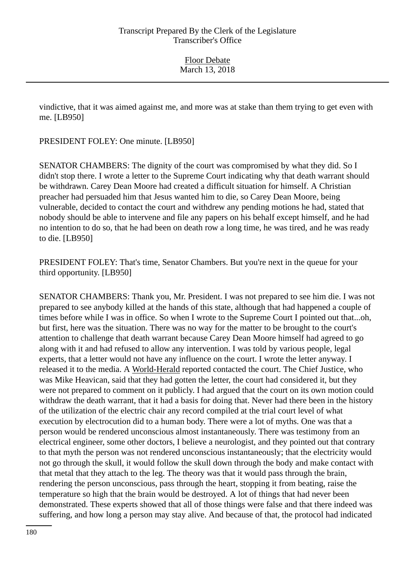vindictive, that it was aimed against me, and more was at stake than them trying to get even with me. [LB950]

PRESIDENT FOLEY: One minute. [LB950]

SENATOR CHAMBERS: The dignity of the court was compromised by what they did. So I didn't stop there. I wrote a letter to the Supreme Court indicating why that death warrant should be withdrawn. Carey Dean Moore had created a difficult situation for himself. A Christian preacher had persuaded him that Jesus wanted him to die, so Carey Dean Moore, being vulnerable, decided to contact the court and withdrew any pending motions he had, stated that nobody should be able to intervene and file any papers on his behalf except himself, and he had no intention to do so, that he had been on death row a long time, he was tired, and he was ready to die. [LB950]

PRESIDENT FOLEY: That's time, Senator Chambers. But you're next in the queue for your third opportunity. [LB950]

SENATOR CHAMBERS: Thank you, Mr. President. I was not prepared to see him die. I was not prepared to see anybody killed at the hands of this state, although that had happened a couple of times before while I was in office. So when I wrote to the Supreme Court I pointed out that...oh, but first, here was the situation. There was no way for the matter to be brought to the court's attention to challenge that death warrant because Carey Dean Moore himself had agreed to go along with it and had refused to allow any intervention. I was told by various people, legal experts, that a letter would not have any influence on the court. I wrote the letter anyway. I released it to the media. A World-Herald reported contacted the court. The Chief Justice, who was Mike Heavican, said that they had gotten the letter, the court had considered it, but they were not prepared to comment on it publicly. I had argued that the court on its own motion could withdraw the death warrant, that it had a basis for doing that. Never had there been in the history of the utilization of the electric chair any record compiled at the trial court level of what execution by electrocution did to a human body. There were a lot of myths. One was that a person would be rendered unconscious almost instantaneously. There was testimony from an electrical engineer, some other doctors, I believe a neurologist, and they pointed out that contrary to that myth the person was not rendered unconscious instantaneously; that the electricity would not go through the skull, it would follow the skull down through the body and make contact with that metal that they attach to the leg. The theory was that it would pass through the brain, rendering the person unconscious, pass through the heart, stopping it from beating, raise the temperature so high that the brain would be destroyed. A lot of things that had never been demonstrated. These experts showed that all of those things were false and that there indeed was suffering, and how long a person may stay alive. And because of that, the protocol had indicated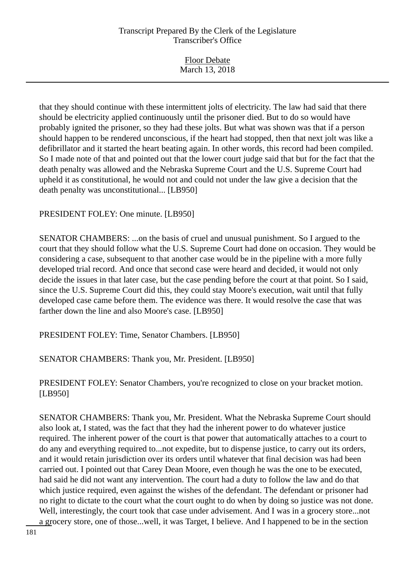| March 13, 2018 |
|----------------|

that they should continue with these intermittent jolts of electricity. The law had said that there should be electricity applied continuously until the prisoner died. But to do so would have probably ignited the prisoner, so they had these jolts. But what was shown was that if a person should happen to be rendered unconscious, if the heart had stopped, then that next jolt was like a defibrillator and it started the heart beating again. In other words, this record had been compiled. So I made note of that and pointed out that the lower court judge said that but for the fact that the death penalty was allowed and the Nebraska Supreme Court and the U.S. Supreme Court had upheld it as constitutional, he would not and could not under the law give a decision that the death penalty was unconstitutional... [LB950]

#### PRESIDENT FOLEY: One minute. [LB950]

SENATOR CHAMBERS: ...on the basis of cruel and unusual punishment. So I argued to the court that they should follow what the U.S. Supreme Court had done on occasion. They would be considering a case, subsequent to that another case would be in the pipeline with a more fully developed trial record. And once that second case were heard and decided, it would not only decide the issues in that later case, but the case pending before the court at that point. So I said, since the U.S. Supreme Court did this, they could stay Moore's execution, wait until that fully developed case came before them. The evidence was there. It would resolve the case that was farther down the line and also Moore's case. [LB950]

PRESIDENT FOLEY: Time, Senator Chambers. [LB950]

SENATOR CHAMBERS: Thank you, Mr. President. [LB950]

PRESIDENT FOLEY: Senator Chambers, you're recognized to close on your bracket motion. [LB950]

SENATOR CHAMBERS: Thank you, Mr. President. What the Nebraska Supreme Court should also look at, I stated, was the fact that they had the inherent power to do whatever justice required. The inherent power of the court is that power that automatically attaches to a court to do any and everything required to...not expedite, but to dispense justice, to carry out its orders, and it would retain jurisdiction over its orders until whatever that final decision was had been carried out. I pointed out that Carey Dean Moore, even though he was the one to be executed, had said he did not want any intervention. The court had a duty to follow the law and do that which justice required, even against the wishes of the defendant. The defendant or prisoner had no right to dictate to the court what the court ought to do when by doing so justice was not done. Well, interestingly, the court took that case under advisement. And I was in a grocery store...not a grocery store, one of those...well, it was Target, I believe. And I happened to be in the section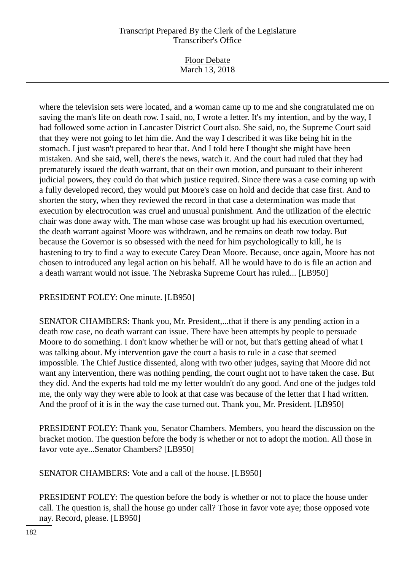Floor Debate March 13, 2018

where the television sets were located, and a woman came up to me and she congratulated me on saving the man's life on death row. I said, no, I wrote a letter. It's my intention, and by the way, I had followed some action in Lancaster District Court also. She said, no, the Supreme Court said that they were not going to let him die. And the way I described it was like being hit in the stomach. I just wasn't prepared to hear that. And I told here I thought she might have been mistaken. And she said, well, there's the news, watch it. And the court had ruled that they had prematurely issued the death warrant, that on their own motion, and pursuant to their inherent judicial powers, they could do that which justice required. Since there was a case coming up with a fully developed record, they would put Moore's case on hold and decide that case first. And to shorten the story, when they reviewed the record in that case a determination was made that execution by electrocution was cruel and unusual punishment. And the utilization of the electric chair was done away with. The man whose case was brought up had his execution overturned, the death warrant against Moore was withdrawn, and he remains on death row today. But because the Governor is so obsessed with the need for him psychologically to kill, he is hastening to try to find a way to execute Carey Dean Moore. Because, once again, Moore has not chosen to introduced any legal action on his behalf. All he would have to do is file an action and a death warrant would not issue. The Nebraska Supreme Court has ruled... [LB950]

# PRESIDENT FOLEY: One minute. [LB950]

SENATOR CHAMBERS: Thank you, Mr. President,...that if there is any pending action in a death row case, no death warrant can issue. There have been attempts by people to persuade Moore to do something. I don't know whether he will or not, but that's getting ahead of what I was talking about. My intervention gave the court a basis to rule in a case that seemed impossible. The Chief Justice dissented, along with two other judges, saying that Moore did not want any intervention, there was nothing pending, the court ought not to have taken the case. But they did. And the experts had told me my letter wouldn't do any good. And one of the judges told me, the only way they were able to look at that case was because of the letter that I had written. And the proof of it is in the way the case turned out. Thank you, Mr. President. [LB950]

PRESIDENT FOLEY: Thank you, Senator Chambers. Members, you heard the discussion on the bracket motion. The question before the body is whether or not to adopt the motion. All those in favor vote aye...Senator Chambers? [LB950]

SENATOR CHAMBERS: Vote and a call of the house. [LB950]

PRESIDENT FOLEY: The question before the body is whether or not to place the house under call. The question is, shall the house go under call? Those in favor vote aye; those opposed vote nay. Record, please. [LB950]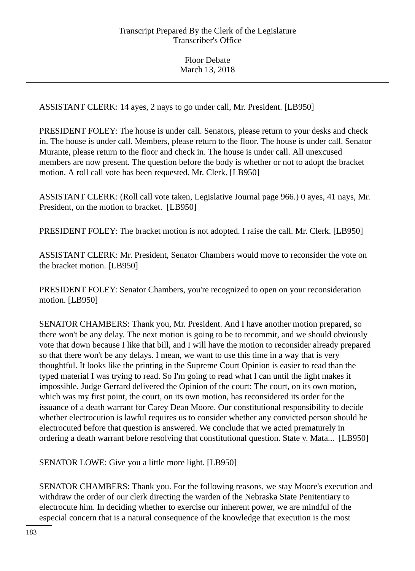ASSISTANT CLERK: 14 ayes, 2 nays to go under call, Mr. President. [LB950]

PRESIDENT FOLEY: The house is under call. Senators, please return to your desks and check in. The house is under call. Members, please return to the floor. The house is under call. Senator Murante, please return to the floor and check in. The house is under call. All unexcused members are now present. The question before the body is whether or not to adopt the bracket motion. A roll call vote has been requested. Mr. Clerk. [LB950]

ASSISTANT CLERK: (Roll call vote taken, Legislative Journal page 966.) 0 ayes, 41 nays, Mr. President, on the motion to bracket. [LB950]

PRESIDENT FOLEY: The bracket motion is not adopted. I raise the call. Mr. Clerk. [LB950]

ASSISTANT CLERK: Mr. President, Senator Chambers would move to reconsider the vote on the bracket motion. [LB950]

PRESIDENT FOLEY: Senator Chambers, you're recognized to open on your reconsideration motion. [LB950]

SENATOR CHAMBERS: Thank you, Mr. President. And I have another motion prepared, so there won't be any delay. The next motion is going to be to recommit, and we should obviously vote that down because I like that bill, and I will have the motion to reconsider already prepared so that there won't be any delays. I mean, we want to use this time in a way that is very thoughtful. It looks like the printing in the Supreme Court Opinion is easier to read than the typed material I was trying to read. So I'm going to read what I can until the light makes it impossible. Judge Gerrard delivered the Opinion of the court: The court, on its own motion, which was my first point, the court, on its own motion, has reconsidered its order for the issuance of a death warrant for Carey Dean Moore. Our constitutional responsibility to decide whether electrocution is lawful requires us to consider whether any convicted person should be electrocuted before that question is answered. We conclude that we acted prematurely in ordering a death warrant before resolving that constitutional question. State v. Mata... [LB950]

SENATOR LOWE: Give you a little more light. [LB950]

SENATOR CHAMBERS: Thank you. For the following reasons, we stay Moore's execution and withdraw the order of our clerk directing the warden of the Nebraska State Penitentiary to electrocute him. In deciding whether to exercise our inherent power, we are mindful of the especial concern that is a natural consequence of the knowledge that execution is the most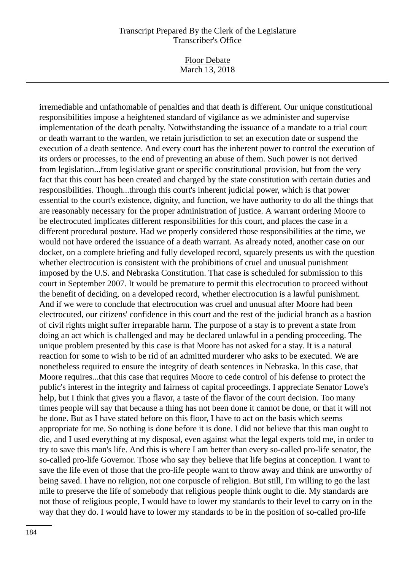Floor Debate March 13, 2018

irremediable and unfathomable of penalties and that death is different. Our unique constitutional responsibilities impose a heightened standard of vigilance as we administer and supervise implementation of the death penalty. Notwithstanding the issuance of a mandate to a trial court or death warrant to the warden, we retain jurisdiction to set an execution date or suspend the execution of a death sentence. And every court has the inherent power to control the execution of its orders or processes, to the end of preventing an abuse of them. Such power is not derived from legislation...from legislative grant or specific constitutional provision, but from the very fact that this court has been created and charged by the state constitution with certain duties and responsibilities. Though...through this court's inherent judicial power, which is that power essential to the court's existence, dignity, and function, we have authority to do all the things that are reasonably necessary for the proper administration of justice. A warrant ordering Moore to be electrocuted implicates different responsibilities for this court, and places the case in a different procedural posture. Had we properly considered those responsibilities at the time, we would not have ordered the issuance of a death warrant. As already noted, another case on our docket, on a complete briefing and fully developed record, squarely presents us with the question whether electrocution is consistent with the prohibitions of cruel and unusual punishment imposed by the U.S. and Nebraska Constitution. That case is scheduled for submission to this court in September 2007. It would be premature to permit this electrocution to proceed without the benefit of deciding, on a developed record, whether electrocution is a lawful punishment. And if we were to conclude that electrocution was cruel and unusual after Moore had been electrocuted, our citizens' confidence in this court and the rest of the judicial branch as a bastion of civil rights might suffer irreparable harm. The purpose of a stay is to prevent a state from doing an act which is challenged and may be declared unlawful in a pending proceeding. The unique problem presented by this case is that Moore has not asked for a stay. It is a natural reaction for some to wish to be rid of an admitted murderer who asks to be executed. We are nonetheless required to ensure the integrity of death sentences in Nebraska. In this case, that Moore requires...that this case that requires Moore to cede control of his defense to protect the public's interest in the integrity and fairness of capital proceedings. I appreciate Senator Lowe's help, but I think that gives you a flavor, a taste of the flavor of the court decision. Too many times people will say that because a thing has not been done it cannot be done, or that it will not be done. But as I have stated before on this floor, I have to act on the basis which seems appropriate for me. So nothing is done before it is done. I did not believe that this man ought to die, and I used everything at my disposal, even against what the legal experts told me, in order to try to save this man's life. And this is where I am better than every so-called pro-life senator, the so-called pro-life Governor. Those who say they believe that life begins at conception. I want to save the life even of those that the pro-life people want to throw away and think are unworthy of being saved. I have no religion, not one corpuscle of religion. But still, I'm willing to go the last mile to preserve the life of somebody that religious people think ought to die. My standards are not those of religious people, I would have to lower my standards to their level to carry on in the way that they do. I would have to lower my standards to be in the position of so-called pro-life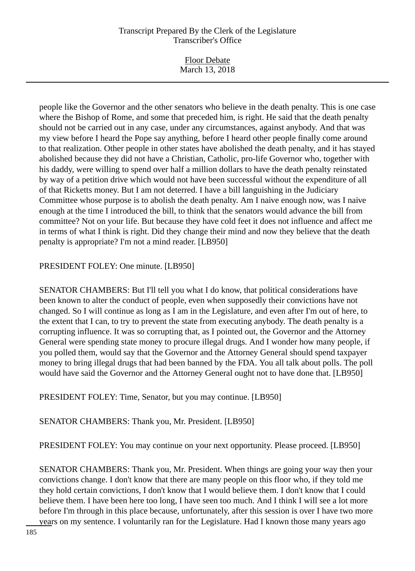Floor Debate March 13, 2018

people like the Governor and the other senators who believe in the death penalty. This is one case where the Bishop of Rome, and some that preceded him, is right. He said that the death penalty should not be carried out in any case, under any circumstances, against anybody. And that was my view before I heard the Pope say anything, before I heard other people finally come around to that realization. Other people in other states have abolished the death penalty, and it has stayed abolished because they did not have a Christian, Catholic, pro-life Governor who, together with his daddy, were willing to spend over half a million dollars to have the death penalty reinstated by way of a petition drive which would not have been successful without the expenditure of all of that Ricketts money. But I am not deterred. I have a bill languishing in the Judiciary Committee whose purpose is to abolish the death penalty. Am I naive enough now, was I naive enough at the time I introduced the bill, to think that the senators would advance the bill from committee? Not on your life. But because they have cold feet it does not influence and affect me in terms of what I think is right. Did they change their mind and now they believe that the death penalty is appropriate? I'm not a mind reader. [LB950]

PRESIDENT FOLEY: One minute. [LB950]

SENATOR CHAMBERS: But I'll tell you what I do know, that political considerations have been known to alter the conduct of people, even when supposedly their convictions have not changed. So I will continue as long as I am in the Legislature, and even after I'm out of here, to the extent that I can, to try to prevent the state from executing anybody. The death penalty is a corrupting influence. It was so corrupting that, as I pointed out, the Governor and the Attorney General were spending state money to procure illegal drugs. And I wonder how many people, if you polled them, would say that the Governor and the Attorney General should spend taxpayer money to bring illegal drugs that had been banned by the FDA. You all talk about polls. The poll would have said the Governor and the Attorney General ought not to have done that. [LB950]

PRESIDENT FOLEY: Time, Senator, but you may continue. [LB950]

SENATOR CHAMBERS: Thank you, Mr. President. [LB950]

PRESIDENT FOLEY: You may continue on your next opportunity. Please proceed. [LB950]

SENATOR CHAMBERS: Thank you, Mr. President. When things are going your way then your convictions change. I don't know that there are many people on this floor who, if they told me they hold certain convictions, I don't know that I would believe them. I don't know that I could believe them. I have been here too long, I have seen too much. And I think I will see a lot more before I'm through in this place because, unfortunately, after this session is over I have two more years on my sentence. I voluntarily ran for the Legislature. Had I known those many years ago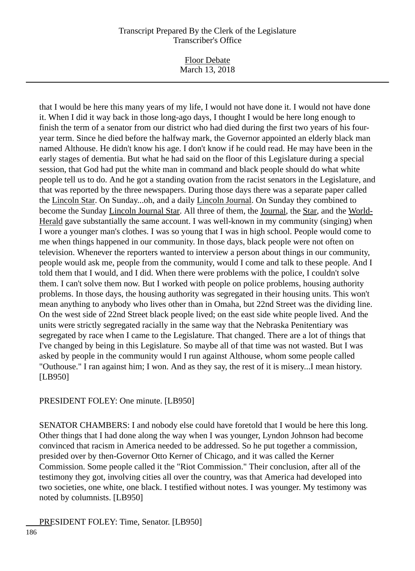Floor Debate March 13, 2018

that I would be here this many years of my life, I would not have done it. I would not have done it. When I did it way back in those long-ago days, I thought I would be here long enough to finish the term of a senator from our district who had died during the first two years of his fouryear term. Since he died before the halfway mark, the Governor appointed an elderly black man named Althouse. He didn't know his age. I don't know if he could read. He may have been in the early stages of dementia. But what he had said on the floor of this Legislature during a special session, that God had put the white man in command and black people should do what white people tell us to do. And he got a standing ovation from the racist senators in the Legislature, and that was reported by the three newspapers. During those days there was a separate paper called the Lincoln Star. On Sunday...oh, and a daily Lincoln Journal. On Sunday they combined to become the Sunday Lincoln Journal Star. All three of them, the Journal, the Star, and the World-Herald gave substantially the same account. I was well-known in my community (singing) when I wore a younger man's clothes. I was so young that I was in high school. People would come to me when things happened in our community. In those days, black people were not often on television. Whenever the reporters wanted to interview a person about things in our community, people would ask me, people from the community, would I come and talk to these people. And I told them that I would, and I did. When there were problems with the police, I couldn't solve them. I can't solve them now. But I worked with people on police problems, housing authority problems. In those days, the housing authority was segregated in their housing units. This won't mean anything to anybody who lives other than in Omaha, but 22nd Street was the dividing line. On the west side of 22nd Street black people lived; on the east side white people lived. And the units were strictly segregated racially in the same way that the Nebraska Penitentiary was segregated by race when I came to the Legislature. That changed. There are a lot of things that I've changed by being in this Legislature. So maybe all of that time was not wasted. But I was asked by people in the community would I run against Althouse, whom some people called "Outhouse." I ran against him; I won. And as they say, the rest of it is misery...I mean history. [LB950]

PRESIDENT FOLEY: One minute. [LB950]

SENATOR CHAMBERS: I and nobody else could have foretold that I would be here this long. Other things that I had done along the way when I was younger, Lyndon Johnson had become convinced that racism in America needed to be addressed. So he put together a commission, presided over by then-Governor Otto Kerner of Chicago, and it was called the Kerner Commission. Some people called it the "Riot Commission." Their conclusion, after all of the testimony they got, involving cities all over the country, was that America had developed into two societies, one white, one black. I testified without notes. I was younger. My testimony was noted by columnists. [LB950]

PRESIDENT FOLEY: Time, Senator. [LB950]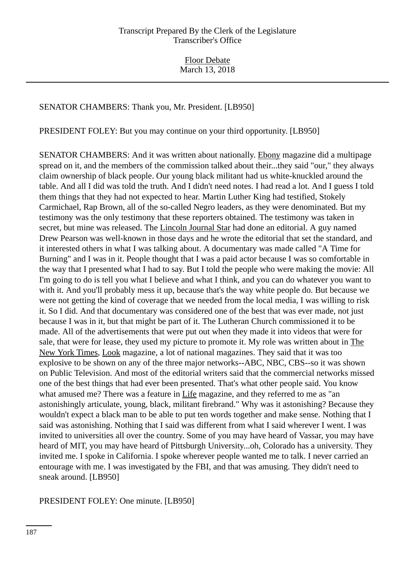# SENATOR CHAMBERS: Thank you, Mr. President. [LB950]

PRESIDENT FOLEY: But you may continue on your third opportunity. [LB950]

SENATOR CHAMBERS: And it was written about nationally. Ebony magazine did a multipage spread on it, and the members of the commission talked about their...they said "our," they always claim ownership of black people. Our young black militant had us white-knuckled around the table. And all I did was told the truth. And I didn't need notes. I had read a lot. And I guess I told them things that they had not expected to hear. Martin Luther King had testified, Stokely Carmichael, Rap Brown, all of the so-called Negro leaders, as they were denominated. But my testimony was the only testimony that these reporters obtained. The testimony was taken in secret, but mine was released. The Lincoln Journal Star had done an editorial. A guy named Drew Pearson was well-known in those days and he wrote the editorial that set the standard, and it interested others in what I was talking about. A documentary was made called "A Time for Burning" and I was in it. People thought that I was a paid actor because I was so comfortable in the way that I presented what I had to say. But I told the people who were making the movie: All I'm going to do is tell you what I believe and what I think, and you can do whatever you want to with it. And you'll probably mess it up, because that's the way white people do. But because we were not getting the kind of coverage that we needed from the local media, I was willing to risk it. So I did. And that documentary was considered one of the best that was ever made, not just because I was in it, but that might be part of it. The Lutheran Church commissioned it to be made. All of the advertisements that were put out when they made it into videos that were for sale, that were for lease, they used my picture to promote it. My role was written about in The New York Times, Look magazine, a lot of national magazines. They said that it was too explosive to be shown on any of the three major networks--ABC, NBC, CBS--so it was shown on Public Television. And most of the editorial writers said that the commercial networks missed one of the best things that had ever been presented. That's what other people said. You know what amused me? There was a feature in Life magazine, and they referred to me as "an astonishingly articulate, young, black, militant firebrand." Why was it astonishing? Because they wouldn't expect a black man to be able to put ten words together and make sense. Nothing that I said was astonishing. Nothing that I said was different from what I said wherever I went. I was invited to universities all over the country. Some of you may have heard of Vassar, you may have heard of MIT, you may have heard of Pittsburgh University...oh, Colorado has a university. They invited me. I spoke in California. I spoke wherever people wanted me to talk. I never carried an entourage with me. I was investigated by the FBI, and that was amusing. They didn't need to sneak around. [LB950]

PRESIDENT FOLEY: One minute. [LB950]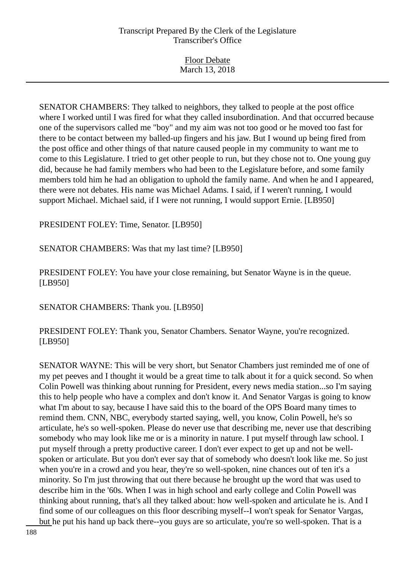| <b>Floor Debate</b> |  |
|---------------------|--|
| March 13, 2018      |  |

SENATOR CHAMBERS: They talked to neighbors, they talked to people at the post office where I worked until I was fired for what they called insubordination. And that occurred because one of the supervisors called me "boy" and my aim was not too good or he moved too fast for there to be contact between my balled-up fingers and his jaw. But I wound up being fired from the post office and other things of that nature caused people in my community to want me to come to this Legislature. I tried to get other people to run, but they chose not to. One young guy did, because he had family members who had been to the Legislature before, and some family members told him he had an obligation to uphold the family name. And when he and I appeared, there were not debates. His name was Michael Adams. I said, if I weren't running, I would support Michael. Michael said, if I were not running, I would support Ernie. [LB950]

PRESIDENT FOLEY: Time, Senator. [LB950]

SENATOR CHAMBERS: Was that my last time? [LB950]

PRESIDENT FOLEY: You have your close remaining, but Senator Wayne is in the queue. [LB950]

SENATOR CHAMBERS: Thank you. [LB950]

PRESIDENT FOLEY: Thank you, Senator Chambers. Senator Wayne, you're recognized. [LB950]

SENATOR WAYNE: This will be very short, but Senator Chambers just reminded me of one of my pet peeves and I thought it would be a great time to talk about it for a quick second. So when Colin Powell was thinking about running for President, every news media station...so I'm saying this to help people who have a complex and don't know it. And Senator Vargas is going to know what I'm about to say, because I have said this to the board of the OPS Board many times to remind them. CNN, NBC, everybody started saying, well, you know, Colin Powell, he's so articulate, he's so well-spoken. Please do never use that describing me, never use that describing somebody who may look like me or is a minority in nature. I put myself through law school. I put myself through a pretty productive career. I don't ever expect to get up and not be wellspoken or articulate. But you don't ever say that of somebody who doesn't look like me. So just when you're in a crowd and you hear, they're so well-spoken, nine chances out of ten it's a minority. So I'm just throwing that out there because he brought up the word that was used to describe him in the '60s. When I was in high school and early college and Colin Powell was thinking about running, that's all they talked about: how well-spoken and articulate he is. And I find some of our colleagues on this floor describing myself--I won't speak for Senator Vargas, but he put his hand up back there--you guys are so articulate, you're so well-spoken. That is a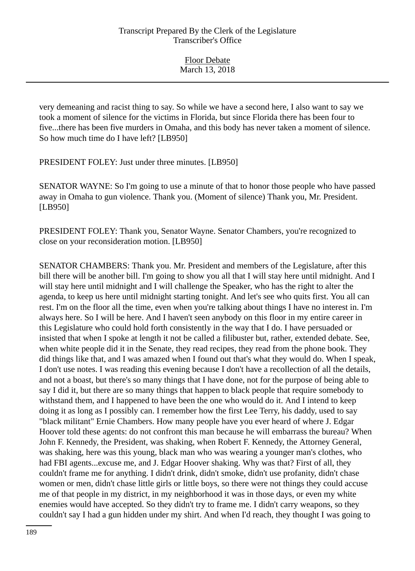very demeaning and racist thing to say. So while we have a second here, I also want to say we took a moment of silence for the victims in Florida, but since Florida there has been four to five...there has been five murders in Omaha, and this body has never taken a moment of silence. So how much time do I have left? [LB950]

PRESIDENT FOLEY: Just under three minutes. [LB950]

SENATOR WAYNE: So I'm going to use a minute of that to honor those people who have passed away in Omaha to gun violence. Thank you. (Moment of silence) Thank you, Mr. President. [LB950]

PRESIDENT FOLEY: Thank you, Senator Wayne. Senator Chambers, you're recognized to close on your reconsideration motion. [LB950]

SENATOR CHAMBERS: Thank you. Mr. President and members of the Legislature, after this bill there will be another bill. I'm going to show you all that I will stay here until midnight. And I will stay here until midnight and I will challenge the Speaker, who has the right to alter the agenda, to keep us here until midnight starting tonight. And let's see who quits first. You all can rest. I'm on the floor all the time, even when you're talking about things I have no interest in. I'm always here. So I will be here. And I haven't seen anybody on this floor in my entire career in this Legislature who could hold forth consistently in the way that I do. I have persuaded or insisted that when I spoke at length it not be called a filibuster but, rather, extended debate. See, when white people did it in the Senate, they read recipes, they read from the phone book. They did things like that, and I was amazed when I found out that's what they would do. When I speak, I don't use notes. I was reading this evening because I don't have a recollection of all the details, and not a boast, but there's so many things that I have done, not for the purpose of being able to say I did it, but there are so many things that happen to black people that require somebody to withstand them, and I happened to have been the one who would do it. And I intend to keep doing it as long as I possibly can. I remember how the first Lee Terry, his daddy, used to say "black militant" Ernie Chambers. How many people have you ever heard of where J. Edgar Hoover told these agents: do not confront this man because he will embarrass the bureau? When John F. Kennedy, the President, was shaking, when Robert F. Kennedy, the Attorney General, was shaking, here was this young, black man who was wearing a younger man's clothes, who had FBI agents...excuse me, and J. Edgar Hoover shaking. Why was that? First of all, they couldn't frame me for anything. I didn't drink, didn't smoke, didn't use profanity, didn't chase women or men, didn't chase little girls or little boys, so there were not things they could accuse me of that people in my district, in my neighborhood it was in those days, or even my white enemies would have accepted. So they didn't try to frame me. I didn't carry weapons, so they couldn't say I had a gun hidden under my shirt. And when I'd reach, they thought I was going to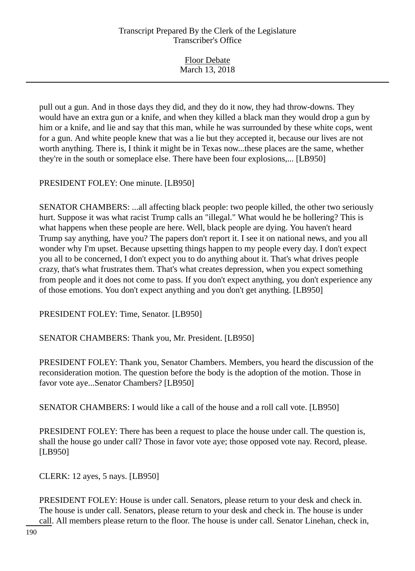| <b>Floor Debate</b> |
|---------------------|
| March 13, 2018      |

pull out a gun. And in those days they did, and they do it now, they had throw-downs. They would have an extra gun or a knife, and when they killed a black man they would drop a gun by him or a knife, and lie and say that this man, while he was surrounded by these white cops, went for a gun. And white people knew that was a lie but they accepted it, because our lives are not worth anything. There is, I think it might be in Texas now...these places are the same, whether they're in the south or someplace else. There have been four explosions,... [LB950]

PRESIDENT FOLEY: One minute. [LB950]

SENATOR CHAMBERS: ...all affecting black people: two people killed, the other two seriously hurt. Suppose it was what racist Trump calls an "illegal." What would he be hollering? This is what happens when these people are here. Well, black people are dying. You haven't heard Trump say anything, have you? The papers don't report it. I see it on national news, and you all wonder why I'm upset. Because upsetting things happen to my people every day. I don't expect you all to be concerned, I don't expect you to do anything about it. That's what drives people crazy, that's what frustrates them. That's what creates depression, when you expect something from people and it does not come to pass. If you don't expect anything, you don't experience any of those emotions. You don't expect anything and you don't get anything. [LB950]

PRESIDENT FOLEY: Time, Senator. [LB950]

SENATOR CHAMBERS: Thank you, Mr. President. [LB950]

PRESIDENT FOLEY: Thank you, Senator Chambers. Members, you heard the discussion of the reconsideration motion. The question before the body is the adoption of the motion. Those in favor vote aye...Senator Chambers? [LB950]

SENATOR CHAMBERS: I would like a call of the house and a roll call vote. [LB950]

PRESIDENT FOLEY: There has been a request to place the house under call. The question is, shall the house go under call? Those in favor vote aye; those opposed vote nay. Record, please. [LB950]

CLERK: 12 ayes, 5 nays. [LB950]

PRESIDENT FOLEY: House is under call. Senators, please return to your desk and check in. The house is under call. Senators, please return to your desk and check in. The house is under call. All members please return to the floor. The house is under call. Senator Linehan, check in,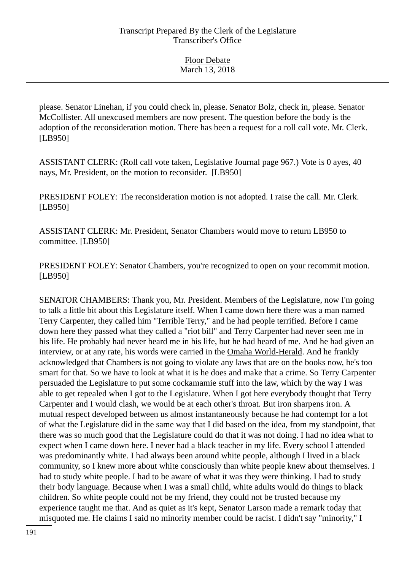please. Senator Linehan, if you could check in, please. Senator Bolz, check in, please. Senator McCollister. All unexcused members are now present. The question before the body is the adoption of the reconsideration motion. There has been a request for a roll call vote. Mr. Clerk. [LB950]

ASSISTANT CLERK: (Roll call vote taken, Legislative Journal page 967.) Vote is 0 ayes, 40 nays, Mr. President, on the motion to reconsider. [LB950]

PRESIDENT FOLEY: The reconsideration motion is not adopted. I raise the call. Mr. Clerk. [LB950]

ASSISTANT CLERK: Mr. President, Senator Chambers would move to return LB950 to committee. [LB950]

PRESIDENT FOLEY: Senator Chambers, you're recognized to open on your recommit motion. [LB950]

SENATOR CHAMBERS: Thank you, Mr. President. Members of the Legislature, now I'm going to talk a little bit about this Legislature itself. When I came down here there was a man named Terry Carpenter, they called him "Terrible Terry," and he had people terrified. Before I came down here they passed what they called a "riot bill" and Terry Carpenter had never seen me in his life. He probably had never heard me in his life, but he had heard of me. And he had given an interview, or at any rate, his words were carried in the Omaha World-Herald. And he frankly acknowledged that Chambers is not going to violate any laws that are on the books now, he's too smart for that. So we have to look at what it is he does and make that a crime. So Terry Carpenter persuaded the Legislature to put some cockamamie stuff into the law, which by the way I was able to get repealed when I got to the Legislature. When I got here everybody thought that Terry Carpenter and I would clash, we would be at each other's throat. But iron sharpens iron. A mutual respect developed between us almost instantaneously because he had contempt for a lot of what the Legislature did in the same way that I did based on the idea, from my standpoint, that there was so much good that the Legislature could do that it was not doing. I had no idea what to expect when I came down here. I never had a black teacher in my life. Every school I attended was predominantly white. I had always been around white people, although I lived in a black community, so I knew more about white consciously than white people knew about themselves. I had to study white people. I had to be aware of what it was they were thinking. I had to study their body language. Because when I was a small child, white adults would do things to black children. So white people could not be my friend, they could not be trusted because my experience taught me that. And as quiet as it's kept, Senator Larson made a remark today that misquoted me. He claims I said no minority member could be racist. I didn't say "minority," I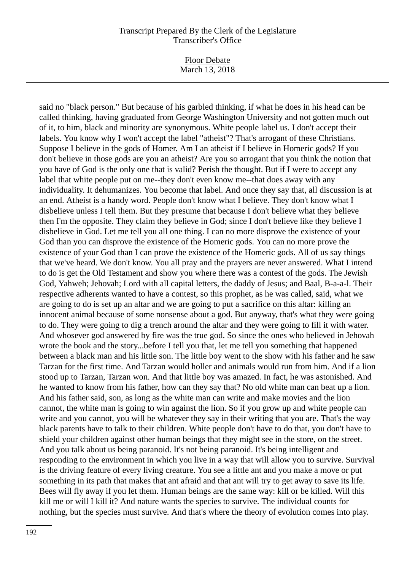Floor Debate March 13, 2018

said no "black person." But because of his garbled thinking, if what he does in his head can be called thinking, having graduated from George Washington University and not gotten much out of it, to him, black and minority are synonymous. White people label us. I don't accept their labels. You know why I won't accept the label "atheist"? That's arrogant of these Christians. Suppose I believe in the gods of Homer. Am I an atheist if I believe in Homeric gods? If you don't believe in those gods are you an atheist? Are you so arrogant that you think the notion that you have of God is the only one that is valid? Perish the thought. But if I were to accept any label that white people put on me--they don't even know me--that does away with any individuality. It dehumanizes. You become that label. And once they say that, all discussion is at an end. Atheist is a handy word. People don't know what I believe. They don't know what I disbelieve unless I tell them. But they presume that because I don't believe what they believe then I'm the opposite. They claim they believe in God; since I don't believe like they believe I disbelieve in God. Let me tell you all one thing. I can no more disprove the existence of your God than you can disprove the existence of the Homeric gods. You can no more prove the existence of your God than I can prove the existence of the Homeric gods. All of us say things that we've heard. We don't know. You all pray and the prayers are never answered. What I intend to do is get the Old Testament and show you where there was a contest of the gods. The Jewish God, Yahweh; Jehovah; Lord with all capital letters, the daddy of Jesus; and Baal, B-a-a-l. Their respective adherents wanted to have a contest, so this prophet, as he was called, said, what we are going to do is set up an altar and we are going to put a sacrifice on this altar: killing an innocent animal because of some nonsense about a god. But anyway, that's what they were going to do. They were going to dig a trench around the altar and they were going to fill it with water. And whosever god answered by fire was the true god. So since the ones who believed in Jehovah wrote the book and the story...before I tell you that, let me tell you something that happened between a black man and his little son. The little boy went to the show with his father and he saw Tarzan for the first time. And Tarzan would holler and animals would run from him. And if a lion stood up to Tarzan, Tarzan won. And that little boy was amazed. In fact, he was astonished. And he wanted to know from his father, how can they say that? No old white man can beat up a lion. And his father said, son, as long as the white man can write and make movies and the lion cannot, the white man is going to win against the lion. So if you grow up and white people can write and you cannot, you will be whatever they say in their writing that you are. That's the way black parents have to talk to their children. White people don't have to do that, you don't have to shield your children against other human beings that they might see in the store, on the street. And you talk about us being paranoid. It's not being paranoid. It's being intelligent and responding to the environment in which you live in a way that will allow you to survive. Survival is the driving feature of every living creature. You see a little ant and you make a move or put something in its path that makes that ant afraid and that ant will try to get away to save its life. Bees will fly away if you let them. Human beings are the same way: kill or be killed. Will this kill me or will I kill it? And nature wants the species to survive. The individual counts for nothing, but the species must survive. And that's where the theory of evolution comes into play.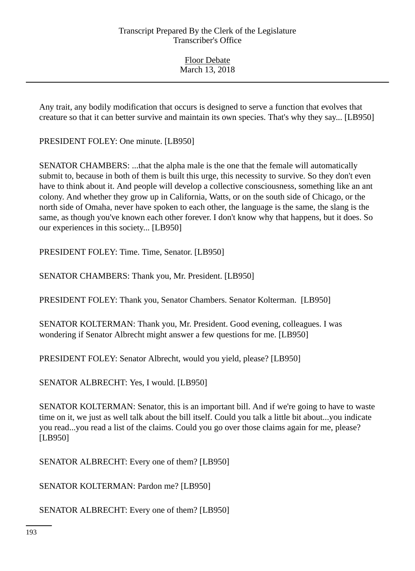Floor Debate March 13, 2018

Any trait, any bodily modification that occurs is designed to serve a function that evolves that creature so that it can better survive and maintain its own species. That's why they say... [LB950]

PRESIDENT FOLEY: One minute. [LB950]

SENATOR CHAMBERS: ...that the alpha male is the one that the female will automatically submit to, because in both of them is built this urge, this necessity to survive. So they don't even have to think about it. And people will develop a collective consciousness, something like an ant colony. And whether they grow up in California, Watts, or on the south side of Chicago, or the north side of Omaha, never have spoken to each other, the language is the same, the slang is the same, as though you've known each other forever. I don't know why that happens, but it does. So our experiences in this society... [LB950]

PRESIDENT FOLEY: Time. Time, Senator. [LB950]

SENATOR CHAMBERS: Thank you, Mr. President. [LB950]

PRESIDENT FOLEY: Thank you, Senator Chambers. Senator Kolterman. [LB950]

SENATOR KOLTERMAN: Thank you, Mr. President. Good evening, colleagues. I was wondering if Senator Albrecht might answer a few questions for me. [LB950]

PRESIDENT FOLEY: Senator Albrecht, would you yield, please? [LB950]

SENATOR ALBRECHT: Yes, I would. [LB950]

SENATOR KOLTERMAN: Senator, this is an important bill. And if we're going to have to waste time on it, we just as well talk about the bill itself. Could you talk a little bit about...you indicate you read...you read a list of the claims. Could you go over those claims again for me, please? [LB950]

SENATOR ALBRECHT: Every one of them? [LB950]

SENATOR KOLTERMAN: Pardon me? [LB950]

SENATOR ALBRECHT: Every one of them? [LB950]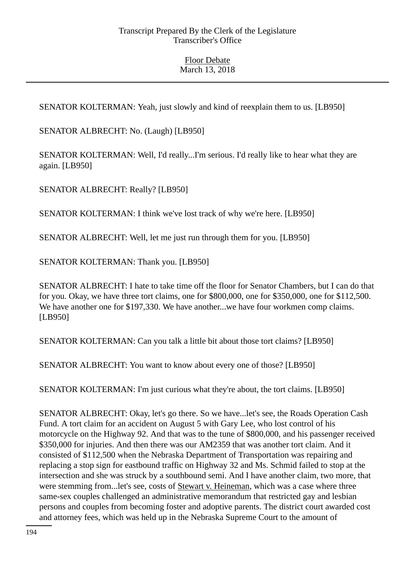SENATOR KOLTERMAN: Yeah, just slowly and kind of reexplain them to us. [LB950]

SENATOR ALBRECHT: No. (Laugh) [LB950]

SENATOR KOLTERMAN: Well, I'd really...I'm serious. I'd really like to hear what they are again. [LB950]

SENATOR ALBRECHT: Really? [LB950]

SENATOR KOLTERMAN: I think we've lost track of why we're here. [LB950]

SENATOR ALBRECHT: Well, let me just run through them for you. [LB950]

SENATOR KOLTERMAN: Thank you. [LB950]

SENATOR ALBRECHT: I hate to take time off the floor for Senator Chambers, but I can do that for you. Okay, we have three tort claims, one for \$800,000, one for \$350,000, one for \$112,500. We have another one for \$197,330. We have another...we have four workmen comp claims. [LB950]

SENATOR KOLTERMAN: Can you talk a little bit about those tort claims? [LB950]

SENATOR ALBRECHT: You want to know about every one of those? [LB950]

SENATOR KOLTERMAN: I'm just curious what they're about, the tort claims. [LB950]

SENATOR ALBRECHT: Okay, let's go there. So we have...let's see, the Roads Operation Cash Fund. A tort claim for an accident on August 5 with Gary Lee, who lost control of his motorcycle on the Highway 92. And that was to the tune of \$800,000, and his passenger received \$350,000 for injuries. And then there was our AM2359 that was another tort claim. And it consisted of \$112,500 when the Nebraska Department of Transportation was repairing and replacing a stop sign for eastbound traffic on Highway 32 and Ms. Schmid failed to stop at the intersection and she was struck by a southbound semi. And I have another claim, two more, that were stemming from...let's see, costs of Stewart v. Heineman, which was a case where three same-sex couples challenged an administrative memorandum that restricted gay and lesbian persons and couples from becoming foster and adoptive parents. The district court awarded cost and attorney fees, which was held up in the Nebraska Supreme Court to the amount of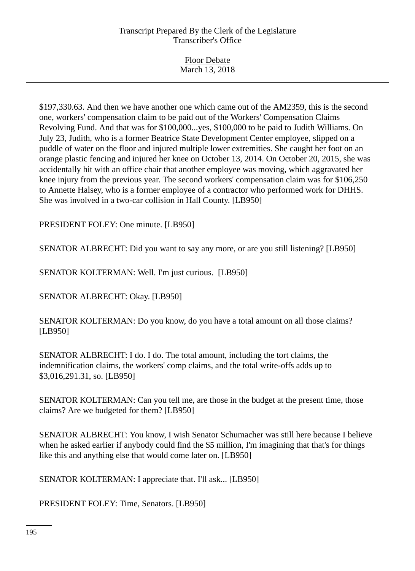| <b>Floor Debate</b> |
|---------------------|
| March 13, 2018      |
|                     |

\$197,330.63. And then we have another one which came out of the AM2359, this is the second one, workers' compensation claim to be paid out of the Workers' Compensation Claims Revolving Fund. And that was for \$100,000...yes, \$100,000 to be paid to Judith Williams. On July 23, Judith, who is a former Beatrice State Development Center employee, slipped on a puddle of water on the floor and injured multiple lower extremities. She caught her foot on an orange plastic fencing and injured her knee on October 13, 2014. On October 20, 2015, she was accidentally hit with an office chair that another employee was moving, which aggravated her knee injury from the previous year. The second workers' compensation claim was for \$106,250 to Annette Halsey, who is a former employee of a contractor who performed work for DHHS. She was involved in a two-car collision in Hall County. [LB950]

PRESIDENT FOLEY: One minute. [LB950]

SENATOR ALBRECHT: Did you want to say any more, or are you still listening? [LB950]

SENATOR KOLTERMAN: Well. I'm just curious. [LB950]

SENATOR ALBRECHT: Okay. [LB950]

SENATOR KOLTERMAN: Do you know, do you have a total amount on all those claims? [LB950]

SENATOR ALBRECHT: I do. I do. The total amount, including the tort claims, the indemnification claims, the workers' comp claims, and the total write-offs adds up to \$3,016,291.31, so. [LB950]

SENATOR KOLTERMAN: Can you tell me, are those in the budget at the present time, those claims? Are we budgeted for them? [LB950]

SENATOR ALBRECHT: You know, I wish Senator Schumacher was still here because I believe when he asked earlier if anybody could find the \$5 million, I'm imagining that that's for things like this and anything else that would come later on. [LB950]

SENATOR KOLTERMAN: I appreciate that. I'll ask... [LB950]

PRESIDENT FOLEY: Time, Senators. [LB950]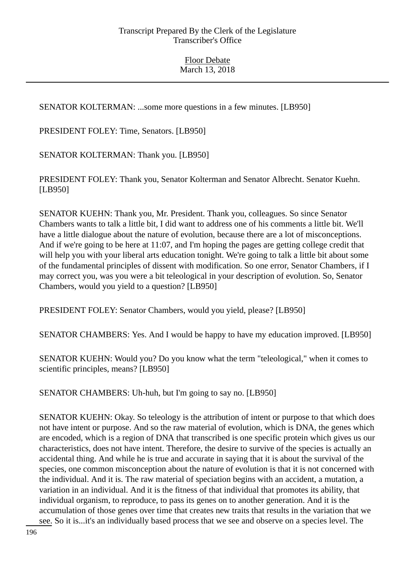SENATOR KOLTERMAN: ...some more questions in a few minutes. [LB950]

PRESIDENT FOLEY: Time, Senators. [LB950]

SENATOR KOLTERMAN: Thank you. [LB950]

PRESIDENT FOLEY: Thank you, Senator Kolterman and Senator Albrecht. Senator Kuehn. [LB950]

SENATOR KUEHN: Thank you, Mr. President. Thank you, colleagues. So since Senator Chambers wants to talk a little bit, I did want to address one of his comments a little bit. We'll have a little dialogue about the nature of evolution, because there are a lot of misconceptions. And if we're going to be here at 11:07, and I'm hoping the pages are getting college credit that will help you with your liberal arts education tonight. We're going to talk a little bit about some of the fundamental principles of dissent with modification. So one error, Senator Chambers, if I may correct you, was you were a bit teleological in your description of evolution. So, Senator Chambers, would you yield to a question? [LB950]

PRESIDENT FOLEY: Senator Chambers, would you yield, please? [LB950]

SENATOR CHAMBERS: Yes. And I would be happy to have my education improved. [LB950]

SENATOR KUEHN: Would you? Do you know what the term "teleological," when it comes to scientific principles, means? [LB950]

SENATOR CHAMBERS: Uh-huh, but I'm going to say no. [LB950]

SENATOR KUEHN: Okay. So teleology is the attribution of intent or purpose to that which does not have intent or purpose. And so the raw material of evolution, which is DNA, the genes which are encoded, which is a region of DNA that transcribed is one specific protein which gives us our characteristics, does not have intent. Therefore, the desire to survive of the species is actually an accidental thing. And while he is true and accurate in saying that it is about the survival of the species, one common misconception about the nature of evolution is that it is not concerned with the individual. And it is. The raw material of speciation begins with an accident, a mutation, a variation in an individual. And it is the fitness of that individual that promotes its ability, that individual organism, to reproduce, to pass its genes on to another generation. And it is the accumulation of those genes over time that creates new traits that results in the variation that we see. So it is...it's an individually based process that we see and observe on a species level. The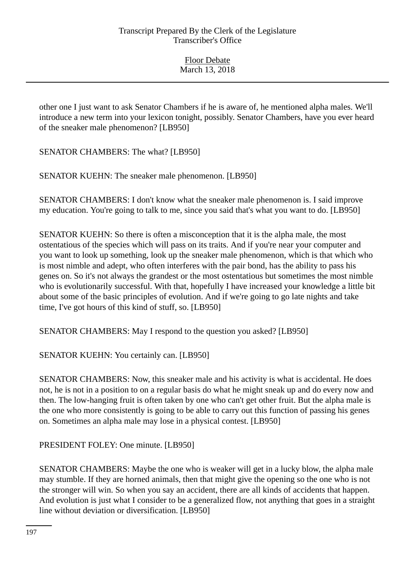other one I just want to ask Senator Chambers if he is aware of, he mentioned alpha males. We'll introduce a new term into your lexicon tonight, possibly. Senator Chambers, have you ever heard of the sneaker male phenomenon? [LB950]

SENATOR CHAMBERS: The what? [LB950]

SENATOR KUEHN: The sneaker male phenomenon. [LB950]

SENATOR CHAMBERS: I don't know what the sneaker male phenomenon is. I said improve my education. You're going to talk to me, since you said that's what you want to do. [LB950]

SENATOR KUEHN: So there is often a misconception that it is the alpha male, the most ostentatious of the species which will pass on its traits. And if you're near your computer and you want to look up something, look up the sneaker male phenomenon, which is that which who is most nimble and adept, who often interferes with the pair bond, has the ability to pass his genes on. So it's not always the grandest or the most ostentatious but sometimes the most nimble who is evolutionarily successful. With that, hopefully I have increased your knowledge a little bit about some of the basic principles of evolution. And if we're going to go late nights and take time, I've got hours of this kind of stuff, so. [LB950]

SENATOR CHAMBERS: May I respond to the question you asked? [LB950]

SENATOR KUEHN: You certainly can. [LB950]

SENATOR CHAMBERS: Now, this sneaker male and his activity is what is accidental. He does not, he is not in a position to on a regular basis do what he might sneak up and do every now and then. The low-hanging fruit is often taken by one who can't get other fruit. But the alpha male is the one who more consistently is going to be able to carry out this function of passing his genes on. Sometimes an alpha male may lose in a physical contest. [LB950]

PRESIDENT FOLEY: One minute. [LB950]

SENATOR CHAMBERS: Maybe the one who is weaker will get in a lucky blow, the alpha male may stumble. If they are horned animals, then that might give the opening so the one who is not the stronger will win. So when you say an accident, there are all kinds of accidents that happen. And evolution is just what I consider to be a generalized flow, not anything that goes in a straight line without deviation or diversification. [LB950]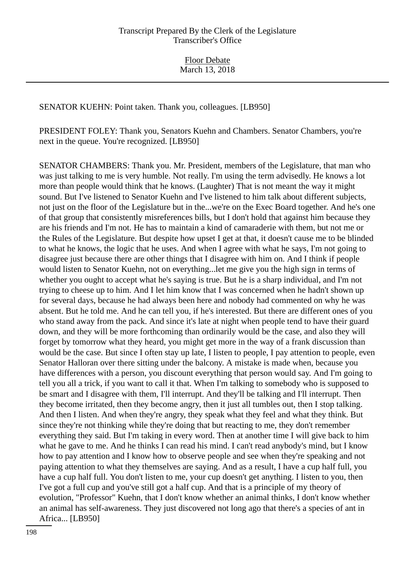SENATOR KUEHN: Point taken. Thank you, colleagues. [LB950]

PRESIDENT FOLEY: Thank you, Senators Kuehn and Chambers. Senator Chambers, you're next in the queue. You're recognized. [LB950]

SENATOR CHAMBERS: Thank you. Mr. President, members of the Legislature, that man who was just talking to me is very humble. Not really. I'm using the term advisedly. He knows a lot more than people would think that he knows. (Laughter) That is not meant the way it might sound. But I've listened to Senator Kuehn and I've listened to him talk about different subjects, not just on the floor of the Legislature but in the...we're on the Exec Board together. And he's one of that group that consistently misreferences bills, but I don't hold that against him because they are his friends and I'm not. He has to maintain a kind of camaraderie with them, but not me or the Rules of the Legislature. But despite how upset I get at that, it doesn't cause me to be blinded to what he knows, the logic that he uses. And when I agree with what he says, I'm not going to disagree just because there are other things that I disagree with him on. And I think if people would listen to Senator Kuehn, not on everything...let me give you the high sign in terms of whether you ought to accept what he's saying is true. But he is a sharp individual, and I'm not trying to cheese up to him. And I let him know that I was concerned when he hadn't shown up for several days, because he had always been here and nobody had commented on why he was absent. But he told me. And he can tell you, if he's interested. But there are different ones of you who stand away from the pack. And since it's late at night when people tend to have their guard down, and they will be more forthcoming than ordinarily would be the case, and also they will forget by tomorrow what they heard, you might get more in the way of a frank discussion than would be the case. But since I often stay up late, I listen to people, I pay attention to people, even Senator Halloran over there sitting under the balcony. A mistake is made when, because you have differences with a person, you discount everything that person would say. And I'm going to tell you all a trick, if you want to call it that. When I'm talking to somebody who is supposed to be smart and I disagree with them, I'll interrupt. And they'll be talking and I'll interrupt. Then they become irritated, then they become angry, then it just all tumbles out, then I stop talking. And then I listen. And when they're angry, they speak what they feel and what they think. But since they're not thinking while they're doing that but reacting to me, they don't remember everything they said. But I'm taking in every word. Then at another time I will give back to him what he gave to me. And he thinks I can read his mind. I can't read anybody's mind, but I know how to pay attention and I know how to observe people and see when they're speaking and not paying attention to what they themselves are saying. And as a result, I have a cup half full, you have a cup half full. You don't listen to me, your cup doesn't get anything. I listen to you, then I've got a full cup and you've still got a half cup. And that is a principle of my theory of evolution, "Professor" Kuehn, that I don't know whether an animal thinks, I don't know whether an animal has self-awareness. They just discovered not long ago that there's a species of ant in Africa... [LB950]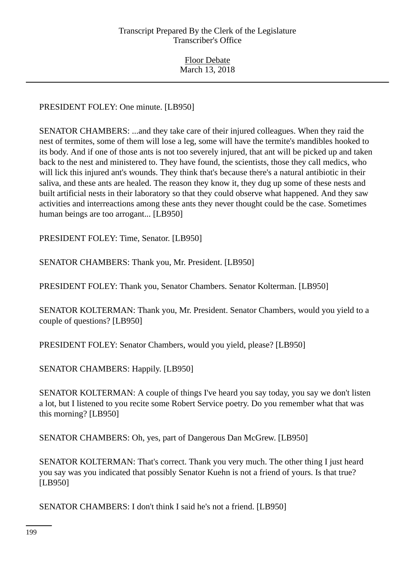PRESIDENT FOLEY: One minute. [LB950]

SENATOR CHAMBERS: ...and they take care of their injured colleagues. When they raid the nest of termites, some of them will lose a leg, some will have the termite's mandibles hooked to its body. And if one of those ants is not too severely injured, that ant will be picked up and taken back to the nest and ministered to. They have found, the scientists, those they call medics, who will lick this injured ant's wounds. They think that's because there's a natural antibiotic in their saliva, and these ants are healed. The reason they know it, they dug up some of these nests and built artificial nests in their laboratory so that they could observe what happened. And they saw activities and interreactions among these ants they never thought could be the case. Sometimes human beings are too arrogant... [LB950]

PRESIDENT FOLEY: Time, Senator. [LB950]

SENATOR CHAMBERS: Thank you, Mr. President. [LB950]

PRESIDENT FOLEY: Thank you, Senator Chambers. Senator Kolterman. [LB950]

SENATOR KOLTERMAN: Thank you, Mr. President. Senator Chambers, would you yield to a couple of questions? [LB950]

PRESIDENT FOLEY: Senator Chambers, would you yield, please? [LB950]

SENATOR CHAMBERS: Happily. [LB950]

SENATOR KOLTERMAN: A couple of things I've heard you say today, you say we don't listen a lot, but I listened to you recite some Robert Service poetry. Do you remember what that was this morning? [LB950]

SENATOR CHAMBERS: Oh, yes, part of Dangerous Dan McGrew. [LB950]

SENATOR KOLTERMAN: That's correct. Thank you very much. The other thing I just heard you say was you indicated that possibly Senator Kuehn is not a friend of yours. Is that true? [LB950]

SENATOR CHAMBERS: I don't think I said he's not a friend. [LB950]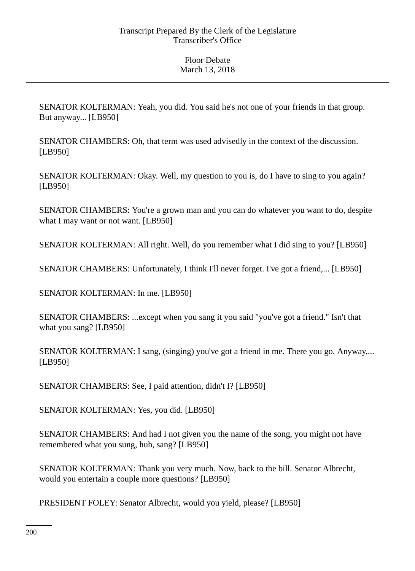SENATOR KOLTERMAN: Yeah, you did. You said he's not one of your friends in that group. But anyway... [LB950]

SENATOR CHAMBERS: Oh, that term was used advisedly in the context of the discussion. [LB950]

SENATOR KOLTERMAN: Okay. Well, my question to you is, do I have to sing to you again? [LB950]

SENATOR CHAMBERS: You're a grown man and you can do whatever you want to do, despite what I may want or not want. [LB950]

SENATOR KOLTERMAN: All right. Well, do you remember what I did sing to you? [LB950]

SENATOR CHAMBERS: Unfortunately, I think I'll never forget. I've got a friend,... [LB950]

SENATOR KOLTERMAN: In me. [LB950]

SENATOR CHAMBERS: ...except when you sang it you said "you've got a friend." Isn't that what you sang? [LB950]

SENATOR KOLTERMAN: I sang, (singing) you've got a friend in me. There you go. Anyway,... [LB950]

SENATOR CHAMBERS: See, I paid attention, didn't I? [LB950]

SENATOR KOLTERMAN: Yes, you did. [LB950]

SENATOR CHAMBERS: And had I not given you the name of the song, you might not have remembered what you sung, huh, sang? [LB950]

SENATOR KOLTERMAN: Thank you very much. Now, back to the bill. Senator Albrecht, would you entertain a couple more questions? [LB950]

PRESIDENT FOLEY: Senator Albrecht, would you yield, please? [LB950]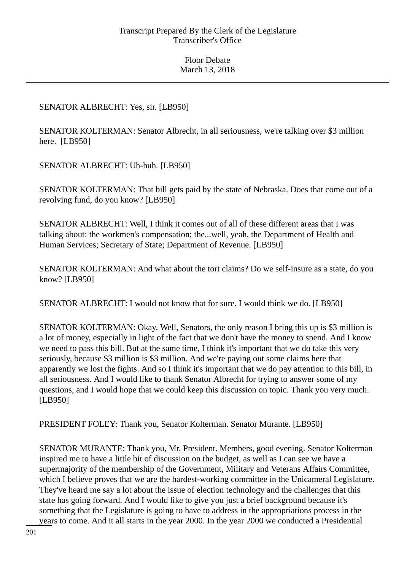# SENATOR ALBRECHT: Yes, sir. [LB950]

SENATOR KOLTERMAN: Senator Albrecht, in all seriousness, we're talking over \$3 million here. [LB950]

SENATOR ALBRECHT: Uh-huh. [LB950]

SENATOR KOLTERMAN: That bill gets paid by the state of Nebraska. Does that come out of a revolving fund, do you know? [LB950]

SENATOR ALBRECHT: Well, I think it comes out of all of these different areas that I was talking about: the workmen's compensation; the...well, yeah, the Department of Health and Human Services; Secretary of State; Department of Revenue. [LB950]

SENATOR KOLTERMAN: And what about the tort claims? Do we self-insure as a state, do you know? [LB950]

SENATOR ALBRECHT: I would not know that for sure. I would think we do. [LB950]

SENATOR KOLTERMAN: Okay. Well, Senators, the only reason I bring this up is \$3 million is a lot of money, especially in light of the fact that we don't have the money to spend. And I know we need to pass this bill. But at the same time, I think it's important that we do take this very seriously, because \$3 million is \$3 million. And we're paying out some claims here that apparently we lost the fights. And so I think it's important that we do pay attention to this bill, in all seriousness. And I would like to thank Senator Albrecht for trying to answer some of my questions, and I would hope that we could keep this discussion on topic. Thank you very much. [LB950]

PRESIDENT FOLEY: Thank you, Senator Kolterman. Senator Murante. [LB950]

SENATOR MURANTE: Thank you, Mr. President. Members, good evening. Senator Kolterman inspired me to have a little bit of discussion on the budget, as well as I can see we have a supermajority of the membership of the Government, Military and Veterans Affairs Committee, which I believe proves that we are the hardest-working committee in the Unicameral Legislature. They've heard me say a lot about the issue of election technology and the challenges that this state has going forward. And I would like to give you just a brief background because it's something that the Legislature is going to have to address in the appropriations process in the years to come. And it all starts in the year 2000. In the year 2000 we conducted a Presidential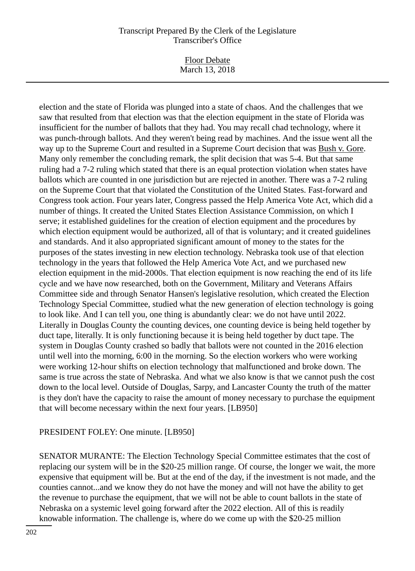Floor Debate March 13, 2018

election and the state of Florida was plunged into a state of chaos. And the challenges that we saw that resulted from that election was that the election equipment in the state of Florida was insufficient for the number of ballots that they had. You may recall chad technology, where it was punch-through ballots. And they weren't being read by machines. And the issue went all the way up to the Supreme Court and resulted in a Supreme Court decision that was Bush v. Gore. Many only remember the concluding remark, the split decision that was 5-4. But that same ruling had a 7-2 ruling which stated that there is an equal protection violation when states have ballots which are counted in one jurisdiction but are rejected in another. There was a 7-2 ruling on the Supreme Court that that violated the Constitution of the United States. Fast-forward and Congress took action. Four years later, Congress passed the Help America Vote Act, which did a number of things. It created the United States Election Assistance Commission, on which I serve; it established guidelines for the creation of election equipment and the procedures by which election equipment would be authorized, all of that is voluntary; and it created guidelines and standards. And it also appropriated significant amount of money to the states for the purposes of the states investing in new election technology. Nebraska took use of that election technology in the years that followed the Help America Vote Act, and we purchased new election equipment in the mid-2000s. That election equipment is now reaching the end of its life cycle and we have now researched, both on the Government, Military and Veterans Affairs Committee side and through Senator Hansen's legislative resolution, which created the Election Technology Special Committee, studied what the new generation of election technology is going to look like. And I can tell you, one thing is abundantly clear: we do not have until 2022. Literally in Douglas County the counting devices, one counting device is being held together by duct tape, literally. It is only functioning because it is being held together by duct tape. The system in Douglas County crashed so badly that ballots were not counted in the 2016 election until well into the morning, 6:00 in the morning. So the election workers who were working were working 12-hour shifts on election technology that malfunctioned and broke down. The same is true across the state of Nebraska. And what we also know is that we cannot push the cost down to the local level. Outside of Douglas, Sarpy, and Lancaster County the truth of the matter is they don't have the capacity to raise the amount of money necessary to purchase the equipment that will become necessary within the next four years. [LB950]

# PRESIDENT FOLEY: One minute. [LB950]

SENATOR MURANTE: The Election Technology Special Committee estimates that the cost of replacing our system will be in the \$20-25 million range. Of course, the longer we wait, the more expensive that equipment will be. But at the end of the day, if the investment is not made, and the counties cannot...and we know they do not have the money and will not have the ability to get the revenue to purchase the equipment, that we will not be able to count ballots in the state of Nebraska on a systemic level going forward after the 2022 election. All of this is readily knowable information. The challenge is, where do we come up with the \$20-25 million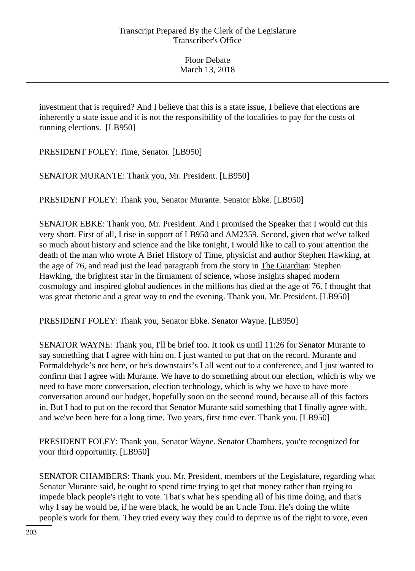investment that is required? And I believe that this is a state issue, I believe that elections are inherently a state issue and it is not the responsibility of the localities to pay for the costs of running elections. [LB950]

PRESIDENT FOLEY: Time, Senator. [LB950]

SENATOR MURANTE: Thank you, Mr. President. [LB950]

PRESIDENT FOLEY: Thank you, Senator Murante. Senator Ebke. [LB950]

SENATOR EBKE: Thank you, Mr. President. And I promised the Speaker that I would cut this very short. First of all, I rise in support of LB950 and AM2359. Second, given that we've talked so much about history and science and the like tonight, I would like to call to your attention the death of the man who wrote A Brief History of Time, physicist and author Stephen Hawking, at the age of 76, and read just the lead paragraph from the story in The Guardian: Stephen Hawking, the brightest star in the firmament of science, whose insights shaped modern cosmology and inspired global audiences in the millions has died at the age of 76. I thought that was great rhetoric and a great way to end the evening. Thank you, Mr. President. [LB950]

PRESIDENT FOLEY: Thank you, Senator Ebke. Senator Wayne. [LB950]

SENATOR WAYNE: Thank you, I'll be brief too. It took us until 11:26 for Senator Murante to say something that I agree with him on. I just wanted to put that on the record. Murante and Formaldehyde's not here, or he's downstairs's I all went out to a conference, and I just wanted to confirm that I agree with Murante. We have to do something about our election, which is why we need to have more conversation, election technology, which is why we have to have more conversation around our budget, hopefully soon on the second round, because all of this factors in. But I had to put on the record that Senator Murante said something that I finally agree with, and we've been here for a long time. Two years, first time ever. Thank you. [LB950]

PRESIDENT FOLEY: Thank you, Senator Wayne. Senator Chambers, you're recognized for your third opportunity. [LB950]

SENATOR CHAMBERS: Thank you. Mr. President, members of the Legislature, regarding what Senator Murante said, he ought to spend time trying to get that money rather than trying to impede black people's right to vote. That's what he's spending all of his time doing, and that's why I say he would be, if he were black, he would be an Uncle Tom. He's doing the white people's work for them. They tried every way they could to deprive us of the right to vote, even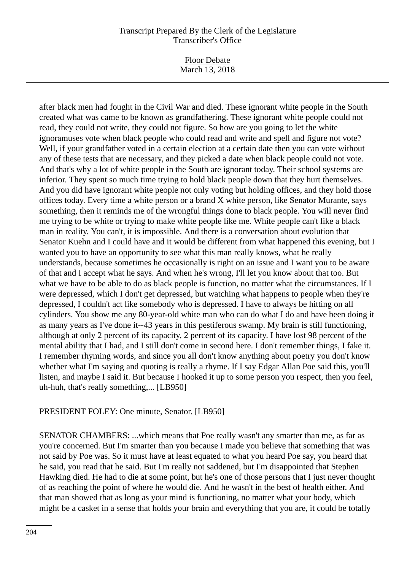Floor Debate March 13, 2018

after black men had fought in the Civil War and died. These ignorant white people in the South created what was came to be known as grandfathering. These ignorant white people could not read, they could not write, they could not figure. So how are you going to let the white ignoramuses vote when black people who could read and write and spell and figure not vote? Well, if your grandfather voted in a certain election at a certain date then you can vote without any of these tests that are necessary, and they picked a date when black people could not vote. And that's why a lot of white people in the South are ignorant today. Their school systems are inferior. They spent so much time trying to hold black people down that they hurt themselves. And you did have ignorant white people not only voting but holding offices, and they hold those offices today. Every time a white person or a brand X white person, like Senator Murante, says something, then it reminds me of the wrongful things done to black people. You will never find me trying to be white or trying to make white people like me. White people can't like a black man in reality. You can't, it is impossible. And there is a conversation about evolution that Senator Kuehn and I could have and it would be different from what happened this evening, but I wanted you to have an opportunity to see what this man really knows, what he really understands, because sometimes he occasionally is right on an issue and I want you to be aware of that and I accept what he says. And when he's wrong, I'll let you know about that too. But what we have to be able to do as black people is function, no matter what the circumstances. If I were depressed, which I don't get depressed, but watching what happens to people when they're depressed, I couldn't act like somebody who is depressed. I have to always be hitting on all cylinders. You show me any 80-year-old white man who can do what I do and have been doing it as many years as I've done it--43 years in this pestiferous swamp. My brain is still functioning, although at only 2 percent of its capacity, 2 percent of its capacity. I have lost 98 percent of the mental ability that I had, and I still don't come in second here. I don't remember things, I fake it. I remember rhyming words, and since you all don't know anything about poetry you don't know whether what I'm saying and quoting is really a rhyme. If I say Edgar Allan Poe said this, you'll listen, and maybe I said it. But because I hooked it up to some person you respect, then you feel, uh-huh, that's really something,... [LB950]

#### PRESIDENT FOLEY: One minute, Senator. [LB950]

SENATOR CHAMBERS: ...which means that Poe really wasn't any smarter than me, as far as you're concerned. But I'm smarter than you because I made you believe that something that was not said by Poe was. So it must have at least equated to what you heard Poe say, you heard that he said, you read that he said. But I'm really not saddened, but I'm disappointed that Stephen Hawking died. He had to die at some point, but he's one of those persons that I just never thought of as reaching the point of where he would die. And he wasn't in the best of health either. And that man showed that as long as your mind is functioning, no matter what your body, which might be a casket in a sense that holds your brain and everything that you are, it could be totally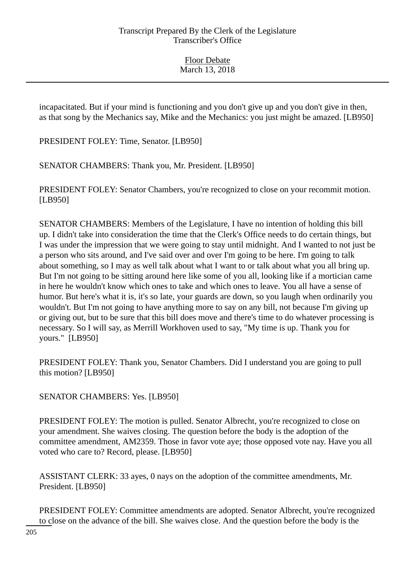incapacitated. But if your mind is functioning and you don't give up and you don't give in then, as that song by the Mechanics say, Mike and the Mechanics: you just might be amazed. [LB950]

PRESIDENT FOLEY: Time, Senator. [LB950]

SENATOR CHAMBERS: Thank you, Mr. President. [LB950]

PRESIDENT FOLEY: Senator Chambers, you're recognized to close on your recommit motion. [LB950]

SENATOR CHAMBERS: Members of the Legislature, I have no intention of holding this bill up. I didn't take into consideration the time that the Clerk's Office needs to do certain things, but I was under the impression that we were going to stay until midnight. And I wanted to not just be a person who sits around, and I've said over and over I'm going to be here. I'm going to talk about something, so I may as well talk about what I want to or talk about what you all bring up. But I'm not going to be sitting around here like some of you all, looking like if a mortician came in here he wouldn't know which ones to take and which ones to leave. You all have a sense of humor. But here's what it is, it's so late, your guards are down, so you laugh when ordinarily you wouldn't. But I'm not going to have anything more to say on any bill, not because I'm giving up or giving out, but to be sure that this bill does move and there's time to do whatever processing is necessary. So I will say, as Merrill Workhoven used to say, "My time is up. Thank you for yours." [LB950]

PRESIDENT FOLEY: Thank you, Senator Chambers. Did I understand you are going to pull this motion? [LB950]

SENATOR CHAMBERS: Yes. [LB950]

PRESIDENT FOLEY: The motion is pulled. Senator Albrecht, you're recognized to close on your amendment. She waives closing. The question before the body is the adoption of the committee amendment, AM2359. Those in favor vote aye; those opposed vote nay. Have you all voted who care to? Record, please. [LB950]

ASSISTANT CLERK: 33 ayes, 0 nays on the adoption of the committee amendments, Mr. President. [LB950]

PRESIDENT FOLEY: Committee amendments are adopted. Senator Albrecht, you're recognized to close on the advance of the bill. She waives close. And the question before the body is the